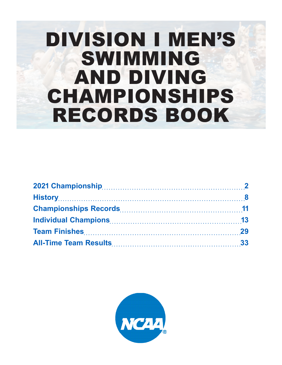# DIVISION I MEN'S SWIMMING AND DIVING CHAMPIONSHIPS RECORDS BOOK

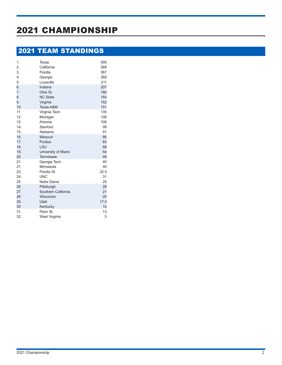# 2021 CHAMPIONSHIP

## 2021 TEAM STANDINGS

| 1.               | Texas                | 595  |
|------------------|----------------------|------|
| 2.               | California           | 568  |
| 3.               | Flordia              | 367  |
| $\overline{4}$ . | Georgia              | 268  |
| 5.               | Louisville           | 211  |
| 6.               | Indiana              | 207  |
| 7.               | Ohio St.             | 180  |
| 8.               | <b>NC State</b>      | 164  |
| 9.               | Virginia             | 152  |
| 10.              | <b>Texas A&amp;M</b> | 151  |
| 11.              | Virginia Tech        | 135  |
| 12               | Michigan             | 106  |
| 12.              | Arizona              | 106  |
| 14.              | Stanford             | 99   |
| 15.              | Alabama              | 91   |
| 16.              | Missouri             | 86   |
| 17.              | Purdue               | 83   |
| 18.              | LSU                  | 68   |
| 19.              | University of Miami  | 54   |
| 20.              | <b>Tennessee</b>     | 48   |
| 21.              | Georgia Tech.        | 40   |
| 21               | Minnesota            | 40   |
| 23.              | Flordia St.          | 32.5 |
| 24.              | <b>UNC</b>           | 31   |
| 25.              | Notre Dame           | 29   |
| 26               | Pittsburgh           | 28   |
| 27.              | Southern California  | 21   |
| 28.              | Wisconsin            | 20   |
| 29.              | Utah                 | 17.5 |
| 30               | Kentucky             | 14   |
| 31.              | Penn St.             | 13   |
| 32.              | West Virginia        | 5    |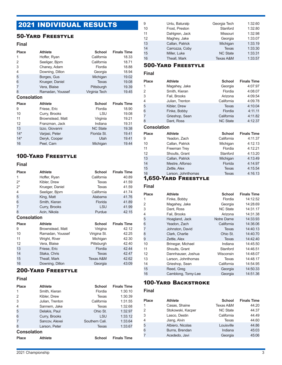## 2021 INDIVIDUAL RESULTS

### 50-Yard Freestyle

### **Final**

| <b>Place</b>       | <b>Athlete</b>   | <b>School</b>   | <b>Finals Time</b> |
|--------------------|------------------|-----------------|--------------------|
| 1                  | Hoffer, Ryan     | California      | 18.33              |
| 2                  | Seeliger, Bjorn  | California      | 18.71              |
| 3                  | Chaney, Adam     | Flordia         | 18.88              |
| 4                  | Downing, Dillon  | Georgia         | 18.94              |
| 5                  | Borges, Gus      | Michigan        | 19.02              |
| 6                  | Krueger, Daniel  | Texas           | 19.08              |
| 7                  | Vera, Blaise     | Pittsburgh      | 19.39              |
| 8                  | Ramadan, Youssef | Virginia Tech   | 19.45              |
| <b>Consolation</b> |                  |                 |                    |
| <b>Place</b>       | <b>Athlete</b>   | <b>School</b>   | <b>Finals Time</b> |
| 9                  | Friese, Eric     | Flordia         | 18.90              |
| 10                 | Curry, Brooks    | LSU             | 19.08              |
| 11                 | Brownstead, Matt | Virginia        | 19.21              |
| 12                 | Franzman, Jack   | Indiana         | 19.31              |
| 13                 | Izzo, Giovanni   | <b>NC State</b> | 19.38              |
| $14*$              | Varjasi, Peter   | Florida St.     | 19.41              |
| $14*$              | Deryk, Cooper    | Utah            | 19.41              |
| 16                 | Peel, Cam        | Michigan        | 19.44              |

### 100-Yard Freestyle

### **Final**

| <b>Place</b>       | <b>Athlete</b>   | <b>School</b> | <b>Finals Time</b> |
|--------------------|------------------|---------------|--------------------|
| 1                  | Hoffer, Ryan     | California    | 40.89              |
| $2^*$              | Kibler, Drew     | Texas         | 41.59              |
| $2^*$              | Krueger, Daniel  | Texas         | 41.59              |
| 4                  | Seeliger, Bjorn  | California    | 41.74              |
| 5                  | King, Matt       | Alabama       | 41.76              |
| 6                  | Smith, Kieran    | Florida       | 41.89              |
| 7                  | Curry, Brooks    | LSU           | 41.99              |
| 8                  | Acin, Nikola     | Purdue        | 42.15              |
| <b>Consolation</b> |                  |               |                    |
| <b>Place</b>       | <b>Athlete</b>   | <b>School</b> | <b>Finals Time</b> |
| 9                  | Brownstead, Matt | Virigina      | 42.12              |
| 10                 | Ramadan, Youssef | Virigina St.  | 42.25              |
| 11                 | Wright, River    | Michigan      | 42.30              |
| $12 \overline{ }$  | Vera, Blaise     | Pittsburgh    | 42.40              |
| 13                 | Friese, Eric     | Flordia       | 42.44              |
| 14                 | Staka, Chris     | <b>Texas</b>  | 42.47              |
| 15                 | Theall, Mark     | Texas A&M     | 42.62              |
| 16                 | Downing, Dillon  | Georgia       | 43:09              |

### 200-Yard Freestyle

### **Final**

| <b>Place</b>       | <b>Athlete</b>  | <b>School</b>  | <b>Finals Time</b> |
|--------------------|-----------------|----------------|--------------------|
| 1                  | Smith, Kieran   | Flordia        | 1:30.10            |
| 2                  | Kibler, Drew    | Texas          | 1:30.39            |
| 3                  | Julian, Trenton | California     | 1:31.55            |
| 4                  | Sannem, Jake    | Texas          | 1:32.68            |
| 5                  | Delakis, Paul   | Ohio St.       | 1:32.97            |
| 6                  | Curry, Brooks   | <b>LSU</b>     | 1:33.12            |
|                    | Sancov, Alexei  | Southern Cali. | 1:33.64            |
| 8                  | Larson, Peter   | Texas          | 1:33.67            |
| <b>Consolation</b> |                 |                |                    |
|                    |                 |                |                    |

| <b>Place</b> | Athlete | School | <b>Finals Time</b> |
|--------------|---------|--------|--------------------|
|              |         |        |                    |

| 9  | Unlu, Baturalp  | Georgia Tech    | 1:32.60 |
|----|-----------------|-----------------|---------|
| 10 | Frost, Preston  | Stanford        | 1:32.80 |
| 11 | Dahlgren, Jack  | Missouri        | 1:32.98 |
| 12 | Maghey, Jake    | Georgia         | 1:33.07 |
| 13 | Callan, Patrick | Michigan        | 1:33.19 |
| 14 | Carrozza, Coby  | <b>Texas</b>    | 1:33.30 |
| 15 | Miller, Luke    | <b>NC State</b> | 1:33.31 |
| 16 | Theall, Mark    | Texas A&M       | 1:33.57 |
|    |                 |                 |         |

### 500-Yard Freestyle

### **Final**

| Place | <b>Athlete</b>  | <b>School</b>   | <b>Finals Time</b> |
|-------|-----------------|-----------------|--------------------|
| 1     | Magahey, Jake   | Georgia         | 4:07.97            |
| 2     | Smith, Kieran   | Flordia         | 4:08.07            |
| 3     | Fail, Brooks    | Arizona         | 4:09.54            |
| 4     | Julian, Trenton | California      | 4:09.78            |
| 5     | Kibler, Drew    | Texas           | 4:10.04            |
| 6     | Finke, Bobby    | Flordia         | 4:11.11            |
| 7     | Grieshop, Sean  | California      | 4:11.82            |
| 8     | Dant, Ross      | <b>NC State</b> | 4:12.37            |
|       |                 |                 |                    |

### **Consolation**

| <b>Place</b> | <b>Athlete</b>     | <b>School</b> | <b>Finals Time</b> |
|--------------|--------------------|---------------|--------------------|
| 9            | Yeadon, Zach       | California    | 4:11.37            |
| 10           | Callan, Patrick    | Michigan      | 4:12.13            |
| 11           | Freeman Trey       | Flordia       | 4:12.21            |
| 12           | Shoults, Grant     | Stanford      | 4:13.20            |
| 13           | Callan, Patrick    | Michigan      | 4:13.49            |
| 14           | Mestre, Alfonso    | Florida       | 4:14.97            |
| 15           | Zettle, Alex       | Texas         | 4:15.54            |
| 16           | Larson, Johnthomas | <b>Texas</b>  | 4:16.13            |

### 1,650-Yard Freestyle

### **Final**

| Place | <b>Athlete</b>     | <b>School</b>   | <b>Finals Time</b> |
|-------|--------------------|-----------------|--------------------|
| 1     | Finke, Bobby       | Flordia         | 14:12.52           |
| 2     | Magahey, Jake      | Georgia         | 14:28.69           |
| 3     | Dant, Ross         | <b>NC State</b> | 14:31.17           |
| 4     | Fail, Brooks       | Arizona         | 14:31.38           |
| 5     | Hoagland, Jack     | Notre Dame      | 14:33.93           |
| 6     | Yeadon, Zach       | California      | 14:36.06           |
| 7     | Johnston, David    | <b>Texas</b>    | 14:40.13           |
| 8     | Clark, Charlie     | Ohio St.        | 14:40.70           |
| 9     | Zettle, Alex       | Texas           | 14:42.40           |
| 10    | Brinegar, Michael  | Indiana         | 14:45.50           |
| 11    | Shoults, Grant     | Stanford        | 14:46.51           |
| 12    | Dannhauser, Joshua | Wisconsin       | 14:48.07           |
| 13    | Larson, Johnthomas | Texas           | 14:48.17           |
| 14    | Grieshop, Sean     | California      | 14:54.95           |
| 15    | Reed, Greg         | Georgia         | 14:50.33           |
| 16    | Camblong, Tomy-Lee | Georgia         | 14:51.36           |

### 100-Yard Backstroke

### **Final**

| Place | <b>Athlete</b>    | <b>School</b>   | <b>Finals Time</b> |
|-------|-------------------|-----------------|--------------------|
| 1     | Casas, Shaine     | Texas A&M       | 44.20              |
| 2     | Stokowski, Kacper | <b>NC State</b> | 44.37              |
| 3     | Lasco, Destin     | California      | 44.49              |
| 4     | Jiang, Alvin      | <b>Texas</b>    | 44.60              |
| 5     | Albiero, Nicolas  | Louisville      | 44.86              |
| 6     | Burns, Brendan    | Indiana         | 45:03              |
| 7     | Acededo, Javi     | Georgia         | 45:06              |
|       |                   |                 |                    |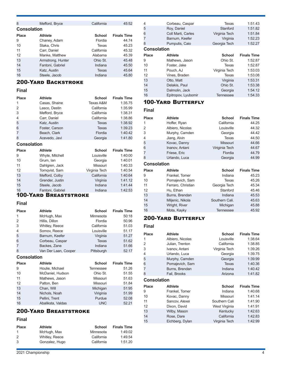| 8                  | Mefford, Bryce    | California    | 45:52              |
|--------------------|-------------------|---------------|--------------------|
| <b>Consolation</b> |                   |               |                    |
| <b>Place</b>       | <b>Athlete</b>    | <b>School</b> | <b>Finals Time</b> |
| 9                  | Chaney, Adam      | Flordia       | 44.74              |
| 10                 | Staka, Chris      | Texas         | 45.23              |
| 11                 | Carr, Daniel      | California    | 45.32              |
| 12                 | Manke, Matthew    | Alabama       | 45.39              |
| 13                 | Armstrong, Hunter | Ohio St.      | 45.48              |
| 14                 | Fantoni, Gabriel  | Indiana       | 45.50              |
| 15                 | Katz, Austin      | Texas         | 45.64              |
| 16                 | Steele, Jacob     | Indiana       | 45.80              |

### 200-Yard Backstroke

#### **Final**

| Place              | <b>Athlete</b>  | <b>School</b> | <b>Finals Time</b> |
|--------------------|-----------------|---------------|--------------------|
| 1                  | Casas, Shaine   | Texas A&M     | 1:35.75            |
| 2                  | Lasco, Destin   | California    | 1:35.99            |
| 3                  | Mefford, Bryce  | California    | 1:38.31            |
| 4                  | Carr, Daniel    | California    | 1:38.86            |
| 5                  | Katz, Austin    | Texas         | 1:38.92            |
| 6                  | Foster, Carson  | <b>Texas</b>  | 1:39.23            |
| 7                  | Beach, Clark    | Flordia       | 1:40.42            |
| 8                  | Acevedo, Javi   | Georgia       | 1:41.80            |
| <b>Consolation</b> |                 |               |                    |
|                    |                 |               |                    |
| Place              | <b>Athlete</b>  | <b>School</b> | <b>Finals Time</b> |
| 9                  | Whyte, Mitchell | Louisville    | 1:40:00            |
| 10                 | Grum, lan       | Georgia       | 1:40.01            |
| 11                 | Dahlgren, Jack  | Missouri      | 1:40.33            |
| 12                 | Tornqvist, Sam  | Virginia Tech | 1:40.54            |
| 13                 | Mefford, Colby  | California    | 1:40.64            |
| 14                 | Grender, Justin | Virginia      | 1:41.12            |
| 15                 | Steele, Jacob   | Indiana       | 1:41.44            |

### 100-Yard Breaststroke

### **Final**

| <b>Place</b>       | <b>Athlete</b>       | School        | <b>Finals Time</b> |
|--------------------|----------------------|---------------|--------------------|
| 1                  | McHugh, Max          | Minnesota     | 50:18              |
| 2                  | Hillis, Dillon       | Flordia       | 50.96              |
| 3                  | Whitley, Reece       | California    | 51.03              |
| 4                  | Somov, Reece         | Louisville    | 51.17              |
| 5                  | Barnum, Keefer       | Virginia      | 51.27              |
| 6                  | Corbeau, Caspar      | Texas         | 51.62              |
| 7                  | Backes, Zane         | Indiana       | 51.66              |
| 8                  | Van Der Laan, Cooper | Pittsburgh    | 52.17              |
| <b>Consolation</b> |                      |               |                    |
| <b>Place</b>       | <b>Athlete</b>       | <b>School</b> | <b>Finals Time</b> |
| 9                  | Houlie, Michael      | Tennessee     | 51.26              |
| 10                 | McDaniel, Hudson     | Ohio St.      | 51.55              |
| 11                 | Mathews, Jason       | Missouri      | 51.63              |
| 12                 | Patton, Ben          | Missouri      | 51.84              |
| 13                 | Chan, Will           | Michigan      | 51:95              |
| 14                 | Nichols, Noah        | Viriginia     | 51.99              |

### 200-Yard Breaststroke

### **Final**

| <b>Place</b> | <b>Athlete</b> | School     | <b>Finals Time</b> |
|--------------|----------------|------------|--------------------|
| 1            | McHugh, Max    | Minnesota  | 1:49.02            |
| 2            | Whitley, Reece | California | 1:49.54            |
| 3            | Gonzalez, Hugo | California | 1:51.20            |

15 Pellini, Trent Purdue 52.08 Abaliksta, Valdas UNC 52.21

| 4                  | Corbeau, Caspar    | Texas         | 1:51.43            |
|--------------------|--------------------|---------------|--------------------|
| 5                  | Roy, Daniel        | Stanford      | 1:51.82            |
| 6                  | Coll Marti, Carles | Virginia Tech | 1:51.84            |
| 7                  | Barnum, Keefer     | Virginia      | 1:52.23            |
| 8                  | Pumputis, Caio     | Georgia Tech  | 1:52.27            |
| <b>Consolation</b> |                    |               |                    |
| <b>Place</b>       | <b>Athlete</b>     | <b>School</b> | <b>Finals Time</b> |
|                    |                    |               |                    |
| 9                  | Mathews, Jason     | Ohio St.      | 1:52.87            |
| 10                 | Foster, Jake       | Texas         | 1:52.87            |
| 11                 | Pouch, AJ          | Virginia Tech | 1:53.03            |
| 12                 | Vines, Braden      | Texas         | 1:53.08            |
| 13                 | Otto, Matt         | Virginia      | 1:53.31            |
| 14                 | Delakis, Paul      | Ohio St.      | 1:53.38            |
| 15                 | Dalmolin, Jack     | Georgia       | 1:54.12            |

### 100-Yard Butterfly

**Final**

| <b>Place</b>       | <b>Athlete</b>     | <b>School</b>   | <b>Finals Time</b> |
|--------------------|--------------------|-----------------|--------------------|
| 1                  | Hoffer, Ryan       | California      | 44.25              |
| 2                  | Albiero, Nicolas   | Louisville      | 44.32              |
| 3                  | Murphy, Camden     | Georgia         | 44.42              |
| 4                  | Jiang, Alvin       | <b>Texas</b>    | 44.50              |
| 5                  | Kovac, Danny       | <b>Missouri</b> | 44.66              |
| 6                  | Inanov, Antani     | Viriginia Tech  | 44.67              |
| 7                  | Friese, Eric       | Flordia         | 44.79              |
| 8                  | Urlando, Luca      | Georgia         | 44.99              |
| <b>Consolation</b> |                    |                 |                    |
| <b>Place</b>       | <b>Athlete</b>     | <b>School</b>   | <b>Finals Time</b> |
| 9                  | Frankel, Tomer     | Indiana         | 45.23              |
| 10                 | Pomajevich, Sam    | Texas           | 45.26              |
| 11                 | Ferraro, Christian | Georgia Tech    | 45.34              |
| 12                 | Hu, Ethan          | Stanford        | 45.46              |
| 13                 | Burns, Brendan     | Indiana         | 45.53              |
| 14                 | Miljenic, Nikola   | Southern Cali.  | 45.63              |
| 15                 | Wright, River      | Michigan        | 45.88              |
| 16                 | Mota, Kayky        | Tennessee       | 45.92              |

### 200-Yard Butterfly

### **Final**

| <b>Place</b>       | <b>Athlete</b>   | <b>School</b> | <b>Finals Time</b> |
|--------------------|------------------|---------------|--------------------|
| 1                  | Albiero, Nicolas | Louisville    | 1:38.64            |
| $\overline{2}$     | Julian, Trenton  | California    | 1:38.85            |
| 3                  | Ivanov, Antani   | Virginia Tech | 1:39.26            |
| 4                  | Urlando, Luca    | Georgia       | 1:39.75            |
| 5                  | Murphy, Camden   | Georgia       | 1:39.99            |
| 6                  | Pomajevich, Sam  | <b>Texas</b>  | 1:40.36            |
| $\overline{7}$     | Burns, Brendan   | Indiana       | 1:40.42            |
| 8                  | Fail, Brooks     | Arizona       | 1:41.82            |
| <b>Consolation</b> |                  |               |                    |
| <b>Place</b>       | <b>Athlete</b>   | <b>School</b> | <b>Finals Time</b> |
| 9                  | Frankel, Tomer   | Indiana       | 1:40.68            |
| 10                 | Kovac, Danny     | Missouri      | 1:41.14            |
| 11                 | Sancov, Alexei   | Southern Cali | 1:41.90            |
| 12                 | Dixon, David     | West Virginia | 1:41.91            |
| 13                 | Wilby, Mason     | Kentucky      | 1:42.63            |
| 14                 | Rose, Dare       | California    | 1:42.83            |
|                    |                  |               |                    |
| 15                 | Eichberg, Dylan  | Virginia Tech | 1:42.99            |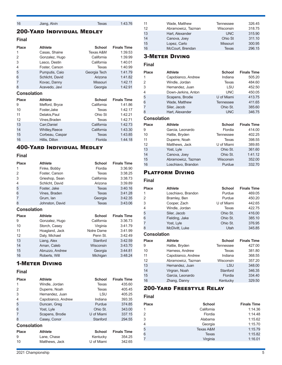|  | 16 | Jiang, Alvin | Texas | 1:43.76 |
|--|----|--------------|-------|---------|
|--|----|--------------|-------|---------|

### 200-Yard Individual Medley

### **Final**

| Place              | <b>Athlete</b>        | <b>School</b> | <b>Finals Time</b> |
|--------------------|-----------------------|---------------|--------------------|
| 1                  | Casas, Shaine         | Texas A&M     | 1:39.53            |
| 2                  | Gonzalez, Hugo        | California    | 1:39.99            |
| 3                  | Lasco, Destin         | California    | 1:40.01            |
| 4                  | Foster, Carson        | Texas         | 1:40.99            |
| 5                  | Pumputis, Caio        | Georgia Tech  | 1:41.79            |
| 6                  | Schlicht, David       | Arizona       | 1:41.82            |
| 7                  | Kovac, Danny          | Missouri      | 1:42.11            |
| 8                  | Acevedo, Javi         | Georgia       | 1:42.91            |
| <b>Consolation</b> |                       |               |                    |
| Place              | Athlete               | <b>School</b> | <b>Finals Time</b> |
| 9                  | Mefford, Bryce        | California    | 1:41.86            |
| 10                 | Foster, Jake          | Texas         | 1:42.17            |
| 11                 | Delakis, Paul         | Ohio St       | 1:42.21            |
| 12                 | Vines, Braden         | Texas         | 1:42.71            |
| 13                 | Carr, Daniel          | California    | 1:42.73            |
| 14                 | <b>Whitley, Reece</b> | California    | 1:43.30            |
|                    |                       |               |                    |
| 15                 | Corbeau, Caspar       | <b>Texas</b>  | 1:43.85            |

### 400-Yard Individual Medley

#### **Final**

| <b>Place</b>       | <b>Athlete</b>  | <b>School</b> | <b>Finals Time</b> |
|--------------------|-----------------|---------------|--------------------|
| 1                  | Finke, Bobby    | Flordia       | 3:36.90            |
| 2                  | Foster, Carson  | Texas         | 3:38.25            |
| 3                  | Grieshop, Sean  | California    | 3:38.73            |
| 4                  | Schlicht, David | Arizona       | 3:39.89            |
| 5                  | Foster, Jake    | Texas         | 3:40.16            |
| 6                  | Vines, Braden   | Texas         | 3:41.28            |
| 7                  | Grum, lan       | Georgia       | 3:42.35            |
| 8                  | Johnston, David | <b>Texas</b>  | 3:43.06            |
| <b>Consolation</b> |                 |               |                    |
| <b>Place</b>       | <b>Athlete</b>  | <b>School</b> | <b>Finals Time</b> |
| 9                  | Gonzalez, Hugo  | California    | 3:36.73            |
| 10                 | Storch, Casey   | Virginia      | 3:41.79            |
| 11                 | Hoagland, Jack  | Notre Dame    | 3:41.99            |
| 12                 | Daly, Michael   | Penn St.      | 3:42.49            |
| 13                 | Liang, Alex     | Stanford      | 3:42.59            |
| 14                 | Aman, Caleb     | Wisconsin     | 3:43.70            |
| 15                 | Abruzzo, Andrew | Georgia       | 3:44.81            |
| 16                 | Roberts, Will   | Michigan      | 3:48.24            |

### 1-Meter Diving

### **Final**

| <b>Place</b>       | <b>Athlete</b>     | <b>School</b> | <b>Finals Time</b> |
|--------------------|--------------------|---------------|--------------------|
| 1                  | Windle, Jordan     | Texas         | 435.60             |
| 2                  | Duperre, Noah      | Texas         | 405.45             |
| 3                  | Hernandez, Juan    | LSU           | 405.25             |
| 4                  | Capobianco, Andrew | Indiana       | 393.35             |
| 5                  | Duncan, Greg       | Purdue        | 374.85             |
| 6                  | Yost, Lyle         | Ohio St.      | 343.00             |
|                    | Scapens, Brodie    | U of Miami    | 337.15             |
| 8                  | Casey, Conor       | Stanford      | 294.55             |
| <b>Consolation</b> |                    |               |                    |
| <b>Place</b>       | <b>Athlete</b>     | <b>School</b> | <b>Finals Time</b> |
| 9                  | Lane, Chase        | Kentucky      | 354.25             |
| 10                 | Matthews, Jack     | U of Miami    | 342.65             |

| 11 | Wade, Matthew      | Tennessee       | 326.45 |
|----|--------------------|-----------------|--------|
| 12 | Abramowicz, Tazman | Wisconsin       | 318.75 |
| 13 | Hart, Alexander    | <b>UNC</b>      | 315.90 |
| 14 | Canova, Joey       | Ohio St         | 311.10 |
| 15 | Lopez, Carlo       | <b>Missouri</b> | 300.95 |
| 16 | McCourt, Brendan   | <b>Texas</b>    | 296.15 |

### 3-Meter Diving

### **Final**

| <b>Place</b> | <b>Athlete</b>      | <b>School</b>    | <b>Finals Time</b> |
|--------------|---------------------|------------------|--------------------|
| 1            | Capobianco, Andrew  | Indiana          | 505.20             |
| 2            | Windle, Jordan      | <b>Texas</b>     | 484.60             |
| 3            | Hernandez, Juan     | LSU              | 452.50             |
| 4            | Down-Jerkins, Anton | <b>UNC</b>       | 450.05             |
| 5            | Scapens, Brodie     | U of Miami       | 413.75             |
| 6            | Wade, Matthew       | <b>Tennessee</b> | 411.65             |
| 7            | Siler, Jacob        | Ohio St.         | 385.60             |
| 8            | Hart, Alexander     | <b>UNC</b>       | 346.75             |

### **Consolation**

| <b>Place</b> | <b>Athlete</b>     | <b>School</b>    | <b>Finals Time</b> |
|--------------|--------------------|------------------|--------------------|
| 9            | Garcia, Leonardo   | Flordia          | 414.00             |
| 10           | Hattie, Bryden     | <b>Tennessee</b> | 402.25             |
| 11           | Duperre, Noah      | Texas            | 398.55             |
| 12           | Matthews, Jack     | U of Miami       | 389.85             |
| 13           | Yost, Lyle         | Ohio St.         | 361.60             |
| 14           | Canova, Joey       | Ohio St.         | 1:41.12            |
| 15           | Abramowicz, Tazman | Wisconsin        | 352.00             |
| 16           | Loschiavo, Brandon | Purdue           | 332.70             |

### Platform Diving

### **Final**

| Place              | <b>Athlete</b>     | <b>School</b> | <b>Finals Time</b> |
|--------------------|--------------------|---------------|--------------------|
| 1                  | Loschiavo, Brandon | Purdue        | 469.05             |
| $\overline{2}$     | Bramley, Ben       | Purdue        | 450.20             |
| 3                  | Cooper, Zach       | U of Miami    | 442.65             |
| 4                  | Windle, Jordan     | Texas         | 422.75             |
| 5                  | Siler, Jacob       | Ohio St.      | 416.00             |
| 6                  | Fielding, Jake     | Ohio St.      | 385.10             |
| 7                  | Yost, Lyle         | Ohio St.      | 376.95             |
| 8                  | McDivitt, Luke     | Utah          | 345.85             |
| <b>Consolation</b> |                    |               |                    |
| <b>Place</b>       | <b>Athlete</b>     | School        | <b>Finals Time</b> |
| 9                  | Hattie, Bryden     | Tennessee     | 427.00             |
| 10                 | Harness, Andrew    | Texas         | 381.80             |
| 11                 | Capobianco, Andrew | Indiana       | 368.55             |
| 12                 | Abramowicz, Tazman | Wisconsin     | 357.20             |
| 13                 | Hernandez, Juan    | LSU           | 348.00             |
| 14                 | Virgran, Noah      | Stanford      | 346.35             |
| 15                 | Garcia, Leonardo   | Flordia       | 334.40             |
| 16                 | Zhang, Danny       | Kentucky      | 329.50             |

### 200-Yard Freestyle Relay

### **Final**

| <b>Place</b>   | <b>School</b> | <b>Finals Time</b> |
|----------------|---------------|--------------------|
| 1              | California    | 1:14.36            |
| $\mathcal{P}$  | Flordia       | 1:14.48            |
| 3              | Alabama       | 1:15.62            |
| $\overline{4}$ | Georgia       | 1:15.70            |
| 5              | Texas A&M     | 1:15.79            |
| 6              | <b>Texas</b>  | 1:15.82            |
|                | Virginia      | 1:16.01            |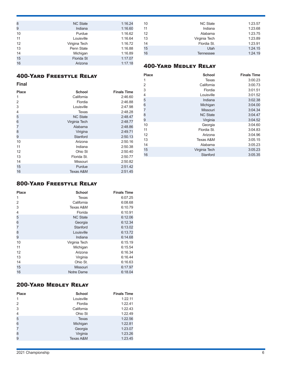| 8  | <b>NC State</b> | 1:16.24 |
|----|-----------------|---------|
| 9  | Indiana         | 1:16.60 |
| 10 | Purdue          | 1:16.62 |
| 11 | Louisville      | 1:16.64 |
| 12 | Virigina Tech   | 1:16.72 |
| 13 | Penn State      | 1:16.88 |
| 14 | Michigan        | 1:16.89 |
| 15 | Florida St      | 1:17.07 |
| 16 | Arizona         | 1:17.18 |
|    |                 |         |

| 10 | <b>NC State</b> | 1:23.57 |
|----|-----------------|---------|
| 11 | Indiana         | 1:23.68 |
| 12 | Alabama         | 1:23.75 |
| 13 | Virginia Tech   | 1:23.89 |
| 14 | Flordia St.     | 1:23.91 |
| 15 | Utah            | 1:24.15 |
| 16 | Tennessee       | 1:24.19 |

### 400-Yard Medley Relay

### 400-Yard Freestyle Relay

**Final**

| Final        |                 |                    |
|--------------|-----------------|--------------------|
| <b>Place</b> | <b>School</b>   | <b>Finals Time</b> |
| 1            | California      | 2:46.60            |
| 2            | Flordia         | 2:46.88            |
| 3            | Louisville      | 2:47.98            |
| 4            | Texas           | 2:48.28            |
| 5            | <b>NC State</b> | 2:48.47            |
| 6            | Virginia Tech   | 2:48.77            |
| 7            | Alabama         | 2:48.86            |
| 8            | Virigina        | 2:49.71            |
| 9            | Stanford        | 2:50.13            |
| 10           | Arizona         | 2:50.16            |
| 11           | Indiana         | 2:50.38            |
| 12           | Ohio St         | 2:50.40            |
| 13           | Florida St.     | 2:50.77            |
| 14           | Missouri        | 2:50.82            |
| 15           | Purdue          | 2:51.42            |
| 16           | Texas A&M       | 2:51.45            |

| <b>Place</b>   | <b>School</b>   | <b>Finals Time</b> |
|----------------|-----------------|--------------------|
| 1              | Texas           | 3:00.23            |
| 2              | California      | 3:00.73            |
| 3              | Flordia         | 3:01.51            |
| 4              | Louisville      | 3:01.52            |
| 5              | Indiana         | 3:02.38            |
| 6              | Michigan        | 3:04.00            |
| $\overline{7}$ | Missouri        | 3:04.34            |
| 8              | <b>NC State</b> | 3:04.47            |
| 9              | Virginia        | 3:04.52            |
| 10             | Georgia         | 3:04.60            |
| 11             | Flordia St.     | 3:04.83            |
| 12             | Arizona         | 3:04.96            |
| 13             | Texas A&M       | 3:05.15            |
| 14             | Alabama         | 3:05.23            |
| 15             | Virginia Tech   | 3:05.23            |
| 16             | Stanford        | 3:05.35            |

### 800-Yard Freestyle Relay

| <b>School</b>   | <b>Finals Time</b> |
|-----------------|--------------------|
| Texas           | 6:07.25            |
| California      | 6:08.68            |
| Texas A&M       | 6:10.79            |
| Florida         | 6:10.91            |
| <b>NC State</b> | 6:12.06            |
| Georgia         | 6:12.34            |
| Stanford        | 6:13.02            |
| Louisville      | 6:13.72            |
| Indiana         | 6:14.68            |
| Virginia Tech   | 6:15.19            |
| Michigan        | 6:15.54            |
| Arizona         | 6:16.34            |
| Virginia        | 6:16.44            |
| Ohio St.        | 6:16.63            |
| Missouri        | 6:17.97            |
| Notre Dame      | 6:18.04            |
|                 |                    |

### 200-Yard Medley Relay

| <b>Place</b>   | <b>School</b> | <b>Finals Time</b> |
|----------------|---------------|--------------------|
| 1              | Louisville    | 1:22.11            |
| 2              | Flordia       | 1:22.41            |
| 3              | California    | 1:22.43            |
| $\overline{4}$ | Ohio St       | 1:22.49            |
| 5              | Texas         | 1:22.56            |
| 6              | Michigan      | 1:22.81            |
| 7              | Georgia       | 1:23.07            |
| 8              | Virginia      | 1:23.26            |
| 9              | Texas A&M     | 1:23.45            |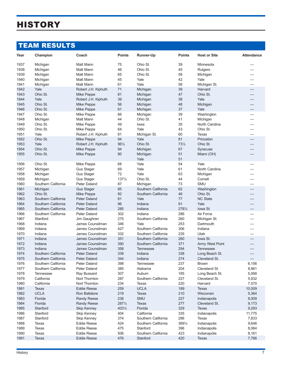# **HISTORY**

## TEAM RESULTS

| Year | Champion            | Coach                   | <b>Points</b>    | <b>Runner-Up</b>    | <b>Points</b>   | <b>Host or Site</b> | <b>Attendance</b> |
|------|---------------------|-------------------------|------------------|---------------------|-----------------|---------------------|-------------------|
| 1937 | Michigan            | Matt Mann               | 75               | Ohio St.            | 39              | Minnesota           |                   |
| 1938 | Michigan            | Matt Mann               | 46               | Ohio St.            | 45              | <b>Rutgers</b>      |                   |
| 1939 | Michigan            | Matt Mann               | 65               | Ohio St.            | 58              | Michigan            |                   |
| 1940 | Michigan            | Matt Mann               | 45               | Yale                | 42              | Yale                |                   |
| 1941 | Michigan            | Matt Mann               | 61               | Yale                | 58              | Michigan St.        |                   |
| 1942 | Yale                | Robert J.H. Kiphuth     | 71               | Michigan            | 39              | Harvard             |                   |
| 1943 | Ohio St.            | Mike Peppe              | 81               | Michigan            | 47              | Ohio St.            |                   |
| 1944 | Yale                | Robert J.H. Kiphuth     | 39               | Michigan            | 38              | Yale                |                   |
| 1945 | Ohio St.            | Mike Peppe              | 56               | Michigan            | 48              | Michigan            |                   |
| 1946 | Ohio St.            | Mike Peppe              | 61               | Michigan            | 37              | Yale                |                   |
| 1947 | Ohio St.            | Mike Peppe              | 66               | Michigan            | 39              | Washington          |                   |
| 1948 | Michigan            | Matt Mann               | 44               | Ohio St.            | 41              | Michigan            |                   |
| 1949 | Ohio St.            | Mike Peppe              | 49               | lowa                | 35              | North Carolina      |                   |
| 1950 | Ohio St.            | Mike Peppe              | 64               | Yale                | 43              | Ohio St.            |                   |
| 1951 | Yale                | Robert J.H. Kiphuth     | 81               | Michigan St.        | 60              | <b>Texas</b>        |                   |
| 1952 | Ohio St.            | Mike Peppe              | 94               | Yale                | 81              | Princeton           |                   |
| 1953 | Yale                | Robert J.H. Kiphuth     | $96\frac{1}{2}$  | Ohio St.            | $73\frac{1}{2}$ | Ohio St.            |                   |
| 1954 | Ohio St.            | Mike Peppe              | 94               | Michigan            | 67              | Syracuse            |                   |
| 1955 | Ohio St.            | Mike Peppe              | 90               | Michigan<br>Yale    | 51<br>51        | Miami (OH)          |                   |
| 1956 | Ohio St.            | Mike Peppe              | 68               | Yale                | 54              | Yale                |                   |
| 1957 | Michigan            | <b>Gus Stager</b>       | 69               | Yale                | 61              | North Carolina      |                   |
| 1958 | Michigan            | <b>Gus Stager</b>       | 72               | Yale                | 63              | Michigan            |                   |
| 1959 | Michigan            | <b>Gus Stager</b>       | $137\frac{1}{2}$ | Ohio St.            | 44              | Cornell             |                   |
| 1960 | Southern California | Peter Daland            | 87               | Michigan            | 73              | <b>SMU</b>          |                   |
| 1961 | Michigan            | <b>Gus Stager</b>       | 85               | Southern California | 62              | Washington          |                   |
| 1962 | Ohio St.            | Mike Peppe              | 92               | Southern California | 46              | Ohio St.            |                   |
| 1963 | Southern California | <b>Peter Daland</b>     | 81               | Yale                | 77              | <b>NC State</b>     |                   |
| 1964 | Southern California | <b>Peter Daland</b>     | 96               | Indiana             | 91              | Yale                |                   |
| 1965 | Southern California | <b>Peter Daland</b>     | 285              | Indiana             | 2781/2          | lowa St.            |                   |
| 1966 | Southern California | Peter Daland            | 302              | Indiana             | 286             | Air Force           |                   |
| 1967 | Stanford            | Jim Gaughran            | 275              | Southern California | 260             | Michigan St.        |                   |
| 1968 | Indiana             | James Counsilman        | 346              | Yale                | 253             | Dartmouth           |                   |
| 1969 | Indiana             | James Counsilman        | 427              | Southern California | 306             | Indiana             |                   |
| 1970 | Indiana             | James Counsilman        | 332              | Southern California | 235             | Utah                |                   |
| 1971 | Indiana             | James Counsilman        | 351              | Southern California | 260             | lowa St.            |                   |
| 1972 | Indiana             | James Counsilman        | 390              | Southern California | 371             | Army West Point     |                   |
| 1973 | Indiana             | <b>James Counsilman</b> | 358              | Tennessee           | 294             | <b>Tennessee</b>    |                   |
| 1974 | Southern California | <b>Peter Daland</b>     | 339              | Indiana             | 338             | Long Beach St.      |                   |
| 1975 | Southern California | Peter Daland            | 344              | Indiana             | 274             | Cleveland St.       |                   |
| 1976 | Southern California | Peter Daland            | 398              | Tennessee           | 237             | <b>Brown</b>        | 6,156             |
| 1977 | Southern California | Peter Daland            | 385              | Alabama             | 204             | Cleveland St.       | 8,961             |
| 1978 | <b>Tennessee</b>    | Ray Bussard             | 307              | Auburn              | 185             | Long Beach St.      | 5,068             |
| 1979 | California          | Nort Thornton           | 287              | Southern California | 227             | Cleveland St.       | 5,932             |
| 1980 | California          | Nort Thornton           | 234              | Texas               | 220             | Harvard             | 7,570             |
| 1981 | <b>Texas</b>        | <b>Eddie Reese</b>      | 259              | <b>UCLA</b>         | 189             | <b>Texas</b>        | 10,009            |
| 1982 | <b>UCLA</b>         | <b>Ron Ballatore</b>    | 219              | Texas               | 210             | Wisconsin           | 5,364             |
| 1983 | Florida             | <b>Randy Reese</b>      | 238              | SMU                 | 227             | Indianapolis        | 8,009             |
| 1984 | Florida             | <b>Randy Reese</b>      | 2871/2           | <b>Texas</b>        | 277             | Cleveland St.       | 9,173             |
| 1985 | Stanford            | <b>Skip Kenney</b>      | 4031/2           | Florida             | 329             | <b>Texas</b>        | 9,293             |
| 1986 | Stanford            | Skip Kenney             | 404              | California          | 335             | Indianapolis        | 11,775            |
| 1987 | Stanford            | Skip Kenney             | 374              | Southern California | 296             | Texas               | 7,833             |
| 1988 | Texas               | <b>Eddie Reese</b>      | 424              | Southern California | 3691/2          | Indianapolis        | 9,646             |
| 1989 | Texas               | <b>Eddie Reese</b>      | 475              | Stanford            | 396             | Indianapolis        | 8,064             |
| 1990 | Texas               | <b>Eddie Reese</b>      | 506              | Southern California | 423             | Indianapolis        | 8,161             |
| 1991 | Texas               | <b>Eddie Reese</b>      | 476              | Stanford            | 420             | Texas               | 7,766             |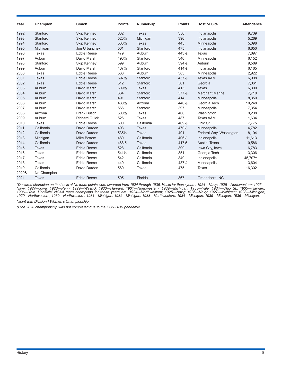| Year  | Champion     | Coach                | <b>Points</b> | <b>Runner-Up</b> | <b>Points</b>    | <b>Host or Site</b>     | <b>Attendance</b> |
|-------|--------------|----------------------|---------------|------------------|------------------|-------------------------|-------------------|
| 1992  | Stanford     | <b>Skip Kenney</b>   | 632           | <b>Texas</b>     | 356              | Indianapolis            | 9,739             |
| 1993  | Stanford     | <b>Skip Kenney</b>   | 5201/2        | Michigan         | 396              | Indianapolis            | 5,269             |
| 1994  | Stanford     | <b>Skip Kenney</b>   | 5661/2        | <b>Texas</b>     | 445              | Minneapolis             | 5,098             |
| 1995  | Michigan     | Jon Urbanchek        | 561           | Stanford         | 475              | Indianapolis            | 6,650             |
| 1996  | Texas        | <b>Eddie Reese</b>   | 479           | Auburn           | 4431/2           | Texas                   | 7,897             |
| 1997  | Auburn       | David Marsh          | 4961/2        | Stanford         | 340              | Minneapolis             | 6,152             |
| 1998  | Stanford     | Skip Kenney          | 599           | Auburn           | 3941/2           | Auburn                  | 9,589             |
| 1999  | Auburn       | David Marsh          | 467%          | Stanford         | $414\frac{1}{2}$ | Indianapolis            | 6,165             |
| 2000  | Texas        | <b>Eddie Reese</b>   | 538           | Auburn           | 385              | Minneapolis             | 2,922             |
| 2001  | <b>Texas</b> | <b>Eddie Reese</b>   | 5971/2        | Stanford         | 4571/2           | <b>Texas A&amp;M</b>    | 6,908             |
| 2002  | <b>Texas</b> | <b>Eddie Reese</b>   | 512           | Stanford         | 501              | Georgia                 | 7,061             |
| 2003  | Auburn       | David Marsh          | 6091/2        | <b>Texas</b>     | 413              | <b>Texas</b>            | 6,300             |
| 2004  | Auburn       | David Marsh          | 634           | Stanford         | $377\frac{1}{2}$ | <b>Merchant Marine</b>  | 7,710             |
| 2005  | Auburn       | David Marsh          | 491           | Stanford         | 414              | Minneapolis             | 8,350             |
| 2006  | Auburn       | David Marsh          | 4801/2        | Arizona          | 4401/2           | Georgia Tech            | 10,248            |
| 2007  | Auburn       | David Marsh          | 566           | Stanford         | 397              | Minneapolis             | 7,354             |
| 2008  | Arizona      | <b>Frank Busch</b>   | 5001/2        | Texas            | 406              | Washington              | 9,238             |
| 2009  | Auburn       | <b>Richard Quick</b> | 526           | Texas            | 487              | <b>Texas A&amp;M</b>    | 1,634             |
| 2010  | Texas        | <b>Eddie Reese</b>   | 500           | California       | 4691/2           | Ohio St.                | 7,775             |
| 2011  | California   | David Durden         | 493           | <b>Texas</b>     | 4701/2           | Minneapolis             | 4,782             |
| 2012  | California   | David Durden         | 5351/2        | Texas            | 491              | Federal Way, Washington | 8,194             |
| 2013  | Michigan     | Mike Bottom          | 480           | California       | 4061/2           | Indianapolis            | 11,613            |
| 2014  | California   | David Durden         | 468.5         | <b>Texas</b>     | 417.5            | Austin, Texas           | 10,586            |
| 2015  | <b>Texas</b> | <b>Eddie Reese</b>   | 528           | California       | 399              | Iowa City, Iowa         | 6,783             |
| 2016  | Texas        | <b>Eddie Reese</b>   | 5411/2        | California       | 351              | Georgia Tech            | 13,306            |
| 2017  | Texas        | <b>Eddie Reese</b>   | 542           | California       | 349              | Indianapolis            | 45,707^           |
| 2018  | Texas        | <b>Eddie Reese</b>   | 449           | California       | 4371/2           | Minneapolis             | 3,604             |
| 2019  | California   | David Durden         | 560           | Texas            | 475              | Texas                   | 16,302            |
| 2020& | No Champion  |                      |               |                  |                  |                         |                   |
| 2021  | <b>Texas</b> | <b>Eddie Reese</b>   | 595           | Florida          | 367              | Greensboro, NC          |                   |

*\*Declared champion on the basis of No team points were awarded from 1924 through 1936. Hosts for these years: 1924—Navy; 1925—Northwestern; 1926— Navy; 1927—Iowa; 1928—Penn; 1929—WashU; 1930—Harvard; 1931—Northwestern; 1932—Michigan; 1933—Yale; 1934—Ohio St.; 1935—Harvard; 1936—Yale. Unofficial NCAA team champions for these years are: 1924—Northwestern; 1925—Navy; 1926—Navy; 1927—Michigan; 1928—Michigan; 1929—Northwestern; 1930—Northwestern; 1931—Michigan; 1932—Michigan; 1933—Northwestern; 1934—Michigan; 1935—Michigan; 1936—Michigan.*

*^Joint with Division I Women's Championship*

*&The 2020 championship was not completed due to the COVID-19 pandemic.*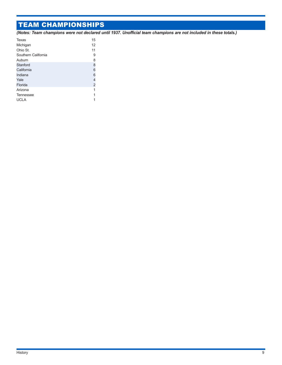## TEAM CHAMPIONSHIPS

*(Notes: Team champions were not declared until 1937. Unofficial team champions are not included in these totals.)*

| Texas               | 15             |
|---------------------|----------------|
| Michigan            | 12             |
| Ohio St.            | 11             |
| Southern California | 9              |
| Auburn              | 8              |
| Stanford            | 8              |
| California          | 6              |
| Indiana             | 6              |
| Yale                | 4              |
| Florida             | $\overline{2}$ |
| Arizona             | 1              |
| Tennessee           | 1              |
| <b>UCLA</b>         |                |
|                     |                |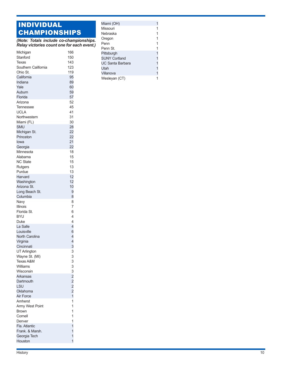### INDIVIDUAL CHAMPIONSHIPS

*(Note: Totals include co-championships. Relay victories count one for each event.)*

| Michigan            | 166                              |
|---------------------|----------------------------------|
| Stanford            | 150                              |
| Texas               | 143                              |
| Southern California | 123                              |
| Ohio St.            | 119                              |
| California          | 95                               |
| Indiana             | 89                               |
| Yale                | 60                               |
| Auburn              | 59                               |
| Florida             | 57                               |
| Arizona             | 52                               |
| Tennessee           | 45                               |
| <b>UCLA</b>         | 41                               |
| Northwestern        | 31                               |
| Miami (FL)          | 30                               |
| SMU                 | 28                               |
| Michigan St.        | 22                               |
| Princeton           | 22                               |
| lowa                | 21                               |
| Georgia             | 22                               |
| Minnesota           | 18                               |
| Alabama             | 15                               |
| <b>NC State</b>     | 15                               |
| Rutgers             | 13                               |
| Purdue              | 13                               |
| Harvard             | 12                               |
| Washington          | 12                               |
| Arizona St.         | 10                               |
| Long Beach St.      | 9                                |
| Columbia            | 8                                |
| Navy                | 8                                |
| <b>Illinois</b>     | 7                                |
| Florida St.         | 6                                |
|                     | 4                                |
| <b>BYU</b>          | 4                                |
| Duke<br>La Salle    | 4                                |
|                     |                                  |
| Louisville          | 6                                |
| North Carolina      | 4<br>$\overline{4}$              |
| Virginia            |                                  |
| Cincinnati          | 3                                |
| UT Arlington        | 3                                |
| Wayne St. (MI)      | 3                                |
| Texas A&M           | 3                                |
| Williams            | 3                                |
| Wisconsin           | $\frac{3}{2}$                    |
| Arkansas            |                                  |
| Dartmouth           | $\overline{c}$                   |
| LSU                 | $\overline{c}$<br>$\overline{c}$ |
| Oklahoma            |                                  |
| Air Force           | $\overline{1}$                   |
| Amherst             | 1                                |
| Army West Point     | 1                                |
| <b>Brown</b>        | 1                                |
| Cornell             | 1                                |
| Denver              | 1                                |
| Fla. Atlantic       | $\overline{1}$                   |
| Frank. & Marsh.     | 1                                |
| Georgia Tech        | 1                                |
| Houston             | $\overline{1}$                   |

| Miami (OH)           |   |
|----------------------|---|
| Missouri             |   |
| Nebraska             |   |
| Oregon               |   |
| Penn                 |   |
| Penn St.             |   |
| Pittsburgh           | 1 |
| <b>SUNY Cortland</b> | 1 |
| UC Santa Barbara     | 1 |
| Utah                 | 1 |
| Villanova            | 1 |
| Wesleyan (CT)        |   |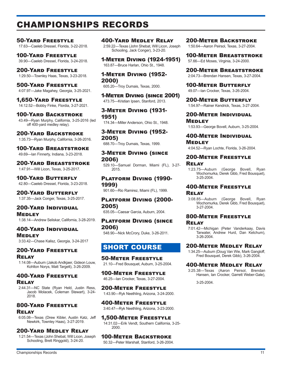## CHAMPIONSHIPS RECORDS

50-Yard Freestyle 17.63—Caeleb Dressel, Florida, 3-22-2018.

100-Yard Freestyle 39.90—Caeleb Dressel, Florida, 3-24-2018.

### 200-Yard Freestyle

1:29.50—Townley Haas, Texas, 3-23-2018.

500-Yard Freestyle 4:07.97—Jake Magahey, Georgia, 3-25-2021.

1,650-Yard Freestyle 14:12.52—Bobby Finke, Flordia, 3-27-2021.

100-Yard Backstroke

43.49—Ryan Murphy, California, 3-25-2016 (led off 400-yard medley relay).

### 200-Yard Backstroke

1:35.73—Ryan Murphy, California, 3-26-2016.

100-Yard Breaststroke 49.69—Ian Finnerty, Indiana, 3-23-2018.

200-Yard Breaststroke 1:47.91—Will Licon, Texas, 3-25-2017.

100-Yard Butterfly 42.80—Caeleb Dressel, Florida, 3-23-2018.

200-Yard Butterfly 1:37.35—Jack Conger, Texas, 3-25-2017.

### 200-Yard Individual Medley

1:38.14—Andrew Seliskar, California, 3-28-2019.

400-Yard Individual **MEDLEY** 3:33.42—Chase Kalisz, Georgia, 3-24-2017

### 200-Yard Freestyle Relay

1:14.08—Auburn (Jakob Andkjaer, Gideon Louw, Kohlton Norys, Matt Targett), 3-26-2009.

### 400-Yard Freestyle Relay

2:44.31—NC State (Ryan Held, Justin Ress, Jacob Molacek, Coleman Stewart), 3-24- 2018.

### 800-Yard Freestyle

### Relay

6:05.08—Texas (Drew Kibler, Austin Katz, Jeff Newkirk, Townley Haas), 3-27-2019.

### 200-Yard Medley Relay

1:21.54—Texas (John Shebat, Will Licon, Joseph Schooling, Brett Ringgold), 3-24-20.

400-Yard Medley Relay

2:59.22—Texas (John Shebat, Will Licon, Joseph Schooling, Jack Conger), 3-23-20.

1-Meter Diving (1924-1951) 163.87—Bruce Harlan, Ohio St., 1948.

1-Meter Diving (1952- 2000)

605.20—Troy Dumais, Texas, 2000.

1-Meter Diving (since 2001) 473.75—Kristian Ipsen, Stanford, 2013.

3-Meter Diving (1931- 1951) 174.34—Miller Anderson, Ohio St., 1948.

3-Meter Diving (1952- 2005)

688.70—Troy Dumais, Texas, 1999.

3-Meter Diving (since 2006)

529.10—Samuel Dorman, Miami (FL), 3-27- 2015.

### Platform Diving (1990- 1999)

901.60—Rio Ramirez, Miami (FL), 1999.

### Platform Diving (2000- 2005)

635.05—Caesar Garcia, Auburn, 2004.

### Platform Diving (since 2006)

548.90—Nick McCrory, Duke, 3-26-2011.

### SHORT COURSE

50-Meter Freestyle 21.10—Fred Bousquet, Auburn, 3-25-2004.

100-Meter Freestyle 46.25—Ian Crocker, Texas, 3-27-2004.

200-Meter Freestyle 1:43.90—Ryk Neethling, Arizona, 3-24-2000.

400-Meter Freestyle 3:40.47—Ryk Neethling, Arizona, 3-23-2000.

1,500-Meter Freestyle 14:31.02—Erik Vendt, Southern California, 3-25- 2000.

### 100-Meter Backstroke

50.32—Peter Marshall, Stanford, 3-26-2004.

### 200-Meter Backstroke

1:50.64—Aaron Peirsol, Texas, 3-27-2004.

100-Meter Breaststroke 57.66—Ed Moses, Virginia, 3-24-2000.

200-Meter Breaststroke 2:04.73—Brendan Hansen, Texas, 3-27-2004.

100-Meter Butterfly 49.07—Ian Crocker, Texas, 3-26-2004.

200-Meter Butterfly 1:54.97—Rainer Kendrick, Texas, 3-27-2004.

200-Meter Individual **MEDLEY** 

1:53.93—George Bovell, Auburn, 3-25-2004.

400-Meter Individual **MEDLEY** 

4:04.52—Ryan Lochte, Florida, 3-26-2004.

### 200-Meter Freestyle Relay

1:23.75—Auburn (George Bovell, Ryan Wochomurka, Derek Gibb, Fred Bousquet), 3-25-2004.

### 400-Meter Freestyle

### Relay

3:08.85—Auburn (George Bovell, Ryan Wochomurka, Derek Gibb, Fred Bousquet), 3-27-2004.

### 800-Meter Freestyle Relay

7:01.42—Michigan (Peter Vanderkaay, Davis Tarwater, Andrew Hurd, Dan Ketchum), 3-26-2004.

### 200-Meter Medley Relay

1:34.25—Auburn (Doug Van Wie, Mark Gangloff, Fred Bousquet, Derek Gibb), 3-26-2004.

### 400-Meter Medley Relay

3:25.38—Texas (Aaron Peirsol, Brendan Hansen, Ian Crocker, Garrett Weber-Gale),

3-25-2004.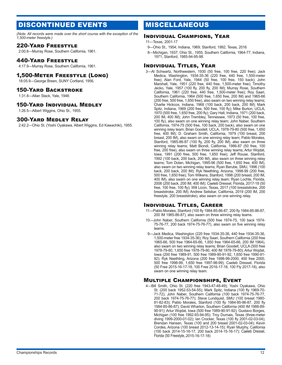### DISCONTINUED EVENTS

*(Note: All records were made over the short course with the exception of the 1,500-meter freestyle.)*

### 220-Yard Freestyle

2:00.6—Murray Rose, Southern California, 1961.

### 440-Yard Freestyle

4:17.9—Murray Rose, Southern California, 1961.

### 1,500-Meter Freestyle (Long)

18:05.9—George Breen, SUNY Cortland, 1956.

### 150-Yard Backstroke

1:31.8—Allan Stack, Yale, 1948.

### 150-Yard Individual Medley

1:26.5—Albert Wiggins, Ohio St., 1955.

### 300-Yard Medley Relay

2:42.2—Ohio St. (Yoshi Oyakawa, Albert Wiggins, Ed Kawachiki), 1955.

### MISCELLANEOUS

### Individual Champions, Year

11—Texas, 2001-17

- 9—Ohio St., 1954; Indiana, 1969; Stanford, 1992; Texas, 2016
- 8—Michigan, 1937; Ohio St., 1955; Southern California, 1964-77; Indiana, 1971; Stanford, 1985-94-95-98.

### Individual Titles, Year

3—Al Schwartz, Northwestern, 1930 (50 free, 100 free, 220 free); Jack Medica, Washington, 1934-35-36 (220 free, 440 free, 1,500-meter free); Alan Ford, Yale, 1944 (50 free, 100 free, 150 back); John Marshall, Yale, 1951 (220 free, 440 free, 1,500-meter free); Timothy Jecko, Yale, 1957 (100 fly, 200 fly, 200 IM); Murray Rose, Southern California, 1961 (220 free, 440 free, 1,500-meter free); Roy Saari, Southern California, 1964 (500 free, 1,650 free, 200 IM) and 1965-66 (200 free, 500 free, 1,650 free), also swam on two winning relay teams; Charlie Hickcox, Indiana, 1968 (100 back, 200 back, 200 IM); Mark Spitz, Indiana, 1969 (200 free, 500 free, 100 fly); Mike Burton, UCLA, 1970 (500 free, 1,650 free, 200 fly); Gary Hall, Indiana, 1971 (200 back, 200 IM, 400 IM); John Trembley, Tennessee, 1973 (50 free, 100 free, 100 fly), also swam on one winning relay team; John Naber, Southern California, 1974-75 (500 free, 100 back, 200 back), also swam on one winning relay team; Brian Goodell, UCLA, 1978-79-80 (500 free, 1,650 free, 400 IM); D. Graham Smith, California, 1979 (100 breast, 200 breast, 200 IM), also swam on one winning relay team; Pablo Morales, Stanford, 1985-86-87 (100 fly, 200 fly, 200 IM), also swam on three winning relay teams; Matt Biondi, California, 1986-87 (50 free, 100 free, 200 free), also swam on three winning relay teams; Artur Wojdat, Iowa, 1991 (200 free, 500 free, 1,650 free); Jeff Rouse, Stanford, 1992 (100 back, 200 back, 200 IM), also swam on three winning relay teams; Tom Dolan, Michigan, 1995-96 (500 free, 1,650 free, 400 IM), also swam on two winning relay teams; Ryan Berube, SMU, 1996 (100 back, 200 back, 200 IM); Ryk Neethling, Arizona, 1998-99 (200 free, 500 free, 1,650 free); Tom Wilkens, Stanford, 1998 (200 breast, 200 IM, 400 IM), also swam on one winning relay team; Ryan Lochte, Florida, 2006 (200 back, 200 IM, 400 IM); Caeleb Dressel, Florida, 2017-18 (50 free, 100 free, 100 fly); Will Licon, Texas, 2017 (100 breaststroke, 200 breaststroke, 200 IM); Andrew Seliskar, California, 2019 (200 IM, 200 freestyle, 200 breaststroke), also swam on one winning relay.

### Individual Titles, Career

- 11—Pablo Morales, Stanford (100 fly 1984-85-86-87, 200 fly 1984-85-86-87, 200 IM 1985-86-87), also swam on three winning relay teams.
- 10—John Naber, Southern California (500 free 1974-75, 100 back 1974- 75-76-77, 200 back 1974-75-76-77), also swam on five winning relay teams.
- 9—Jack Medica, Washington (220 free 1934-35-36, 440 free 1934-35-36, 1,500-meter free 1934-35-36); Roy Saari, Southern California (200 free 1965-66, 500 free 1964-65-66, 1,650 free 1964-65-66, 200 IM 1964), also swam on two winning relay teams; Brian Goodell, UCLA (500 free 1978-79-80, 1,650 free 1978-79-80, 400 IM 1978-79-80); Artur Wojdat, Iowa (200 free 1989-91, 500 free 1989-90-91-92, 1,650 free 1990-91- 92); Ryk Neethling, Arizona (200 free 1998-99-2000, 400 free 2000, 500 free 1998-99, 1,650 free 1997-98-99); Caeleb Dressel, Florida (50 Free 2015-16-17-18, 100 Free 2016-17-18, 100 Fly 2017-18), also swam on one winning relay team.

### Multiple Championships, Event

4—Bill Smith, Ohio St. (220 free 1943-47-48-49); Yoshi Oyakawa, Ohio St. (200 back 1952-53-54-55); Mark Spitz, Indiana (100 fly 1969-70- 71-72); John Naber, Southern California (100 back 1974-75-76-77, 200 back 1974-75-76-77); Steve Lundquist, SMU (100 breast 1980- 81-82-83); Pablo Morales, Stanford (100 fly 1984-85-86-87, 200 fly 1984-85-86-87); David Wharton, Southern California (400 IM 1988-89- 90-91); Artur Wojdat, Iowa (500 free 1989-90-91-92); Gustavo Borges, Michigan (100 free 1992-93-94-95); Troy Dumais, Texas (three-meter diving 1999-2000-01-02); Ian Crocker, Texas (100 fly 2001-02-03-04); Brendan Hansen, Texas (100 and 200 breast 2001-02-03-04); Kevin Cordes, Arizona (100 breast 2012-13-14-15); Ryan Murphy, California (100 back 2014-15-16-17, 200 back 2014-15-16-17); Caeleb Dressel, Florida (50 Freestyle,.2015-16-17-18)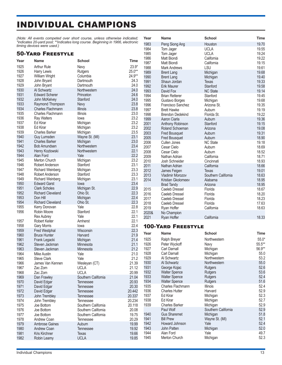# INDIVIDUAL CHAMPIONS

*(Note: All events competed over short course, unless otherwise indicated; \*indicates 20-yard pool; \*\*indicates long course. Beginning in 1966, electronic timing devices were used.)*

|              | *indicates 20-yard pool; **indicates long course. Beginning in 1966, electronic<br>timing devices were used.) |                     |              | 1983         | Peng Siong Ang              | Houston                  | 19.70          |
|--------------|---------------------------------------------------------------------------------------------------------------|---------------------|--------------|--------------|-----------------------------|--------------------------|----------------|
|              |                                                                                                               |                     |              | 1984         | Tom Jager                   | <b>UCLA</b>              | 19.55          |
|              | <b>50-YARD FREESTYLE</b>                                                                                      |                     |              | 1985         | Tom Jager                   | <b>UCLA</b>              | 19.24          |
| Year         | <b>Name</b>                                                                                                   | <b>School</b>       | Time         | 1986         | Matt Biondi                 | California               | 19.22          |
| 1925         | <b>Arthur Rule</b>                                                                                            | Navy                | $23.9*$      | 1987         | Matt Biondi                 | California               | 19.15          |
| 1926         | Harry Lewis                                                                                                   | Rutgers             | $25.0**$     | 1988         | Mark Andrews                | LSU                      | 19.61          |
| 1927         | <b>William Wright</b>                                                                                         | Columbia            | 24.9**       | 1989         | <b>Brent Lang</b>           | Michigan                 | 19.68          |
| 1928         | John Bryant                                                                                                   | Dartmouth           | 24.3         | 1990<br>1991 | <b>Brent Lang</b>           | Michigan                 | 19.40<br>19.33 |
| 1929         | John Bryant                                                                                                   | Dartmouth           | 24.0         | 1992         | Shaun Jordan<br>Erik Maurer | <b>Texas</b><br>Stanford | 19.58          |
| 1930         | Al Schwartz                                                                                                   | Northwestern        | 24.0         | 1993         | David Fox                   | <b>NC State</b>          | 19.14          |
| 1931         | <b>Edward Scherer</b>                                                                                         | Princeton           | 24.6         | 1994         | <b>Brian Retterer</b>       | Stanford                 | 19.45          |
| 1932         | John McKelvey                                                                                                 | Stanford            | 24.0         | 1995         | Gustavo Borges              | Michigan                 | 19.68          |
| 1933         | Raymond Thompson                                                                                              | Navy                | 23.8         | 1996         | Francisco Sanchez           | Arizona St.              | 19.35          |
| 1934         | Charles Flachmann                                                                                             | <b>Illinois</b>     | 23.8         | 1997         | <b>Brett Hawke</b>          | Auburn                   | 19.19          |
| 1935         | Charles Flachmann                                                                                             | Illinois            | 23.0         | 1998         | <b>Brendon Dedekind</b>     | Florida St.              | 19.22          |
| 1936         | Ray Walters                                                                                                   | lowa                | 23.2         | 1999         | Aaron Ciarla                | Auburn                   | 19.36          |
| 1937         | Ed Kirar                                                                                                      | Michigan            | 23.2         | 2001         | Anthony Robinson            | Stanford                 | 19.15          |
| 1938         | Ed Kirar                                                                                                      | Michigan            | 23.2         | 2002         | Roland Schoeman             | Arizona                  | 19.08          |
| 1939         | <b>Charles Barker</b>                                                                                         | Michigan            | 23.5         | 2003         | <b>Fred Bousquet</b>        | Auburn                   | 19.31          |
| 1940         | Guy Lumsden                                                                                                   | Wayne St. (MI)      | 23.1         | 2005         | <b>Fred Bousquet</b>        | Auburn                   | 18.90          |
| 1941         | <b>Charles Barker</b>                                                                                         | Michigan            | 23.0         | 2006         | Cullen Jones                | <b>NC State</b>          | 19.18          |
| 1942         | <b>Bob Amundsen</b>                                                                                           | Northwestern        | 23.4         | 2007         | Cesar Cielo                 | Auburn                   | 18.69          |
| 1943         | Henry Kozlowski                                                                                               | Northwestern        | 22.1         | 2008         | Cesar Cielo                 | Auburn                   | 18.52          |
| 1944         | Alan Ford                                                                                                     | Yale                | 22.2         | 2009         | Nathan Adrian               | California               | 18.71          |
| 1945         | Merton Church                                                                                                 | Michigan            | 23.2         | 2010         | Josh Schneider              | Cincinnati               | 18.93          |
| 1946         | Robert Anderson                                                                                               | Stanford            | 23.1         | 2011         | Nathan Adrian               | California               | 18.66          |
| 1947         | <b>Richard Weinberg</b>                                                                                       | Michigan            | 23.3         | 2012         | James Feigen                | Texas                    | 19.01          |
| 1948         | Robert Anderson                                                                                               | Stanford            | 23.3         | 2013         | Vladimir Morozov            | Southern California      | 18.63          |
| 1949         | <b>Richard Weinberg</b>                                                                                       | Michigan            | 23.1         | 2014         | Kristian Gkolomeev          | Alabama                  | 18.95          |
| 1950         | <b>Edward Garst</b>                                                                                           | lowa                | 23.4         |              | <b>Brad Tandy</b>           | Arizona                  | 18.95          |
| 1951         | <b>Clark Scholes</b>                                                                                          | Michigan St.        | 22.9         | 2015         | Caeleb Dressel              | Florida                  | 18.67          |
| 1952         | <b>Richard Cleveland</b>                                                                                      | Ohio St.            | 22.3         | 2016         | Caeleb Dressel              | Florida                  | 18.20          |
| 1953         | Don Hill                                                                                                      | Michigan            | 22.4         | 2017         | Caeleb Dressel              | Florida                  | 18.23          |
| 1954         | <b>Richard Cleveland</b>                                                                                      | Ohio St.            | 22.3         | 2018         | Caeleb Dressel              | Florida                  | 17.63          |
| 1955         | Kerry Donovan                                                                                                 | Yale                | 22.8         | 2019         | Ryan Hoffer                 | California               | 18.63          |
| 1956         | Robin Moore                                                                                                   | Stanford            | 22.1         | 2020&        | No Champion                 |                          |                |
|              | <b>Rex Aubrey</b>                                                                                             | Yale                | 22.1<br>22.1 | 2021         | Ryan Hoffer                 | California               | 18.33          |
| 1957<br>1958 | <b>Robert Keiter</b>                                                                                          | Amherst<br>lowa     | 22.4         |              |                             |                          |                |
| 1959         | <b>Gary Morris</b><br><b>Fred Westphal</b>                                                                    | Wisconsin           | 22.3         |              | <b>100-YARD FREESTYLE</b>   |                          |                |
| 1960         | <b>Bruce Hunter</b>                                                                                           | Harvard             | 21.9         | Year         | Name                        | <b>School</b>            | Time           |
| 1961         | Frank Legacki                                                                                                 | Michigan            | 21.4         | 1925         | Ralph Breyer                | Northwestern             | $55.0*$        |
| 1962         | Steven Jackman                                                                                                | Minnesota           | 21.1         | 1926         | Peter Wyckoff               | Navy                     | $55.5***$      |
| 1963         | Steven Jackman                                                                                                | Minnesota           | 21.2         | 1927         | Carl Darnall                | Michigan                 | 56.9**         |
| 1964         | <b>Mike Austin</b>                                                                                            | Yale                | 21.0         | 1928         | Carl Darnall                | Michigan                 | 55.0           |
| 1965         | <b>Steve Clark</b>                                                                                            | Yale                | 21.2         | 1929         | Al Schwartz                 | Northwestern             | 53.2           |
| 1966         | James Van Kennen                                                                                              | Wesleyan (CT)       | 21.39        | 1930         | Al Schwartz                 | Northwestern             | 55.0           |
| 1967         | Zac Zorn                                                                                                      | <b>UCLA</b>         | 21.12        | 1931         | George Kojac                | <b>Rutgers</b>           | 52.6           |
| 1968         | Zac Zorn                                                                                                      | <b>UCLA</b>         | 20.99        | 1932         | <b>Walter Spence</b>        | <b>Rutgers</b>           | 53.6           |
| 1969         | Dan Frawley                                                                                                   | Southern California | 21.04        | 1933         | <b>Walter Spence</b>        | <b>Rutgers</b>           | 52.4           |
| 1970         | David Edgar                                                                                                   | Tennessee           | 20.93        | 1934         | <b>Walter Spence</b>        | <b>Rutgers</b>           | 51.6           |
| 1971         | David Edgar                                                                                                   | Tennessee           | 20.30        | 1935         | Charles Flachmann           | <b>Illinois</b>          | 52.4           |
| 1972         | David Edgar                                                                                                   | <b>Tennessee</b>    | 20.442       | 1936         | <b>Charles Hutter</b>       | Harvard                  | 52.9           |
| 1973         | John Trembley                                                                                                 | Tennessee           | 20.337       | 1937         | Ed Kirar                    | Michigan                 | 52.3           |
| 1974         | John Trembley                                                                                                 | Tennessee           | 20.234       | 1938         | Ed Kirar                    | Michigan                 | 52.7           |
| 1975         | Joe Bottom                                                                                                    | Southern California | 20.118       | 1939         | <b>Charles Barker</b>       | Michigan                 | 52.9           |
| 1976         | Joe Bottom                                                                                                    | Southern California | 20.08        |              | Paul Wolf                   | Southern California      | 52.9           |
| 1977         | Joe Bottom                                                                                                    | Southern California | 19.75        | 1940         | <b>Gus Sharemet</b>         | Michigan                 | 51.8           |
| 1978         | Andrew Coan                                                                                                   | Tennessee           | 20.29        | 1941         | <b>Bill Prew</b>            | Wayne St. (MI)           | 52.1           |
| 1979         | <b>Ambrose Gaines</b>                                                                                         | Auburn              | 19.99        | 1942         | Howard Johnson              | Yale                     | 52.4           |
| 1980         | Andrew Coan                                                                                                   | Tennessee           | 19.92        | 1943         | John Patten                 | Michigan                 | 52.0           |
| 1981         | Kris Kirchner                                                                                                 | Texas               | 19.66        | 1944         | Alan Ford                   | Yale                     | 49.7           |
| 1982         | Robin Leamy                                                                                                   | <b>UCLA</b>         | 19.85        | 1945         | Merton Church               | Michigan                 | 52.3           |

**Year Name School Time**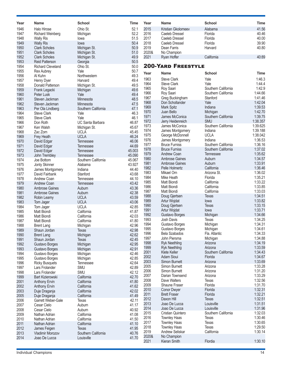| Year | <b>Name</b>              | <b>School</b>           | <b>Time</b> | Year  | <b>Name</b>               | <b>School</b>       | Time        |
|------|--------------------------|-------------------------|-------------|-------|---------------------------|---------------------|-------------|
| 1946 | <b>Halo Hirose</b>       | Ohio St.                | 52.1        | 2015  | Kristian Gkolomeev        | Alabama             | 41.56       |
| 1947 | <b>Richard Weinberg</b>  | Michigan                | 52.2        | 2016  | Caeleb Dressel            | Florida             | 40.46       |
| 1948 | <b>Wally Ris</b>         | lowa                    | 51.5        | 2017  | Caeleb Dressel            | Florida             | 40.00       |
|      |                          |                         |             | 2018  | Caeleb Dressel            | Florida             |             |
| 1949 | <b>Wally Ris</b>         | lowa                    | 50.4        |       |                           |                     | 39.90       |
| 1950 | <b>Clark Scholes</b>     | Michigan St.            | 50.9        | 2019  | Dean Farris               | Harvard             | 40.80       |
| 1951 | <b>Clark Scholes</b>     | Michigan St.            | 51.0        | 2020& | No Champion               |                     |             |
| 1952 | <b>Clark Scholes</b>     | Michigan St.            | 49.9        | 2021  | Ryan Hoffer               | California          | 40:89       |
| 1953 | <b>Reid Patterson</b>    | Georgia                 | 50.5        |       |                           |                     |             |
| 1954 | <b>Richard Cleveland</b> | Ohio St.                | 50.0        |       | <b>200-YARD FREESTYLE</b> |                     |             |
| 1955 | <b>Rex Aubrey</b>        | Yale                    | 50.7        |       |                           |                     |             |
| 1956 | Al Kuhn                  | Northwestern            | 49.3        | Year  | Name                      | <b>School</b>       | <b>Time</b> |
| 1957 | Henry Dyer               | Harvard                 | 49.4        | 1963  | <b>Steve Clark</b>        | Yale                | 1:46.3      |
| 1958 | Donald Patterson         |                         | 49.5        | 1964  | <b>Steve Clark</b>        | Yale                | 1:44.4      |
|      |                          | Michigan St.            |             | 1965  | Roy Saari                 | Southern California | 1:42.9      |
| 1959 | Frank Legacki            | Michigan                | 49.6        | 1966  | Roy Saari                 | Southern California | 1:44.66     |
| 1960 | Peter Lusk               | Yale                    | 49.4        |       |                           |                     | 1:41.46     |
| 1961 | Steven Jackman           | Minnesota               | 48.5        | 1967  | Greg Buckingham           | Stanford            |             |
| 1962 | Steven Jackman           | Minnesota               | 47.5        | 1968  | Don Schollander           | Yale                | 1:42.04     |
| 1963 | Per Ola Lindberg         | Southern California     | 47.1        | 1969  | Mark Spitz                | Indiana             | 1:39.53     |
| 1964 | <b>Steve Clark</b>       | Yale                    | 46.3        | 1970  | Juan Bello                | Michigan            | 1:42.70     |
| 1965 | <b>Steve Clark</b>       | Yale                    | 46.1        | 1971  | James McConica            | Southern California | 1:39.75     |
| 1966 | Don Roth                 | <b>UC Santa Barbara</b> | 46.87       | 1972  | Jerry Heidenreich         | <b>SMU</b>          | 1:38.357    |
| 1967 | Ken Walsh                |                         | 45.67       | 1973  | James McConica            | Southern California | 1:39.625    |
|      |                          | Michigan St.            |             | 1974  | James Montgomery          | Indiana             | 1:39.188    |
| 1968 | Zac Zorn                 | <b>UCLA</b>             | 45.45       | 1975  | George McDonnell          | <b>UCLA</b>         | 1:38.042    |
| 1969 | Frey Heath               | <b>UCLA</b>             | 46.24       |       |                           | Indiana             | 1:36.53     |
| 1970 | David Edgar              | <b>Tennessee</b>        | 46.06       | 1976  | James Montgomery          |                     |             |
| 1971 | David Edgar              | <b>Tennessee</b>        | 44.69       | 1977  | <b>Bruce Furniss</b>      | Southern California | 1:36.16     |
| 1972 | David Edgar              | <b>Tennessee</b>        | 45.003      | 1978  | <b>Bruce Furniss</b>      | Southern California | 1:37.02     |
| 1973 | John Trembley            | <b>Tennessee</b>        | 45.090      | 1979  | <b>Andrew Coan</b>        | Tennessee           | 1:35.62     |
| 1974 | Joe Bottom               | Southern California     | 45.067      | 1980  | <b>Ambrose Gaines</b>     | Auburn              | 1:34.57     |
| 1975 | Jonty Skinner            | Alabama                 | 43.927      | 1981  | <b>Ambrose Gaines</b>     | Auburn              | 1:33.91     |
| 1976 |                          |                         | 44.40       | 1982  | Pelle Holmertz            | California          | 1:36.46     |
|      | James Montgomery         | Indiana                 |             | 1983  | Mikael Orn                | Arizona St.         | 1:36.02     |
| 1977 | David Fairbank           | Stanford                | 43.68       | 1984  | Mike Heath                | Florida             | 1:35.21     |
| 1978 | Andrew Coan              | Tennessee               | 44.10       | 1985  | Matt Biondi               | California          | 1:33.22     |
| 1979 | <b>Andrew Coan</b>       | <b>Tennessee</b>        | 43.42       |       |                           |                     |             |
| 1980 | <b>Ambrose Gaines</b>    | Auburn                  | 43.36       | 1986  | Matt Biondi               | California          | 1:33.85     |
| 1981 | <b>Ambrose Gaines</b>    | Auburn                  | 42.38       | 1987  | Matt Biondi               | California          | 1:33.03     |
| 1982 | Robin Leamy              | <b>UCLA</b>             | 43.59       | 1988  | Doug Gjertsen             | <b>Texas</b>        | 1:34.51     |
| 1983 | Tom Jager                | <b>UCLA</b>             | 43.06       | 1989  | Artur Wojdat              | lowa                | 1:33.82     |
| 1984 | Tom Jager                | <b>UCLA</b>             | 42.85       | 1990  | Doug Gjertsen             | Texas               | 1:33.15     |
| 1985 | Matt Biondi              | California              | 41.87       | 1991  | Artur Wojdat              | lowa                | 1:33.71     |
| 1986 | Matt Biondi              | California              | 42.03       | 1992  | Gustavo Borges            | Michigan            | 1:34.66     |
|      |                          |                         |             | 1993  | Josh Davis                | <b>Texas</b>        | 1:34.25     |
| 1987 | Matt Biondi              | California              | 41.80       | 1994  | Gustavo Borges            | Michigan            | 1:34.31     |
| 1988 | <b>Brent Lang</b>        | Michigan                | 42.96       | 1995  |                           |                     | 1:34.61     |
| 1989 | Shaun Jordan             | Texas                   | 42.98       |       | Gustavo Borges            | Michigan            |             |
| 1990 | <b>Brent Lang</b>        | Michigan                | 42.62       | 1996  | Bela Szabados             | Fla. Atlantic       | 1:34.33     |
| 1991 | Shaun Jordan             | Texas                   | 42.45       | 1997  | John Piersma              | Michigan            | 1:34.88     |
| 1992 | Gustavo Borges           | Michigan                | 42.95       | 1998  | <b>Ryk Neethling</b>      | Arizona             | 1:34.19     |
| 1993 | Gustavo Borges           | Michigan                | 42.91       | 1999  | <b>Ryk Neethling</b>      | Arizona             | 1:33.59     |
| 1994 | Gustavo Borges           | Michigan                | 42.46       | 2001  | <b>Klete Keller</b>       | Southern California | 1:34.43     |
| 1995 | Gustavo Borges           | Michigan                | 42.85       | 2002  | <b>Adam Sioui</b>         | Florida             | 1:34.67     |
|      |                          |                         |             | 2003  | Simon Burnett             | Arizona             | 1:33.69     |
| 1996 | <b>Ricky Busquets</b>    | Tennessee               | 42.64       | 2005  | Simon Burnett             | Arizona             | 1:33.28     |
| 1997 | Lars Frolander           | <b>SMU</b>              | 42.89       | 2006  | Simon Burnett             | Arizona             | 1:31.20     |
| 1998 | Lars Frolander           | SMU                     | 42.12       |       |                           |                     |             |
| 1999 | <b>Bart Kizierowski</b>  | California              | 42.70       | 2007  | Darian Townsend           | Arizona             | 1:33.29     |
| 2001 | Anthony Ervin            | California              | 41.80       | 2008  | Dave Walters              | Texas               | 1:32.56     |
| 2002 | <b>Anthony Ervin</b>     | California              | 41.62       | 2009  | <b>Shaune Fraser</b>      | Florida             | 1:31.70     |
| 2003 | Duje Draganja            | California              | 42.02       | 2010  | <b>Conor Dwyer</b>        | Florida             | 1:32.31     |
| 2005 | Duje Draganja            | California              | 41.49       | 2011  | <b>Brett Fraser</b>       | Florida             | 1:32.21     |
| 2006 | Garrett Weber-Gale       | <b>Texas</b>            | 42.11       | 2012  | Daxon Hill                | <b>Texas</b>        | 1:32.51     |
|      |                          |                         |             | 2013  | Joao De Lucca             | Louisville          | 1:31.51     |
| 2007 | Cesar Cielo              | Auburn                  | 41.17       | 2014  | Joao De Lucca             | Louisville          | 1:31.96     |
| 2008 | Cesar Cielo              | Auburn                  | 40.92       | 2015  | <b>Cristian Quintero</b>  | Southern California | 1:32.03     |
| 2009 | Nathan Adrian            | California              | 41.08       |       |                           |                     |             |
| 2010 | Nathan Adrian            | California              | 41.50       | 2016  | <b>Townley Haas</b>       | Texas               | 1:30.46     |
| 2011 | Nathan Adrian            | California              | 41.10       | 2017  | <b>Townley Haas</b>       | Texas               | 1:30.65     |
| 2012 | James Feigen             | Texas                   | 41.95       | 2018  | <b>Townley Haas</b>       | Texas               | 1:29.50     |
| 2013 | <b>Vladimir Morozov</b>  | Southern California     | 40.76       | 2019  | Andrew Seliskar           | California          | 1:30.14     |
| 2014 | Joao De Lucca            | Louisville              | 41.70       | 2020& | No Champion               |                     |             |
|      |                          |                         |             | 2021  | Kieran Smith              | Flordia             | 1:30.10     |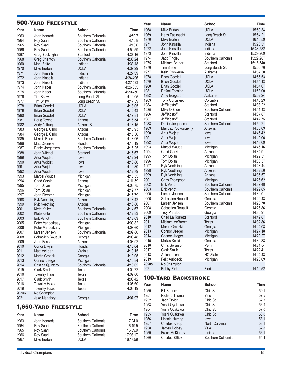|              | <b>500-YARD FREESTYLE</b>   |                      |                    | Year         | <b>Name</b>                        | <b>School</b>       | Time                 |
|--------------|-----------------------------|----------------------|--------------------|--------------|------------------------------------|---------------------|----------------------|
| Year         | <b>Name</b>                 | <b>School</b>        | Time               | 1968         | <b>Mike Burton</b>                 | <b>UCLA</b>         | 15:59.34             |
| 1963         | John Konrads                | Southern California  | 4:50.7             | 1969         | Hans Fassnacht                     | Long Beach St.      | 15:54.21             |
| 1964         | Roy Saari                   | Southern California  | 4:45.8             | 1970         | Mike Burton                        | <b>UCLA</b>         | 16:10.59             |
| 1965         | Roy Saari                   | Southern California  | 4:43.6             | 1971         | John Kinsella                      | Indiana             | 15:26.51             |
| 1966         | Roy Saari                   | Southern California  | 4:50.59            | 1972         | John Kinsella                      | Indiana             | 15:33.582            |
| 1967         | Greg Buckingham             | Stanford             | 4:37.16            | 1973         | John Kinsella                      | Indiana             | 15:29.209            |
| 1968         | Greg Charlton               | Southern California  | 4:38.24            | 1974         | Jack Tingley                       | Southern California | 15:29.287            |
| 1969         | Mark Spitz                  | Indiana              | 4:33.48            | 1975         | Michael Bruner                     | Stanford            | 15:16.540            |
| 1970         | <b>Mike Burton</b>          | <b>UCLA</b>          | 4:37.29            | 1976         | Tim Shaw                           | Long Beach St.      | 15:06.76             |
| 1971         | John Kinsella               | Indiana              | 4:27.39            | 1977         | Keith Converse                     | Alabama             | 14:57.30             |
| 1972         | John Kinsella               | Indiana              | 4:24.496           | 1978         | <b>Brian Goodell</b>               | <b>UCLA</b>         | 14:55.53             |
| 1973         | John Kinsella               | Indiana              | 4:27.593           | 1979         | <b>Brian Goodell</b>               | <b>UCLA</b>         | 14:54.13             |
| 1974         | John Naber                  | Southern California  | 4:26.855           | 1980         | <b>Brian Goodell</b>               | <b>UCLA</b>         | 14:54.07             |
| 1975         | John Naber                  | Southern California  | 4:20.450           | 1981         | Rafael Escalas                     | <b>UCLA</b>         | 14:53.90             |
| 1976         | Tim Shaw                    | Long Beach St.       | 4:19.05            | 1982         | Arne Borgstrom                     | Alabama             | 15:02.24             |
| 1977         | Tim Shaw                    | Long Beach St.       | 4:17.39            | 1983         | <b>Tony Corbisiero</b>             | Columbia            | 14:46.29             |
| 1978         | <b>Brian Goodell</b>        | <b>UCLA</b>          | 4:18.05            | 1984         | Jeff Kostoff                       | Stanford            | 14:38.22             |
| 1979         | <b>Brian Goodell</b>        | <b>UCLA</b>          | 4:16.43            | 1985         | Mike O'Brien                       | Southern California | 14:41.43             |
| 1980         | <b>Brian Goodell</b>        | <b>UCLA</b>          | 4:17.81            | 1986         | Jeff Kostoff                       | Stanford            | 14:37.87             |
| 1981         | Doug Towne                  | Arizona              | 4:16.54            | 1987         | Jeff Kostoff                       | Stanford            | 14:47.75             |
| 1982         | Andy Astbury                | Arizona St.          | 4:18.15            | 1988         | Daniel Jorgensen                   | Southern California | 14:50.21             |
| 1983         | George DiCarlo              | Arizona              | 4:16.93            | 1989         | Mariusz Podkoscielny               | Arizona             | 14:38.09             |
| 1984         | George DiCarlo              | Arizona              | 4:15.36            | 1990         | Artur Wojdat                       | lowa                | 14:45.42             |
| 1985         | Mike O'Brien                | Southern California  | 4:13.06            | 1991         | Artur Wojdat                       | lowa                | 14:42.06             |
| 1986         | Matt Cetlinski              | Florida              | 4:15.19            | 1992         | Artur Wojdat                       | lowa                | 14:43.09<br>14:46.16 |
| 1987         | Daniel Jorgensen            | Southern California  | 4:16.25            | 1993<br>1994 | Marcel Wouda<br><b>Chad Carvin</b> | Michigan<br>Arizona | 14:34.91             |
| 1988         | John Witchel                | Stanford             | 4:15.67            | 1995         | Tom Dolan                          | Michigan            | 14:29.31             |
| 1989         | Artur Wojdat                | lowa                 | 4:12.24            | 1996         | Tom Dolan                          | Michigan            | 14:38.37             |
| 1990         | Artur Wojdat                | lowa                 | 4:13.80            | 1997         | <b>Ryk Neethling</b>               | Arizona             | 14:43.44             |
| 1991         | Artur Wojdat                | lowa                 | 4:12.80            | 1998         | <b>Ryk Neethling</b>               | Arizona             | 14:32.50             |
| 1992         | Artur Wojdat                | lowa                 | 4:12.79            | 1999         | <b>Ryk Neethling</b>               | Arizona             | 14:35.57             |
| 1993         | Marcel Wouda<br>Chad Carvin | Michigan             | 4:15.55            | 2001         | Chris Thompson                     | Michigan            | 14:26.62             |
| 1994<br>1995 | Tom Dolan                   | Arizona              | 4:11.59<br>4:08.75 | 2002         | <b>Erik Vendt</b>                  | Southern California | 14:37.48             |
| 1996         | <b>Tom Dolan</b>            | Michigan<br>Michigan | 4:12.77            | 2003         | <b>Erik Vendt</b>                  | Southern California | 14:29.85             |
| 1997         | John Piersma                | Michigan             | 4:15.79            | 2005         | Larsen Jensen                      | Southern California | 14:32.01             |
| 1998         | <b>Ryk Neethling</b>        | Arizona              | 4:13.42            | 2006         | Sebastien Rouault                  | Georgia             | 14:29.43             |
| 1999         | <b>Ryk Neethling</b>        | Arizona              | 4:13.80            | 2007         | Larsen Jensen                      | Southern California | 14:26.70             |
| 2001         | <b>Klete Keller</b>         | Southern California  | 4:14.67            | 2008         | Sebastien Rouault                  | Georgia             | 14:26.86             |
| 2002         | Klete Keller                | Southern California  | 4:12.83            | 2009         | <b>Troy Prinsloo</b>               | Georgia             | 14:30.91             |
| 2003         | <b>Erik Vendt</b>           | Southern California  | 4:13.63            | 2010         | Chad La Tourette                   | Stanford            | 14:42.87             |
| 2005         | Peter Vanderkaay            | Michigan             | 4:09.82            | 2011         | Michael McBroom                    | <b>Texas</b>        | 14:32.86             |
| 2006         | Peter Vanderkaay            | Michigan             | 4:08.60            | 2012         | Martin Grodzki                     | Georgia             | 14:24.08             |
| 2007         | Larsen Jensen               | Southern California  | 4:09.80            | 2013         | Connor Jaeger                      | Michigan            | 14:27.18             |
| 2008         | Sebastien Rouault           | Georgia              | 4:09.48            | 2014         | Connor Jaeger                      | Michigan            | 14:29.27             |
| 2009         | Jean Basson                 | Arizona              | 4:08.92            | 2015         | Matias Koski                       | Georgia             | 14:32.38             |
| 2010         | <b>Conor Dwyer</b>          | Florida              | 4:13.64            | 2016         | Chris Swanson                      | Penn                | 14:31.54             |
| 2011         | Matt McLean                 | Virginia             | 4:10.15            | 2017         | <b>Clark Smith</b>                 | Texas               | 14:22.41             |
| 2012         | Martin Grodzki              | Georgia              | 4:12.95            | 2018         | Anton Ipsen                        | <b>NC State</b>     | 14:24.43             |
| 2013         | Connor Jaeger               | Michigan             | 4:10.84            | 2019         | Felix Auboeck                      | Michigan            | 14:23.09             |
| 2014         | <b>Cristian Quintero</b>    | Southern California  | 4:10.02            | 2020&        | No Champion                        |                     |                      |
| 2015         | <b>Clark Smith</b>          | Texas                | 4:09.72            | 2021         | <b>Bobby Finke</b>                 | Florida             | 14:12.52             |
| 2016         | <b>Townley Haas</b>         | Texas                | 4:09.00            |              | <b>100-YARD BACKSTROKE</b>         |                     |                      |
| 2017         | <b>Clark Smith</b>          | Texas                | 4:08.42            |              |                                    |                     |                      |
| 2018         | <b>Townley Haas</b>         | <b>Texas</b>         | 4:08.60            | Year         | Name                               | <b>School</b>       | <b>Time</b>          |
| 2019         | <b>Townley Haas</b>         | <b>Texas</b>         | 4:08.19            | 1950         | <b>Bill Sonner</b>                 | Ohio St.            | 59.1                 |
| 2020&        | No Champion                 |                      |                    | 1951         | <b>Richard Thoman</b>              | Yale                | 57.5                 |
| 2021         | Jake Magahey                | Georgia              | 4:07.97            | 1952         | Jack Taylor                        | Ohio St.            | 57.3                 |
|              |                             |                      |                    | 1953         | Yoshi Oyakawa                      | Ohio St.            | 56.9                 |
|              | <b>1,650-YARD FREESTYLE</b> |                      |                    | 1954         | Yoshi Oyakawa                      | Ohio St.            | 57.0                 |

|             |                             | Time                                 |
|-------------|-----------------------------|--------------------------------------|
|             |                             |                                      |
|             |                             | 17:24.0                              |
| Roy Saari   | Southern California         | 16:49.5                              |
| Roy Saari   | Southern California         | 16:39.9                              |
| Roy Saari   | Southern California         | 17:08.17                             |
| Mike Burton | <b>UCLA</b>                 | 16:17.59                             |
|             | <b>Name</b><br>John Konrads | <b>School</b><br>Southern California |

 Yoshi Oyakawa Ohio St. 58.0 1956 Lincoln Hurring Iowa **Iowa** 1956 198.1 1957 Charles Krepp North Carolina 58.1 1958 James Dolbey Yale 7.8 1959 Frank McKinney **Indiana** 1959 **Frank McKinney** 1960 Charles Bittick Southern California 54.4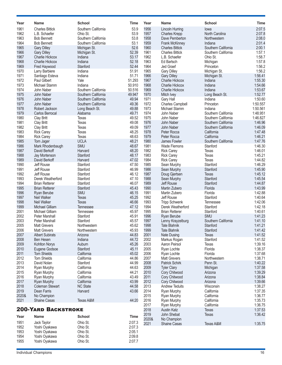| Year         | <b>Name</b>                       | <b>School</b>         | Time           | Year         | <b>Name</b>                          | <b>School</b>       | Time               |
|--------------|-----------------------------------|-----------------------|----------------|--------------|--------------------------------------|---------------------|--------------------|
| 1961         | <b>Charles Bittick</b>            | Southern California   | 53.9           | 1956         | <b>Lincoln Hurring</b>               | lowa                | 2:07.5             |
| 1962         | L.B. Schaefer                     | Ohio St.              | 53.9           | 1957         | <b>Charles Krepp</b>                 | North Carolina      | 2:07.8             |
| 1963         | <b>Bob Bennett</b>                | Southern California   | 53.8           | 1958         | Dave Pemberton                       | Northwestern        | 2:08.0             |
| 1964         | <b>Bob Bennett</b>                | Southern California   | 53.1           | 1959         | Frank McKinney                       | Indiana             | 2:01.4             |
| 1965         | <b>Gary Dilley</b>                | Michigan St.          | 52.6           | 1960         | <b>Charles Bittick</b>               | Southern California | 2:00.1             |
| 1966         | <b>Gary Dilley</b>                | Michigan St.          | 52.39          | 1961         | <b>Charles Bittick</b>               | Southern California | 1:57.1             |
| 1967         | <b>Charlie Hickcox</b>            | Indiana               | 53.17          | 1962         | L.B. Schaefer                        | Ohio St.            | 1:58.7             |
| 1968         | <b>Charlie Hickcox</b>            | Indiana               | 52.18          | 1963         | Ed Bartsch                           | Michigan            | 1:57.8             |
| 1969         | Fred Haywood                      | Stanford              | 52.44          | 1964         | Jed Graef                            | Princeton           | 1:56.2             |
| 1970         | Larry Barbiere                    | Indiana               | 51.91          | 1965         | <b>Gary Dilley</b>                   | Michigan St.        | 1:56.2             |
| 1971         | Santiago Esteva                   | Indiana               | 51.71          | 1966         | <b>Gary Dilley</b>                   | Michigan St.        | 1:56.41            |
| 1972         | Paul Gilbert                      | Yale                  | 51.293         | 1967         | Charlie Hickcox                      | Indiana             | 1:55.30            |
| 1973         | Michael Stamm                     | Indiana               | 50.910         | 1968         | Charlie Hickcox                      | Indiana             | 1:54.66            |
| 1974         | John Naber                        | Southern California   | 50.516         | 1969         | Charlie Hickcox                      | Indiana             | 1:53.67            |
| 1975         | John Naber                        | Southern California   | 49.947         | 1970         | Mitch Ivey                           | Long Beach St.      | 1:52.77            |
| 1976         | John Naber                        | Southern California   | 49.94          | 1971         | Gary Hall                            | Indiana             | 1:50.60            |
| 1977         | John Naber                        | Southern California   | 49.36          | 1972         | Charles Campbell                     | Princeton           | 1:50.557           |
| 1978         | Robert Jackson                    | Long Beach St.        | 49.88          | 1973         | Michael Stamm                        | Indiana             | 1:50.561           |
| 1979         | Carlos Berrocal                   | Alabama               | 49.71          | 1974         | John Naber                           | Southern California | 1:48.951           |
| 1980         | <b>Clay Britt</b>                 | <b>Texas</b>          | 49.52          | 1975         | John Naber                           | Southern California | 1:46.827           |
| 1981         | <b>Clay Britt</b>                 | Texas                 | 49.08          | 1976         | John Naber                           | Southern California | 1:46.96            |
| 1982         | <b>Clay Britt</b>                 | Texas                 | 49.09          | 1977         | John Naber                           | Southern California | 1:46.09            |
| 1983         | <b>Rick Carey</b>                 | <b>Texas</b>          | 48.25          | 1978         | Peter Rocca                          | California          | 1:47.48            |
| 1984         | <b>Rick Carey</b>                 | <b>Texas</b>          | 48.63          | 1979         | Peter Rocca                          | California          | 1:46.21            |
| 1985         | Tom Jager                         | <b>UCLA</b>           | 48.21          | 1980         | James Fowler                         | Southern California | 1:47.76            |
| 1986         | Mark Rhodenbaugh                  | SMU                   | 48.67          | 1981         | <b>Wade Flemons</b>                  | Stanford            | 1:46.30            |
| 1987         | David Berkoff                     | Harvard               | 48.20          | 1982         | <b>Rick Carey</b>                    | <b>Texas</b>        | 1:46.01            |
| 1988         | Jay Mortenson                     | Stanford              | 48.17          | 1983         | <b>Rick Carey</b>                    | Texas               | 1:45.21            |
| 1989         | David Berkoff                     | Harvard               | 47.02          | 1984         | <b>Rick Carey</b>                    | Texas               | 1:44.82            |
| 1990         | Jeff Rouse                        | Stanford              | 47.50          | 1985         | Sean Murphy                          | Stanford            | 1:46.29            |
| 1991         | Jeff Rouse                        | Stanford              | 46.99          | 1986         | Sean Murphy                          | Stanford            | 1:45.90            |
| 1992         | Jeff Rouse                        | Stanford              | 46.12          | 1987         | Doug Gjertsen                        | Texas               | 1:45.12            |
| 1993         | Derek Weatherford                 | Stanford              | 47.10          | 1988         | Sean Murphy                          | Stanford            | 1:45.54            |
| 1994         | <b>Brian Retterer</b>             | Stanford              | 46.07          | 1989         | Jeff Rouse                           | Stanford            | 1:44.87            |
| 1995         | <b>Brian Retterer</b>             | Stanford              | 45.43          | 1990         | <b>Martin Zubero</b>                 | Florida             | 1:43.99            |
| 1996         | Ryan Berube                       | SMU                   | 46.15          | 1991         | Martin Zubero                        | Florida             | 1:42.88            |
| 1997         | Neil Walker                       | <b>Texas</b>          | 45.25          | 1992         | Jeff Rouse                           | Stanford            | 1:40.64            |
| 1998         | Neil Walker                       | <b>Texas</b>          | 46.66          | 1993         | <b>Tripp Schwenk</b>                 | Tennessee           | 1:42.06            |
| 1999         | Michael Gilliam                   | Tennessee             | 47.12          | 1994         | Derek Weatherford                    | Stanford            | 1:42.18            |
| 2001<br>2002 | Michael Gilliam<br>Peter Marshall | Tennessee<br>Stanford | 45.97<br>45.91 | 1995<br>1996 | <b>Brian Retterer</b><br>Ryan Berube | Stanford<br>SMU     | 1:40.61<br>1:41.23 |
| 2003         | Peter Marshall                    | Stanford              | 45.57          | 1997         |                                      | Southern California | 1:41.10            |
| 2005         | Matt Grevers                      | Northwestern          | 45.62          | 1998         | Lenny Krayzelburg<br>Tate Blahnik    | Stanford            | 1:41.21            |
| 2006         | <b>Matt Grevers</b>               | Northwestern          | 45.93          | 1999         | <b>Tate Blahnik</b>                  | Stanford            | 1:41.42            |
| 2007         | <b>Albert Subirats</b>            | Arizona               | 44.83          | 2001         | Nate Dusing                          | <b>Texas</b>        | 1:41.52            |
| 2008         | Ben Hesen                         | Indiana               | 44.72          | 2002         | Markus Rogan                         | Stanford            | 1:41.52            |
| 2009         | Kohlton Norys                     | Auburn                | 45.26          | 2003         | Aaron Peirsol                        | Texas               | 1:39.16            |
| 2010         | Eugene Godsoe                     | Stanford              | 45.11          | 2005         | Ryan Lochte                          | Florida             | 1:38.37            |
| 2011         | <b>Tom Shields</b>                | California            | 45.02          | 2006         | Ryan Lochte                          | Florida             | 1:37.68            |
| 2012         | Tom Shields                       | California            | 44.86          | 2007         | <b>Matt Grevers</b>                  | Northwestern        | 1:38.71            |
| 2013         | David Nolan                       | Stanford              | 44.99          | 2008         | Patrick Schirk                       | Penn St.            | 1:40.22            |
| 2014         | Ryan Murphy                       | California            | 44.63          | 2009         | <b>Tyler Clary</b>                   | Michigan            | 1:37.58            |
| 2015         | Ryan Murphy                       | California            | 44.21          | 2010         | Cory Chitwood                        | Arizona             | 1:39.29            |
| 2016         | Ryan Murphy                       | California            | 43.49          | 2011         | Cory Chitwood                        | Arizona             | 1:38.84            |
| 2017         | Ryan Murphy                       | California            | 43.99          | 2012         | Cory Chitwood                        | Arizona             | 1:39.66            |
| 2018         | Coleman Stewart                   | <b>NC State</b>       | 44.58          | 2013         | <b>Andrew Teduits</b>                | Wisconsin           | 1:38.27            |
| 2019         | Dean Farris                       | Harvard               | 43.66          | 2014         | Ryan Murphy                          | California          | 1:37.35            |
| 2020&        | No Champion                       |                       |                | 2015         | Ryan Murphy                          | California          | 1:36.77            |
| 2021         | <b>Shaine Casas</b>               | Texas A&M             | 44:20          | 2016         | Ryan Murphy                          | California          | 1:35.73            |
|              |                                   |                       |                | 2017         | Ryan Murphy                          | California          | 1:36.75            |
|              | <b>200-YARD BACKSTROKE</b>        |                       |                | 2018         | <b>Austin Katz</b>                   | Texas               | 1:37.53            |
| Year         | Name                              | <b>School</b>         | Time           | 2019         | John Shebat                          | Texas               | 1:36.42            |
| 1951         |                                   | Ohio St.              | 2:07.3         | 2020&        | No Champion                          |                     |                    |
| 1952         | Jack Taylor<br>Yoshi Oyakawa      | Ohio St.              | 2:07.3         | 2021         | <b>Shaine Casas</b>                  | Texas A&M           | 1:35.75            |
| 1953         | Yoshi Oyakawa                     | Ohio St.              | 2:05.1         |              |                                      |                     |                    |
| 1954         | Yoshi Oyakawa                     | Ohio St.              | 2:09.8         |              |                                      |                     |                    |
|              |                                   |                       |                |              |                                      |                     |                    |

Yoshi Oyakawa Ohio St. 2:07.7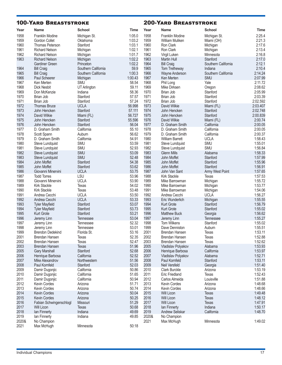| <b>School</b><br>Year<br>Time<br>Year<br><b>Name</b><br><b>School</b><br>Time<br><b>Name</b><br>2:25.4<br>1958<br><b>Franklin Modine</b><br>1:05.0<br>1958<br><b>Franklin Modine</b><br>Michigan St.<br>Michigan St.<br>1959<br>1:03.2<br>1959<br>2:21.3<br>Gordon Collet<br>William Muliken<br>Oklahoma<br>Miami (OH)<br>1960<br>1:03.1<br>1960<br>Stanford<br>2:17.6<br>Thomas Peterson<br>Ron Clark<br>Michigan<br>1961<br>1:02.1<br>1961<br>2:13.4<br>Ron Clark<br><b>Richard Nelson</b><br>Michigan<br>Michigan<br>1962<br>1962<br>2:16.8<br>1:01.7<br>Virgil Luken<br><b>Richard Nelson</b><br>Michigan<br>Minnesota<br>1963<br>1:02.2<br>1963<br>Martin Hull<br>Stanford<br>2:17.0<br><b>Richard Nelson</b><br>Michigan<br>1:02.2<br>1964<br>Southern California<br>2:12.1<br>Princeton<br><b>Bill Craig</b><br><b>Gardiner Green</b><br>59.9<br>1965<br>2:10.4<br>1964<br>Southern California<br>Tom Tretheway<br><b>Bill Craig</b><br>Indiana<br>1:00.3<br>1966<br>1965<br>Southern California<br>Southern California<br>2:14.24<br><b>Bill Craig</b><br>Wayne Anderson<br>1966<br>1:00.43<br>1967<br>2:07.99<br>Paul Scheerer<br>Ken Merten<br>SMU<br>Michigan<br>1967<br>58.54<br>1968<br>Yale<br>Ken Merten<br><b>SMU</b><br>Phil Long<br>2:11.72<br>1968<br>59.11<br>1969<br>2:08.62<br><b>Dick Nesbit</b><br>UT Arlington<br>Mike Dirksen<br>Oregon<br>1969<br>58.36<br>1970<br>Don McKenzie<br>Brian Job<br>Stanford<br>2:05.99<br>Indiana<br>1971<br>1970<br>Stanford<br>57.57<br>Stanford<br>2:03.39<br>Brian Job<br>Brian Job<br>1971<br>57.24<br>1972<br>Brian Job<br>Stanford<br>Brian Job<br>Stanford<br>2:02.592<br>1972<br>56.998<br>1973<br><b>UCLA</b><br>David Wilkie<br>2:03.407<br><b>Thomas Bruce</b><br>Miami (FL)<br>1973<br>1974<br>Stanford<br>57.111<br>Stanford<br>2:02.748<br>John Hencken<br>John Hencken<br>1974<br>1975<br>56.727<br>Stanford<br>2:00.839<br>David Wilkie<br>Miami (FL)<br>John Hencken<br>1975<br>1976<br>55.596<br>2:00.74<br>John Hencken<br>Stanford<br>David Wilkie<br>Miami (FL)<br>1976<br>56.04<br>1977<br>California<br>2:00.05<br>Stanford<br>D. Graham Smith<br>John Hencken<br>1977<br>1978<br>D. Graham Smith<br>California<br>55.10<br>D. Graham Smith<br>California<br>2:00.05<br>1979<br>1978<br>56.62<br>California<br>2:00.37<br>Scott Spann<br>Auburn<br>D. Graham Smith<br>1979<br>54.91<br>1980<br>California<br><b>UCLA</b><br>1:58.43<br>D. Graham Smith<br><b>William Barrett</b><br>1980<br>53.59<br>1981<br>SMU<br>SMU<br>Steve Lundquist<br>Steve Lundquist<br>1:55.01<br>1981<br>1982<br>SMU<br>52.93<br>SMU<br>1:56.84<br>Steve Lundquist<br>Steve Lundquist<br>1982<br>SMU<br>53.09<br>1983<br><b>Glenn Mills</b><br>Alabama<br>1:58.33<br>Steve Lundquist<br>1983<br>SMU<br>1984<br>52.48<br>John Moffet<br>Stanford<br>1:57.99<br>Steve Lundquist<br>1984<br>Stanford<br>54.38<br>1985<br>John Moffet<br>Stanford<br>1:55.96<br>John Moffet<br>1985<br>53.62<br>1986<br>Stanford<br>Stanford<br>1:56.91<br>John Moffet<br>John Moffet<br>1986<br>1987<br>Giovanni Minervini<br><b>UCLA</b><br>53.75<br>1:57.65<br>John Van Sant<br>Army West Point<br>1987<br>LSU<br>53.96<br>1988<br><b>Todd Torres</b><br><b>Kirk Stackle</b><br>1:57.53<br><b>Texas</b><br>1988<br><b>UCLA</b><br>53.90<br>1989<br>1:55.72<br>Giovanni Minervini<br>Mike Barrowman<br>Michigan<br>1989<br>54.02<br>1990<br>1:53.77<br><b>Kirk Stackle</b><br><b>Texas</b><br>Michigan<br>Mike Barrowman<br>1990<br>1991<br><b>Kirk Stackle</b><br>53.48<br>1:54.06<br><b>Texas</b><br>Mike Barrowman<br>Michigan<br>1991<br>53.50<br>1992<br><b>UCLA</b><br><b>UCLA</b><br>1:56.27<br>Andrea Cecchi<br>Andrea Cecchi<br>1992<br><b>UCLA</b><br>53.33<br>1993<br>Michigan<br>1:55.55<br>Andrea Cecchi<br>Eric Wunderlich<br>1993<br>53.07<br>1994<br>Stanford<br>1:56.79<br><b>Tyler Mayfield</b><br><b>Kurt Grote</b><br>Stanford<br>1994<br>53.73<br>1995<br>Stanford<br>Kurt Grote<br>Stanford<br>1:55.02<br><b>Tyler Mayfield</b><br>1995<br>53.21<br>1996<br>Stanford<br>1:56.62<br><b>Kurt Grote</b><br><b>Matthew Buck</b><br>Georgia<br>1996<br>53.04<br>1997<br>1:55.27<br>Jeremy Linn<br>Tennessee<br>Jeremy Linn<br>Tennessee<br>1998<br>1997<br>52.32<br>Stanford<br>1:55.02<br>Jeremy Linn<br>Tom Wilkens<br>Tennessee<br>1999<br>1998<br>53.01<br>Dave Denniston<br>Auburn<br>1:55.51<br>Jeremy Linn<br>Tennessee<br>1999<br>2001<br><b>Brendon Dedekind</b><br>Florida St.<br>53.16<br>Brendan Hansen<br>1:53.11<br><b>Texas</b><br>1:52.88<br>2001<br>52.35<br>2002<br>Brendan Hansen<br>Brendan Hansen<br>Texas<br><b>Texas</b><br>2002<br>52.47<br>2003<br>1:52.62<br>Brendan Hansen<br>Texas<br>Brendan Hansen<br>Texas<br>2003<br>51.96<br>2005<br>1:53.93<br>Alabama<br>Brendan Hansen<br><b>Texas</b><br>Vladislav Polyakov<br>2005<br><b>Gary Marshall</b><br>Stanford<br>52.68<br>2006<br>California<br>1:53.97<br>Henrique Barbosa<br>2006<br>California<br>52.52<br>2007<br>1:52.71<br>Henrique Barbosa<br>Vladislav Polyakov<br>Alabama<br>2007<br>2008<br>Mike Alexandrov<br>51.56<br>Paul Kornfeld<br>Stanford<br>1:53.11<br>Northwestern<br>2008<br>Stanford<br>52.03<br>2009<br>Neil Versfeld<br>1:51.40<br>Paul Kornfeld<br>Georgia<br>2009<br>California<br>50.86<br>2010<br>Clark Burckle<br>1:53.19<br>Damir Dugonjic<br>Arizona<br>2010<br>51.65<br>2011<br>California<br><b>Eric Friedland</b><br>Texas<br>1:52.43<br>Damir Dugonjic<br>2011<br>California<br>50.94<br>2012<br>Louisville<br>1:51.88<br>Damir Dugonjic<br>Carlos Almeida<br>2012<br>2013<br>Kevin Cordes<br>51.71<br>Kevin Cordes<br>Arizona<br>1:48.68<br>Arizona<br>2013<br>50.74<br>2014<br>Kevin Cordes<br>Arizona<br>1:48.66<br>Arizona<br>Kevin Cordes<br>2014<br>50.04<br>Kevin Cordes<br>Arizona<br>2015<br>Will Licon<br>1:49.48<br><b>Texas</b><br>2015<br>50.25<br>2016<br>1:48.12<br>Kevin Cordes<br>Arizona<br>Will Licon<br><b>Texas</b><br>51.29<br>2016<br>2017<br>Will Licon<br>Fabian Schwingenschlogl<br>Missouri<br><b>Texas</b><br>1:47.91<br>2018<br>2017<br>50.68<br>Indiana<br>1:50.17<br>Will Licon<br><b>Texas</b><br>lan Finnerty<br>49.69<br>2018<br>lan Finnerty<br>Indiana<br>2019<br>Andrew Seliskar<br>California<br>1:48.70<br>2019<br>Indiana<br>49.85<br>2020&<br>No Champion<br>lan Finnerty<br>2020&<br>2021<br>1:49.02<br>No Champion<br>Max McHugh<br>Minnesota<br>2021<br>Minnesota<br>50:18<br>Max McHugh | <b>100-YARD BREASTSTROKE</b> |  | <b>200-YARD BREASTSTROKE</b> |  |
|------------------------------------------------------------------------------------------------------------------------------------------------------------------------------------------------------------------------------------------------------------------------------------------------------------------------------------------------------------------------------------------------------------------------------------------------------------------------------------------------------------------------------------------------------------------------------------------------------------------------------------------------------------------------------------------------------------------------------------------------------------------------------------------------------------------------------------------------------------------------------------------------------------------------------------------------------------------------------------------------------------------------------------------------------------------------------------------------------------------------------------------------------------------------------------------------------------------------------------------------------------------------------------------------------------------------------------------------------------------------------------------------------------------------------------------------------------------------------------------------------------------------------------------------------------------------------------------------------------------------------------------------------------------------------------------------------------------------------------------------------------------------------------------------------------------------------------------------------------------------------------------------------------------------------------------------------------------------------------------------------------------------------------------------------------------------------------------------------------------------------------------------------------------------------------------------------------------------------------------------------------------------------------------------------------------------------------------------------------------------------------------------------------------------------------------------------------------------------------------------------------------------------------------------------------------------------------------------------------------------------------------------------------------------------------------------------------------------------------------------------------------------------------------------------------------------------------------------------------------------------------------------------------------------------------------------------------------------------------------------------------------------------------------------------------------------------------------------------------------------------------------------------------------------------------------------------------------------------------------------------------------------------------------------------------------------------------------------------------------------------------------------------------------------------------------------------------------------------------------------------------------------------------------------------------------------------------------------------------------------------------------------------------------------------------------------------------------------------------------------------------------------------------------------------------------------------------------------------------------------------------------------------------------------------------------------------------------------------------------------------------------------------------------------------------------------------------------------------------------------------------------------------------------------------------------------------------------------------------------------------------------------------------------------------------------------------------------------------------------------------------------------------------------------------------------------------------------------------------------------------------------------------------------------------------------------------------------------------------------------------------------------------------------------------------------------------------------------------------------------------------------------------------------------------------------------------------------------------------------------------------------------------------------------------------------------------------------------------------------------------------------------------------------------------------------------------------------------------------------------------------------------------------------------------------------------------------------------------------------------------------------------------------------------------------------------------------------------------------------------------------------------------------------------------------------------------------------------------------------------------------------------------------------------------------------------------------------------------------------------------------------------------------------------------------------------------------------------------------------------------------------------------------------------------------------------------------------------------------------------------------------------------------------------------------------------------------------------------------------------------------------------------------------------------------------------------------------------------------------------------------------------------------------------------------------------------------------------------------------------------------------------------------------------------------------------------------------------------------------------------------------------------------------|------------------------------|--|------------------------------|--|
|                                                                                                                                                                                                                                                                                                                                                                                                                                                                                                                                                                                                                                                                                                                                                                                                                                                                                                                                                                                                                                                                                                                                                                                                                                                                                                                                                                                                                                                                                                                                                                                                                                                                                                                                                                                                                                                                                                                                                                                                                                                                                                                                                                                                                                                                                                                                                                                                                                                                                                                                                                                                                                                                                                                                                                                                                                                                                                                                                                                                                                                                                                                                                                                                                                                                                                                                                                                                                                                                                                                                                                                                                                                                                                                                                                                                                                                                                                                                                                                                                                                                                                                                                                                                                                                                                                                                                                                                                                                                                                                                                                                                                                                                                                                                                                                                                                                                                                                                                                                                                                                                                                                                                                                                                                                                                                                                                                                                                                                                                                                                                                                                                                                                                                                                                                                                                                                                                                                                                                                                                                                                                                                                                                                                                                                                                                                                                                                                                  |                              |  |                              |  |
|                                                                                                                                                                                                                                                                                                                                                                                                                                                                                                                                                                                                                                                                                                                                                                                                                                                                                                                                                                                                                                                                                                                                                                                                                                                                                                                                                                                                                                                                                                                                                                                                                                                                                                                                                                                                                                                                                                                                                                                                                                                                                                                                                                                                                                                                                                                                                                                                                                                                                                                                                                                                                                                                                                                                                                                                                                                                                                                                                                                                                                                                                                                                                                                                                                                                                                                                                                                                                                                                                                                                                                                                                                                                                                                                                                                                                                                                                                                                                                                                                                                                                                                                                                                                                                                                                                                                                                                                                                                                                                                                                                                                                                                                                                                                                                                                                                                                                                                                                                                                                                                                                                                                                                                                                                                                                                                                                                                                                                                                                                                                                                                                                                                                                                                                                                                                                                                                                                                                                                                                                                                                                                                                                                                                                                                                                                                                                                                                                  |                              |  |                              |  |
|                                                                                                                                                                                                                                                                                                                                                                                                                                                                                                                                                                                                                                                                                                                                                                                                                                                                                                                                                                                                                                                                                                                                                                                                                                                                                                                                                                                                                                                                                                                                                                                                                                                                                                                                                                                                                                                                                                                                                                                                                                                                                                                                                                                                                                                                                                                                                                                                                                                                                                                                                                                                                                                                                                                                                                                                                                                                                                                                                                                                                                                                                                                                                                                                                                                                                                                                                                                                                                                                                                                                                                                                                                                                                                                                                                                                                                                                                                                                                                                                                                                                                                                                                                                                                                                                                                                                                                                                                                                                                                                                                                                                                                                                                                                                                                                                                                                                                                                                                                                                                                                                                                                                                                                                                                                                                                                                                                                                                                                                                                                                                                                                                                                                                                                                                                                                                                                                                                                                                                                                                                                                                                                                                                                                                                                                                                                                                                                                                  |                              |  |                              |  |
|                                                                                                                                                                                                                                                                                                                                                                                                                                                                                                                                                                                                                                                                                                                                                                                                                                                                                                                                                                                                                                                                                                                                                                                                                                                                                                                                                                                                                                                                                                                                                                                                                                                                                                                                                                                                                                                                                                                                                                                                                                                                                                                                                                                                                                                                                                                                                                                                                                                                                                                                                                                                                                                                                                                                                                                                                                                                                                                                                                                                                                                                                                                                                                                                                                                                                                                                                                                                                                                                                                                                                                                                                                                                                                                                                                                                                                                                                                                                                                                                                                                                                                                                                                                                                                                                                                                                                                                                                                                                                                                                                                                                                                                                                                                                                                                                                                                                                                                                                                                                                                                                                                                                                                                                                                                                                                                                                                                                                                                                                                                                                                                                                                                                                                                                                                                                                                                                                                                                                                                                                                                                                                                                                                                                                                                                                                                                                                                                                  |                              |  |                              |  |
|                                                                                                                                                                                                                                                                                                                                                                                                                                                                                                                                                                                                                                                                                                                                                                                                                                                                                                                                                                                                                                                                                                                                                                                                                                                                                                                                                                                                                                                                                                                                                                                                                                                                                                                                                                                                                                                                                                                                                                                                                                                                                                                                                                                                                                                                                                                                                                                                                                                                                                                                                                                                                                                                                                                                                                                                                                                                                                                                                                                                                                                                                                                                                                                                                                                                                                                                                                                                                                                                                                                                                                                                                                                                                                                                                                                                                                                                                                                                                                                                                                                                                                                                                                                                                                                                                                                                                                                                                                                                                                                                                                                                                                                                                                                                                                                                                                                                                                                                                                                                                                                                                                                                                                                                                                                                                                                                                                                                                                                                                                                                                                                                                                                                                                                                                                                                                                                                                                                                                                                                                                                                                                                                                                                                                                                                                                                                                                                                                  |                              |  |                              |  |
|                                                                                                                                                                                                                                                                                                                                                                                                                                                                                                                                                                                                                                                                                                                                                                                                                                                                                                                                                                                                                                                                                                                                                                                                                                                                                                                                                                                                                                                                                                                                                                                                                                                                                                                                                                                                                                                                                                                                                                                                                                                                                                                                                                                                                                                                                                                                                                                                                                                                                                                                                                                                                                                                                                                                                                                                                                                                                                                                                                                                                                                                                                                                                                                                                                                                                                                                                                                                                                                                                                                                                                                                                                                                                                                                                                                                                                                                                                                                                                                                                                                                                                                                                                                                                                                                                                                                                                                                                                                                                                                                                                                                                                                                                                                                                                                                                                                                                                                                                                                                                                                                                                                                                                                                                                                                                                                                                                                                                                                                                                                                                                                                                                                                                                                                                                                                                                                                                                                                                                                                                                                                                                                                                                                                                                                                                                                                                                                                                  |                              |  |                              |  |
|                                                                                                                                                                                                                                                                                                                                                                                                                                                                                                                                                                                                                                                                                                                                                                                                                                                                                                                                                                                                                                                                                                                                                                                                                                                                                                                                                                                                                                                                                                                                                                                                                                                                                                                                                                                                                                                                                                                                                                                                                                                                                                                                                                                                                                                                                                                                                                                                                                                                                                                                                                                                                                                                                                                                                                                                                                                                                                                                                                                                                                                                                                                                                                                                                                                                                                                                                                                                                                                                                                                                                                                                                                                                                                                                                                                                                                                                                                                                                                                                                                                                                                                                                                                                                                                                                                                                                                                                                                                                                                                                                                                                                                                                                                                                                                                                                                                                                                                                                                                                                                                                                                                                                                                                                                                                                                                                                                                                                                                                                                                                                                                                                                                                                                                                                                                                                                                                                                                                                                                                                                                                                                                                                                                                                                                                                                                                                                                                                  |                              |  |                              |  |
|                                                                                                                                                                                                                                                                                                                                                                                                                                                                                                                                                                                                                                                                                                                                                                                                                                                                                                                                                                                                                                                                                                                                                                                                                                                                                                                                                                                                                                                                                                                                                                                                                                                                                                                                                                                                                                                                                                                                                                                                                                                                                                                                                                                                                                                                                                                                                                                                                                                                                                                                                                                                                                                                                                                                                                                                                                                                                                                                                                                                                                                                                                                                                                                                                                                                                                                                                                                                                                                                                                                                                                                                                                                                                                                                                                                                                                                                                                                                                                                                                                                                                                                                                                                                                                                                                                                                                                                                                                                                                                                                                                                                                                                                                                                                                                                                                                                                                                                                                                                                                                                                                                                                                                                                                                                                                                                                                                                                                                                                                                                                                                                                                                                                                                                                                                                                                                                                                                                                                                                                                                                                                                                                                                                                                                                                                                                                                                                                                  |                              |  |                              |  |
|                                                                                                                                                                                                                                                                                                                                                                                                                                                                                                                                                                                                                                                                                                                                                                                                                                                                                                                                                                                                                                                                                                                                                                                                                                                                                                                                                                                                                                                                                                                                                                                                                                                                                                                                                                                                                                                                                                                                                                                                                                                                                                                                                                                                                                                                                                                                                                                                                                                                                                                                                                                                                                                                                                                                                                                                                                                                                                                                                                                                                                                                                                                                                                                                                                                                                                                                                                                                                                                                                                                                                                                                                                                                                                                                                                                                                                                                                                                                                                                                                                                                                                                                                                                                                                                                                                                                                                                                                                                                                                                                                                                                                                                                                                                                                                                                                                                                                                                                                                                                                                                                                                                                                                                                                                                                                                                                                                                                                                                                                                                                                                                                                                                                                                                                                                                                                                                                                                                                                                                                                                                                                                                                                                                                                                                                                                                                                                                                                  |                              |  |                              |  |
|                                                                                                                                                                                                                                                                                                                                                                                                                                                                                                                                                                                                                                                                                                                                                                                                                                                                                                                                                                                                                                                                                                                                                                                                                                                                                                                                                                                                                                                                                                                                                                                                                                                                                                                                                                                                                                                                                                                                                                                                                                                                                                                                                                                                                                                                                                                                                                                                                                                                                                                                                                                                                                                                                                                                                                                                                                                                                                                                                                                                                                                                                                                                                                                                                                                                                                                                                                                                                                                                                                                                                                                                                                                                                                                                                                                                                                                                                                                                                                                                                                                                                                                                                                                                                                                                                                                                                                                                                                                                                                                                                                                                                                                                                                                                                                                                                                                                                                                                                                                                                                                                                                                                                                                                                                                                                                                                                                                                                                                                                                                                                                                                                                                                                                                                                                                                                                                                                                                                                                                                                                                                                                                                                                                                                                                                                                                                                                                                                  |                              |  |                              |  |
|                                                                                                                                                                                                                                                                                                                                                                                                                                                                                                                                                                                                                                                                                                                                                                                                                                                                                                                                                                                                                                                                                                                                                                                                                                                                                                                                                                                                                                                                                                                                                                                                                                                                                                                                                                                                                                                                                                                                                                                                                                                                                                                                                                                                                                                                                                                                                                                                                                                                                                                                                                                                                                                                                                                                                                                                                                                                                                                                                                                                                                                                                                                                                                                                                                                                                                                                                                                                                                                                                                                                                                                                                                                                                                                                                                                                                                                                                                                                                                                                                                                                                                                                                                                                                                                                                                                                                                                                                                                                                                                                                                                                                                                                                                                                                                                                                                                                                                                                                                                                                                                                                                                                                                                                                                                                                                                                                                                                                                                                                                                                                                                                                                                                                                                                                                                                                                                                                                                                                                                                                                                                                                                                                                                                                                                                                                                                                                                                                  |                              |  |                              |  |
|                                                                                                                                                                                                                                                                                                                                                                                                                                                                                                                                                                                                                                                                                                                                                                                                                                                                                                                                                                                                                                                                                                                                                                                                                                                                                                                                                                                                                                                                                                                                                                                                                                                                                                                                                                                                                                                                                                                                                                                                                                                                                                                                                                                                                                                                                                                                                                                                                                                                                                                                                                                                                                                                                                                                                                                                                                                                                                                                                                                                                                                                                                                                                                                                                                                                                                                                                                                                                                                                                                                                                                                                                                                                                                                                                                                                                                                                                                                                                                                                                                                                                                                                                                                                                                                                                                                                                                                                                                                                                                                                                                                                                                                                                                                                                                                                                                                                                                                                                                                                                                                                                                                                                                                                                                                                                                                                                                                                                                                                                                                                                                                                                                                                                                                                                                                                                                                                                                                                                                                                                                                                                                                                                                                                                                                                                                                                                                                                                  |                              |  |                              |  |
|                                                                                                                                                                                                                                                                                                                                                                                                                                                                                                                                                                                                                                                                                                                                                                                                                                                                                                                                                                                                                                                                                                                                                                                                                                                                                                                                                                                                                                                                                                                                                                                                                                                                                                                                                                                                                                                                                                                                                                                                                                                                                                                                                                                                                                                                                                                                                                                                                                                                                                                                                                                                                                                                                                                                                                                                                                                                                                                                                                                                                                                                                                                                                                                                                                                                                                                                                                                                                                                                                                                                                                                                                                                                                                                                                                                                                                                                                                                                                                                                                                                                                                                                                                                                                                                                                                                                                                                                                                                                                                                                                                                                                                                                                                                                                                                                                                                                                                                                                                                                                                                                                                                                                                                                                                                                                                                                                                                                                                                                                                                                                                                                                                                                                                                                                                                                                                                                                                                                                                                                                                                                                                                                                                                                                                                                                                                                                                                                                  |                              |  |                              |  |
|                                                                                                                                                                                                                                                                                                                                                                                                                                                                                                                                                                                                                                                                                                                                                                                                                                                                                                                                                                                                                                                                                                                                                                                                                                                                                                                                                                                                                                                                                                                                                                                                                                                                                                                                                                                                                                                                                                                                                                                                                                                                                                                                                                                                                                                                                                                                                                                                                                                                                                                                                                                                                                                                                                                                                                                                                                                                                                                                                                                                                                                                                                                                                                                                                                                                                                                                                                                                                                                                                                                                                                                                                                                                                                                                                                                                                                                                                                                                                                                                                                                                                                                                                                                                                                                                                                                                                                                                                                                                                                                                                                                                                                                                                                                                                                                                                                                                                                                                                                                                                                                                                                                                                                                                                                                                                                                                                                                                                                                                                                                                                                                                                                                                                                                                                                                                                                                                                                                                                                                                                                                                                                                                                                                                                                                                                                                                                                                                                  |                              |  |                              |  |
|                                                                                                                                                                                                                                                                                                                                                                                                                                                                                                                                                                                                                                                                                                                                                                                                                                                                                                                                                                                                                                                                                                                                                                                                                                                                                                                                                                                                                                                                                                                                                                                                                                                                                                                                                                                                                                                                                                                                                                                                                                                                                                                                                                                                                                                                                                                                                                                                                                                                                                                                                                                                                                                                                                                                                                                                                                                                                                                                                                                                                                                                                                                                                                                                                                                                                                                                                                                                                                                                                                                                                                                                                                                                                                                                                                                                                                                                                                                                                                                                                                                                                                                                                                                                                                                                                                                                                                                                                                                                                                                                                                                                                                                                                                                                                                                                                                                                                                                                                                                                                                                                                                                                                                                                                                                                                                                                                                                                                                                                                                                                                                                                                                                                                                                                                                                                                                                                                                                                                                                                                                                                                                                                                                                                                                                                                                                                                                                                                  |                              |  |                              |  |
|                                                                                                                                                                                                                                                                                                                                                                                                                                                                                                                                                                                                                                                                                                                                                                                                                                                                                                                                                                                                                                                                                                                                                                                                                                                                                                                                                                                                                                                                                                                                                                                                                                                                                                                                                                                                                                                                                                                                                                                                                                                                                                                                                                                                                                                                                                                                                                                                                                                                                                                                                                                                                                                                                                                                                                                                                                                                                                                                                                                                                                                                                                                                                                                                                                                                                                                                                                                                                                                                                                                                                                                                                                                                                                                                                                                                                                                                                                                                                                                                                                                                                                                                                                                                                                                                                                                                                                                                                                                                                                                                                                                                                                                                                                                                                                                                                                                                                                                                                                                                                                                                                                                                                                                                                                                                                                                                                                                                                                                                                                                                                                                                                                                                                                                                                                                                                                                                                                                                                                                                                                                                                                                                                                                                                                                                                                                                                                                                                  |                              |  |                              |  |
|                                                                                                                                                                                                                                                                                                                                                                                                                                                                                                                                                                                                                                                                                                                                                                                                                                                                                                                                                                                                                                                                                                                                                                                                                                                                                                                                                                                                                                                                                                                                                                                                                                                                                                                                                                                                                                                                                                                                                                                                                                                                                                                                                                                                                                                                                                                                                                                                                                                                                                                                                                                                                                                                                                                                                                                                                                                                                                                                                                                                                                                                                                                                                                                                                                                                                                                                                                                                                                                                                                                                                                                                                                                                                                                                                                                                                                                                                                                                                                                                                                                                                                                                                                                                                                                                                                                                                                                                                                                                                                                                                                                                                                                                                                                                                                                                                                                                                                                                                                                                                                                                                                                                                                                                                                                                                                                                                                                                                                                                                                                                                                                                                                                                                                                                                                                                                                                                                                                                                                                                                                                                                                                                                                                                                                                                                                                                                                                                                  |                              |  |                              |  |
|                                                                                                                                                                                                                                                                                                                                                                                                                                                                                                                                                                                                                                                                                                                                                                                                                                                                                                                                                                                                                                                                                                                                                                                                                                                                                                                                                                                                                                                                                                                                                                                                                                                                                                                                                                                                                                                                                                                                                                                                                                                                                                                                                                                                                                                                                                                                                                                                                                                                                                                                                                                                                                                                                                                                                                                                                                                                                                                                                                                                                                                                                                                                                                                                                                                                                                                                                                                                                                                                                                                                                                                                                                                                                                                                                                                                                                                                                                                                                                                                                                                                                                                                                                                                                                                                                                                                                                                                                                                                                                                                                                                                                                                                                                                                                                                                                                                                                                                                                                                                                                                                                                                                                                                                                                                                                                                                                                                                                                                                                                                                                                                                                                                                                                                                                                                                                                                                                                                                                                                                                                                                                                                                                                                                                                                                                                                                                                                                                  |                              |  |                              |  |
|                                                                                                                                                                                                                                                                                                                                                                                                                                                                                                                                                                                                                                                                                                                                                                                                                                                                                                                                                                                                                                                                                                                                                                                                                                                                                                                                                                                                                                                                                                                                                                                                                                                                                                                                                                                                                                                                                                                                                                                                                                                                                                                                                                                                                                                                                                                                                                                                                                                                                                                                                                                                                                                                                                                                                                                                                                                                                                                                                                                                                                                                                                                                                                                                                                                                                                                                                                                                                                                                                                                                                                                                                                                                                                                                                                                                                                                                                                                                                                                                                                                                                                                                                                                                                                                                                                                                                                                                                                                                                                                                                                                                                                                                                                                                                                                                                                                                                                                                                                                                                                                                                                                                                                                                                                                                                                                                                                                                                                                                                                                                                                                                                                                                                                                                                                                                                                                                                                                                                                                                                                                                                                                                                                                                                                                                                                                                                                                                                  |                              |  |                              |  |
|                                                                                                                                                                                                                                                                                                                                                                                                                                                                                                                                                                                                                                                                                                                                                                                                                                                                                                                                                                                                                                                                                                                                                                                                                                                                                                                                                                                                                                                                                                                                                                                                                                                                                                                                                                                                                                                                                                                                                                                                                                                                                                                                                                                                                                                                                                                                                                                                                                                                                                                                                                                                                                                                                                                                                                                                                                                                                                                                                                                                                                                                                                                                                                                                                                                                                                                                                                                                                                                                                                                                                                                                                                                                                                                                                                                                                                                                                                                                                                                                                                                                                                                                                                                                                                                                                                                                                                                                                                                                                                                                                                                                                                                                                                                                                                                                                                                                                                                                                                                                                                                                                                                                                                                                                                                                                                                                                                                                                                                                                                                                                                                                                                                                                                                                                                                                                                                                                                                                                                                                                                                                                                                                                                                                                                                                                                                                                                                                                  |                              |  |                              |  |
|                                                                                                                                                                                                                                                                                                                                                                                                                                                                                                                                                                                                                                                                                                                                                                                                                                                                                                                                                                                                                                                                                                                                                                                                                                                                                                                                                                                                                                                                                                                                                                                                                                                                                                                                                                                                                                                                                                                                                                                                                                                                                                                                                                                                                                                                                                                                                                                                                                                                                                                                                                                                                                                                                                                                                                                                                                                                                                                                                                                                                                                                                                                                                                                                                                                                                                                                                                                                                                                                                                                                                                                                                                                                                                                                                                                                                                                                                                                                                                                                                                                                                                                                                                                                                                                                                                                                                                                                                                                                                                                                                                                                                                                                                                                                                                                                                                                                                                                                                                                                                                                                                                                                                                                                                                                                                                                                                                                                                                                                                                                                                                                                                                                                                                                                                                                                                                                                                                                                                                                                                                                                                                                                                                                                                                                                                                                                                                                                                  |                              |  |                              |  |
|                                                                                                                                                                                                                                                                                                                                                                                                                                                                                                                                                                                                                                                                                                                                                                                                                                                                                                                                                                                                                                                                                                                                                                                                                                                                                                                                                                                                                                                                                                                                                                                                                                                                                                                                                                                                                                                                                                                                                                                                                                                                                                                                                                                                                                                                                                                                                                                                                                                                                                                                                                                                                                                                                                                                                                                                                                                                                                                                                                                                                                                                                                                                                                                                                                                                                                                                                                                                                                                                                                                                                                                                                                                                                                                                                                                                                                                                                                                                                                                                                                                                                                                                                                                                                                                                                                                                                                                                                                                                                                                                                                                                                                                                                                                                                                                                                                                                                                                                                                                                                                                                                                                                                                                                                                                                                                                                                                                                                                                                                                                                                                                                                                                                                                                                                                                                                                                                                                                                                                                                                                                                                                                                                                                                                                                                                                                                                                                                                  |                              |  |                              |  |
|                                                                                                                                                                                                                                                                                                                                                                                                                                                                                                                                                                                                                                                                                                                                                                                                                                                                                                                                                                                                                                                                                                                                                                                                                                                                                                                                                                                                                                                                                                                                                                                                                                                                                                                                                                                                                                                                                                                                                                                                                                                                                                                                                                                                                                                                                                                                                                                                                                                                                                                                                                                                                                                                                                                                                                                                                                                                                                                                                                                                                                                                                                                                                                                                                                                                                                                                                                                                                                                                                                                                                                                                                                                                                                                                                                                                                                                                                                                                                                                                                                                                                                                                                                                                                                                                                                                                                                                                                                                                                                                                                                                                                                                                                                                                                                                                                                                                                                                                                                                                                                                                                                                                                                                                                                                                                                                                                                                                                                                                                                                                                                                                                                                                                                                                                                                                                                                                                                                                                                                                                                                                                                                                                                                                                                                                                                                                                                                                                  |                              |  |                              |  |
|                                                                                                                                                                                                                                                                                                                                                                                                                                                                                                                                                                                                                                                                                                                                                                                                                                                                                                                                                                                                                                                                                                                                                                                                                                                                                                                                                                                                                                                                                                                                                                                                                                                                                                                                                                                                                                                                                                                                                                                                                                                                                                                                                                                                                                                                                                                                                                                                                                                                                                                                                                                                                                                                                                                                                                                                                                                                                                                                                                                                                                                                                                                                                                                                                                                                                                                                                                                                                                                                                                                                                                                                                                                                                                                                                                                                                                                                                                                                                                                                                                                                                                                                                                                                                                                                                                                                                                                                                                                                                                                                                                                                                                                                                                                                                                                                                                                                                                                                                                                                                                                                                                                                                                                                                                                                                                                                                                                                                                                                                                                                                                                                                                                                                                                                                                                                                                                                                                                                                                                                                                                                                                                                                                                                                                                                                                                                                                                                                  |                              |  |                              |  |
|                                                                                                                                                                                                                                                                                                                                                                                                                                                                                                                                                                                                                                                                                                                                                                                                                                                                                                                                                                                                                                                                                                                                                                                                                                                                                                                                                                                                                                                                                                                                                                                                                                                                                                                                                                                                                                                                                                                                                                                                                                                                                                                                                                                                                                                                                                                                                                                                                                                                                                                                                                                                                                                                                                                                                                                                                                                                                                                                                                                                                                                                                                                                                                                                                                                                                                                                                                                                                                                                                                                                                                                                                                                                                                                                                                                                                                                                                                                                                                                                                                                                                                                                                                                                                                                                                                                                                                                                                                                                                                                                                                                                                                                                                                                                                                                                                                                                                                                                                                                                                                                                                                                                                                                                                                                                                                                                                                                                                                                                                                                                                                                                                                                                                                                                                                                                                                                                                                                                                                                                                                                                                                                                                                                                                                                                                                                                                                                                                  |                              |  |                              |  |
|                                                                                                                                                                                                                                                                                                                                                                                                                                                                                                                                                                                                                                                                                                                                                                                                                                                                                                                                                                                                                                                                                                                                                                                                                                                                                                                                                                                                                                                                                                                                                                                                                                                                                                                                                                                                                                                                                                                                                                                                                                                                                                                                                                                                                                                                                                                                                                                                                                                                                                                                                                                                                                                                                                                                                                                                                                                                                                                                                                                                                                                                                                                                                                                                                                                                                                                                                                                                                                                                                                                                                                                                                                                                                                                                                                                                                                                                                                                                                                                                                                                                                                                                                                                                                                                                                                                                                                                                                                                                                                                                                                                                                                                                                                                                                                                                                                                                                                                                                                                                                                                                                                                                                                                                                                                                                                                                                                                                                                                                                                                                                                                                                                                                                                                                                                                                                                                                                                                                                                                                                                                                                                                                                                                                                                                                                                                                                                                                                  |                              |  |                              |  |
|                                                                                                                                                                                                                                                                                                                                                                                                                                                                                                                                                                                                                                                                                                                                                                                                                                                                                                                                                                                                                                                                                                                                                                                                                                                                                                                                                                                                                                                                                                                                                                                                                                                                                                                                                                                                                                                                                                                                                                                                                                                                                                                                                                                                                                                                                                                                                                                                                                                                                                                                                                                                                                                                                                                                                                                                                                                                                                                                                                                                                                                                                                                                                                                                                                                                                                                                                                                                                                                                                                                                                                                                                                                                                                                                                                                                                                                                                                                                                                                                                                                                                                                                                                                                                                                                                                                                                                                                                                                                                                                                                                                                                                                                                                                                                                                                                                                                                                                                                                                                                                                                                                                                                                                                                                                                                                                                                                                                                                                                                                                                                                                                                                                                                                                                                                                                                                                                                                                                                                                                                                                                                                                                                                                                                                                                                                                                                                                                                  |                              |  |                              |  |
|                                                                                                                                                                                                                                                                                                                                                                                                                                                                                                                                                                                                                                                                                                                                                                                                                                                                                                                                                                                                                                                                                                                                                                                                                                                                                                                                                                                                                                                                                                                                                                                                                                                                                                                                                                                                                                                                                                                                                                                                                                                                                                                                                                                                                                                                                                                                                                                                                                                                                                                                                                                                                                                                                                                                                                                                                                                                                                                                                                                                                                                                                                                                                                                                                                                                                                                                                                                                                                                                                                                                                                                                                                                                                                                                                                                                                                                                                                                                                                                                                                                                                                                                                                                                                                                                                                                                                                                                                                                                                                                                                                                                                                                                                                                                                                                                                                                                                                                                                                                                                                                                                                                                                                                                                                                                                                                                                                                                                                                                                                                                                                                                                                                                                                                                                                                                                                                                                                                                                                                                                                                                                                                                                                                                                                                                                                                                                                                                                  |                              |  |                              |  |
|                                                                                                                                                                                                                                                                                                                                                                                                                                                                                                                                                                                                                                                                                                                                                                                                                                                                                                                                                                                                                                                                                                                                                                                                                                                                                                                                                                                                                                                                                                                                                                                                                                                                                                                                                                                                                                                                                                                                                                                                                                                                                                                                                                                                                                                                                                                                                                                                                                                                                                                                                                                                                                                                                                                                                                                                                                                                                                                                                                                                                                                                                                                                                                                                                                                                                                                                                                                                                                                                                                                                                                                                                                                                                                                                                                                                                                                                                                                                                                                                                                                                                                                                                                                                                                                                                                                                                                                                                                                                                                                                                                                                                                                                                                                                                                                                                                                                                                                                                                                                                                                                                                                                                                                                                                                                                                                                                                                                                                                                                                                                                                                                                                                                                                                                                                                                                                                                                                                                                                                                                                                                                                                                                                                                                                                                                                                                                                                                                  |                              |  |                              |  |
|                                                                                                                                                                                                                                                                                                                                                                                                                                                                                                                                                                                                                                                                                                                                                                                                                                                                                                                                                                                                                                                                                                                                                                                                                                                                                                                                                                                                                                                                                                                                                                                                                                                                                                                                                                                                                                                                                                                                                                                                                                                                                                                                                                                                                                                                                                                                                                                                                                                                                                                                                                                                                                                                                                                                                                                                                                                                                                                                                                                                                                                                                                                                                                                                                                                                                                                                                                                                                                                                                                                                                                                                                                                                                                                                                                                                                                                                                                                                                                                                                                                                                                                                                                                                                                                                                                                                                                                                                                                                                                                                                                                                                                                                                                                                                                                                                                                                                                                                                                                                                                                                                                                                                                                                                                                                                                                                                                                                                                                                                                                                                                                                                                                                                                                                                                                                                                                                                                                                                                                                                                                                                                                                                                                                                                                                                                                                                                                                                  |                              |  |                              |  |
|                                                                                                                                                                                                                                                                                                                                                                                                                                                                                                                                                                                                                                                                                                                                                                                                                                                                                                                                                                                                                                                                                                                                                                                                                                                                                                                                                                                                                                                                                                                                                                                                                                                                                                                                                                                                                                                                                                                                                                                                                                                                                                                                                                                                                                                                                                                                                                                                                                                                                                                                                                                                                                                                                                                                                                                                                                                                                                                                                                                                                                                                                                                                                                                                                                                                                                                                                                                                                                                                                                                                                                                                                                                                                                                                                                                                                                                                                                                                                                                                                                                                                                                                                                                                                                                                                                                                                                                                                                                                                                                                                                                                                                                                                                                                                                                                                                                                                                                                                                                                                                                                                                                                                                                                                                                                                                                                                                                                                                                                                                                                                                                                                                                                                                                                                                                                                                                                                                                                                                                                                                                                                                                                                                                                                                                                                                                                                                                                                  |                              |  |                              |  |
|                                                                                                                                                                                                                                                                                                                                                                                                                                                                                                                                                                                                                                                                                                                                                                                                                                                                                                                                                                                                                                                                                                                                                                                                                                                                                                                                                                                                                                                                                                                                                                                                                                                                                                                                                                                                                                                                                                                                                                                                                                                                                                                                                                                                                                                                                                                                                                                                                                                                                                                                                                                                                                                                                                                                                                                                                                                                                                                                                                                                                                                                                                                                                                                                                                                                                                                                                                                                                                                                                                                                                                                                                                                                                                                                                                                                                                                                                                                                                                                                                                                                                                                                                                                                                                                                                                                                                                                                                                                                                                                                                                                                                                                                                                                                                                                                                                                                                                                                                                                                                                                                                                                                                                                                                                                                                                                                                                                                                                                                                                                                                                                                                                                                                                                                                                                                                                                                                                                                                                                                                                                                                                                                                                                                                                                                                                                                                                                                                  |                              |  |                              |  |
|                                                                                                                                                                                                                                                                                                                                                                                                                                                                                                                                                                                                                                                                                                                                                                                                                                                                                                                                                                                                                                                                                                                                                                                                                                                                                                                                                                                                                                                                                                                                                                                                                                                                                                                                                                                                                                                                                                                                                                                                                                                                                                                                                                                                                                                                                                                                                                                                                                                                                                                                                                                                                                                                                                                                                                                                                                                                                                                                                                                                                                                                                                                                                                                                                                                                                                                                                                                                                                                                                                                                                                                                                                                                                                                                                                                                                                                                                                                                                                                                                                                                                                                                                                                                                                                                                                                                                                                                                                                                                                                                                                                                                                                                                                                                                                                                                                                                                                                                                                                                                                                                                                                                                                                                                                                                                                                                                                                                                                                                                                                                                                                                                                                                                                                                                                                                                                                                                                                                                                                                                                                                                                                                                                                                                                                                                                                                                                                                                  |                              |  |                              |  |
|                                                                                                                                                                                                                                                                                                                                                                                                                                                                                                                                                                                                                                                                                                                                                                                                                                                                                                                                                                                                                                                                                                                                                                                                                                                                                                                                                                                                                                                                                                                                                                                                                                                                                                                                                                                                                                                                                                                                                                                                                                                                                                                                                                                                                                                                                                                                                                                                                                                                                                                                                                                                                                                                                                                                                                                                                                                                                                                                                                                                                                                                                                                                                                                                                                                                                                                                                                                                                                                                                                                                                                                                                                                                                                                                                                                                                                                                                                                                                                                                                                                                                                                                                                                                                                                                                                                                                                                                                                                                                                                                                                                                                                                                                                                                                                                                                                                                                                                                                                                                                                                                                                                                                                                                                                                                                                                                                                                                                                                                                                                                                                                                                                                                                                                                                                                                                                                                                                                                                                                                                                                                                                                                                                                                                                                                                                                                                                                                                  |                              |  |                              |  |
|                                                                                                                                                                                                                                                                                                                                                                                                                                                                                                                                                                                                                                                                                                                                                                                                                                                                                                                                                                                                                                                                                                                                                                                                                                                                                                                                                                                                                                                                                                                                                                                                                                                                                                                                                                                                                                                                                                                                                                                                                                                                                                                                                                                                                                                                                                                                                                                                                                                                                                                                                                                                                                                                                                                                                                                                                                                                                                                                                                                                                                                                                                                                                                                                                                                                                                                                                                                                                                                                                                                                                                                                                                                                                                                                                                                                                                                                                                                                                                                                                                                                                                                                                                                                                                                                                                                                                                                                                                                                                                                                                                                                                                                                                                                                                                                                                                                                                                                                                                                                                                                                                                                                                                                                                                                                                                                                                                                                                                                                                                                                                                                                                                                                                                                                                                                                                                                                                                                                                                                                                                                                                                                                                                                                                                                                                                                                                                                                                  |                              |  |                              |  |
|                                                                                                                                                                                                                                                                                                                                                                                                                                                                                                                                                                                                                                                                                                                                                                                                                                                                                                                                                                                                                                                                                                                                                                                                                                                                                                                                                                                                                                                                                                                                                                                                                                                                                                                                                                                                                                                                                                                                                                                                                                                                                                                                                                                                                                                                                                                                                                                                                                                                                                                                                                                                                                                                                                                                                                                                                                                                                                                                                                                                                                                                                                                                                                                                                                                                                                                                                                                                                                                                                                                                                                                                                                                                                                                                                                                                                                                                                                                                                                                                                                                                                                                                                                                                                                                                                                                                                                                                                                                                                                                                                                                                                                                                                                                                                                                                                                                                                                                                                                                                                                                                                                                                                                                                                                                                                                                                                                                                                                                                                                                                                                                                                                                                                                                                                                                                                                                                                                                                                                                                                                                                                                                                                                                                                                                                                                                                                                                                                  |                              |  |                              |  |
|                                                                                                                                                                                                                                                                                                                                                                                                                                                                                                                                                                                                                                                                                                                                                                                                                                                                                                                                                                                                                                                                                                                                                                                                                                                                                                                                                                                                                                                                                                                                                                                                                                                                                                                                                                                                                                                                                                                                                                                                                                                                                                                                                                                                                                                                                                                                                                                                                                                                                                                                                                                                                                                                                                                                                                                                                                                                                                                                                                                                                                                                                                                                                                                                                                                                                                                                                                                                                                                                                                                                                                                                                                                                                                                                                                                                                                                                                                                                                                                                                                                                                                                                                                                                                                                                                                                                                                                                                                                                                                                                                                                                                                                                                                                                                                                                                                                                                                                                                                                                                                                                                                                                                                                                                                                                                                                                                                                                                                                                                                                                                                                                                                                                                                                                                                                                                                                                                                                                                                                                                                                                                                                                                                                                                                                                                                                                                                                                                  |                              |  |                              |  |
|                                                                                                                                                                                                                                                                                                                                                                                                                                                                                                                                                                                                                                                                                                                                                                                                                                                                                                                                                                                                                                                                                                                                                                                                                                                                                                                                                                                                                                                                                                                                                                                                                                                                                                                                                                                                                                                                                                                                                                                                                                                                                                                                                                                                                                                                                                                                                                                                                                                                                                                                                                                                                                                                                                                                                                                                                                                                                                                                                                                                                                                                                                                                                                                                                                                                                                                                                                                                                                                                                                                                                                                                                                                                                                                                                                                                                                                                                                                                                                                                                                                                                                                                                                                                                                                                                                                                                                                                                                                                                                                                                                                                                                                                                                                                                                                                                                                                                                                                                                                                                                                                                                                                                                                                                                                                                                                                                                                                                                                                                                                                                                                                                                                                                                                                                                                                                                                                                                                                                                                                                                                                                                                                                                                                                                                                                                                                                                                                                  |                              |  |                              |  |
|                                                                                                                                                                                                                                                                                                                                                                                                                                                                                                                                                                                                                                                                                                                                                                                                                                                                                                                                                                                                                                                                                                                                                                                                                                                                                                                                                                                                                                                                                                                                                                                                                                                                                                                                                                                                                                                                                                                                                                                                                                                                                                                                                                                                                                                                                                                                                                                                                                                                                                                                                                                                                                                                                                                                                                                                                                                                                                                                                                                                                                                                                                                                                                                                                                                                                                                                                                                                                                                                                                                                                                                                                                                                                                                                                                                                                                                                                                                                                                                                                                                                                                                                                                                                                                                                                                                                                                                                                                                                                                                                                                                                                                                                                                                                                                                                                                                                                                                                                                                                                                                                                                                                                                                                                                                                                                                                                                                                                                                                                                                                                                                                                                                                                                                                                                                                                                                                                                                                                                                                                                                                                                                                                                                                                                                                                                                                                                                                                  |                              |  |                              |  |
|                                                                                                                                                                                                                                                                                                                                                                                                                                                                                                                                                                                                                                                                                                                                                                                                                                                                                                                                                                                                                                                                                                                                                                                                                                                                                                                                                                                                                                                                                                                                                                                                                                                                                                                                                                                                                                                                                                                                                                                                                                                                                                                                                                                                                                                                                                                                                                                                                                                                                                                                                                                                                                                                                                                                                                                                                                                                                                                                                                                                                                                                                                                                                                                                                                                                                                                                                                                                                                                                                                                                                                                                                                                                                                                                                                                                                                                                                                                                                                                                                                                                                                                                                                                                                                                                                                                                                                                                                                                                                                                                                                                                                                                                                                                                                                                                                                                                                                                                                                                                                                                                                                                                                                                                                                                                                                                                                                                                                                                                                                                                                                                                                                                                                                                                                                                                                                                                                                                                                                                                                                                                                                                                                                                                                                                                                                                                                                                                                  |                              |  |                              |  |
|                                                                                                                                                                                                                                                                                                                                                                                                                                                                                                                                                                                                                                                                                                                                                                                                                                                                                                                                                                                                                                                                                                                                                                                                                                                                                                                                                                                                                                                                                                                                                                                                                                                                                                                                                                                                                                                                                                                                                                                                                                                                                                                                                                                                                                                                                                                                                                                                                                                                                                                                                                                                                                                                                                                                                                                                                                                                                                                                                                                                                                                                                                                                                                                                                                                                                                                                                                                                                                                                                                                                                                                                                                                                                                                                                                                                                                                                                                                                                                                                                                                                                                                                                                                                                                                                                                                                                                                                                                                                                                                                                                                                                                                                                                                                                                                                                                                                                                                                                                                                                                                                                                                                                                                                                                                                                                                                                                                                                                                                                                                                                                                                                                                                                                                                                                                                                                                                                                                                                                                                                                                                                                                                                                                                                                                                                                                                                                                                                  |                              |  |                              |  |
|                                                                                                                                                                                                                                                                                                                                                                                                                                                                                                                                                                                                                                                                                                                                                                                                                                                                                                                                                                                                                                                                                                                                                                                                                                                                                                                                                                                                                                                                                                                                                                                                                                                                                                                                                                                                                                                                                                                                                                                                                                                                                                                                                                                                                                                                                                                                                                                                                                                                                                                                                                                                                                                                                                                                                                                                                                                                                                                                                                                                                                                                                                                                                                                                                                                                                                                                                                                                                                                                                                                                                                                                                                                                                                                                                                                                                                                                                                                                                                                                                                                                                                                                                                                                                                                                                                                                                                                                                                                                                                                                                                                                                                                                                                                                                                                                                                                                                                                                                                                                                                                                                                                                                                                                                                                                                                                                                                                                                                                                                                                                                                                                                                                                                                                                                                                                                                                                                                                                                                                                                                                                                                                                                                                                                                                                                                                                                                                                                  |                              |  |                              |  |
|                                                                                                                                                                                                                                                                                                                                                                                                                                                                                                                                                                                                                                                                                                                                                                                                                                                                                                                                                                                                                                                                                                                                                                                                                                                                                                                                                                                                                                                                                                                                                                                                                                                                                                                                                                                                                                                                                                                                                                                                                                                                                                                                                                                                                                                                                                                                                                                                                                                                                                                                                                                                                                                                                                                                                                                                                                                                                                                                                                                                                                                                                                                                                                                                                                                                                                                                                                                                                                                                                                                                                                                                                                                                                                                                                                                                                                                                                                                                                                                                                                                                                                                                                                                                                                                                                                                                                                                                                                                                                                                                                                                                                                                                                                                                                                                                                                                                                                                                                                                                                                                                                                                                                                                                                                                                                                                                                                                                                                                                                                                                                                                                                                                                                                                                                                                                                                                                                                                                                                                                                                                                                                                                                                                                                                                                                                                                                                                                                  |                              |  |                              |  |
|                                                                                                                                                                                                                                                                                                                                                                                                                                                                                                                                                                                                                                                                                                                                                                                                                                                                                                                                                                                                                                                                                                                                                                                                                                                                                                                                                                                                                                                                                                                                                                                                                                                                                                                                                                                                                                                                                                                                                                                                                                                                                                                                                                                                                                                                                                                                                                                                                                                                                                                                                                                                                                                                                                                                                                                                                                                                                                                                                                                                                                                                                                                                                                                                                                                                                                                                                                                                                                                                                                                                                                                                                                                                                                                                                                                                                                                                                                                                                                                                                                                                                                                                                                                                                                                                                                                                                                                                                                                                                                                                                                                                                                                                                                                                                                                                                                                                                                                                                                                                                                                                                                                                                                                                                                                                                                                                                                                                                                                                                                                                                                                                                                                                                                                                                                                                                                                                                                                                                                                                                                                                                                                                                                                                                                                                                                                                                                                                                  |                              |  |                              |  |
|                                                                                                                                                                                                                                                                                                                                                                                                                                                                                                                                                                                                                                                                                                                                                                                                                                                                                                                                                                                                                                                                                                                                                                                                                                                                                                                                                                                                                                                                                                                                                                                                                                                                                                                                                                                                                                                                                                                                                                                                                                                                                                                                                                                                                                                                                                                                                                                                                                                                                                                                                                                                                                                                                                                                                                                                                                                                                                                                                                                                                                                                                                                                                                                                                                                                                                                                                                                                                                                                                                                                                                                                                                                                                                                                                                                                                                                                                                                                                                                                                                                                                                                                                                                                                                                                                                                                                                                                                                                                                                                                                                                                                                                                                                                                                                                                                                                                                                                                                                                                                                                                                                                                                                                                                                                                                                                                                                                                                                                                                                                                                                                                                                                                                                                                                                                                                                                                                                                                                                                                                                                                                                                                                                                                                                                                                                                                                                                                                  |                              |  |                              |  |
|                                                                                                                                                                                                                                                                                                                                                                                                                                                                                                                                                                                                                                                                                                                                                                                                                                                                                                                                                                                                                                                                                                                                                                                                                                                                                                                                                                                                                                                                                                                                                                                                                                                                                                                                                                                                                                                                                                                                                                                                                                                                                                                                                                                                                                                                                                                                                                                                                                                                                                                                                                                                                                                                                                                                                                                                                                                                                                                                                                                                                                                                                                                                                                                                                                                                                                                                                                                                                                                                                                                                                                                                                                                                                                                                                                                                                                                                                                                                                                                                                                                                                                                                                                                                                                                                                                                                                                                                                                                                                                                                                                                                                                                                                                                                                                                                                                                                                                                                                                                                                                                                                                                                                                                                                                                                                                                                                                                                                                                                                                                                                                                                                                                                                                                                                                                                                                                                                                                                                                                                                                                                                                                                                                                                                                                                                                                                                                                                                  |                              |  |                              |  |
|                                                                                                                                                                                                                                                                                                                                                                                                                                                                                                                                                                                                                                                                                                                                                                                                                                                                                                                                                                                                                                                                                                                                                                                                                                                                                                                                                                                                                                                                                                                                                                                                                                                                                                                                                                                                                                                                                                                                                                                                                                                                                                                                                                                                                                                                                                                                                                                                                                                                                                                                                                                                                                                                                                                                                                                                                                                                                                                                                                                                                                                                                                                                                                                                                                                                                                                                                                                                                                                                                                                                                                                                                                                                                                                                                                                                                                                                                                                                                                                                                                                                                                                                                                                                                                                                                                                                                                                                                                                                                                                                                                                                                                                                                                                                                                                                                                                                                                                                                                                                                                                                                                                                                                                                                                                                                                                                                                                                                                                                                                                                                                                                                                                                                                                                                                                                                                                                                                                                                                                                                                                                                                                                                                                                                                                                                                                                                                                                                  |                              |  |                              |  |
|                                                                                                                                                                                                                                                                                                                                                                                                                                                                                                                                                                                                                                                                                                                                                                                                                                                                                                                                                                                                                                                                                                                                                                                                                                                                                                                                                                                                                                                                                                                                                                                                                                                                                                                                                                                                                                                                                                                                                                                                                                                                                                                                                                                                                                                                                                                                                                                                                                                                                                                                                                                                                                                                                                                                                                                                                                                                                                                                                                                                                                                                                                                                                                                                                                                                                                                                                                                                                                                                                                                                                                                                                                                                                                                                                                                                                                                                                                                                                                                                                                                                                                                                                                                                                                                                                                                                                                                                                                                                                                                                                                                                                                                                                                                                                                                                                                                                                                                                                                                                                                                                                                                                                                                                                                                                                                                                                                                                                                                                                                                                                                                                                                                                                                                                                                                                                                                                                                                                                                                                                                                                                                                                                                                                                                                                                                                                                                                                                  |                              |  |                              |  |
|                                                                                                                                                                                                                                                                                                                                                                                                                                                                                                                                                                                                                                                                                                                                                                                                                                                                                                                                                                                                                                                                                                                                                                                                                                                                                                                                                                                                                                                                                                                                                                                                                                                                                                                                                                                                                                                                                                                                                                                                                                                                                                                                                                                                                                                                                                                                                                                                                                                                                                                                                                                                                                                                                                                                                                                                                                                                                                                                                                                                                                                                                                                                                                                                                                                                                                                                                                                                                                                                                                                                                                                                                                                                                                                                                                                                                                                                                                                                                                                                                                                                                                                                                                                                                                                                                                                                                                                                                                                                                                                                                                                                                                                                                                                                                                                                                                                                                                                                                                                                                                                                                                                                                                                                                                                                                                                                                                                                                                                                                                                                                                                                                                                                                                                                                                                                                                                                                                                                                                                                                                                                                                                                                                                                                                                                                                                                                                                                                  |                              |  |                              |  |
|                                                                                                                                                                                                                                                                                                                                                                                                                                                                                                                                                                                                                                                                                                                                                                                                                                                                                                                                                                                                                                                                                                                                                                                                                                                                                                                                                                                                                                                                                                                                                                                                                                                                                                                                                                                                                                                                                                                                                                                                                                                                                                                                                                                                                                                                                                                                                                                                                                                                                                                                                                                                                                                                                                                                                                                                                                                                                                                                                                                                                                                                                                                                                                                                                                                                                                                                                                                                                                                                                                                                                                                                                                                                                                                                                                                                                                                                                                                                                                                                                                                                                                                                                                                                                                                                                                                                                                                                                                                                                                                                                                                                                                                                                                                                                                                                                                                                                                                                                                                                                                                                                                                                                                                                                                                                                                                                                                                                                                                                                                                                                                                                                                                                                                                                                                                                                                                                                                                                                                                                                                                                                                                                                                                                                                                                                                                                                                                                                  |                              |  |                              |  |
|                                                                                                                                                                                                                                                                                                                                                                                                                                                                                                                                                                                                                                                                                                                                                                                                                                                                                                                                                                                                                                                                                                                                                                                                                                                                                                                                                                                                                                                                                                                                                                                                                                                                                                                                                                                                                                                                                                                                                                                                                                                                                                                                                                                                                                                                                                                                                                                                                                                                                                                                                                                                                                                                                                                                                                                                                                                                                                                                                                                                                                                                                                                                                                                                                                                                                                                                                                                                                                                                                                                                                                                                                                                                                                                                                                                                                                                                                                                                                                                                                                                                                                                                                                                                                                                                                                                                                                                                                                                                                                                                                                                                                                                                                                                                                                                                                                                                                                                                                                                                                                                                                                                                                                                                                                                                                                                                                                                                                                                                                                                                                                                                                                                                                                                                                                                                                                                                                                                                                                                                                                                                                                                                                                                                                                                                                                                                                                                                                  |                              |  |                              |  |
|                                                                                                                                                                                                                                                                                                                                                                                                                                                                                                                                                                                                                                                                                                                                                                                                                                                                                                                                                                                                                                                                                                                                                                                                                                                                                                                                                                                                                                                                                                                                                                                                                                                                                                                                                                                                                                                                                                                                                                                                                                                                                                                                                                                                                                                                                                                                                                                                                                                                                                                                                                                                                                                                                                                                                                                                                                                                                                                                                                                                                                                                                                                                                                                                                                                                                                                                                                                                                                                                                                                                                                                                                                                                                                                                                                                                                                                                                                                                                                                                                                                                                                                                                                                                                                                                                                                                                                                                                                                                                                                                                                                                                                                                                                                                                                                                                                                                                                                                                                                                                                                                                                                                                                                                                                                                                                                                                                                                                                                                                                                                                                                                                                                                                                                                                                                                                                                                                                                                                                                                                                                                                                                                                                                                                                                                                                                                                                                                                  |                              |  |                              |  |
|                                                                                                                                                                                                                                                                                                                                                                                                                                                                                                                                                                                                                                                                                                                                                                                                                                                                                                                                                                                                                                                                                                                                                                                                                                                                                                                                                                                                                                                                                                                                                                                                                                                                                                                                                                                                                                                                                                                                                                                                                                                                                                                                                                                                                                                                                                                                                                                                                                                                                                                                                                                                                                                                                                                                                                                                                                                                                                                                                                                                                                                                                                                                                                                                                                                                                                                                                                                                                                                                                                                                                                                                                                                                                                                                                                                                                                                                                                                                                                                                                                                                                                                                                                                                                                                                                                                                                                                                                                                                                                                                                                                                                                                                                                                                                                                                                                                                                                                                                                                                                                                                                                                                                                                                                                                                                                                                                                                                                                                                                                                                                                                                                                                                                                                                                                                                                                                                                                                                                                                                                                                                                                                                                                                                                                                                                                                                                                                                                  |                              |  |                              |  |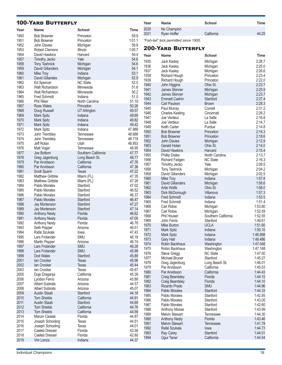#### 100-Yard Butterfly **Year Name School Time** 1950 Bob Brawner Princeton 59.9 1951 Bob Brawner Princeton 1:01.1 John Davies 1953 Robert Clemons Illinois 1:00.7 1954 David Hawkins **Harvard Harvard** 59.4 1957 Timothy Jecko Yale 74.6<br>1958 Tony Tashnick Michigan 1958 54.6 1958 Tony Tashnick Michigan 54.6 1959 David Gillanders Michigan 54.1 1960 Mike Troy **Indiana** 1960 Mike Troy 1961 David Gillandes Michigan 1961 David S2.9<br>1962 Ed Spencer NC State 1962 52.5 1962 Ed Spencer 1963 Walt Richardson Minnesota 51.6 1964 Walt Richardson Minnesota 50.2 1965 Fred Schmidt Indiana 51.0 1966 Phil Riker North Carolina 51.19 Ross Wales 1968 Doug Russell UT Arlington 49.57 1969 Mark Spitz Indiana 49.69 1970 Mark Spitz **Indiana** 1970 Mark Spitz Indiana 1982<br>1971 Mark Spitz Indiana 1984 Mark 1984 1971 Mark Spitz **Indiana** 1971 Mark Spitz 1988<br>1972 Mark Spitz **Indiana** 1972 Mark Spitz 1972 Mark Spitz Indiana 47.988 John Trembley 1974 John Trembley Tennessee 48.718 1975 Jeff Rolan Utah 48.953 1976 Matt Vogel **Tennessee 1988**<br>1977 Joe Bottom **Southern California** 47.77 1977 Joe Bottom Southern California 47.77<br>1978 Greg Jagenburg Long Beach St. 48.77 1978 Greg Jagenburg Long Beach St. 48.77<br>1979 Par Arvidsson California 217.76 1979 Par Arvidsson California 47.76 Par Arvidsson California 17.36<br>1980 - Scott Spann Texas 17.22 1981 Scott Spann Texas (1981 - 1982)<br>1982 Matthew Gribble Miami (FL) 1982 - 47.35 Matthew Gribble 1983 Matthew Gribble Miami (FL) 47.26<br>1984 Pablo Morales Stanford 1984 47.02 1984 Pablo Morales Stanford 47.02 1985 Pablo Morales Stanford 46.52 Pablo Morales 1987 Pablo Morales Stanford 46.47 1988 Jay Mortenson Stanford 47.27 1989 Jay Mortenson Stanford (1989 197.14<br>1990 Anthony Nesty Slorida (1990 196.62 1990 Anthony Nesty **Florida** 1990 Anthony Nesty Florida 1991 46.62<br>1991 Anthony Nesty Florida 1991 47.00 1991 Anthony Nesty Florida 47.00 1992 Anthony Nesty Florida 46.78 Seth Pepper 1994 Rafal Szukala Iowa 47.43 Lars Frolander 1996 Martin Pepper Arizona 46.74 1997 Lars Frolander SMU 46.28 1998 Lars Frolander SMU 45.99 1999 Dod Wales Stanford 1999 195.89 2001 Ian Crocker Texas 45.96 **2002 Ian Crocker Texas 45.44** 2003 Ian Crocker Texas 45.67 2005 Duje Draganja California 45.39 2006 Lyndon Ferns Arizona 195.89<br>1992 - Albert Subirats Arizona 1958 - 44.57 2007 Albert Subirats Arizona (1988)<br>2008 Albert Subirats Arizona (1988) 45.07 **Albert Subirats** 2009 Austin Staab Stanford 44.18 2010 Tom Shields California 44.91 2011 Austin Staab Stanford 44.69 2012 Tom Shields California 44.76 2013 Tom Shields California 44.59 **Marcin Cieslak** 2015 Joseph Schooling Texas 44.51 2016 Joseph Schooling Texas 44.01 2017 Caeleb Dressel Florida 43.58 2018 Caeleb Dressel Florida 42.80 Vini Lanza **Indiana Year Name School Time** 2020 No Champion 2021 Ryan Hoffer California 44:25 *"Fish-tail" kick permitted since 1955.* 200-Yard Butterfly **Year Name School Time** 1935 Jack Kasley Michigan 2:28.7 1936 Jack Kasley Michigan 2:25.0 1937 Jack Kasley Michigan 2:26.6 Richard Hough 1939 Richard Hough Princeton 2:22.0 1940 John Higgins Ohio St. 2:23.7 1941 James Skinner Michigan 2:25.9 1942 James Skinner Michigan 2:23.7 1943 Emmett Cashin Stanford 2:27.4<br>1944 Carl Paulson Brown Brown 2:28.3 1944 Carl Paulson<br>1944 Paul Murray 2:28.34.34.34.35.34.35.34 1945 Paul Murray Cornell 2:31.2 1946 Charles Keating Cincinnati 2:26.2 1947 Joe Verdeur La Salle 2:16.8 1948 Joe Verdeur La Salle 2:14.7 1949 Keith Carter Purdue 2:14.8 1950 Bob Brawner Princeton 2:14.3 1951 Bob Brawner Princeton 2:18.6<br>1951 Bayles - Michigan 2:12.9 1952 John Davies Michigan 2:12.9 1953 Gerald Holan Ohio St. 2:14.0 1954 David Hawkins Harvard 2:15.4 1955 Phillip Drake North Carolina 2:13.7 1956 Richard Fadgen NC State 2:16.3 Timothy Jecko 1958 Tony Tashnick Michigan 2:04.2 1959 David Gillanders Michigan 2:02.5 1960 Mike Troy Indiana 1:57.8 1961 David Gillanders Michigan 1:58.6 1962 Artie Wolfe Ohio St. 1:58.0 1963 Dick McDonough Villanova<br>1964 Fred Schmidt – Indiana 1:53.5 1:53.5 **Fred Schmidt** 1965 Fred Schmidt Indiana 1:51.4 1966 Carl Robie Michigan 1:53.80 1967 Carl Robie Michigan Michigan 1:52.59 1968 Phil Houser Southern California 1:52.55 1969 John Ferris Stanford 1:49.61 Mike Burton 1971 Mark Spitz **Indiana** 1:50.10 1972 Mark Spitz **Indiana** 1:46.898 1973 Gary Hall **Indiana** 1:48.486 1974 Robin Backhaus Washington 1:47.048 1975 Robin Backhaus Washington 1:47.168<br>1976 Steve Grega NC State 1:47.00 1976 Steve Gregg NC State 1:47.00 Michael Bruner 1978 Greg Jagenburg Long Beach St. 1:46.01 1979 Par Arvidsson California 1:45.53 1980 Par Arvidsson California 1:44.43 1981 Craig Beardsley Florida 1:44.15 1982 Craig Beardsley Florida 1:44.10 Ricardo Prado 1984 Pablo Morales Stanford 1:44.33 Pablo Morales Stanford 1:42.85 1986 Pablo Morales Stanford 1:43.05 1987 Pablo Morales Stanford 1:42.60 1988 Anthony Mosse Stanford Stanford 1:43.99<br>1989 Melvin Stewart Tennessee 1:44.30 1989 Melvin Stewart Tennessee 1:44.30<br>1990 Anthony Nesty Florida Tennessee 1:43.46 1990 Anthony Nesty<br>1991 Melvin Stewart 1991 Melvin Stewart Tennessee 1:41.78 1992 Rafal Szukala Iowa 1:44.73 1:44.01 Ray Carey **Carey Stanford** 1:44.01 Stanford<br>
Ugur Taner California 1:44.54 1994 Ugur Taner California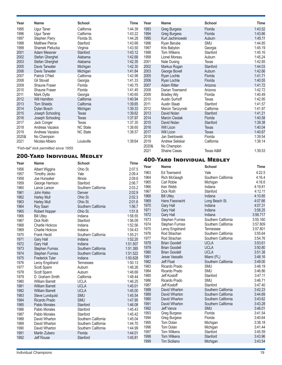| Year         | <b>Name</b>                            | <b>School</b>                  | Time               | Year         | <b>Name</b>                          | <b>School</b>        | <b>Time</b>        |
|--------------|----------------------------------------|--------------------------------|--------------------|--------------|--------------------------------------|----------------------|--------------------|
| 1995         | <b>Ugur Taner</b>                      | California                     | 1:44.39            | 1993         | <b>Greg Burgess</b>                  | Florida              | 1:43.52            |
| 1996         | Ugur Taner                             | California                     | 1:43.22            | 1994         | <b>Greg Burgess</b>                  | Florida              | 1:43.66            |
| 1997         | <b>Stephen Parry</b>                   | Florida St.                    | 1:44.28            | 1995         | Kurt Jachimowski                     | Auburn               | 1:45.11            |
| 1998         | <b>Matthew Pierce</b>                  | Stanford                       | 1:43.68            | 1996         | Ryan Berube                          | SMU                  | 1:44.85            |
| 1999         | Shamek Pietucka                        | Virginia                       | 1:43.50            | 1997         | Kris Babylon                         | Georgia              | 1:45.19            |
| 2001         | <b>Adam Messner</b>                    | Stanford                       | 1:43.12            | 1998         | <b>Tom Wilkens</b>                   | Stanford             | 1:45.16            |
| 2002         | Stefan Gherghel                        | Alabama                        | 1:42.68            | 1999         | Lionel Moreau                        | Auburn               | 1:45.24            |
| 2003         | Stefan Gherghel                        | Alabama                        | 1:42.35            | 2001         | Nate Dusing                          | Texas                | 1:42.85            |
| 2005         | Davis Tarwater                         | Michigan                       | 1:42.30            | 2002         | Markus Rogan                         | Stanford             | 1:44.03            |
| 2006<br>2007 | Davis Tarwater                         | Michigan<br>California         | 1:41.84            | 2003         | George Bovell                        | Auburn               | 1:42.66            |
| 2008         | Patrick O'Neil<br><b>Gil Stovall</b>   | Georgia                        | 1:42.98<br>1:41.33 | 2005<br>2006 | Ryan Lochte<br>Ryan Lochte           | Florida<br>Florida   | 1:41.71<br>1:40.55 |
| 2009         | Shaune Fraser                          | Florida                        | 1:40.75            | 2007         | <b>Adam Ritter</b>                   | Arizona              | 1:41.72            |
| 2010         | Shaune Fraser                          | Florida                        | 1:41.45            | 2008         | Darian Townsend                      | Arizona              | 1:42.72            |
| 2011         | Mark Dylla                             | Georgia                        | 1:40.60            | 2009         | <b>Bradley Ally</b>                  | Florida              | 1:40.49            |
| 2012         | Will Hamilton                          | California                     | 1:40.94            | 2010         | Austin Surhoff                       | Texas                | 1:42.95            |
| 2013         | <b>Tom Shields</b>                     | California                     | 1:39.65            | 2011         | Austin Staab                         | Stanford             | 1:41.57            |
| 2014         | Dylan Bosch                            | Michigan                       | 1:39.33            | 2012         | Marcin Tarczynski                    | California           | 1:41.97            |
| 2015         | Joseph Schooling                       | <b>Texas</b>                   | 1:39.62            | 2013         | David Nolan                          | Stanford             | 1:41.21            |
| 2016         | Joseph Schooling                       | Texas                          | 1:37.97            | 2014         | Marcin Cieslak                       | Florida              | 1:40.58            |
| 2017         | Jack Conger                            | <b>Texas</b>                   | 1:37.35            | 2015         | David Nolan                          | Stanford             | 1:39.38            |
| 2018         | Andreas Vazaios                        | <b>NC State</b>                | 1:38.60            | 2016         | Will Licon                           | <b>Texas</b>         | 1:40.04            |
| 2019         | Andreas Vazaios                        | <b>NC State</b>                | 1:38.57            | 2017         | Will Licon                           | Texas                | 1:40.67            |
| 2020&        | No Champion                            |                                |                    | 2018         | Jan Swirtowski                       | Florida              | 1:39.54            |
| 2021         | Nicolas Albiero                        | Louisville                     | 1:38:64            | 2019         | Andrew Seliskar                      | California           | 1:38.14            |
|              | "Fish-tail" kick permitted since 1955. |                                |                    | 2020&        | No Champion                          |                      |                    |
|              |                                        |                                |                    | 2021         | <b>Shaine Casas</b>                  | Texas A&M            | 1:39.53            |
|              | <b>200-YARD INDIVIDUAL MEDLEY</b>      |                                |                    |              | <b>400-YARD INDIVIDUAL MEDLEY</b>    |                      |                    |
| Year         | <b>Name</b>                            | <b>School</b>                  | Time               |              |                                      |                      |                    |
| 1956         | <b>Albert Wiggins</b>                  | Ohio St.                       | 2:07.5             | Year         | <b>Name</b>                          | <b>School</b>        | Time               |
| 1957         | Timothy Jecko                          | Yale                           | 2:09.4             | 1963         | Ed Townsend                          | Yale                 | 4:22.5             |
| 1958         | Joe Hunsaker                           | <b>Illinois</b>                | 2:09.6             | 1964         | Rich McGeagh                         | Southern California  | 4:16.4             |
| 1959         | George Harrison                        | Stanford                       | 2:06.7             | 1965         | <b>Carl Robie</b>                    | Michigan             | 4:16.6             |
| 1960         | Lance Larson                           | Southern California            | 2:03.2             | 1966         | Ken Webb                             | Indiana              | 4:19.81            |
| 1961         | John Kelso                             | Denver                         | 2:02.9             | 1967         | Dick Roth                            | Stanford             | 4:12.11            |
| 1962         | <b>Harley Mull</b>                     | Ohio St.                       | 2:02.3             | 1968         | <b>Bill Utley</b>                    | Indiana              | 4:10.85            |
| 1963         | <b>Harley Mull</b>                     | Ohio St.                       | 2:01.6             | 1969         | Hans Fassnacht                       | Long Beach St.       | 4:07.66            |
| 1964         | Roy Saari                              | Southern California            | 1:56.7             | 1970<br>1971 | <b>Gary Hall</b><br><b>Gary Hall</b> | Indiana<br>Indiana   | 4:07.31<br>3:58.25 |
| 1965         | Robert Hopper                          | Ohio St.                       | 1:51.8             | 1972         | Gary Hall                            | Indiana              | 3:58.717           |
| 1966         | <b>Bill Utley</b>                      | Indiana                        | 1:58.55            | 1973         | <b>Stephen Furniss</b>               | Southern California  | 3:55.160           |
| 1967         | Dick Roth                              | Stanford                       | 1:56.09            | 1974         | <b>Stephen Furniss</b>               | Southern California  | 3:57.809           |
| 1968         | Charlie Hickcox                        | Indiana                        | 1:52.56<br>1:54.43 | 1975         | Leroy Engstrand                      | Tennessee            | 3:57.801           |
| 1969<br>1970 | Charlie Hickcox<br>Frank Heckl         | Indiana<br>Southern California | 1:55.21            | 1976         | Rod Strachan                         | Southern California  | 3:55.64            |
| 1971         | Gary Hall                              | Indiana                        | 1:52.20            | 1977         | Rod Strachan                         | Southern California  | 3:54.76            |
| 1972         | Gary Hall                              | Indiana                        | 1:51.507           | 1978         | <b>Brian Goodell</b>                 | <b>UCLA</b>          | 3:53.61            |
| 1973         | <b>Stephen Furniss</b>                 | Southern California            | 1:51.385           | 1979         | <b>Brian Goodell</b>                 | <b>UCLA</b>          | 3:50.80            |
| 1974         | <b>Stephen Furniss</b>                 | Southern California            | 1:51.522           | 1980         | <b>Brian Goodell</b>                 | <b>UCLA</b>          | 3:51.38            |
| 1975         | Frederick Tyler                        | Indiana                        | 1:50.628           | 1981         | Jesse Vassallo                       | Miami (FL)           | 3:48.16            |
| 1976         | Leroy Engstrand                        | Tennessee                      | 1:50.13            | 1982         | Jeff Float                           | Southern California  | 3:49.00            |
| 1977         | Scott Spann                            | Auburn                         | 1:48.26            | 1983         | Ricardo Prado                        | SMU                  | 3:48.19            |
| 1978         | Scott Spann                            | Auburn                         | 1:48.69            | 1984         | Ricardo Prado                        | SMU                  | 3:46.86            |
| 1979         | D. Graham Smith                        | California                     | 1:48.44            | 1985         | Jeff Kostoff                         | Stanford             | 3:47.11            |
| 1980         | <b>William Barrett</b>                 | <b>UCLA</b>                    | 1:46.25            | 1986         | Ricardo Prado                        | SMU                  | 3:46.71            |
| 1981         | <b>William Barrett</b>                 | <b>UCLA</b>                    | 1:45.01            | 1987         | Jeff Kostoff                         | Stanford             | 3:47.40            |
| 1982         | <b>William Barrett</b>                 | <b>UCLA</b>                    | 1:45.00            | 1988         | David Wharton                        | Southern California  | 3:42.23            |
| 1983         | Steve Lundquist                        | SMU                            | 1:45.54            | 1989         | David Wharton                        | Southern California  | 3:44.69            |
| 1984         | Ricardo Prado                          | SMU                            | 1:47.95            | 1990         | David Wharton                        | Southern California  | 3:43.62            |
| 1985         | Pablo Morales                          | Stanford                       | 1:46.08            | 1991         | David Wharton                        | Southern California  | 3:43.28            |
| 1986         | Pablo Morales                          | Stanford                       | 1:45.43            | 1992         | Jeff Vance                           | SMU                  | 3:46.01            |
| 1987         | Pablo Morales                          | Stanford                       | 1:45.42            | 1993         | <b>Greg Burgess</b>                  | Florida              | 3:41.54            |
| 1988         | David Wharton                          | Southern California            | 1:45.04            | 1994         | <b>Greg Burgess</b>                  | Florida              | 3:40.64            |
| 1989         | David Wharton                          | Southern California            | 1:44.70            | 1995         | Tom Dolan                            | Michigan             | 3:38.18<br>3:41.44 |
| 1990         | David Wharton                          | Southern California            | 1:44.99            | 1996<br>1997 | Tom Dolan<br>Tom Wilkens             | Michigan<br>Stanford | 3:45.59            |
| 1991         | Martin Zubero                          | Florida                        | 1:44.01            | 1998         | <b>Tom Wilkens</b>                   | Stanford             | 3:43.96            |
| 1992         | Jeff Rouse                             | Stanford                       | 1:45.81            | 1999         | Tim Siciliano                        | Michigan             | 3:43.54            |
|              |                                        |                                |                    |              |                                      |                      |                    |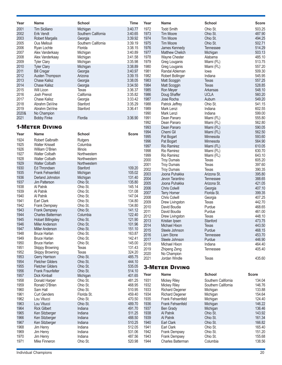| Year         | <b>Name</b>                               | <b>School</b>           | Time               | Year         | <b>Name</b>                | <b>School</b>            | <b>Score</b>     |
|--------------|-------------------------------------------|-------------------------|--------------------|--------------|----------------------------|--------------------------|------------------|
| 2001         | Tim Siciliano                             | Michigan                | 3:40.77            | 1972         | <b>Todd Smith</b>          | Ohio St.                 | 503.25           |
| 2002         | Erik Vendt                                | Southern California     | 3:40.65            | 1973         | Tim Moore                  | Ohio St.                 | 487.90           |
| 2003         | <b>Robert Margalis</b>                    | Georgia                 | 3:39.92            | 1974         | Tim Moore                  | Ohio St.                 | 494.25           |
| 2005         | Ous Mellouli                              | Southern California     | 3:39.19            | 1975         | Tim Moore                  | Ohio St.                 | 502.71           |
| 2006         | Ryan Lochte                               | Florida                 | 3:38.15            | 1976         | James Kennedy              | <b>Tennessee</b>         | 514.29           |
| 2007         | Alex Vanderkaay                           | Michigan                | 3:40.89            | 1977         | Matthew Chelich            | Michigan                 | 503.13           |
| 2008         | Alex Vanderkaay                           | Michigan                | 3:41.58            | 1978         | Wayne Chester              | Alabama                  | 485.10           |
| 2009         | <b>Tyler Clary</b>                        | Michigan                | 3:35.98            | 1979         | Greg Louganis              | Miami (FL)               | 513.75           |
| 2010         | <b>Tyler Clary</b>                        | Michigan                | 3:38.89            | 1980         | Greg Louganis              | Miami (FL)               | 557.20           |
| 2011         | <b>Bill Cregar</b>                        | Georgia                 | 3:40.97            | 1981         | Randal Ableman             | lowa                     | 509.30           |
| 2012         | Austen Thompson                           | Arizona                 | 3:39.15            | 1982         | <b>Robert Bollinger</b>    | Indiana                  | 545.95           |
| 2013<br>2014 | <b>Chase Kalisz</b>                       | Georgia                 | 3:38.05            | 1983         | Matt Scoggin               | <b>Texas</b>             | 557.25           |
| 2015         | <b>Chase Kalisz</b><br>Will Licon         | Georgia<br><b>Texas</b> | 3:34.50<br>3:36.37 | 1984<br>1985 | Matt Scoggin               | <b>Texas</b><br>Arkansas | 528.85<br>548.10 |
| 2016         | Josh Prenot                               | California              | 3:35.82            | 1986         | Ron Meyer                  | <b>UCLA</b>              | 560.20           |
| 2017         | <b>Chase Kalisz</b>                       | Georgia                 | 3:33.42            | 1987         | Doug Shaffer<br>Jose Rocha | Auburn                   | 549.20           |
| 2018         | Abrahm DeVine                             | Stanford                | 3:35.29            | 1988         | Patrick Jeffrey            | Ohio St.                 | 541.15           |
| 2019         | Abrahm DeVine                             | Stanford                | 3:36.41            | 1989         | Mark Lenzi                 | Indiana                  | 602.55           |
| 2020&        | No Champion                               |                         |                    | 1990         | Mark Lenzi                 | Indiana                  | 599.00           |
| 2021         | <b>Bobby Finke</b>                        | Flordia                 | 3:36.90            | 1991         | Dean Panaro                | Miami (FL)               | 555.80           |
|              |                                           |                         |                    | 1992         | Dean Panaro                | Miami (FL)               | 562.80           |
|              | <b>1-METER DIVING</b>                     |                         |                    | 1993         | Dean Panaro                | Miami (FL)               | 590.05           |
|              |                                           |                         |                    | 1994         | Chemi Gil                  | Miami (FL)               | 562.50           |
| Year         | <b>Name</b>                               | <b>School</b>           | <b>Score</b>       | 1995         | Pat Bogart                 | Minnesota                | 593.60           |
| 1924         | <b>Robert Galbraith</b>                   | Rutgers                 |                    | 1996         | Pat Bogart                 | Minnesota                | 564.90           |
| 1925         | <b>Walter Krissell</b>                    | Columbia                |                    | 1997         | Rio Ramirez                | Miami (FL)               | 610.05           |
| 1926         | William O'Brien                           | Illinois                |                    | 1998         | Rio Ramirez                | Miami (FL)               | 630.70           |
| 1927         | <b>Walter Colbath</b>                     | Northwestern            |                    | 1999         | Rio Ramirez                | Miami (FL)               | 643.10           |
| 1928         | <b>Walter Colbath</b>                     | Northwestern            |                    | 2000         | <b>Troy Dumais</b>         | Texas                    | 605.20           |
| 1929         | <b>Walter Colbath</b>                     | Northwestern            |                    | 2001         | <b>Troy Dumais</b>         | <b>Texas</b>             | 397.60           |
| 1930         | <b>Ed Throndsen</b>                       | Stanford                | 109.20             | 2002         | <b>Troy Dumais</b>         | Texas                    | 390.35           |
| 1935         | <b>Frank Fehsenfeld</b>                   | Michigan                | 105.02             | 2003         | Joona Puhakka              | Arizona St.              | 395.80           |
| 1936         | Derland Johnston                          | Michigan                | 131.40             | 2004         | Jevon Tarantino            | <b>Tennessee</b>         | 388.65           |
| 1937         | Jim Patterson                             | Ohio St.                | 135.80             | 2005         | Joona Puhakka              | Arizona St.              | 421.05           |
| 1938         | Al Patnik                                 | Ohio St.                | 145.14             | 2006         | <b>Chris Colwill</b>       | Georgia                  | 407.10           |
| 1939         | Al Patnik                                 | Ohio St.                | 131.08             | 2007         | <b>Terry Horner</b>        | Florida St.              | 399.35           |
| 1940         | Al Patnik                                 | Ohio St.                | 147.04             | 2008         | <b>Chris Colwill</b>       | Georgia                  | 407.25           |
| 1941         | Earl Clark                                | Ohio St.                | 134.80             | 2009         | Drew Livingston            | <b>Texas</b>             | 442.70           |
| 1942<br>1943 | Frank Dempsey                             | Ohio St.<br>Ohio St.    | 134.80<br>141.12   | 2010         | David Boudia               | Purdue                   | 468.65           |
| 1944         | Frank Dempsey<br><b>Charles Batterman</b> | Columbia                |                    | 2011         | David Boudia               | Purdue                   | 461.00           |
| 1945         | <b>Hobart Billingsley</b>                 | Ohio St.                | 122.40<br>121.90   | 2012         | Drew Livingston            | Texas                    | 448.10           |
| 1946         | Miller Anderson                           | Ohio St.                | 101.96             | 2013         | Kristian Ipsen             | Stanford                 | 473.75           |
| 1947         | Miller Anderson                           | Ohio St.                | 151.10             | 2014         | Michael Hixon              | lexas                    | 443.50           |
| 1948         | <b>Bruce Harlan</b>                       | Ohio St.                | 163.87             | 2015         | Steele Johnson             | Purdue                   | 468.15           |
| 1949         | <b>Bruce Harlan</b>                       | Ohio St.                | 142.41             | 2016         | Liam Stone                 | Tennessee                | 453.70           |
| 1950         | <b>Bruce Harlan</b>                       | Ohio St.                | 145.00             | 2017         | Steele Johnson             | Purdue                   | 446.90           |
| 1951         | <b>Skippy Browning</b>                    | <b>Texas</b>            | 131.43             | 2018         | Michael Hixon              | Indiana                  | 464.40           |
| 1952         | <b>Skippy Browning</b>                    | <b>Texas</b>            | 324.20             | 2019         | Zhipeng Zeng               | Tennessee                | 405.40           |
| 1953         | Gerry Harrison                            | Ohio St.                | 485.75             | 2020<br>2021 | No Champion                |                          |                  |
| 1954         | <b>Fletcher Gilders</b>                   | Ohio St.                | 444.10             |              | Jordan Windle              | <b>Texas</b>             | 435.60           |
| 1955         | <b>Fletcher Gilders</b>                   | Ohio St.                | 535.05             |              | <b>3-METER DIVING</b>      |                          |                  |
| 1956         | <b>Frank Fraunfelter</b>                  | Ohio St.                | 514.10             |              |                            |                          |                  |
| 1957         | Dick Kimball                              | Michigan                | 401.65             | Year         | <b>Name</b>                | <b>School</b>            | <b>Score</b>     |
| 1958         | Donald Harper                             | Ohio St.                | 481.25             | 1931         | <b>Mickey Riley</b>        | Southern California      | 134.04           |
| 1959         | Ronald O'Brien                            | Ohio St.                | 468.95             | 1932         | <b>Mickey Riley</b>        | Southern California      | 146.76           |
| 1960         | Sam Hall                                  | Ohio St.                | 510.95             | 1933         | <b>Richard Degener</b>     | Michigan                 | 133.88           |
| 1961         | <b>Curt Genders</b>                       | Florida St.             | 459.40             | 1934         | <b>Richard Degener</b>     | Michigan                 | 154.64           |
| 1962         | Lou Vitucci                               | Ohio St.                | 470.50             | 1935         | <b>Frank Fehsenfeld</b>    | Michigan                 | 124.40           |
| 1963         | Lou Vitucci                               | Ohio St.                | 489.70             | 1936         | Frank Fehsenfeld           | Michigan                 | 146.22           |
| 1964         | <b>Rick Gilbert</b>                       | Indiana                 | 491.70             | 1937         | <b>Ben Grady</b>           | Michigan                 | 136.46           |
| 1965         | Ken Sitzberger                            | Indiana                 | 511.25             | 1938         | Al Patnik                  | Ohio St.                 | 143.92           |
| 1966         | Ken Sitzberger                            | Indiana                 | 488.50             | 1939         | Al Patnik                  | Ohio St.                 | 161.34           |
| 1967         | Ken Sitzberger                            | Indiana                 | 510.25             | 1940         | Earl Clark                 | Ohio St.                 | 166.82           |
| 1968         | Jim Henry                                 | Indiana                 | 512.05             | 1941         | Earl Clark                 | Ohio St.                 | 165.40           |
| 1969         | Jim Henry                                 | Indiana                 | 531.06             | 1942         | <b>Frank Dempsey</b>       | Ohio St.                 | 151.20           |
| 1970         | Jim Henry                                 | Indiana                 | 487.56             | 1943         | <b>Frank Dempsey</b>       | Ohio St.                 | 155.68           |
| 1971         | Mike Finneron                             | Ohio St.                | 520.98             | 1944         | Charles Batterman          | Columbia                 | 138.56           |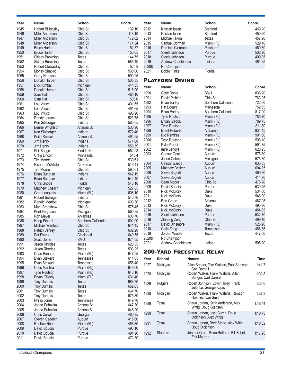| <b>School</b><br><b>School</b><br>Name<br><b>Name</b><br>2012<br>1945<br><b>Hobart Billingsley</b><br>Ohio St.<br>132.10<br>Stanford<br>469.20<br>Kristian Ipsen<br>2013<br>1946<br>Ohio St.<br>118.10<br>450.60<br><b>Miller Anderson</b><br>Kristian Ipsen<br>Stanford<br>1947<br>Ohio St.<br>172.62<br>2014<br>457.20<br><b>Miller Anderson</b><br>Michael Hixon<br><b>Texas</b><br>1948<br>Ohio St.<br>174.34<br>2015<br>529.10<br><b>Miller Anderson</b><br>Samuel Dorman<br>Miami (FL)<br>1949<br>2016<br><b>Bruce Harlan</b><br>Ohio St.<br>152.37<br>460.30<br>Dominic Giordana<br>Pittsburgh<br>1950<br>153.65<br>2017<br>Ohio St.<br>502.20<br><b>Bruce Harlan</b><br>Steele Johnson<br>Purdue<br>499.35<br>1951<br>144.75<br>2018<br>Purdue<br><b>Skippy Browning</b><br><b>Texas</b><br>Steele Johnson<br>1952<br>586.40<br>2019<br>461.65<br><b>Skippy Browning</b><br><b>Texas</b><br>Andrew Capobianco<br>Indiana<br>525.8<br>1953<br>Ohio St.<br>2020&<br><b>Robert Clotworthy</b><br>No Champion<br>1954<br>530.00<br>Ohio St.<br>2021<br>Morley Shapiro<br><b>Bobby Finke</b><br>Flordia<br>1955<br>Ohio St.<br>590.25<br>Gerry Harrison<br><b>PLATFORM DIVING</b><br>1956<br>Ohio St.<br>505.35<br>Donald Harper<br>1957<br>441.35<br><b>Dick Kimball</b><br>Michigan<br>Year<br><b>Name</b><br><b>School</b><br><b>Score</b><br>1958<br>518.90<br>Donald Harper<br>Ohio St.<br>SMU<br>836.20<br>1990<br>Scott Donie<br>1959<br>465.10<br>Sam Hall<br>Ohio St.<br>1991<br>David Pichler<br>Ohio St.<br>763.95<br>1960<br>503.6<br>Sam Hall<br>Ohio St.<br>1992<br>Southern California<br>722.30<br><b>Brian Earley</b><br>1961<br>Ohio St.<br>491.65<br>Lou Vitucci<br>1993<br>752.65<br>Pat Bogart<br>Minnesota<br>1962<br>Ohio St.<br>491.65<br>Lou Vitucci<br>1994<br>817.90<br><b>Brian Earley</b><br>Southern California<br>1963<br>Ohio St.<br>496.90<br>Lou Vitucci<br>1995<br>785.70<br>Miami (FL)<br><b>Tyce Routson</b><br>1964<br>523.75<br>Ohio St.<br>Randy Larson<br>1996<br><b>Bryan Gillooly</b><br>789.75<br>Miami (FL)<br>1965<br>565.05<br>Ken Sitzberger<br>Indiana<br>1997<br>811.80<br><b>Tyce Routson</b><br>Miami (FL)<br>1966<br>538.90<br><b>Bernie Wrightson</b><br>Arizona St.<br>1998<br>834.45<br><b>Brent Roberts</b><br>Alabama<br>1967<br>Indiana<br>572.40<br>Ken Sitzberger<br>1999<br>Rio Ramirez<br>901.60<br>Miami (FL)<br>1968<br>Arizona St.<br>494.55<br>Keith Russell<br>2000<br>596.10<br><b>Tyce Routson</b><br>Miami (FL)<br>1969<br>Indiana<br>574.68<br>Jim Henry<br>2001<br>591.75<br>Kyle Prandi<br>Miami (FL)<br>1970<br>Indiana<br>550.59<br>Jim Henry<br>2002<br>620.25<br>Imre Lengyel<br>Miami (FL)<br>552.93<br>1971<br>Florida St.<br>Phil Boggs<br>2003<br>575.80<br>Caesar Garcia<br>Auburn<br>545.4<br>1972<br>Minnesota<br>Craig Lincoln<br>Jason Coben<br>575.80<br>Michigan<br>1973<br>539.61<br>Tim Moore<br>Ohio St.<br>2004<br>635.05<br>Caesar Garcia<br>Auburn<br>1974<br><b>Richard McAlister</b><br>516.41<br>Air Force<br>604.35<br>2005<br><b>Matthew Bricker</b><br>Auburn<br>1975<br>Ohio St.<br>590.61<br>Tim Moore<br>469.30<br>2006<br>Steve Segerlin<br>Auburn<br>1976<br>542.19<br><b>Brian Bungum</b><br>Indiana<br>2007<br>Auburn<br>414.90<br><b>Steve Segerlin</b><br>1977<br>542.40<br><b>Brian Bungum</b><br>Indiana<br>2008<br>Ohio St.<br>478.20<br>Sean Moore<br>1978<br>Florida<br>543.18<br><b>Chris Snode</b><br>2009<br>David Boudia<br>Purdue<br>530.45<br>1979<br>527.85<br><b>Matthew Chelich</b><br>Michigan<br>2010<br>534.00<br>Nick McCrory<br>Duke<br>1980<br>608.10<br>Greg Louganis<br>Miami (FL)<br>2011<br>548.90<br>Nick McCrory<br>Duke<br>1981<br>540.70<br>Robert Bollinger<br>Indiana<br>2012<br>487.25<br>Ben Grado<br>Arizona<br>1982<br>600.30<br><b>Ronald Merriott</b><br>Michigan<br>495.90<br>2013<br>Nick McCrory<br>Duke<br>1983<br>575.45<br>Mark Bradshaw<br>Ohio St.<br>2014<br>454.85<br>Nick McCrory<br>Duke<br>1984<br>560.85<br>Kent Ferguson<br>Michigan<br>532.70<br>2015<br>Purdue<br>Steele Johnson<br>1985<br>606.70<br>Ron Meyer<br>Arkansas<br>2016<br>499.10<br>Ohio St.<br>Zhipeng Zeng<br>1986<br>601.90<br>Hong Ping Li<br>Southern California<br>528.20<br>2017<br>David Dinsmore<br>Miami (FL)<br>1987<br><b>Michael Wantuck</b><br>Ohio St.<br>641.45<br>466.35<br>2018<br>Colin Zeng<br>Tennessee<br>632.20<br>1988<br>Ohio St.<br>Patrick Jeffrey<br>2019<br>Jordan Windle<br><b>Texas</b><br>447.00<br>1989<br>649.55<br>Cincinnati<br>Pat Evans<br>2020&<br>No Champion<br>1990<br><b>Scott Donie</b><br><b>SMU</b><br>674.55<br>2021<br>505.20<br>Andrew Capobianco<br>Indiana<br>1991<br>Jason Rhodes<br>620.35<br>Texas<br>1992<br>Jason Rhodes<br>593.25<br>Texas<br><b>200-YARD FREESTYLE RELAY</b><br>1993<br>647.95<br>Dean Panaro<br>Miami (FL)<br>1994<br>614.65<br>Evan Stewart<br>Tennessee<br>School<br><b>Time</b><br>Year<br><b>Names</b><br>1995<br>Evan Stewart<br>655.40<br>Tennessee<br>1927<br>Michigan<br>1:41.7<br>Allan Seager, Tom Watson, Paul Samson,<br>1996<br>648.00<br>Chris Mantilla<br>Miami (FL)<br>Carl Darnall<br>1997<br><b>Tyce Routson</b><br>Miami (FL)<br>643.10<br>Robert Walker, Frank Walaitis, Allan<br>1928<br>Michigan<br>1:39.8<br>1998<br><b>Bryan Gillooly</b><br>631.40<br>Miami (FL)<br>Seager, Carl Darnall<br>1999<br>688.70<br><b>Troy Dumais</b><br><b>Texas</b><br>Robert Johnson, Edwin Tilley, Frank<br>1929<br>Rutgers<br>1:36.6<br>2000<br><b>Troy Dumais</b><br>662.65<br><b>Texas</b><br>Jelenko, George Kojac<br>2001<br><b>Troy Dumais</b><br>664.70<br><b>Texas</b><br>Robert Walker, Frank Walaitis, Rawson<br>Michigan<br>1930<br>1:37.2<br>2002<br>673.80<br><b>Troy Dumais</b><br><b>Texas</b><br>Hosmer, Ivan Smith<br>2003<br>649.70<br>Phillip Jones<br>Tennessee<br>Shaun Jordan, Keith Anderson, Alex<br>Texas<br>1:18.44<br>1989<br>2004<br>Joona Puhakka<br>Arizona St.<br>647.30<br>Wittig, Doug Gjertsen<br>2005<br>Arizona St.<br>645.20<br>Joona Puhakka<br>Shaun Jordan, Jack Currin, Doug<br>Texas<br>1:18.73<br>1990<br>2006<br>460.95<br><b>Chris Colwill</b><br>Georgia<br>Dickinson, Alex Wittig<br>2007<br>Steven Segerlin<br>Auburn<br>415.80<br>Shaun Jordan, Brett Stone, Alex Wittig,<br><b>Texas</b><br>1:18.32<br>1991<br>2008<br>466.80<br><b>Reuben Ross</b><br>Miami (FL)<br>Doug Dickinson<br>2009<br>David Boudia<br>493.10<br>Purdue<br>Stanford<br>John deGroot, Brian Retterer, Bill Schell,<br>2010<br>Purdue<br>494.90<br>1:17.28<br>David Boudia<br>1992<br>Erik Maurer | Year |              |        | Score  | Year |  | <b>Score</b> |
|-------------------------------------------------------------------------------------------------------------------------------------------------------------------------------------------------------------------------------------------------------------------------------------------------------------------------------------------------------------------------------------------------------------------------------------------------------------------------------------------------------------------------------------------------------------------------------------------------------------------------------------------------------------------------------------------------------------------------------------------------------------------------------------------------------------------------------------------------------------------------------------------------------------------------------------------------------------------------------------------------------------------------------------------------------------------------------------------------------------------------------------------------------------------------------------------------------------------------------------------------------------------------------------------------------------------------------------------------------------------------------------------------------------------------------------------------------------------------------------------------------------------------------------------------------------------------------------------------------------------------------------------------------------------------------------------------------------------------------------------------------------------------------------------------------------------------------------------------------------------------------------------------------------------------------------------------------------------------------------------------------------------------------------------------------------------------------------------------------------------------------------------------------------------------------------------------------------------------------------------------------------------------------------------------------------------------------------------------------------------------------------------------------------------------------------------------------------------------------------------------------------------------------------------------------------------------------------------------------------------------------------------------------------------------------------------------------------------------------------------------------------------------------------------------------------------------------------------------------------------------------------------------------------------------------------------------------------------------------------------------------------------------------------------------------------------------------------------------------------------------------------------------------------------------------------------------------------------------------------------------------------------------------------------------------------------------------------------------------------------------------------------------------------------------------------------------------------------------------------------------------------------------------------------------------------------------------------------------------------------------------------------------------------------------------------------------------------------------------------------------------------------------------------------------------------------------------------------------------------------------------------------------------------------------------------------------------------------------------------------------------------------------------------------------------------------------------------------------------------------------------------------------------------------------------------------------------------------------------------------------------------------------------------------------------------------------------------------------------------------------------------------------------------------------------------------------------------------------------------------------------------------------------------------------------------------------------------------------------------------------------------------------------------------------------------------------------------------------------------------------------------------------------------------------------------------------------------------------------------------------------------------------------------------------------------------------------------------------------------------------------------------------------------------------------------------------------------------------------------------------------------------------------------------------------------------------------------------------------------------------------------------------------------------------------------------------------------------------------------------------------------------------------------------------------------------------------------------------------------------------------------------------------------------------------------------------------------------------------------------------------------------------------------------------------------------------------------------------------------------------------------------------------------------------------------------------------------------------------------------------------------------------------------------------------------------------------------------------------------------------------------------------------------------------------------------------------------------------------------------------------------------------------------------------------------------------------------------------------------------------------------------------------------------------------------------------------------------------------------------------------------------------------------------------------------------------------------------------------------------------------------------------------------------------|------|--------------|--------|--------|------|--|--------------|
|                                                                                                                                                                                                                                                                                                                                                                                                                                                                                                                                                                                                                                                                                                                                                                                                                                                                                                                                                                                                                                                                                                                                                                                                                                                                                                                                                                                                                                                                                                                                                                                                                                                                                                                                                                                                                                                                                                                                                                                                                                                                                                                                                                                                                                                                                                                                                                                                                                                                                                                                                                                                                                                                                                                                                                                                                                                                                                                                                                                                                                                                                                                                                                                                                                                                                                                                                                                                                                                                                                                                                                                                                                                                                                                                                                                                                                                                                                                                                                                                                                                                                                                                                                                                                                                                                                                                                                                                                                                                                                                                                                                                                                                                                                                                                                                                                                                                                                                                                                                                                                                                                                                                                                                                                                                                                                                                                                                                                                                                                                                                                                                                                                                                                                                                                                                                                                                                                                                                                                                                                                                                                                                                                                                                                                                                                                                                                                                                                                                                                                                                                 |      |              |        |        |      |  |              |
|                                                                                                                                                                                                                                                                                                                                                                                                                                                                                                                                                                                                                                                                                                                                                                                                                                                                                                                                                                                                                                                                                                                                                                                                                                                                                                                                                                                                                                                                                                                                                                                                                                                                                                                                                                                                                                                                                                                                                                                                                                                                                                                                                                                                                                                                                                                                                                                                                                                                                                                                                                                                                                                                                                                                                                                                                                                                                                                                                                                                                                                                                                                                                                                                                                                                                                                                                                                                                                                                                                                                                                                                                                                                                                                                                                                                                                                                                                                                                                                                                                                                                                                                                                                                                                                                                                                                                                                                                                                                                                                                                                                                                                                                                                                                                                                                                                                                                                                                                                                                                                                                                                                                                                                                                                                                                                                                                                                                                                                                                                                                                                                                                                                                                                                                                                                                                                                                                                                                                                                                                                                                                                                                                                                                                                                                                                                                                                                                                                                                                                                                                 |      |              |        |        |      |  |              |
|                                                                                                                                                                                                                                                                                                                                                                                                                                                                                                                                                                                                                                                                                                                                                                                                                                                                                                                                                                                                                                                                                                                                                                                                                                                                                                                                                                                                                                                                                                                                                                                                                                                                                                                                                                                                                                                                                                                                                                                                                                                                                                                                                                                                                                                                                                                                                                                                                                                                                                                                                                                                                                                                                                                                                                                                                                                                                                                                                                                                                                                                                                                                                                                                                                                                                                                                                                                                                                                                                                                                                                                                                                                                                                                                                                                                                                                                                                                                                                                                                                                                                                                                                                                                                                                                                                                                                                                                                                                                                                                                                                                                                                                                                                                                                                                                                                                                                                                                                                                                                                                                                                                                                                                                                                                                                                                                                                                                                                                                                                                                                                                                                                                                                                                                                                                                                                                                                                                                                                                                                                                                                                                                                                                                                                                                                                                                                                                                                                                                                                                                                 |      |              |        |        |      |  |              |
|                                                                                                                                                                                                                                                                                                                                                                                                                                                                                                                                                                                                                                                                                                                                                                                                                                                                                                                                                                                                                                                                                                                                                                                                                                                                                                                                                                                                                                                                                                                                                                                                                                                                                                                                                                                                                                                                                                                                                                                                                                                                                                                                                                                                                                                                                                                                                                                                                                                                                                                                                                                                                                                                                                                                                                                                                                                                                                                                                                                                                                                                                                                                                                                                                                                                                                                                                                                                                                                                                                                                                                                                                                                                                                                                                                                                                                                                                                                                                                                                                                                                                                                                                                                                                                                                                                                                                                                                                                                                                                                                                                                                                                                                                                                                                                                                                                                                                                                                                                                                                                                                                                                                                                                                                                                                                                                                                                                                                                                                                                                                                                                                                                                                                                                                                                                                                                                                                                                                                                                                                                                                                                                                                                                                                                                                                                                                                                                                                                                                                                                                                 |      |              |        |        |      |  |              |
|                                                                                                                                                                                                                                                                                                                                                                                                                                                                                                                                                                                                                                                                                                                                                                                                                                                                                                                                                                                                                                                                                                                                                                                                                                                                                                                                                                                                                                                                                                                                                                                                                                                                                                                                                                                                                                                                                                                                                                                                                                                                                                                                                                                                                                                                                                                                                                                                                                                                                                                                                                                                                                                                                                                                                                                                                                                                                                                                                                                                                                                                                                                                                                                                                                                                                                                                                                                                                                                                                                                                                                                                                                                                                                                                                                                                                                                                                                                                                                                                                                                                                                                                                                                                                                                                                                                                                                                                                                                                                                                                                                                                                                                                                                                                                                                                                                                                                                                                                                                                                                                                                                                                                                                                                                                                                                                                                                                                                                                                                                                                                                                                                                                                                                                                                                                                                                                                                                                                                                                                                                                                                                                                                                                                                                                                                                                                                                                                                                                                                                                                                 |      |              |        |        |      |  |              |
|                                                                                                                                                                                                                                                                                                                                                                                                                                                                                                                                                                                                                                                                                                                                                                                                                                                                                                                                                                                                                                                                                                                                                                                                                                                                                                                                                                                                                                                                                                                                                                                                                                                                                                                                                                                                                                                                                                                                                                                                                                                                                                                                                                                                                                                                                                                                                                                                                                                                                                                                                                                                                                                                                                                                                                                                                                                                                                                                                                                                                                                                                                                                                                                                                                                                                                                                                                                                                                                                                                                                                                                                                                                                                                                                                                                                                                                                                                                                                                                                                                                                                                                                                                                                                                                                                                                                                                                                                                                                                                                                                                                                                                                                                                                                                                                                                                                                                                                                                                                                                                                                                                                                                                                                                                                                                                                                                                                                                                                                                                                                                                                                                                                                                                                                                                                                                                                                                                                                                                                                                                                                                                                                                                                                                                                                                                                                                                                                                                                                                                                                                 |      |              |        |        |      |  |              |
|                                                                                                                                                                                                                                                                                                                                                                                                                                                                                                                                                                                                                                                                                                                                                                                                                                                                                                                                                                                                                                                                                                                                                                                                                                                                                                                                                                                                                                                                                                                                                                                                                                                                                                                                                                                                                                                                                                                                                                                                                                                                                                                                                                                                                                                                                                                                                                                                                                                                                                                                                                                                                                                                                                                                                                                                                                                                                                                                                                                                                                                                                                                                                                                                                                                                                                                                                                                                                                                                                                                                                                                                                                                                                                                                                                                                                                                                                                                                                                                                                                                                                                                                                                                                                                                                                                                                                                                                                                                                                                                                                                                                                                                                                                                                                                                                                                                                                                                                                                                                                                                                                                                                                                                                                                                                                                                                                                                                                                                                                                                                                                                                                                                                                                                                                                                                                                                                                                                                                                                                                                                                                                                                                                                                                                                                                                                                                                                                                                                                                                                                                 |      |              |        |        |      |  |              |
|                                                                                                                                                                                                                                                                                                                                                                                                                                                                                                                                                                                                                                                                                                                                                                                                                                                                                                                                                                                                                                                                                                                                                                                                                                                                                                                                                                                                                                                                                                                                                                                                                                                                                                                                                                                                                                                                                                                                                                                                                                                                                                                                                                                                                                                                                                                                                                                                                                                                                                                                                                                                                                                                                                                                                                                                                                                                                                                                                                                                                                                                                                                                                                                                                                                                                                                                                                                                                                                                                                                                                                                                                                                                                                                                                                                                                                                                                                                                                                                                                                                                                                                                                                                                                                                                                                                                                                                                                                                                                                                                                                                                                                                                                                                                                                                                                                                                                                                                                                                                                                                                                                                                                                                                                                                                                                                                                                                                                                                                                                                                                                                                                                                                                                                                                                                                                                                                                                                                                                                                                                                                                                                                                                                                                                                                                                                                                                                                                                                                                                                                                 |      |              |        |        |      |  |              |
|                                                                                                                                                                                                                                                                                                                                                                                                                                                                                                                                                                                                                                                                                                                                                                                                                                                                                                                                                                                                                                                                                                                                                                                                                                                                                                                                                                                                                                                                                                                                                                                                                                                                                                                                                                                                                                                                                                                                                                                                                                                                                                                                                                                                                                                                                                                                                                                                                                                                                                                                                                                                                                                                                                                                                                                                                                                                                                                                                                                                                                                                                                                                                                                                                                                                                                                                                                                                                                                                                                                                                                                                                                                                                                                                                                                                                                                                                                                                                                                                                                                                                                                                                                                                                                                                                                                                                                                                                                                                                                                                                                                                                                                                                                                                                                                                                                                                                                                                                                                                                                                                                                                                                                                                                                                                                                                                                                                                                                                                                                                                                                                                                                                                                                                                                                                                                                                                                                                                                                                                                                                                                                                                                                                                                                                                                                                                                                                                                                                                                                                                                 |      |              |        |        |      |  |              |
|                                                                                                                                                                                                                                                                                                                                                                                                                                                                                                                                                                                                                                                                                                                                                                                                                                                                                                                                                                                                                                                                                                                                                                                                                                                                                                                                                                                                                                                                                                                                                                                                                                                                                                                                                                                                                                                                                                                                                                                                                                                                                                                                                                                                                                                                                                                                                                                                                                                                                                                                                                                                                                                                                                                                                                                                                                                                                                                                                                                                                                                                                                                                                                                                                                                                                                                                                                                                                                                                                                                                                                                                                                                                                                                                                                                                                                                                                                                                                                                                                                                                                                                                                                                                                                                                                                                                                                                                                                                                                                                                                                                                                                                                                                                                                                                                                                                                                                                                                                                                                                                                                                                                                                                                                                                                                                                                                                                                                                                                                                                                                                                                                                                                                                                                                                                                                                                                                                                                                                                                                                                                                                                                                                                                                                                                                                                                                                                                                                                                                                                                                 |      |              |        |        |      |  |              |
|                                                                                                                                                                                                                                                                                                                                                                                                                                                                                                                                                                                                                                                                                                                                                                                                                                                                                                                                                                                                                                                                                                                                                                                                                                                                                                                                                                                                                                                                                                                                                                                                                                                                                                                                                                                                                                                                                                                                                                                                                                                                                                                                                                                                                                                                                                                                                                                                                                                                                                                                                                                                                                                                                                                                                                                                                                                                                                                                                                                                                                                                                                                                                                                                                                                                                                                                                                                                                                                                                                                                                                                                                                                                                                                                                                                                                                                                                                                                                                                                                                                                                                                                                                                                                                                                                                                                                                                                                                                                                                                                                                                                                                                                                                                                                                                                                                                                                                                                                                                                                                                                                                                                                                                                                                                                                                                                                                                                                                                                                                                                                                                                                                                                                                                                                                                                                                                                                                                                                                                                                                                                                                                                                                                                                                                                                                                                                                                                                                                                                                                                                 |      |              |        |        |      |  |              |
|                                                                                                                                                                                                                                                                                                                                                                                                                                                                                                                                                                                                                                                                                                                                                                                                                                                                                                                                                                                                                                                                                                                                                                                                                                                                                                                                                                                                                                                                                                                                                                                                                                                                                                                                                                                                                                                                                                                                                                                                                                                                                                                                                                                                                                                                                                                                                                                                                                                                                                                                                                                                                                                                                                                                                                                                                                                                                                                                                                                                                                                                                                                                                                                                                                                                                                                                                                                                                                                                                                                                                                                                                                                                                                                                                                                                                                                                                                                                                                                                                                                                                                                                                                                                                                                                                                                                                                                                                                                                                                                                                                                                                                                                                                                                                                                                                                                                                                                                                                                                                                                                                                                                                                                                                                                                                                                                                                                                                                                                                                                                                                                                                                                                                                                                                                                                                                                                                                                                                                                                                                                                                                                                                                                                                                                                                                                                                                                                                                                                                                                                                 |      |              |        |        |      |  |              |
|                                                                                                                                                                                                                                                                                                                                                                                                                                                                                                                                                                                                                                                                                                                                                                                                                                                                                                                                                                                                                                                                                                                                                                                                                                                                                                                                                                                                                                                                                                                                                                                                                                                                                                                                                                                                                                                                                                                                                                                                                                                                                                                                                                                                                                                                                                                                                                                                                                                                                                                                                                                                                                                                                                                                                                                                                                                                                                                                                                                                                                                                                                                                                                                                                                                                                                                                                                                                                                                                                                                                                                                                                                                                                                                                                                                                                                                                                                                                                                                                                                                                                                                                                                                                                                                                                                                                                                                                                                                                                                                                                                                                                                                                                                                                                                                                                                                                                                                                                                                                                                                                                                                                                                                                                                                                                                                                                                                                                                                                                                                                                                                                                                                                                                                                                                                                                                                                                                                                                                                                                                                                                                                                                                                                                                                                                                                                                                                                                                                                                                                                                 |      |              |        |        |      |  |              |
|                                                                                                                                                                                                                                                                                                                                                                                                                                                                                                                                                                                                                                                                                                                                                                                                                                                                                                                                                                                                                                                                                                                                                                                                                                                                                                                                                                                                                                                                                                                                                                                                                                                                                                                                                                                                                                                                                                                                                                                                                                                                                                                                                                                                                                                                                                                                                                                                                                                                                                                                                                                                                                                                                                                                                                                                                                                                                                                                                                                                                                                                                                                                                                                                                                                                                                                                                                                                                                                                                                                                                                                                                                                                                                                                                                                                                                                                                                                                                                                                                                                                                                                                                                                                                                                                                                                                                                                                                                                                                                                                                                                                                                                                                                                                                                                                                                                                                                                                                                                                                                                                                                                                                                                                                                                                                                                                                                                                                                                                                                                                                                                                                                                                                                                                                                                                                                                                                                                                                                                                                                                                                                                                                                                                                                                                                                                                                                                                                                                                                                                                                 |      |              |        |        |      |  |              |
|                                                                                                                                                                                                                                                                                                                                                                                                                                                                                                                                                                                                                                                                                                                                                                                                                                                                                                                                                                                                                                                                                                                                                                                                                                                                                                                                                                                                                                                                                                                                                                                                                                                                                                                                                                                                                                                                                                                                                                                                                                                                                                                                                                                                                                                                                                                                                                                                                                                                                                                                                                                                                                                                                                                                                                                                                                                                                                                                                                                                                                                                                                                                                                                                                                                                                                                                                                                                                                                                                                                                                                                                                                                                                                                                                                                                                                                                                                                                                                                                                                                                                                                                                                                                                                                                                                                                                                                                                                                                                                                                                                                                                                                                                                                                                                                                                                                                                                                                                                                                                                                                                                                                                                                                                                                                                                                                                                                                                                                                                                                                                                                                                                                                                                                                                                                                                                                                                                                                                                                                                                                                                                                                                                                                                                                                                                                                                                                                                                                                                                                                                 |      |              |        |        |      |  |              |
|                                                                                                                                                                                                                                                                                                                                                                                                                                                                                                                                                                                                                                                                                                                                                                                                                                                                                                                                                                                                                                                                                                                                                                                                                                                                                                                                                                                                                                                                                                                                                                                                                                                                                                                                                                                                                                                                                                                                                                                                                                                                                                                                                                                                                                                                                                                                                                                                                                                                                                                                                                                                                                                                                                                                                                                                                                                                                                                                                                                                                                                                                                                                                                                                                                                                                                                                                                                                                                                                                                                                                                                                                                                                                                                                                                                                                                                                                                                                                                                                                                                                                                                                                                                                                                                                                                                                                                                                                                                                                                                                                                                                                                                                                                                                                                                                                                                                                                                                                                                                                                                                                                                                                                                                                                                                                                                                                                                                                                                                                                                                                                                                                                                                                                                                                                                                                                                                                                                                                                                                                                                                                                                                                                                                                                                                                                                                                                                                                                                                                                                                                 |      |              |        |        |      |  |              |
|                                                                                                                                                                                                                                                                                                                                                                                                                                                                                                                                                                                                                                                                                                                                                                                                                                                                                                                                                                                                                                                                                                                                                                                                                                                                                                                                                                                                                                                                                                                                                                                                                                                                                                                                                                                                                                                                                                                                                                                                                                                                                                                                                                                                                                                                                                                                                                                                                                                                                                                                                                                                                                                                                                                                                                                                                                                                                                                                                                                                                                                                                                                                                                                                                                                                                                                                                                                                                                                                                                                                                                                                                                                                                                                                                                                                                                                                                                                                                                                                                                                                                                                                                                                                                                                                                                                                                                                                                                                                                                                                                                                                                                                                                                                                                                                                                                                                                                                                                                                                                                                                                                                                                                                                                                                                                                                                                                                                                                                                                                                                                                                                                                                                                                                                                                                                                                                                                                                                                                                                                                                                                                                                                                                                                                                                                                                                                                                                                                                                                                                                                 |      |              |        |        |      |  |              |
|                                                                                                                                                                                                                                                                                                                                                                                                                                                                                                                                                                                                                                                                                                                                                                                                                                                                                                                                                                                                                                                                                                                                                                                                                                                                                                                                                                                                                                                                                                                                                                                                                                                                                                                                                                                                                                                                                                                                                                                                                                                                                                                                                                                                                                                                                                                                                                                                                                                                                                                                                                                                                                                                                                                                                                                                                                                                                                                                                                                                                                                                                                                                                                                                                                                                                                                                                                                                                                                                                                                                                                                                                                                                                                                                                                                                                                                                                                                                                                                                                                                                                                                                                                                                                                                                                                                                                                                                                                                                                                                                                                                                                                                                                                                                                                                                                                                                                                                                                                                                                                                                                                                                                                                                                                                                                                                                                                                                                                                                                                                                                                                                                                                                                                                                                                                                                                                                                                                                                                                                                                                                                                                                                                                                                                                                                                                                                                                                                                                                                                                                                 |      |              |        |        |      |  |              |
|                                                                                                                                                                                                                                                                                                                                                                                                                                                                                                                                                                                                                                                                                                                                                                                                                                                                                                                                                                                                                                                                                                                                                                                                                                                                                                                                                                                                                                                                                                                                                                                                                                                                                                                                                                                                                                                                                                                                                                                                                                                                                                                                                                                                                                                                                                                                                                                                                                                                                                                                                                                                                                                                                                                                                                                                                                                                                                                                                                                                                                                                                                                                                                                                                                                                                                                                                                                                                                                                                                                                                                                                                                                                                                                                                                                                                                                                                                                                                                                                                                                                                                                                                                                                                                                                                                                                                                                                                                                                                                                                                                                                                                                                                                                                                                                                                                                                                                                                                                                                                                                                                                                                                                                                                                                                                                                                                                                                                                                                                                                                                                                                                                                                                                                                                                                                                                                                                                                                                                                                                                                                                                                                                                                                                                                                                                                                                                                                                                                                                                                                                 |      |              |        |        |      |  |              |
|                                                                                                                                                                                                                                                                                                                                                                                                                                                                                                                                                                                                                                                                                                                                                                                                                                                                                                                                                                                                                                                                                                                                                                                                                                                                                                                                                                                                                                                                                                                                                                                                                                                                                                                                                                                                                                                                                                                                                                                                                                                                                                                                                                                                                                                                                                                                                                                                                                                                                                                                                                                                                                                                                                                                                                                                                                                                                                                                                                                                                                                                                                                                                                                                                                                                                                                                                                                                                                                                                                                                                                                                                                                                                                                                                                                                                                                                                                                                                                                                                                                                                                                                                                                                                                                                                                                                                                                                                                                                                                                                                                                                                                                                                                                                                                                                                                                                                                                                                                                                                                                                                                                                                                                                                                                                                                                                                                                                                                                                                                                                                                                                                                                                                                                                                                                                                                                                                                                                                                                                                                                                                                                                                                                                                                                                                                                                                                                                                                                                                                                                                 |      |              |        |        |      |  |              |
|                                                                                                                                                                                                                                                                                                                                                                                                                                                                                                                                                                                                                                                                                                                                                                                                                                                                                                                                                                                                                                                                                                                                                                                                                                                                                                                                                                                                                                                                                                                                                                                                                                                                                                                                                                                                                                                                                                                                                                                                                                                                                                                                                                                                                                                                                                                                                                                                                                                                                                                                                                                                                                                                                                                                                                                                                                                                                                                                                                                                                                                                                                                                                                                                                                                                                                                                                                                                                                                                                                                                                                                                                                                                                                                                                                                                                                                                                                                                                                                                                                                                                                                                                                                                                                                                                                                                                                                                                                                                                                                                                                                                                                                                                                                                                                                                                                                                                                                                                                                                                                                                                                                                                                                                                                                                                                                                                                                                                                                                                                                                                                                                                                                                                                                                                                                                                                                                                                                                                                                                                                                                                                                                                                                                                                                                                                                                                                                                                                                                                                                                                 |      |              |        |        |      |  |              |
|                                                                                                                                                                                                                                                                                                                                                                                                                                                                                                                                                                                                                                                                                                                                                                                                                                                                                                                                                                                                                                                                                                                                                                                                                                                                                                                                                                                                                                                                                                                                                                                                                                                                                                                                                                                                                                                                                                                                                                                                                                                                                                                                                                                                                                                                                                                                                                                                                                                                                                                                                                                                                                                                                                                                                                                                                                                                                                                                                                                                                                                                                                                                                                                                                                                                                                                                                                                                                                                                                                                                                                                                                                                                                                                                                                                                                                                                                                                                                                                                                                                                                                                                                                                                                                                                                                                                                                                                                                                                                                                                                                                                                                                                                                                                                                                                                                                                                                                                                                                                                                                                                                                                                                                                                                                                                                                                                                                                                                                                                                                                                                                                                                                                                                                                                                                                                                                                                                                                                                                                                                                                                                                                                                                                                                                                                                                                                                                                                                                                                                                                                 |      |              |        |        |      |  |              |
|                                                                                                                                                                                                                                                                                                                                                                                                                                                                                                                                                                                                                                                                                                                                                                                                                                                                                                                                                                                                                                                                                                                                                                                                                                                                                                                                                                                                                                                                                                                                                                                                                                                                                                                                                                                                                                                                                                                                                                                                                                                                                                                                                                                                                                                                                                                                                                                                                                                                                                                                                                                                                                                                                                                                                                                                                                                                                                                                                                                                                                                                                                                                                                                                                                                                                                                                                                                                                                                                                                                                                                                                                                                                                                                                                                                                                                                                                                                                                                                                                                                                                                                                                                                                                                                                                                                                                                                                                                                                                                                                                                                                                                                                                                                                                                                                                                                                                                                                                                                                                                                                                                                                                                                                                                                                                                                                                                                                                                                                                                                                                                                                                                                                                                                                                                                                                                                                                                                                                                                                                                                                                                                                                                                                                                                                                                                                                                                                                                                                                                                                                 |      |              |        |        |      |  |              |
|                                                                                                                                                                                                                                                                                                                                                                                                                                                                                                                                                                                                                                                                                                                                                                                                                                                                                                                                                                                                                                                                                                                                                                                                                                                                                                                                                                                                                                                                                                                                                                                                                                                                                                                                                                                                                                                                                                                                                                                                                                                                                                                                                                                                                                                                                                                                                                                                                                                                                                                                                                                                                                                                                                                                                                                                                                                                                                                                                                                                                                                                                                                                                                                                                                                                                                                                                                                                                                                                                                                                                                                                                                                                                                                                                                                                                                                                                                                                                                                                                                                                                                                                                                                                                                                                                                                                                                                                                                                                                                                                                                                                                                                                                                                                                                                                                                                                                                                                                                                                                                                                                                                                                                                                                                                                                                                                                                                                                                                                                                                                                                                                                                                                                                                                                                                                                                                                                                                                                                                                                                                                                                                                                                                                                                                                                                                                                                                                                                                                                                                                                 |      |              |        |        |      |  |              |
|                                                                                                                                                                                                                                                                                                                                                                                                                                                                                                                                                                                                                                                                                                                                                                                                                                                                                                                                                                                                                                                                                                                                                                                                                                                                                                                                                                                                                                                                                                                                                                                                                                                                                                                                                                                                                                                                                                                                                                                                                                                                                                                                                                                                                                                                                                                                                                                                                                                                                                                                                                                                                                                                                                                                                                                                                                                                                                                                                                                                                                                                                                                                                                                                                                                                                                                                                                                                                                                                                                                                                                                                                                                                                                                                                                                                                                                                                                                                                                                                                                                                                                                                                                                                                                                                                                                                                                                                                                                                                                                                                                                                                                                                                                                                                                                                                                                                                                                                                                                                                                                                                                                                                                                                                                                                                                                                                                                                                                                                                                                                                                                                                                                                                                                                                                                                                                                                                                                                                                                                                                                                                                                                                                                                                                                                                                                                                                                                                                                                                                                                                 |      |              |        |        |      |  |              |
|                                                                                                                                                                                                                                                                                                                                                                                                                                                                                                                                                                                                                                                                                                                                                                                                                                                                                                                                                                                                                                                                                                                                                                                                                                                                                                                                                                                                                                                                                                                                                                                                                                                                                                                                                                                                                                                                                                                                                                                                                                                                                                                                                                                                                                                                                                                                                                                                                                                                                                                                                                                                                                                                                                                                                                                                                                                                                                                                                                                                                                                                                                                                                                                                                                                                                                                                                                                                                                                                                                                                                                                                                                                                                                                                                                                                                                                                                                                                                                                                                                                                                                                                                                                                                                                                                                                                                                                                                                                                                                                                                                                                                                                                                                                                                                                                                                                                                                                                                                                                                                                                                                                                                                                                                                                                                                                                                                                                                                                                                                                                                                                                                                                                                                                                                                                                                                                                                                                                                                                                                                                                                                                                                                                                                                                                                                                                                                                                                                                                                                                                                 |      |              |        |        |      |  |              |
|                                                                                                                                                                                                                                                                                                                                                                                                                                                                                                                                                                                                                                                                                                                                                                                                                                                                                                                                                                                                                                                                                                                                                                                                                                                                                                                                                                                                                                                                                                                                                                                                                                                                                                                                                                                                                                                                                                                                                                                                                                                                                                                                                                                                                                                                                                                                                                                                                                                                                                                                                                                                                                                                                                                                                                                                                                                                                                                                                                                                                                                                                                                                                                                                                                                                                                                                                                                                                                                                                                                                                                                                                                                                                                                                                                                                                                                                                                                                                                                                                                                                                                                                                                                                                                                                                                                                                                                                                                                                                                                                                                                                                                                                                                                                                                                                                                                                                                                                                                                                                                                                                                                                                                                                                                                                                                                                                                                                                                                                                                                                                                                                                                                                                                                                                                                                                                                                                                                                                                                                                                                                                                                                                                                                                                                                                                                                                                                                                                                                                                                                                 |      |              |        |        |      |  |              |
|                                                                                                                                                                                                                                                                                                                                                                                                                                                                                                                                                                                                                                                                                                                                                                                                                                                                                                                                                                                                                                                                                                                                                                                                                                                                                                                                                                                                                                                                                                                                                                                                                                                                                                                                                                                                                                                                                                                                                                                                                                                                                                                                                                                                                                                                                                                                                                                                                                                                                                                                                                                                                                                                                                                                                                                                                                                                                                                                                                                                                                                                                                                                                                                                                                                                                                                                                                                                                                                                                                                                                                                                                                                                                                                                                                                                                                                                                                                                                                                                                                                                                                                                                                                                                                                                                                                                                                                                                                                                                                                                                                                                                                                                                                                                                                                                                                                                                                                                                                                                                                                                                                                                                                                                                                                                                                                                                                                                                                                                                                                                                                                                                                                                                                                                                                                                                                                                                                                                                                                                                                                                                                                                                                                                                                                                                                                                                                                                                                                                                                                                                 |      |              |        |        |      |  |              |
|                                                                                                                                                                                                                                                                                                                                                                                                                                                                                                                                                                                                                                                                                                                                                                                                                                                                                                                                                                                                                                                                                                                                                                                                                                                                                                                                                                                                                                                                                                                                                                                                                                                                                                                                                                                                                                                                                                                                                                                                                                                                                                                                                                                                                                                                                                                                                                                                                                                                                                                                                                                                                                                                                                                                                                                                                                                                                                                                                                                                                                                                                                                                                                                                                                                                                                                                                                                                                                                                                                                                                                                                                                                                                                                                                                                                                                                                                                                                                                                                                                                                                                                                                                                                                                                                                                                                                                                                                                                                                                                                                                                                                                                                                                                                                                                                                                                                                                                                                                                                                                                                                                                                                                                                                                                                                                                                                                                                                                                                                                                                                                                                                                                                                                                                                                                                                                                                                                                                                                                                                                                                                                                                                                                                                                                                                                                                                                                                                                                                                                                                                 |      |              |        |        |      |  |              |
|                                                                                                                                                                                                                                                                                                                                                                                                                                                                                                                                                                                                                                                                                                                                                                                                                                                                                                                                                                                                                                                                                                                                                                                                                                                                                                                                                                                                                                                                                                                                                                                                                                                                                                                                                                                                                                                                                                                                                                                                                                                                                                                                                                                                                                                                                                                                                                                                                                                                                                                                                                                                                                                                                                                                                                                                                                                                                                                                                                                                                                                                                                                                                                                                                                                                                                                                                                                                                                                                                                                                                                                                                                                                                                                                                                                                                                                                                                                                                                                                                                                                                                                                                                                                                                                                                                                                                                                                                                                                                                                                                                                                                                                                                                                                                                                                                                                                                                                                                                                                                                                                                                                                                                                                                                                                                                                                                                                                                                                                                                                                                                                                                                                                                                                                                                                                                                                                                                                                                                                                                                                                                                                                                                                                                                                                                                                                                                                                                                                                                                                                                 |      |              |        |        |      |  |              |
|                                                                                                                                                                                                                                                                                                                                                                                                                                                                                                                                                                                                                                                                                                                                                                                                                                                                                                                                                                                                                                                                                                                                                                                                                                                                                                                                                                                                                                                                                                                                                                                                                                                                                                                                                                                                                                                                                                                                                                                                                                                                                                                                                                                                                                                                                                                                                                                                                                                                                                                                                                                                                                                                                                                                                                                                                                                                                                                                                                                                                                                                                                                                                                                                                                                                                                                                                                                                                                                                                                                                                                                                                                                                                                                                                                                                                                                                                                                                                                                                                                                                                                                                                                                                                                                                                                                                                                                                                                                                                                                                                                                                                                                                                                                                                                                                                                                                                                                                                                                                                                                                                                                                                                                                                                                                                                                                                                                                                                                                                                                                                                                                                                                                                                                                                                                                                                                                                                                                                                                                                                                                                                                                                                                                                                                                                                                                                                                                                                                                                                                                                 |      |              |        |        |      |  |              |
|                                                                                                                                                                                                                                                                                                                                                                                                                                                                                                                                                                                                                                                                                                                                                                                                                                                                                                                                                                                                                                                                                                                                                                                                                                                                                                                                                                                                                                                                                                                                                                                                                                                                                                                                                                                                                                                                                                                                                                                                                                                                                                                                                                                                                                                                                                                                                                                                                                                                                                                                                                                                                                                                                                                                                                                                                                                                                                                                                                                                                                                                                                                                                                                                                                                                                                                                                                                                                                                                                                                                                                                                                                                                                                                                                                                                                                                                                                                                                                                                                                                                                                                                                                                                                                                                                                                                                                                                                                                                                                                                                                                                                                                                                                                                                                                                                                                                                                                                                                                                                                                                                                                                                                                                                                                                                                                                                                                                                                                                                                                                                                                                                                                                                                                                                                                                                                                                                                                                                                                                                                                                                                                                                                                                                                                                                                                                                                                                                                                                                                                                                 |      |              |        |        |      |  |              |
|                                                                                                                                                                                                                                                                                                                                                                                                                                                                                                                                                                                                                                                                                                                                                                                                                                                                                                                                                                                                                                                                                                                                                                                                                                                                                                                                                                                                                                                                                                                                                                                                                                                                                                                                                                                                                                                                                                                                                                                                                                                                                                                                                                                                                                                                                                                                                                                                                                                                                                                                                                                                                                                                                                                                                                                                                                                                                                                                                                                                                                                                                                                                                                                                                                                                                                                                                                                                                                                                                                                                                                                                                                                                                                                                                                                                                                                                                                                                                                                                                                                                                                                                                                                                                                                                                                                                                                                                                                                                                                                                                                                                                                                                                                                                                                                                                                                                                                                                                                                                                                                                                                                                                                                                                                                                                                                                                                                                                                                                                                                                                                                                                                                                                                                                                                                                                                                                                                                                                                                                                                                                                                                                                                                                                                                                                                                                                                                                                                                                                                                                                 |      |              |        |        |      |  |              |
|                                                                                                                                                                                                                                                                                                                                                                                                                                                                                                                                                                                                                                                                                                                                                                                                                                                                                                                                                                                                                                                                                                                                                                                                                                                                                                                                                                                                                                                                                                                                                                                                                                                                                                                                                                                                                                                                                                                                                                                                                                                                                                                                                                                                                                                                                                                                                                                                                                                                                                                                                                                                                                                                                                                                                                                                                                                                                                                                                                                                                                                                                                                                                                                                                                                                                                                                                                                                                                                                                                                                                                                                                                                                                                                                                                                                                                                                                                                                                                                                                                                                                                                                                                                                                                                                                                                                                                                                                                                                                                                                                                                                                                                                                                                                                                                                                                                                                                                                                                                                                                                                                                                                                                                                                                                                                                                                                                                                                                                                                                                                                                                                                                                                                                                                                                                                                                                                                                                                                                                                                                                                                                                                                                                                                                                                                                                                                                                                                                                                                                                                                 |      |              |        |        |      |  |              |
|                                                                                                                                                                                                                                                                                                                                                                                                                                                                                                                                                                                                                                                                                                                                                                                                                                                                                                                                                                                                                                                                                                                                                                                                                                                                                                                                                                                                                                                                                                                                                                                                                                                                                                                                                                                                                                                                                                                                                                                                                                                                                                                                                                                                                                                                                                                                                                                                                                                                                                                                                                                                                                                                                                                                                                                                                                                                                                                                                                                                                                                                                                                                                                                                                                                                                                                                                                                                                                                                                                                                                                                                                                                                                                                                                                                                                                                                                                                                                                                                                                                                                                                                                                                                                                                                                                                                                                                                                                                                                                                                                                                                                                                                                                                                                                                                                                                                                                                                                                                                                                                                                                                                                                                                                                                                                                                                                                                                                                                                                                                                                                                                                                                                                                                                                                                                                                                                                                                                                                                                                                                                                                                                                                                                                                                                                                                                                                                                                                                                                                                                                 |      |              |        |        |      |  |              |
|                                                                                                                                                                                                                                                                                                                                                                                                                                                                                                                                                                                                                                                                                                                                                                                                                                                                                                                                                                                                                                                                                                                                                                                                                                                                                                                                                                                                                                                                                                                                                                                                                                                                                                                                                                                                                                                                                                                                                                                                                                                                                                                                                                                                                                                                                                                                                                                                                                                                                                                                                                                                                                                                                                                                                                                                                                                                                                                                                                                                                                                                                                                                                                                                                                                                                                                                                                                                                                                                                                                                                                                                                                                                                                                                                                                                                                                                                                                                                                                                                                                                                                                                                                                                                                                                                                                                                                                                                                                                                                                                                                                                                                                                                                                                                                                                                                                                                                                                                                                                                                                                                                                                                                                                                                                                                                                                                                                                                                                                                                                                                                                                                                                                                                                                                                                                                                                                                                                                                                                                                                                                                                                                                                                                                                                                                                                                                                                                                                                                                                                                                 |      |              |        |        |      |  |              |
|                                                                                                                                                                                                                                                                                                                                                                                                                                                                                                                                                                                                                                                                                                                                                                                                                                                                                                                                                                                                                                                                                                                                                                                                                                                                                                                                                                                                                                                                                                                                                                                                                                                                                                                                                                                                                                                                                                                                                                                                                                                                                                                                                                                                                                                                                                                                                                                                                                                                                                                                                                                                                                                                                                                                                                                                                                                                                                                                                                                                                                                                                                                                                                                                                                                                                                                                                                                                                                                                                                                                                                                                                                                                                                                                                                                                                                                                                                                                                                                                                                                                                                                                                                                                                                                                                                                                                                                                                                                                                                                                                                                                                                                                                                                                                                                                                                                                                                                                                                                                                                                                                                                                                                                                                                                                                                                                                                                                                                                                                                                                                                                                                                                                                                                                                                                                                                                                                                                                                                                                                                                                                                                                                                                                                                                                                                                                                                                                                                                                                                                                                 |      |              |        |        |      |  |              |
|                                                                                                                                                                                                                                                                                                                                                                                                                                                                                                                                                                                                                                                                                                                                                                                                                                                                                                                                                                                                                                                                                                                                                                                                                                                                                                                                                                                                                                                                                                                                                                                                                                                                                                                                                                                                                                                                                                                                                                                                                                                                                                                                                                                                                                                                                                                                                                                                                                                                                                                                                                                                                                                                                                                                                                                                                                                                                                                                                                                                                                                                                                                                                                                                                                                                                                                                                                                                                                                                                                                                                                                                                                                                                                                                                                                                                                                                                                                                                                                                                                                                                                                                                                                                                                                                                                                                                                                                                                                                                                                                                                                                                                                                                                                                                                                                                                                                                                                                                                                                                                                                                                                                                                                                                                                                                                                                                                                                                                                                                                                                                                                                                                                                                                                                                                                                                                                                                                                                                                                                                                                                                                                                                                                                                                                                                                                                                                                                                                                                                                                                                 |      |              |        |        |      |  |              |
|                                                                                                                                                                                                                                                                                                                                                                                                                                                                                                                                                                                                                                                                                                                                                                                                                                                                                                                                                                                                                                                                                                                                                                                                                                                                                                                                                                                                                                                                                                                                                                                                                                                                                                                                                                                                                                                                                                                                                                                                                                                                                                                                                                                                                                                                                                                                                                                                                                                                                                                                                                                                                                                                                                                                                                                                                                                                                                                                                                                                                                                                                                                                                                                                                                                                                                                                                                                                                                                                                                                                                                                                                                                                                                                                                                                                                                                                                                                                                                                                                                                                                                                                                                                                                                                                                                                                                                                                                                                                                                                                                                                                                                                                                                                                                                                                                                                                                                                                                                                                                                                                                                                                                                                                                                                                                                                                                                                                                                                                                                                                                                                                                                                                                                                                                                                                                                                                                                                                                                                                                                                                                                                                                                                                                                                                                                                                                                                                                                                                                                                                                 |      |              |        |        |      |  |              |
|                                                                                                                                                                                                                                                                                                                                                                                                                                                                                                                                                                                                                                                                                                                                                                                                                                                                                                                                                                                                                                                                                                                                                                                                                                                                                                                                                                                                                                                                                                                                                                                                                                                                                                                                                                                                                                                                                                                                                                                                                                                                                                                                                                                                                                                                                                                                                                                                                                                                                                                                                                                                                                                                                                                                                                                                                                                                                                                                                                                                                                                                                                                                                                                                                                                                                                                                                                                                                                                                                                                                                                                                                                                                                                                                                                                                                                                                                                                                                                                                                                                                                                                                                                                                                                                                                                                                                                                                                                                                                                                                                                                                                                                                                                                                                                                                                                                                                                                                                                                                                                                                                                                                                                                                                                                                                                                                                                                                                                                                                                                                                                                                                                                                                                                                                                                                                                                                                                                                                                                                                                                                                                                                                                                                                                                                                                                                                                                                                                                                                                                                                 |      |              |        |        |      |  |              |
|                                                                                                                                                                                                                                                                                                                                                                                                                                                                                                                                                                                                                                                                                                                                                                                                                                                                                                                                                                                                                                                                                                                                                                                                                                                                                                                                                                                                                                                                                                                                                                                                                                                                                                                                                                                                                                                                                                                                                                                                                                                                                                                                                                                                                                                                                                                                                                                                                                                                                                                                                                                                                                                                                                                                                                                                                                                                                                                                                                                                                                                                                                                                                                                                                                                                                                                                                                                                                                                                                                                                                                                                                                                                                                                                                                                                                                                                                                                                                                                                                                                                                                                                                                                                                                                                                                                                                                                                                                                                                                                                                                                                                                                                                                                                                                                                                                                                                                                                                                                                                                                                                                                                                                                                                                                                                                                                                                                                                                                                                                                                                                                                                                                                                                                                                                                                                                                                                                                                                                                                                                                                                                                                                                                                                                                                                                                                                                                                                                                                                                                                                 |      |              |        |        |      |  |              |
|                                                                                                                                                                                                                                                                                                                                                                                                                                                                                                                                                                                                                                                                                                                                                                                                                                                                                                                                                                                                                                                                                                                                                                                                                                                                                                                                                                                                                                                                                                                                                                                                                                                                                                                                                                                                                                                                                                                                                                                                                                                                                                                                                                                                                                                                                                                                                                                                                                                                                                                                                                                                                                                                                                                                                                                                                                                                                                                                                                                                                                                                                                                                                                                                                                                                                                                                                                                                                                                                                                                                                                                                                                                                                                                                                                                                                                                                                                                                                                                                                                                                                                                                                                                                                                                                                                                                                                                                                                                                                                                                                                                                                                                                                                                                                                                                                                                                                                                                                                                                                                                                                                                                                                                                                                                                                                                                                                                                                                                                                                                                                                                                                                                                                                                                                                                                                                                                                                                                                                                                                                                                                                                                                                                                                                                                                                                                                                                                                                                                                                                                                 |      |              |        |        |      |  |              |
|                                                                                                                                                                                                                                                                                                                                                                                                                                                                                                                                                                                                                                                                                                                                                                                                                                                                                                                                                                                                                                                                                                                                                                                                                                                                                                                                                                                                                                                                                                                                                                                                                                                                                                                                                                                                                                                                                                                                                                                                                                                                                                                                                                                                                                                                                                                                                                                                                                                                                                                                                                                                                                                                                                                                                                                                                                                                                                                                                                                                                                                                                                                                                                                                                                                                                                                                                                                                                                                                                                                                                                                                                                                                                                                                                                                                                                                                                                                                                                                                                                                                                                                                                                                                                                                                                                                                                                                                                                                                                                                                                                                                                                                                                                                                                                                                                                                                                                                                                                                                                                                                                                                                                                                                                                                                                                                                                                                                                                                                                                                                                                                                                                                                                                                                                                                                                                                                                                                                                                                                                                                                                                                                                                                                                                                                                                                                                                                                                                                                                                                                                 |      |              |        |        |      |  |              |
|                                                                                                                                                                                                                                                                                                                                                                                                                                                                                                                                                                                                                                                                                                                                                                                                                                                                                                                                                                                                                                                                                                                                                                                                                                                                                                                                                                                                                                                                                                                                                                                                                                                                                                                                                                                                                                                                                                                                                                                                                                                                                                                                                                                                                                                                                                                                                                                                                                                                                                                                                                                                                                                                                                                                                                                                                                                                                                                                                                                                                                                                                                                                                                                                                                                                                                                                                                                                                                                                                                                                                                                                                                                                                                                                                                                                                                                                                                                                                                                                                                                                                                                                                                                                                                                                                                                                                                                                                                                                                                                                                                                                                                                                                                                                                                                                                                                                                                                                                                                                                                                                                                                                                                                                                                                                                                                                                                                                                                                                                                                                                                                                                                                                                                                                                                                                                                                                                                                                                                                                                                                                                                                                                                                                                                                                                                                                                                                                                                                                                                                                                 |      |              |        |        |      |  |              |
|                                                                                                                                                                                                                                                                                                                                                                                                                                                                                                                                                                                                                                                                                                                                                                                                                                                                                                                                                                                                                                                                                                                                                                                                                                                                                                                                                                                                                                                                                                                                                                                                                                                                                                                                                                                                                                                                                                                                                                                                                                                                                                                                                                                                                                                                                                                                                                                                                                                                                                                                                                                                                                                                                                                                                                                                                                                                                                                                                                                                                                                                                                                                                                                                                                                                                                                                                                                                                                                                                                                                                                                                                                                                                                                                                                                                                                                                                                                                                                                                                                                                                                                                                                                                                                                                                                                                                                                                                                                                                                                                                                                                                                                                                                                                                                                                                                                                                                                                                                                                                                                                                                                                                                                                                                                                                                                                                                                                                                                                                                                                                                                                                                                                                                                                                                                                                                                                                                                                                                                                                                                                                                                                                                                                                                                                                                                                                                                                                                                                                                                                                 |      |              |        |        |      |  |              |
|                                                                                                                                                                                                                                                                                                                                                                                                                                                                                                                                                                                                                                                                                                                                                                                                                                                                                                                                                                                                                                                                                                                                                                                                                                                                                                                                                                                                                                                                                                                                                                                                                                                                                                                                                                                                                                                                                                                                                                                                                                                                                                                                                                                                                                                                                                                                                                                                                                                                                                                                                                                                                                                                                                                                                                                                                                                                                                                                                                                                                                                                                                                                                                                                                                                                                                                                                                                                                                                                                                                                                                                                                                                                                                                                                                                                                                                                                                                                                                                                                                                                                                                                                                                                                                                                                                                                                                                                                                                                                                                                                                                                                                                                                                                                                                                                                                                                                                                                                                                                                                                                                                                                                                                                                                                                                                                                                                                                                                                                                                                                                                                                                                                                                                                                                                                                                                                                                                                                                                                                                                                                                                                                                                                                                                                                                                                                                                                                                                                                                                                                                 |      |              |        |        |      |  |              |
|                                                                                                                                                                                                                                                                                                                                                                                                                                                                                                                                                                                                                                                                                                                                                                                                                                                                                                                                                                                                                                                                                                                                                                                                                                                                                                                                                                                                                                                                                                                                                                                                                                                                                                                                                                                                                                                                                                                                                                                                                                                                                                                                                                                                                                                                                                                                                                                                                                                                                                                                                                                                                                                                                                                                                                                                                                                                                                                                                                                                                                                                                                                                                                                                                                                                                                                                                                                                                                                                                                                                                                                                                                                                                                                                                                                                                                                                                                                                                                                                                                                                                                                                                                                                                                                                                                                                                                                                                                                                                                                                                                                                                                                                                                                                                                                                                                                                                                                                                                                                                                                                                                                                                                                                                                                                                                                                                                                                                                                                                                                                                                                                                                                                                                                                                                                                                                                                                                                                                                                                                                                                                                                                                                                                                                                                                                                                                                                                                                                                                                                                                 |      |              |        |        |      |  |              |
|                                                                                                                                                                                                                                                                                                                                                                                                                                                                                                                                                                                                                                                                                                                                                                                                                                                                                                                                                                                                                                                                                                                                                                                                                                                                                                                                                                                                                                                                                                                                                                                                                                                                                                                                                                                                                                                                                                                                                                                                                                                                                                                                                                                                                                                                                                                                                                                                                                                                                                                                                                                                                                                                                                                                                                                                                                                                                                                                                                                                                                                                                                                                                                                                                                                                                                                                                                                                                                                                                                                                                                                                                                                                                                                                                                                                                                                                                                                                                                                                                                                                                                                                                                                                                                                                                                                                                                                                                                                                                                                                                                                                                                                                                                                                                                                                                                                                                                                                                                                                                                                                                                                                                                                                                                                                                                                                                                                                                                                                                                                                                                                                                                                                                                                                                                                                                                                                                                                                                                                                                                                                                                                                                                                                                                                                                                                                                                                                                                                                                                                                                 |      |              |        |        |      |  |              |
|                                                                                                                                                                                                                                                                                                                                                                                                                                                                                                                                                                                                                                                                                                                                                                                                                                                                                                                                                                                                                                                                                                                                                                                                                                                                                                                                                                                                                                                                                                                                                                                                                                                                                                                                                                                                                                                                                                                                                                                                                                                                                                                                                                                                                                                                                                                                                                                                                                                                                                                                                                                                                                                                                                                                                                                                                                                                                                                                                                                                                                                                                                                                                                                                                                                                                                                                                                                                                                                                                                                                                                                                                                                                                                                                                                                                                                                                                                                                                                                                                                                                                                                                                                                                                                                                                                                                                                                                                                                                                                                                                                                                                                                                                                                                                                                                                                                                                                                                                                                                                                                                                                                                                                                                                                                                                                                                                                                                                                                                                                                                                                                                                                                                                                                                                                                                                                                                                                                                                                                                                                                                                                                                                                                                                                                                                                                                                                                                                                                                                                                                                 |      |              |        |        |      |  |              |
|                                                                                                                                                                                                                                                                                                                                                                                                                                                                                                                                                                                                                                                                                                                                                                                                                                                                                                                                                                                                                                                                                                                                                                                                                                                                                                                                                                                                                                                                                                                                                                                                                                                                                                                                                                                                                                                                                                                                                                                                                                                                                                                                                                                                                                                                                                                                                                                                                                                                                                                                                                                                                                                                                                                                                                                                                                                                                                                                                                                                                                                                                                                                                                                                                                                                                                                                                                                                                                                                                                                                                                                                                                                                                                                                                                                                                                                                                                                                                                                                                                                                                                                                                                                                                                                                                                                                                                                                                                                                                                                                                                                                                                                                                                                                                                                                                                                                                                                                                                                                                                                                                                                                                                                                                                                                                                                                                                                                                                                                                                                                                                                                                                                                                                                                                                                                                                                                                                                                                                                                                                                                                                                                                                                                                                                                                                                                                                                                                                                                                                                                                 |      |              |        |        |      |  |              |
|                                                                                                                                                                                                                                                                                                                                                                                                                                                                                                                                                                                                                                                                                                                                                                                                                                                                                                                                                                                                                                                                                                                                                                                                                                                                                                                                                                                                                                                                                                                                                                                                                                                                                                                                                                                                                                                                                                                                                                                                                                                                                                                                                                                                                                                                                                                                                                                                                                                                                                                                                                                                                                                                                                                                                                                                                                                                                                                                                                                                                                                                                                                                                                                                                                                                                                                                                                                                                                                                                                                                                                                                                                                                                                                                                                                                                                                                                                                                                                                                                                                                                                                                                                                                                                                                                                                                                                                                                                                                                                                                                                                                                                                                                                                                                                                                                                                                                                                                                                                                                                                                                                                                                                                                                                                                                                                                                                                                                                                                                                                                                                                                                                                                                                                                                                                                                                                                                                                                                                                                                                                                                                                                                                                                                                                                                                                                                                                                                                                                                                                                                 |      |              |        |        |      |  |              |
|                                                                                                                                                                                                                                                                                                                                                                                                                                                                                                                                                                                                                                                                                                                                                                                                                                                                                                                                                                                                                                                                                                                                                                                                                                                                                                                                                                                                                                                                                                                                                                                                                                                                                                                                                                                                                                                                                                                                                                                                                                                                                                                                                                                                                                                                                                                                                                                                                                                                                                                                                                                                                                                                                                                                                                                                                                                                                                                                                                                                                                                                                                                                                                                                                                                                                                                                                                                                                                                                                                                                                                                                                                                                                                                                                                                                                                                                                                                                                                                                                                                                                                                                                                                                                                                                                                                                                                                                                                                                                                                                                                                                                                                                                                                                                                                                                                                                                                                                                                                                                                                                                                                                                                                                                                                                                                                                                                                                                                                                                                                                                                                                                                                                                                                                                                                                                                                                                                                                                                                                                                                                                                                                                                                                                                                                                                                                                                                                                                                                                                                                                 |      |              |        |        |      |  |              |
|                                                                                                                                                                                                                                                                                                                                                                                                                                                                                                                                                                                                                                                                                                                                                                                                                                                                                                                                                                                                                                                                                                                                                                                                                                                                                                                                                                                                                                                                                                                                                                                                                                                                                                                                                                                                                                                                                                                                                                                                                                                                                                                                                                                                                                                                                                                                                                                                                                                                                                                                                                                                                                                                                                                                                                                                                                                                                                                                                                                                                                                                                                                                                                                                                                                                                                                                                                                                                                                                                                                                                                                                                                                                                                                                                                                                                                                                                                                                                                                                                                                                                                                                                                                                                                                                                                                                                                                                                                                                                                                                                                                                                                                                                                                                                                                                                                                                                                                                                                                                                                                                                                                                                                                                                                                                                                                                                                                                                                                                                                                                                                                                                                                                                                                                                                                                                                                                                                                                                                                                                                                                                                                                                                                                                                                                                                                                                                                                                                                                                                                                                 |      |              |        |        |      |  |              |
|                                                                                                                                                                                                                                                                                                                                                                                                                                                                                                                                                                                                                                                                                                                                                                                                                                                                                                                                                                                                                                                                                                                                                                                                                                                                                                                                                                                                                                                                                                                                                                                                                                                                                                                                                                                                                                                                                                                                                                                                                                                                                                                                                                                                                                                                                                                                                                                                                                                                                                                                                                                                                                                                                                                                                                                                                                                                                                                                                                                                                                                                                                                                                                                                                                                                                                                                                                                                                                                                                                                                                                                                                                                                                                                                                                                                                                                                                                                                                                                                                                                                                                                                                                                                                                                                                                                                                                                                                                                                                                                                                                                                                                                                                                                                                                                                                                                                                                                                                                                                                                                                                                                                                                                                                                                                                                                                                                                                                                                                                                                                                                                                                                                                                                                                                                                                                                                                                                                                                                                                                                                                                                                                                                                                                                                                                                                                                                                                                                                                                                                                                 |      |              |        |        |      |  |              |
|                                                                                                                                                                                                                                                                                                                                                                                                                                                                                                                                                                                                                                                                                                                                                                                                                                                                                                                                                                                                                                                                                                                                                                                                                                                                                                                                                                                                                                                                                                                                                                                                                                                                                                                                                                                                                                                                                                                                                                                                                                                                                                                                                                                                                                                                                                                                                                                                                                                                                                                                                                                                                                                                                                                                                                                                                                                                                                                                                                                                                                                                                                                                                                                                                                                                                                                                                                                                                                                                                                                                                                                                                                                                                                                                                                                                                                                                                                                                                                                                                                                                                                                                                                                                                                                                                                                                                                                                                                                                                                                                                                                                                                                                                                                                                                                                                                                                                                                                                                                                                                                                                                                                                                                                                                                                                                                                                                                                                                                                                                                                                                                                                                                                                                                                                                                                                                                                                                                                                                                                                                                                                                                                                                                                                                                                                                                                                                                                                                                                                                                                                 |      |              |        |        |      |  |              |
|                                                                                                                                                                                                                                                                                                                                                                                                                                                                                                                                                                                                                                                                                                                                                                                                                                                                                                                                                                                                                                                                                                                                                                                                                                                                                                                                                                                                                                                                                                                                                                                                                                                                                                                                                                                                                                                                                                                                                                                                                                                                                                                                                                                                                                                                                                                                                                                                                                                                                                                                                                                                                                                                                                                                                                                                                                                                                                                                                                                                                                                                                                                                                                                                                                                                                                                                                                                                                                                                                                                                                                                                                                                                                                                                                                                                                                                                                                                                                                                                                                                                                                                                                                                                                                                                                                                                                                                                                                                                                                                                                                                                                                                                                                                                                                                                                                                                                                                                                                                                                                                                                                                                                                                                                                                                                                                                                                                                                                                                                                                                                                                                                                                                                                                                                                                                                                                                                                                                                                                                                                                                                                                                                                                                                                                                                                                                                                                                                                                                                                                                                 |      |              |        |        |      |  |              |
|                                                                                                                                                                                                                                                                                                                                                                                                                                                                                                                                                                                                                                                                                                                                                                                                                                                                                                                                                                                                                                                                                                                                                                                                                                                                                                                                                                                                                                                                                                                                                                                                                                                                                                                                                                                                                                                                                                                                                                                                                                                                                                                                                                                                                                                                                                                                                                                                                                                                                                                                                                                                                                                                                                                                                                                                                                                                                                                                                                                                                                                                                                                                                                                                                                                                                                                                                                                                                                                                                                                                                                                                                                                                                                                                                                                                                                                                                                                                                                                                                                                                                                                                                                                                                                                                                                                                                                                                                                                                                                                                                                                                                                                                                                                                                                                                                                                                                                                                                                                                                                                                                                                                                                                                                                                                                                                                                                                                                                                                                                                                                                                                                                                                                                                                                                                                                                                                                                                                                                                                                                                                                                                                                                                                                                                                                                                                                                                                                                                                                                                                                 |      |              |        |        |      |  |              |
|                                                                                                                                                                                                                                                                                                                                                                                                                                                                                                                                                                                                                                                                                                                                                                                                                                                                                                                                                                                                                                                                                                                                                                                                                                                                                                                                                                                                                                                                                                                                                                                                                                                                                                                                                                                                                                                                                                                                                                                                                                                                                                                                                                                                                                                                                                                                                                                                                                                                                                                                                                                                                                                                                                                                                                                                                                                                                                                                                                                                                                                                                                                                                                                                                                                                                                                                                                                                                                                                                                                                                                                                                                                                                                                                                                                                                                                                                                                                                                                                                                                                                                                                                                                                                                                                                                                                                                                                                                                                                                                                                                                                                                                                                                                                                                                                                                                                                                                                                                                                                                                                                                                                                                                                                                                                                                                                                                                                                                                                                                                                                                                                                                                                                                                                                                                                                                                                                                                                                                                                                                                                                                                                                                                                                                                                                                                                                                                                                                                                                                                                                 |      |              |        |        |      |  |              |
|                                                                                                                                                                                                                                                                                                                                                                                                                                                                                                                                                                                                                                                                                                                                                                                                                                                                                                                                                                                                                                                                                                                                                                                                                                                                                                                                                                                                                                                                                                                                                                                                                                                                                                                                                                                                                                                                                                                                                                                                                                                                                                                                                                                                                                                                                                                                                                                                                                                                                                                                                                                                                                                                                                                                                                                                                                                                                                                                                                                                                                                                                                                                                                                                                                                                                                                                                                                                                                                                                                                                                                                                                                                                                                                                                                                                                                                                                                                                                                                                                                                                                                                                                                                                                                                                                                                                                                                                                                                                                                                                                                                                                                                                                                                                                                                                                                                                                                                                                                                                                                                                                                                                                                                                                                                                                                                                                                                                                                                                                                                                                                                                                                                                                                                                                                                                                                                                                                                                                                                                                                                                                                                                                                                                                                                                                                                                                                                                                                                                                                                                                 |      |              |        |        |      |  |              |
|                                                                                                                                                                                                                                                                                                                                                                                                                                                                                                                                                                                                                                                                                                                                                                                                                                                                                                                                                                                                                                                                                                                                                                                                                                                                                                                                                                                                                                                                                                                                                                                                                                                                                                                                                                                                                                                                                                                                                                                                                                                                                                                                                                                                                                                                                                                                                                                                                                                                                                                                                                                                                                                                                                                                                                                                                                                                                                                                                                                                                                                                                                                                                                                                                                                                                                                                                                                                                                                                                                                                                                                                                                                                                                                                                                                                                                                                                                                                                                                                                                                                                                                                                                                                                                                                                                                                                                                                                                                                                                                                                                                                                                                                                                                                                                                                                                                                                                                                                                                                                                                                                                                                                                                                                                                                                                                                                                                                                                                                                                                                                                                                                                                                                                                                                                                                                                                                                                                                                                                                                                                                                                                                                                                                                                                                                                                                                                                                                                                                                                                                                 |      |              |        |        |      |  |              |
|                                                                                                                                                                                                                                                                                                                                                                                                                                                                                                                                                                                                                                                                                                                                                                                                                                                                                                                                                                                                                                                                                                                                                                                                                                                                                                                                                                                                                                                                                                                                                                                                                                                                                                                                                                                                                                                                                                                                                                                                                                                                                                                                                                                                                                                                                                                                                                                                                                                                                                                                                                                                                                                                                                                                                                                                                                                                                                                                                                                                                                                                                                                                                                                                                                                                                                                                                                                                                                                                                                                                                                                                                                                                                                                                                                                                                                                                                                                                                                                                                                                                                                                                                                                                                                                                                                                                                                                                                                                                                                                                                                                                                                                                                                                                                                                                                                                                                                                                                                                                                                                                                                                                                                                                                                                                                                                                                                                                                                                                                                                                                                                                                                                                                                                                                                                                                                                                                                                                                                                                                                                                                                                                                                                                                                                                                                                                                                                                                                                                                                                                                 |      |              |        |        |      |  |              |
|                                                                                                                                                                                                                                                                                                                                                                                                                                                                                                                                                                                                                                                                                                                                                                                                                                                                                                                                                                                                                                                                                                                                                                                                                                                                                                                                                                                                                                                                                                                                                                                                                                                                                                                                                                                                                                                                                                                                                                                                                                                                                                                                                                                                                                                                                                                                                                                                                                                                                                                                                                                                                                                                                                                                                                                                                                                                                                                                                                                                                                                                                                                                                                                                                                                                                                                                                                                                                                                                                                                                                                                                                                                                                                                                                                                                                                                                                                                                                                                                                                                                                                                                                                                                                                                                                                                                                                                                                                                                                                                                                                                                                                                                                                                                                                                                                                                                                                                                                                                                                                                                                                                                                                                                                                                                                                                                                                                                                                                                                                                                                                                                                                                                                                                                                                                                                                                                                                                                                                                                                                                                                                                                                                                                                                                                                                                                                                                                                                                                                                                                                 | 2011 | David Boudia | Purdue | 472.30 |      |  |              |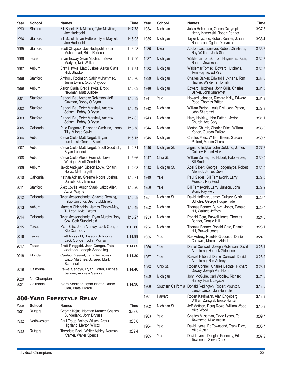| Year | <b>School</b> | <b>Names</b>                                                             | Time    | Year | <b>School</b> | <b>Names</b>                                                                        | <b>Time</b> |
|------|---------------|--------------------------------------------------------------------------|---------|------|---------------|-------------------------------------------------------------------------------------|-------------|
| 1993 | Stanford      | Bill Schell, Erik Maurer, Tyler Mayfield,<br>Joe Hudepohl                | 1:17.78 | 1934 | Michigan      | Julian Robertson, Ogden Dalrymple,<br>Henry Kamenski, Robert Renner                 | 3:37.6      |
| 1994 | Stanford      | Bill Schell, Brian Retterer, Tyler Mayfield,<br>Joe Hudepohl             | 1:16.93 | 1935 | Michigan      | Taylor Drysdale, Robert Renner, Julian<br>Robertson, Ogden Dalrymple                | 3:38.4      |
| 1995 | Stanford      | Scott Claypool, Joe Hudepohl, Sabir<br>Muhammad, Brian Retterer          | 1:16.98 | 1936 | lowa          | Adolph Jacobsmeyer, Robert Christians,<br>Ray Walters, Jack Sieg                    | 3:35.5      |
| 1996 | Texas         | Brian Esway, Sean McGrath, Steve<br>Martyak, Neil Walker                 | 1:17.90 | 1937 | Michigan      | Waldemar Tomski, Tom Haynie, Ed Kirar,<br>Robert Mowerson                           | 3:32.2      |
| 1997 | Auburn        | Brett Hawke, Matt Busbee, Aaron Ciarla,<br>Nick Shackell                 | 1:17.54 | 1938 | Michigan      | Waldemar Tomski, Edward Hutchens,<br>Tom Haynie, Ed Kirar                           | 3:32.7      |
| 1998 | Stanford      | Anthony Robinson, Sabir Muhammad,<br>Justin Ewers, Scott Claypool        | 1:16.76 | 1939 | Michigan      | Charles Barker, Edward Hutchens, Tom<br>Haynie, Waldemar Tomski                     | 3:33.5      |
| 1999 | Auburn        | Aaron Ciarla, Brett Hawke, Brock<br>Newman, Matt Busbee                  | 1:16.63 | 1940 | Michigan      | Edward Hutchens, John Gillis, Charles<br>Barker, John Sharemet                      | 3:31.0      |
| 2001 | Stanford      | Randall Bal, Anthony Robinson, Jeff<br>Guyman, Bobby O'Bryan             | 1:16.83 | 1941 | Yale          | Howard Johnson, Richard Kelly, Edward<br>Pope, Thomas Britton                       | 3:31.3      |
| 2002 | Stanford      | Randall Bal, Peter Marshall, Andrew<br>Schnell, Bobby O'Bryan            | 1:16.49 | 1942 | Michigan      | William Burton, Louis Divi, John Patten,<br>John Sharemet                           | 3:27.8      |
| 2003 | Stanford      | Randall Bal, Peter Marshall, Andrew<br>Schnell, Bobby O'Bryan            | 1:17.03 | 1943 | Michigan      | Harry Holiday, John Patten, Merton<br>Church, Ace Cory                              | 3:31.1      |
| 2005 | California    | Duje Draganja, Rolandas Gimbutis, Jonas<br>Tilly, Milorad Cavic          | 1:15.78 | 1944 | Michigan      | Merton Church, Charles Fries, William<br>Kogen, Gurdon Pulford                      | 3:35.0      |
| 2006 | Auburn        | Cesar Cielo, Matt Targett, Bryan<br>Lundquist, George Bovell             | 1:16.15 | 1945 | Michigan      | Charles Fries, William Breen, Gurdon<br>Pulford, Merton Church                      | 3:39.8      |
| 2007 | Auburn        | Cesar Cielo, Matt Targett, Scott Goodrich,<br>Bryan Lundquist            | 1:14.71 | 1946 | Michigan St.  | Zigmund Indyke, John DeMond, James<br>Quigley, Robert Allwardt                      | 3:27.2      |
| 2008 | Auburn        | Cesar Cielo, Alexei Puninski, Luke<br>Weniger, Scott Goodrich            | 1:15.66 | 1947 | Ohio St.      | William Zemer, Ted Hobert, Halo Hirose,<br><b>Bill Smith</b>                        | 3:30.0      |
| 2009 | Auburn        | Jakob Andkjaer, Gideon Louw, Kohlton<br>Norys, Matt Targett              | 1:14.08 | 1948 | Michigan St.  | Abel Gilbert, George Hoogerhyde, Robert<br>Allwardt, James Duke                     | 3:31.0      |
| 2010 | California    | Nathan Adrian, Graeme Moore, Joshua<br>Daniels, Guy Barnea               | 1:15.71 | 1949 | Yale          | Paul Girdes, Bill Farnsworth, Larry<br>Munson, Ray Reid                             | 3:27.0      |
| 2011 | Stanford      | Alex Coville, Austin Staab, Jakob Allen,<br>Aaron Wayne                  | 1:15.26 | 1950 | Yale          | Bill Farnsworth, Larry Munson, John<br>Blum, Ray Reid                               | 3:27.9      |
| 2012 | California    | Tyler Messerschmidt, Shayne Fleming,<br>Fabio Gimondi, Seth Stubblefield | 1:16.58 | 1951 | Michigan St.  | David Hoffman, James Quigley, Clark<br>Scholes, George Hoogerhyde                   | 3:26.7      |
| 2013 | Auburn        | Marcelo Chierighini, James Disney-May,<br>TJ Leon, Kyle Owens            | 1:15.48 | 1952 | Michigan      | Thomas Benner, Burwell Jones, Donald<br>Hill, Wallace Jeffries                      | 3:25.7      |
| 2014 | California    | Tyler Messerschmidt, Ryan Murphy, Tony<br>Cox, Seth Stubblefield         | 1:15.27 | 1953 | Michigan      | Ronald Gora, Burwell Jones, Thomas<br>Benner, Donald Hill                           | 3:24.0      |
| 2015 | Texas         | Matt Ellis, John Murray, Jack Conger,<br>Kip Darmody                     | 1:15.86 | 1954 | Michigan      | Thomas Benner, Ronald Gora, Donald<br>Hill, Burwell Jones                           | 3:26.1      |
| 2016 | Texas         | Brett Ringgold, Joseph Schooling,<br>Jack Conger, John Murray            | 1:14.88 | 1955 | Yale          | Rex Aubrey, Hendrik Gideonse, Daniel<br>Cornwell, Malcolm Aldrich                   | 3:24.9      |
| 2017 | Texas         | Brett Ringgold, Jack Conger, Tate<br>Jackson, Joseph Schooling           | 1:14.59 | 1956 | Yale          | Daniel Cornwell, Joseph Robinson, David<br>Armstrong, Hendrik Gideonse              | 3:23.1      |
| 2018 | Florida       | Caeleb Dressel, Jam Switkowski,<br>Enzo Martinez-Scrape, Mark            | 1:14.39 | 1957 | Yale          | Russell Hibbard, Daniel Cornwell, David<br>Armstrong, Rex Aubrey                    | 3:23.9      |
| 2019 | California    | Szaranek<br>Pawel Sendyk, Ryan Hoffer, Michael                           | 1:14.46 | 1958 | Ohio St.      | Robert Connell, Charles Bechtel, Richard<br>Dewey, Joseph Van Horn                  | 3:23.1      |
| 2020 | No Champion   | Jensen, Andrew Seliskar                                                  |         | 1959 | Michigan      | John McGuire, Carl Woolley, Richard<br>Hanley, Frank Legacki                        | 3:21.6      |
| 2021 | California    | Bjorn Seeliger, Ryan Hoffer, Daniel<br>Carr, Nate Biondi                 | 1:14.36 | 1960 |               | Southern California Donald Redington, Robert Mounton,<br>Lance Larson, Jon Henrichs | 3:18.5      |
|      |               | <b>400-YARD FREESTYLE RELAY</b>                                          |         | 1961 | Harvard       | Robert Kaufmann, Alan Engelberg,<br>William Zantgraf, Bruce Hunter                  | 3:18.3      |
| Year | <b>School</b> | <b>Names</b>                                                             | Time    | 1962 | Michigan St.  | Jeff Mattson, Doug Rowe, William Wood,<br>Mike Wood                                 | 3:15.8      |
| 1931 | Rutgers       | George Kojac, Norman Kramer, Charles<br>Sunderland, John Dryfuss         | 3:39.6  | 1963 | Yale          | Charles Mussman, David Lyons, Ed<br>Townsend, Mike Austin                           | 3:09.7      |
| 1932 | Northwestern  | Paul Troup, Volney Wilson, Arthur<br>Highland, Merton Wilcox             | 3:36.6  | 1964 | Yale          | David Lyons, Ed Townsend, Frank Rice,<br>Mike Austin                                | 3:08.7      |
| 1933 | Rutgers       | Theodore Brick, Walter Ashley, Norman<br>Kramer, Walter Spence           | 3:39.4  | 1965 | Yale          | David Lyons, Douglas Kennedy, Ed<br>Townsend, Steve Clark                           | 3:07.2      |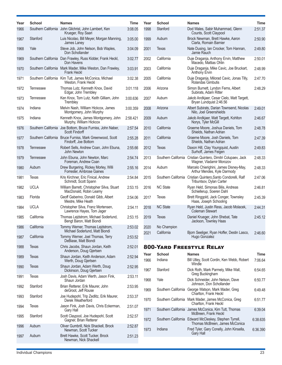| Year | <b>School</b> | <b>Names</b>                                                                     | <b>Time</b> | Year         | <b>School</b>             | <b>Names</b>                                                                              | <b>Time</b>            |
|------|---------------|----------------------------------------------------------------------------------|-------------|--------------|---------------------------|-------------------------------------------------------------------------------------------|------------------------|
| 1966 |               | Southern California John Gilchrist, John Lambert, Ken<br>Krueger, Roy Saari      | 3:08.05     | 1998         | Stanford                  | Dod Wales, Sabir Muhammad, Glenn<br>Counts, Scott Claypool                                | 2:51.37                |
| 1967 | Stanford      | Luis Nicolao, Bill Meyer, Morgan Manning,<br>James Laney                         | 3:05.00     | 1999         | Auburn                    | Brock Newman, Brett Hawke, Aaron<br>Ciarla, Romain Barnier                                | 2:50.90                |
| 1968 | Yale          | Steve Job, John Nelson, Bob Waples,<br>Don Schollander                           | 3:04.09     | 2001         | Texas                     | Nate Dusing, Ian Crocker, Tom Hannan,<br>Jamie Rauch                                      | 2:49.80                |
| 1969 |               | Southern California Dan Frawley, Russ Kidder, Frank Heckl,<br>Don Havens         | 3:02.77     | 2002         | California                | Duje Draganja, Anthony Ervin, Matthew<br>Macedo, Mattias Ohlin                            | 2:50.01                |
| 1970 |               | Southern California Mark Mader, Mike Weston, Dan Frawley,<br><b>Frank Heckl</b>  | 3:03.91     | 2003         | California                | Duje Draganja, Mike Cavic, Joe Bruckart,<br><b>Anthony Ervin</b>                          | 2:48.99                |
| 1971 |               | Southern California Kim Tutt, James McConica, Michael<br>Weston, Frank Heckl     | 3:02.38     | 2005         | California                | Duje Draganja, Milorad Cavic, Jonas Tilly,<br>Rolandas Gimbutis                           | 2:47.70                |
| 1972 | Tennessee     | Thomas Lutz, Kenneth Knox, David<br>Edgar, John Trembley                         | 3:01.118    | 2006         | Arizona                   | Simon Burnett, Lyndon Ferns, Albert<br>Subirats, Adam Ritter                              | 2:48.29                |
| 1973 | Tennessee     | Ken Knox, Tom Lutz, Keith Gilliam, John<br>Trembley                              | 3:00.636    | 2007         | Auburn                    | Jakob Andkjaer, Cesar Cielo, Matt Targett,<br>Bryan Lundquist 2:46.56                     |                        |
| 1974 | Indiana       | Melvin Nash, William Hickcox, James<br>Montgomery, John Murphy                   | 3:00.359    | 2008         | Arizona                   | Albert Subirats, Darian Townsend, Nicolas<br>Nilo, Joel Greenshields                      | 2:49.01                |
| 1975 | Indiana       | Kenneth Knox, James Montgomery, John<br>Murphy, William Hickcox                  | 2:58.421    | 2009         | Auburn                    | Jakob Andkjaer, Matt Targett, Kohlton<br>Norys, Tyler McGill                              | 2:46.67                |
| 1976 |               | Southern California Joe Bottom, Bruce Furniss, John Naber,<br>Scott Findorff     | 2:57.54     | 2010         | California                | Graeme Moore, Joshua Daniels, Tom<br>Shields, Nathan Adrian                               | 2:48.78                |
| 1977 |               | Southern California Bruce Furniss, Mark Greenwood, Scott<br>Findorff, Joe Bottom | 2:55.28     | 2011         | California                | Graeme Moore, Josh Daniels, Tom<br>Shields, Nathan Adrian                                 | 2:47.39                |
| 1978 | Tennessee     | Robert Sells, Andrew Coan, John Ebuna,<br>John Newton                            | 2:55.66     | 2012         | Texas                     | Daxon Hill, Clay Youngquist, Austin<br>Surhoff, James Feigen                              | 2:49.83                |
| 1979 | Tennessee     | John Ebuna, John Newton, Marc<br>Foreman, Andrew Coan                            | 2:54.74     | 2013         |                           | Southern California Cristian Quintero, Dimitri Colupaev, Jack<br>Wagner, Vladamir Morozov | 2:48.33                |
| 1980 | Auburn        | Drew Burgering, Rickey Morley, Willi<br>Forrester, Ambrose Gaines                | 2:55.16     | 2014         | Auburn                    | Marcelo Chierighini, James Disney-May,<br>Arthur Mendes, Kyle Darmody                     | 2:48.33                |
| 1981 | Texas         | Kris Kirchner, Eric Finical, Andrew<br>Schmidt, Scott Spann                      | 2:54.84     | 2015         |                           | Southern California Cristian Quintero, Santo Condorelli, Ralf<br>Tribuntsov, Dylan Carter | 2:47.06                |
| 1982 | <b>UCLA</b>   | William Barrett, Christopher Silva, Stuart<br>MacDonald, Robin Leamy             | 2:53.15     | 2016         | <b>NC State</b>           | Ryan Held, Simonas Bilis, Andreas<br>Schiellerup, Soeren Dahl                             | 2:46.81                |
| 1983 | Florida       | Geoff Gaberino, Donald Gibb, Albert<br>Mestre, Mike Heath                        | 2:54.06     | 2017         | Texas                     | Brett Ringgold, Jack Conger, Townsley<br>Haas, Joseph Schooling                           | 2:45.39                |
| 1984 | <b>UCLA</b>   | Christopher Silva, Franz Mortensen,<br>Lawrence Hayes, Tom Jager                 | 2:54.11     | 2018         | <b>NC State</b>           | Ryan Held, Justin Ress, Jacob Molacek,<br><b>Coleman Stewart</b>                          | 2:44.31                |
| 1985 | California    | Thomas Lejdstrom, Michael Soderlund,<br>Bengt Baron, Matt Biondi                 | 2:53.15     | 2019         | Texas                     | Daniel Krueger, John Shebat, Tate<br>Jackson, Townley Haas                                | 2:45.12                |
| 1986 | California    | Tommy Werner, Thomas Lejdstrom,<br>Michael Soderlund, Matt Biondi                | 2:53.02     | 2020<br>2021 | No Champion<br>California | Bjorn Seeliger, Ryan Hoffer, Destin Lasco,                                                | 2:46.60                |
| 1987 | California    | Tommy Werner, Joel Thomas, Terry<br>DeBiase, Matt Biondi                         | 2:53.52     |              |                           | Hugo Gonzalez                                                                             |                        |
| 1988 | Texas         | Chris Jacobs, Shaun Jordan, Keith<br>Anderson, Doug Gjertsen                     | 2:52.01     |              |                           | <b>800-YARD FREESTYLE RELAY</b>                                                           |                        |
| 1989 | Texas         | Shaun Jordan, Keith Anderson, Adam<br>Werth, Doug Gjertsen                       | 2:52.94     | Year<br>1966 | <b>School</b><br>Indiana  | <b>Names</b><br>Bill Utley, Scott Cordin, Ken Webb, Robert                                | <b>Time</b><br>7:06.64 |
| 1990 | Texas         | Shaun Jordan, Adam Werth, Doug<br>Dickinson, Doug Gjertsen                       | 2:52.95     | 1967         | Stanford                  | Windle<br>Dick Roth, Mark Parmely, Mike Wall,                                             | 6:54.65                |
| 1991 | Texas         | Josh Davis, Adam Werth, Jason Fink,<br>Shaun Jordan                              | 2:53.11     | 1968         | Yale                      | Greg Buckingham<br>Dick Schneider, John Nelson, Dave                                      | 6:50.77                |
| 1992 | Stanford      | Brian Retterer, Erik Maurer, John<br>deGroot, Jeff Rouse                         | 2:53.95     | 1969         |                           | Johnson, Don Schollander<br>Southern California George Watson, Mark Mader, Greg           | 6:49.48                |
| 1993 | Stanford      | Joe Hudepohl, Trip Zedlitz, Erik Maurer,<br>Derek Weatherford                    | 2:53.37     | 1970         |                           | Charlton, Frank Heckl<br>Southern California Mark Mader, James McConica, Greg             | 6:51.77                |
| 1994 | Texas         | Jason Fink, Josh Davis, Chris Eckerman,<br>Gary Hall                             | 2:51.07     | 1971         |                           | Charlton, Frank Heckl<br>Southern California James McConica, Kim Tutt, Thomas             | 6:39.04                |
| 1995 | Stanford      | Scott Claypool, Joe Hudepohl, Scott<br>Gagner, Brian Retterer                    | 2:52.57     | 1972         |                           | McBreen, Frank Heckl<br>Southern California Edward McCleskey, Stephen Tyrrell,            | 6:38.635               |
| 1996 | Auburn        | Oliver Gumbrill, Nick Shackell, Brock<br>Newman, Scott Tucker                    | 2:52.87     | 1973         | Indiana                   | Thomas McBreen, James McConica<br>Fred Tyler, Gary Conelly, John Kinsella,                | 6:36.390               |
| 1997 | Auburn        | Brett Hawke, Scott Tucker, Brock<br>Newman, Nick Shackell                        | 2:51.23     |              |                           | Gary Hall                                                                                 |                        |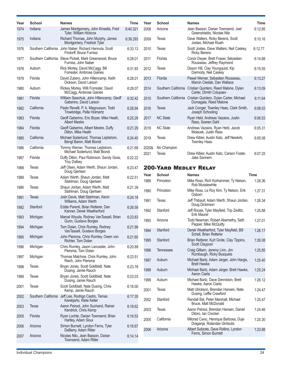| Year | <b>School</b> | <b>Names</b>                                                                      | <b>Time</b> | Year  | <b>School</b>                | <b>Names</b>                                                                          | <b>Time</b> |
|------|---------------|-----------------------------------------------------------------------------------|-------------|-------|------------------------------|---------------------------------------------------------------------------------------|-------------|
| 1974 | Indiana       | James Montgomery, John Kinsella, Fred<br>Tyler, William Hickcox                   | 6:40.321    | 2008  | Arizona                      | Jean Basson, Darian Townsend, Joel<br>Greenshields, Nicolas Nilo                      | 6:12.85     |
| 1975 | Indiana       | Richard Thomas, John Murphy, James<br>Montgomery, Fredrick Tyler                  | 6:36.293    | 2009  | Texas                        | Dave Walters, Ricky Berens, Scott<br>Jostes, Michael Klueh                            | 6:10.16     |
| 1976 |               | Southern California John Naber, Richard Hannula, Scott<br>Findorff, Bruce Furniss | 6:33.13     | 2010  | Texas                        | Scott Jostes, Dave Walters, Neil Caskey,<br><b>Ricky Berens</b>                       | $6:12.77$ . |
| 1977 |               | Southern California Steve Pickell, Mark Greenwood, Bruce<br>Furniss, John Naber   | 6:28.01     | 2011  | Florida                      | Conor Dwyer, Brett Fraser, Sebastien<br>Rousseau, Jeffrey Raymond                     | 6:14.88     |
| 1978 | Auburn        | Rick Morley, David McCagg, Bill<br>Forrester, Ambrose Gaines                      | 6:31.93     | 2012  | Texas                        | Daxon Hill, Clay Youngquist, Kip<br>Darmody, Neil Caskey                              | 6:15.55     |
| 1979 | Florida       | David Zubero, John Hillencamp, Keith<br>Dickson, David Larson                     | 6:28.01     | 2013  | Florida                      | Pawel Werner, Sebastien Rousseau,<br>Marcin Cieslak, Dan Wallace                      | 6:13.27     |
| 1980 | Auburn        | Rickey Morley, Willi Forrester, David<br>McCagg, Ambrose Gaines                   | 6:28.07     | 2014  |                              | Southern California Cristian Quintero, Reed Malone, Dylan<br>Carter, Dimitri Colupaev | 6:13.09     |
| 1981 | Florida       | William Sawchuk, John Hillencamp, Geoff<br>Gaberino, David Larson                 | 6:32.42     | 2015  |                              | Southern California Cristian Quintero, Dylan Carter, Michael<br>Domagala, Reed Malone | 6:11.64     |
| 1982 | California    | Paolo Revelli, P. A. Magnusson, Todd<br>Trowbridge, Pelle Holmertz                | 6:28.94     | 2016  | Texas                        | Jack Conger, Townley Haas, Clark Smith,<br>Joseph Schooling                           | 6:08.03     |
| 1983 | Florida       | Geoff Gaberino, Eric Boyer, Mike Heath,<br>Albert Mestre                          | 6:25.29     | 2017  | <b>NC State</b>              | Ryan Held, Andreas Vazaios, Justin<br>Ress. Soeren Dahl                               | 6:06.53     |
| 1984 | Florida       | Geoff Gaberino, Albert Mestre, Duffy<br>Dillon, Mike Heath                        | 6:21.29     | 2018  | <b>NC State</b>              | Andreas Vazaios, Ryan Held, Jacob<br>Molacek, Justin Ress                             | 6:05.31     |
| 1985 | California    | Michael Soderlund, Thomas Lejdstrom,<br>Bengt Baron, Matt Biondi                  | 6:24.40     | 2019  | Texas                        | Drew Kibler, Austin Katz, Jeff Newkirk,<br><b>Townley Haas</b>                        | 6:05.08     |
| 1986 | California    | Tommy Werner, Thomas Lejdstrom,<br>Michael Soderlund, Matt Biondi                 | 6:21.68     | 2020& | No Champion                  |                                                                                       |             |
| 1987 | Florida       | Duffy Dillon, Paul Robinson, Sandy Goss,<br><b>Troy Dalbey</b>                    | 6:22.22     | 2021  | Texas                        | Drew Kibler, Austin Katz, Carson Foster,<br>Jake Sannem                               | 6:07.25     |
| 1988 | Texas         | Jeff Olsen, Adam Werth, Shaun Jordan,<br>Doug Gjertsen                            | 6:23.47     |       | <b>200-YARD MEDLEY RELAY</b> |                                                                                       |             |
| 1989 | Texas         | Adam Werth, Shaun Jordan, Matt                                                    | 6:22.51     | Year  | <b>School</b>                | <b>Names</b>                                                                          | <b>Time</b> |
| 1990 | Texas         | Stahlman, Doug Gjertsen<br>Shaun Jordan, Adam Werth, Matt                         | 6:21.39     | 1989  | Princeton                    | Mike Ross, Rich Korhammer, Ty Nelson,<br>Rob Musslewhite                              | 1:28.36     |
| 1991 | Texas         | Stahlman, Doug Gjertsen<br>Josh Davis, Matt Stahlman, Kevin                       | 6:24.18     | 1990  | Princeton                    | Mike Ross, Le Roy Kim, Ty Nelson, Erik<br>Osborn                                      | 1:27.31     |
|      |               | Williams, Adam Werth                                                              |             | 1991  | Texas                        | Jeff Thibault, Adam Werth, Shaun Jordan,<br>Doug Dickinson                            | 1:26.34     |
| 1992 | Stanford      | Eddie Parenti, Brian Retterer, Dan<br>Kanner, Derek Weatherford                   | 6:26.59     | 1992  | Stanford                     | Jeff Rouse, Tyler Mayfield, Trip Zedlitz,<br>Erik Maurer                              | 1:25.88     |
| 1993 | Michigan      | Marcel Wouda, Rodney VanTassell, Brian<br>Gunn, Gustavo Borges                    | 6:23.83     | 1993  | Arizona                      | Todd Newman, Robert Abernethy, Seth<br>Pepper, Mike McQuitty                          | 1:27.01     |
| 1994 | Michigan      | Tom Dolan, Chris Rumley, Rodney<br>VanTassell, Gustavo Borges                     | 6:21.99     | 1994  | Stanford                     | Derek Weatherford, Tyler Mayfield, Bill                                               | 1:26.17     |
| 1995 | Michigan      | John Piersma, Chris Rumley, Owen von<br>Richter, Tom Dolan                        | 6:21.65     | 1995  | Stanford                     | Schell, Brian Retterer<br>Brian Retterer, Kurt Grote, Clay Tippins,                   | 1:26.08     |
| 1996 | Michigan      | Chris Rumley, Jason Lancaster, John<br>Piersma, Tom Dolan                         | 6:20.89     | 1996  | Tennessee                    | Scott Claypool<br>Craig Gilliam, Jeremy Linn, Jim                                     | 1:25.85     |
| 1997 | Michigan      | Thomas Malchow, Chris Rumley, John<br>Reich. John Piersma                         | 6:23.51     | 1997  | Auburn                       | Rumbaugh, Ricky Busquets<br>Michael Bartz, Adam Jerger, John Hargis,                  | 1:25.40     |
| 1998 | Texas         | Bryan Jones, Scott Goldblatt, Nate<br>Dusing, Jamie Rauch                         | 6:23.78     | 1998  | Auburn                       | <b>Brett Hawke</b><br>Michael Bartz, Adam Jerger, Brett Hawke,                        | 1:25.24     |
| 1999 | Texas         | Bryan Jones, Scott Goldblatt, Nate<br>Dusing, Jamie Rauch                         | 6:23.03     | 1999  | Auburn                       | Aaron Ciarla<br>Michael Bartz, Dave Denniston, Brett                                  | 1:26.12     |
| 2001 | Texas         | Scott Goldblatt, Nate Dusing, Chris<br>Kemp, Jamie Rauch                          | 6:18.00     | 2001  | Texas                        | Hawke, Aaron Ciarla<br>Matt Ulrickson, Brendan Hansen, Nate                           | 1:24.47     |
| 2002 |               | Southern California Jeff Lee, Rodrigo Castro, Tamas                               | 6:17.35     | 2002  | Stanford                     | Dusing, Leffie Crawford<br>Randall Bal, Peter Marshall, Michael                       | 1:25.47     |
| 2003 | Texas         | Kerekjarto, Klete Keller<br>Aaron Peirsol, John Suchand, Rainer                   | 6:18.62     |       |                              | Bruce, Matt McDonald                                                                  |             |
| 2005 | Florida       | Kendrick, Chris Kemp<br>Ryan Lochte, Darian Townsend, Brian                       | 6:16.53     | 2003  | Texas                        | Aaron Peirsol, Brendan Hansen, Daniel<br>Ditoro, Ian Crocker                          | 1:24.46     |
| 2006 | Arizona       | Hartley, Adam Sioui<br>Simon Burnett, Lyndon Ferns, Tyler                         | 6:16.67     | 2005  | California                   | Milorad Cavic, Henrique Barbosa, Duje<br>Draganja, Rolandas Gimbutis                  | 1:25.30     |
|      |               | DeBerry, Adam Ritter<br>Nicolas Nilo, Jean Basson, Darian                         |             | 2006  | Arizona                      | Albert Subirats, Dave Rollins, Lyndon<br>Ferns, Simon Burnett                         | 1:23.88     |
| 2007 | Arizona       | Townsend, Adam Ritter                                                             | 6:14.14     |       |                              |                                                                                       |             |

6:12.85

6:10.16

6:12.77.

6:14.88

6:15.55

6:07.25

1:28.36

1:25.88

1:26.12

1:24.46

1:25.30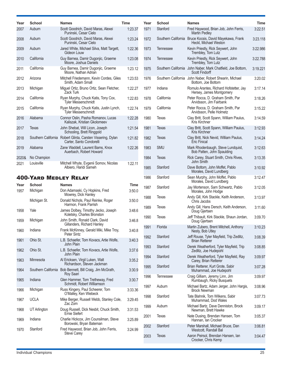| Year  | School                       | <b>Names</b>                                                                            | <b>Time</b> | Year | School           | <b>Names</b>                                                                       | <b>Time</b> |
|-------|------------------------------|-----------------------------------------------------------------------------------------|-------------|------|------------------|------------------------------------------------------------------------------------|-------------|
| 2007  | Auburn                       | Scott Goodrich, David Maras, Alexei<br>Puninski, Cesar Cielo                            | 1:23.37     | 1971 | Stanford         | Fred Haywood, Brian Job, John Ferris,<br><b>Martin Pedley</b>                      | 3:22.51     |
| 2008  | Auburn                       | Scott Goodrich, David Maras, Alexei<br>Puninski, Cesar Cielo                            | 1:23.24     | 1972 |                  | Southern California Bruce Kocsis, David Mayekawa, Frank<br>Heckl, Michael Weston   | 3:23.118    |
| 2009  | Auburn                       | Jared White, Michael Silva, Matt Targett,<br>Gideon Louw                                | 1:22.36     | 1973 | <b>Tennessee</b> | Kevin Priestly, Rick Seywert, John<br>Trembley, Tom Lutz                           | 3:22.986    |
| 2010  | California                   | Guy Barnea, Damir Dugonjic, Graeme<br>Moore, Joshua Daniels                             | 1:23.08     | 1974 | Tennessee        | Kevin Priestly, Rick Seywert, John<br>Trembley, Tom Lutz                           | 3:22.788    |
| 2011  | California                   | Guy Barnea, Damir Dugonjic, Graeme<br>Moore. Nathan Adrian                              | 1:23.12     | 1975 |                  | Southern California John Naber, Mark Chatfield, Joe Bottom,<br>Scott Findorff      | 3:19.221    |
| 2012  | Arizona                      | Mitchell Friedemann, Kevin Cordes, Giles<br>Smith, Adam Small                           | 1:23.53     | 1976 |                  | Southern California John Naber, Robert Shearin, Michael<br>Bottom, Joe Bottom      | 3:20.02     |
| 2013  | Michigan                     | Miguel Ortiz, Bruno Ortiz, Sean Fletcher,<br>Zack Turk                                  | 1:22.27     | 1977 | Indiana          | Romulo Arantes, Richard Hofstetter, Jay<br>Hersey, James Montgomery                | 3:17.14     |
| 2014  | California                   | Ryan Murphy, Chuck Katis, Tony Cox,<br><b>Tyler Messerschmidt</b>                       | 1:22.83     | 1978 | California       | Peter Rocca, D. Graham Smith, Par<br>Arvidsson, Jim Fairbank                       | 3:18.26     |
| 2015  | California                   | Ryan Murphy, Chuck Katis, Justin Lynch,<br><b>Tyler Messerschmidt</b>                   | 1:22.74     | 1979 | California       | Peter Rocca, D. Graham Smith, Par<br>Arvidsson, Pelle Holmetz                      | 3:15.22     |
| 2016  | Alabama                      | Connor Oslin, Pasha Romanov, Lucas<br>Kaliszak, Kristian Gkolomeev                      | 1:22.28     | 1980 | Texas            | Clay Britt, Scott Spann, William Paulus,<br>Kris Kirchner                          | 3:14.59     |
| 2017  | <b>Texas</b>                 | John Shebat, Will Licon, Joseph<br>Schooling, Brett Ringgold                            | 1:21.54     | 1981 | Texas            | Clay Britt, Scott Spann, William Paulus,<br>Kris Kirchner                          | 3:12.93     |
| 2018  |                              | Southern California Robert Glinta, Carsten Vissering, Dylan<br>Carter, Santo Condorelli | 1:21.82     | 1982 | Texas            | Clay Britt, Nick Nevid, William Paulus,<br>Eric Finical                            | 3:14.24     |
| 2019  | Alabama                      | Zane Waddell, Laurent Bams, Knox<br>Auerbach, Robert Howard                             | 1:22.26     | 1983 | <b>SMU</b>       | Mark Rhodenbaugh, Steve Lundquist,<br>Bob Patten, John Spaulding                   | 3:12.63     |
| 2020& | No Champion                  |                                                                                         |             | 1984 | Texas            | Rick Carey, Stuart Smith, Chris Rives,<br>John Smith                               | 3:13.35     |
| 2021  | Louisville                   | Mitchell Whyte, Evgenii Somov, Nicolas<br>Albiero, Haridi Sameh                         | 1:22.11     | 1985 | Stanford         | Dave Bottom, John Moffet, Pablo<br>Morales, David Lundberg                         | 3:10.92     |
|       | <b>400-YARD MEDLEY RELAY</b> |                                                                                         |             | 1986 | Stanford         | Sean Murphy, John Moffet, Pablo<br>Morales, David Lundberg                         | 3:12.47     |
| Year  | <b>School</b>                | <b>Names</b>                                                                            | Time        | 1987 | Stanford         | Jay Mortenson, Sam Schwartz, Pablo                                                 | 3:12.05     |
| 1957  | Michigan                     | Don Adamaski, Cy Hopkins, Fred<br>Mowrey, Dick Hanley                                   | 3:50.0      |      |                  | Morales, John Hodge                                                                |             |
|       | Michigan St.                 | Donald Nichols, Paul Reinke, Roger<br>Harmon, Frank Parrish                             | 3:50.0      | 1988 | Texas            | Andy Gill, Kirk Stackle, Keith Anderson,<br>Chris Jacobs                           | 3:13.97     |
| 1958  | Yale                         | James Dolbey, Timothy Jecko, Joseph<br>Koletsky, Charles Bronston                       | 3:48.6      | 1989 | Texas            | Andy Gill, Hans Dersch, Keith Anderson,<br>Doug Gjertsen                           | 3:11.60     |
| 1959  | Michigan                     | John Smith, Ronald Clark, David<br>Gillanders, Richard Hanley                           | 3:46.8      | 1990 | Texas            | Jeff Thibault, Kirk Stackle, Shaun Jordan,<br>Doug Gjertsen                        | 3:09.70     |
| 1960  | Indiana                      | Frank McKinney, Gerald Miki, Mike Troy,<br>Peter Sintz                                  | 3:40.8      | 1991 | Florida          | Martin Zubero, Brent Mitchell, Anthony<br>Nesty, Bob Utley                         | 3:10.23     |
| 1961  | Ohio St.                     | L.B. Schaefer, Tom Kovacs, Artie Wolfe,<br>John Plain                                   | 3:40.3      | 1992 | Stanford         | Jeff Rouse, Tyler Mayfield, Trip Zedlitz,<br><b>Brian Retterer</b>                 | 3:08.39     |
| 1962  | Ohio St.                     | L.B. Schaefer, Tom Kovacs, Artie Wolfe,                                                 | 3:37.6      | 1993 | Stanford         | Derek Weatherford, Tyler Mayfield, Trip<br>Zedlitz, Joe Hudepohl                   | 3:08.85     |
| 1963  | Minnesota                    | John Plain<br>Al Ericksen, Virgil Luken, Walt                                           | 3:35.2      | 1994 | Stanford         | Derek Weatherford, Tyler Mayfield, Ray<br>Carey, Brian Retterer                    | 3:09.97     |
| 1964  |                              | Richardson, Steven Jackman<br>Southern California Bob Bennett, Bill Craig, Jim McGrath, | 3:30.9      | 1995 | Stanford         | Brian Retterer, Kurt Grote, Sabir<br>Muhammad, Joe Hudepohl                        | 3:07.28     |
| 1965  | Indiana                      | Roy Saari<br>Glen Hammer, Tom Tretheway, Fred                                           | 3:30.7      | 1996 | Tennessee        | Craig Gilliam, Jeremy Linn, Jim<br>Rumbaugh, Ricky Busquets                        | 3:09.97     |
| 1966  | Michigan                     | Schmidt, Robert Williamson<br>Russ Kingery, Paul Scheerer, Tom                          | 3:33.36     | 1997 | Auburn           | Michael Bartz, Adam Jerger, John Hargis,<br>Brock Newman                           | 3:08.96     |
| 1967  | <b>UCLA</b>                  | O'Malley, Ken Wiebeck<br>Mike Berger, Russell Webb, Stanley Cole,                       | 3:29.45     | 1998 | Stanford         | Tate Blahnik, Tom Wilkens, Sabir<br>Muhammad, Dod Wales                            | 3:07.73     |
| 1968  | UT Arlington                 | Zac Zorn<br>Doug Russell, Dick Nesbit, Chuck Smith,                                     | 3:31.53     | 1999 | Auburn           | Michael Bartz, Dave Denniston, Brock<br>Newman, Brett Hawke                        | 3:09.17     |
| 1969  | Indiana                      | Ernie Siefert<br>Charlie Hickcox, Jim Counsilman, Steve                                 | 3:25.89     | 2001 | Texas            | Nate Dusing, Brendan Hansen, Tom                                                   | 3:05.37     |
|       | Stanford                     | Borowski, Bryan Bateman<br>Fred Haywood, Brian Job, John Ferris,                        |             | 2002 | Stanford         | Hannan, Ian Crocker<br>Peter Marshall, Michael Bruce, Dan                          | 3:06.81     |
| 1970  |                              | <b>Steve Carey</b>                                                                      | 3:24.99     | 2003 | Texas            | Westcott, Randall Bal<br>Aaron Peirsol, Brendan Hansen, lan<br>Crocker, Chris Kemp | 3:04.47     |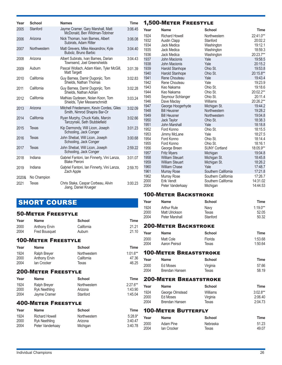| Year  | School       | <b>Names</b>                                                             | <b>Time</b> |                      | <b>1,500-METER</b>                                          |
|-------|--------------|--------------------------------------------------------------------------|-------------|----------------------|-------------------------------------------------------------|
| 2005  | Stanford     | Jayme Cramer, Gary Marshall, Matt<br>McDonald, Ben Wildman-Tobriner      | 3:06.45     | Year                 | <b>Name</b>                                                 |
| 2006  | Arizona      | Nick Thoman, Ivan Barnes, Albert<br>Subirats, Adam Ritter                | 3:06.08     | 1924<br>1932<br>1934 | <b>Richard Howell</b><br><b>Austin Clapp</b><br>Jack Medica |
| 2007  | Northwestern | Matt Grevers, Mike Alexandrov, Kyle<br>Bubolz, Bruno Barbic              | 3:04.40     | 1935<br>1936         | Jack Medica<br>Jack Medica                                  |
| 2008  | Arizona      | Albert Subirats, Ivan Barnes, Darian<br>Townsend, Joel Greenshields      | 3:04.43     | 1937<br>1938         | John Macionis<br>John Macionis                              |
| 2009  | Auburn       | Pascal Wollach, Adam Klein, Tyler McGill,<br>Matt Targett                | 3:01.39     | 1939<br>1940         | Harold Stanhop<br>Harold Stanhop                            |
| 2010  | California   | Guy Barnea, Damir Dugonjic, Tom<br>Shields, Nathan Thomas                | 3:02.83     | 1941<br>1942         | Rene Choutear<br>Rene Choutear                              |
| 2011  | California   | Guy Barnea, Damir Dugonjic, Tom<br>Shields. Nathan Adrian                | 3:02.28     | 1943<br>1944         | Keo Nakama<br>Keo Nakama                                    |
| 2012  | California   | Mathias Gydesen, Nolan Koon, Tom<br>Shields, Tyler Messerschmidt         | 3:03.24     | 1945<br>1946         | Seymour Schla<br>Dave Maclay                                |
| 2013  | Arizona      | Mitchell Friedemann, Kevin Cordes, Giles<br>Smith, Nimrod Shapira Bar-Or | 3:02.09     | 1947<br>1948         | George Hooge<br><b>Bill Heusner</b>                         |
| 2014  | California   | Ryan Murphy, Chuck Katis, Marcin<br>Tarczynski, Seth Stubblefield        | 3:02.66     | 1949<br>1950<br>1951 | <b>Bill Heusner</b><br>Jack Taylor<br><b>John Marshall</b>  |
| 2015  | Texas        | Kip Darmondy, Will Licon, Joseph<br>Schooling, Jack Conger               | 3:01.23     | 1952<br>1953         | Ford Konno<br>Jimmy McLane                                  |
| 2016  | Texas        | John Shebat, Will Licon, Joseph<br>Schooling, Jack Conger                | 3:00.68     | 1954<br>1955         | Ford Konno<br>Ford Konno                                    |
| 2017  | Texas        | John Shebat, Will Licon, Joseph<br>Schooling, Jack Conger                | 2:59.22     | 1956<br>1957         | George Breen<br><b>Fritz Myers</b>                          |
| 2018  | Indiana      | Gabriel Fantoni, Ian Finnerty, Vini Lanza,<br><b>Blake Pieroni</b>       | 3:01.07     | 1958<br>1959         | <b>William Steuart</b><br><b>William Steuart</b>            |
| 2019  | Indiana      | Gabriel Fantoni, Ian Finnerty, Vini Lanza,<br>Zach Apple                 | 2:59.70     | 1960<br>1961         | <b>William Chase</b><br>Murray Rose                         |
| 2020& | No Champion  |                                                                          |             | 1962                 | Murray Rose                                                 |
| 2021  | Texas        | Chris Staka, Caspar Corbeau, Alivin<br>Jiang, Daniel Krueger             | 3:00.23     | 2000<br>2004         | Erik Vendt<br>Peter Vanderka                                |

## **SHORT COURSE**

### 50-Meter Freestyle

| Year<br>2000<br>2004 | <b>Name</b><br><b>Anthony Ervin</b><br><b>Fred Bousquet</b> | <b>School</b><br>California<br>Auburn | <b>Time</b><br>21.21<br>21.10     |
|----------------------|-------------------------------------------------------------|---------------------------------------|-----------------------------------|
|                      | <b>100-METER FREESTYLE</b>                                  |                                       |                                   |
| Year                 | <b>Name</b>                                                 | <b>School</b>                         | <b>Time</b>                       |
| 1924<br>2000<br>2004 | Ralph Breyer<br>Anthony Ervin<br>lan Crocker                | Northwestern<br>California<br>Texas   | $1:01.6***$<br>47.36<br>46.25     |
|                      | <b>200-METER FREESTYLE</b>                                  |                                       |                                   |
| Year                 | <b>Name</b>                                                 | <b>School</b>                         | <b>Time</b>                       |
| 1924<br>2000<br>2004 | Ralph Breyer<br><b>Ryk Neethling</b><br>Jayme Cramer        | Northwestern<br>Arizona<br>Stanford   | $2:27.6***$<br>1:43.90<br>1:45.04 |

### 400-Meter Freestyle

| Year | <b>Name</b>           | School       | Time      |
|------|-----------------------|--------------|-----------|
| 1924 | <b>Richard Howell</b> | Northwestern | $5:28.9*$ |
| 2000 | Ryk Neethling         | Arizona      | 3:40.47   |
| 2004 | Peter Vanderkaay      | Michigan     | 3:40.78   |

### FREESTYLE

| Year         | <b>Name</b>                                    | <b>School</b>                | <b>Time</b>          |
|--------------|------------------------------------------------|------------------------------|----------------------|
| 1924         | <b>Richard Howell</b>                          | Northwestern                 | 22:41.0**            |
| 1932         | <b>Austin Clapp</b>                            | Stanford                     | 20:02.2              |
| 1934         | Jack Medica                                    | Washington                   | 19:12.1              |
| 1935         | Jack Medica                                    | Washington                   | 18:59.3              |
| 1936         | Jack Medica<br>John Macionis                   | Washington<br>Yale           | 20:23.7**<br>19:58.5 |
| 1937<br>1938 | John Macionis                                  | Yale                         | 20:15.2              |
| 1939         | Harold Stanhope                                | Ohio St.                     | 19:53.8              |
| 1940         | Harold Stanhope                                | Ohio St.                     | 20:15.8**            |
| 1941         | Rene Chouteau                                  | Yale                         | 19:43.4              |
| 1942         | Rene Chouteau                                  | Yale                         | 19:23.9              |
| 1943         | Keo Nakama                                     | Ohio St.                     | 19:18.6              |
| 1944         | Keo Nakama                                     | Ohio St.                     | 20:02.2**            |
| 1945         | Seymour Schlanger                              | Ohio St.                     | 20:11.4              |
| 1946         | Dave Maclay                                    | Williams                     | 20:26.2**            |
| 1947         | George Hoogerhyde                              | Michigan St.                 | 19:44.2              |
| 1948<br>1949 | <b>Bill Heusner</b><br><b>Bill Heusner</b>     | Northwestern<br>Northwestern | 19:28.2<br>19:04.8   |
| 1950         | Jack Taylor                                    | Ohio St.                     | 18:38.3              |
| 1951         | John Marshall                                  | Yale                         | 18:18.8              |
| 1952         | Ford Konno                                     | Ohio St.                     | 18:15.5              |
| 1953         | Jimmy McLane                                   | Yale                         | 18:27.5              |
| 1954         | Ford Konno                                     | Ohio St.                     | 18:14.4              |
| 1955         | Ford Konno                                     | Ohio St.                     | 18:16.1              |
| 1956         | George Breen                                   | <b>SUNY Cortland</b>         | 18:05.9**            |
| 1957         | <b>Fritz Myers</b>                             | Michigan                     | 19:04.8              |
| 1958         | <b>William Steuart</b>                         | Michigan St.                 | 18:45.8              |
| 1959<br>1960 | <b>William Steuart</b><br><b>William Chase</b> | Michigan St.<br>Yale         | 18:26.2<br>17:48.7   |
| 1961         | Murray Rose                                    | Southern California          | 17:21.8              |
| 1962         | Murray Rose                                    | Southern California          | 17:26.7              |
| 2000         | Erik Vendt                                     | Southern California          | 14:31.02             |
| 2004         | Peter Vanderkaay                               | Michigan                     | 14:44.53             |
|              |                                                |                              |                      |

### 100-Meter Backstroke

| Year                        | <b>Name</b>    | School   | Time       |  |
|-----------------------------|----------------|----------|------------|--|
| 1924                        | Arthur Rule    | Navy     | $1:19.0**$ |  |
| 2000                        | Matt Ulrickson | Texas    | 52.05      |  |
| 2004                        | Peter Marshall | Stanford | 50.32      |  |
| <b>200-METER BACKSTROKE</b> |                |          |            |  |

### 200-Meter Backstroke **Year Name School**

| name          | School  | Time    |
|---------------|---------|---------|
| Matt Cole     | Florida | 1:53.68 |
| Aaron Peirsol | Texas   | 1:50.64 |
|               |         |         |

### 100-Meter Breaststroke

| Year | Name           | School   | Time  |
|------|----------------|----------|-------|
| 2000 | Ed Moses       | Virginia | 57.66 |
| 2004 | Brendan Hansen | Texas    | 58.19 |

### 200-Meter Breaststroke

| <b>Name</b>     | School   | Time       |
|-----------------|----------|------------|
| George Olmstead | Williams | $3:02.8**$ |
| Ed Moses        | Virginia | 2:06.40    |
| Brendan Hansen  | Texas    | 2:04.73    |
|                 |          |            |

### Time 100-METER BUTTERFLY

| Year | Name        | School   | Time  |
|------|-------------|----------|-------|
| 2000 | Adam Pine   | Nebraska | 51.23 |
| 2004 | lan Crocker | Texas    | 49.07 |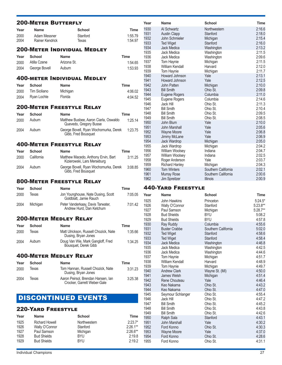|      | <b>200-METER BUTTERFLY</b> |                                                                    |             |
|------|----------------------------|--------------------------------------------------------------------|-------------|
| Year | <b>Name</b>                | School                                                             | <b>Time</b> |
| 2000 | Adam Messner               | Stanford                                                           | 1:55.79     |
| 2004 | Rainer Kendrick            | Texas                                                              | 1:54.97     |
|      |                            | 200-Meter Individual Medley                                        |             |
| Year | School                     | <b>Name</b>                                                        | Time        |
| 2000 | Atilla Czene               | Arizona St.                                                        | 1:54.65     |
| 2004 | George Bovell              | Auburn                                                             | 1:53.93     |
|      |                            | <b>400-METER INDIVIDUAL MEDLEY</b>                                 |             |
| Year | <b>School</b>              | Name                                                               | Time        |
| 2000 | Tim Siciliano              | Michigan                                                           | 4:06.02     |
| 2004 | Ryan Lochte                | Florida                                                            | 4:04.52     |
|      |                            | <b>200-METER FREESTYLE RELAY</b>                                   |             |
| Year | <b>School</b>              | Name                                                               | Time        |
| 2000 | Auburn                     | Matthew Busbee, Aaron Ciarla, Oswaldo<br>Quevedo, Gregory Busse    | 1:25.14     |
| 2004 | Auburn                     | George Bovell, Ryan Wochomurka, Derek<br>Gibb, Fred Bousquet       | 1:23.75     |
|      |                            | <b>400-METER FREESTYLE RELAY</b>                                   |             |
| Year | School                     | <b>Name</b>                                                        | <b>Time</b> |
| 2000 | California                 | Matthew Macedo, Anthony Ervin, Bart<br>Kizierowski, Lars Merseburg | 3:11.25     |
| 2004 | Auburn                     | George Bovell, Ryan Wochomurka, Derek<br>Gibb, Fred Bousquet       | 3:08.85     |
|      |                            | <b>800-METER FREESTYLE RELAY</b>                                   |             |
| Year | School                     | Name                                                               | <b>Time</b> |
| 2000 | Texas                      | Jon Younghouse, Nate Dusing, Scott<br>Goldblatt, Jamie Rauch       | 7:05.05     |
| 2004 | Michigan                   | Peter Vanderkaay, Davis Tarwater,<br>Andrew Hurd, Dan Ketchum      | 7:01.42     |
|      |                            | <b>200-METER MEDLEY RELAY</b>                                      |             |
| Year | <b>School</b>              | Name                                                               | Time        |
| 2000 | Texas                      | Matt Ulrickson, Russell Chozick, Nate<br>Dusing, Bryan Jones       | 1:35.66     |
| 2004 | Auburn                     | Doug Van Wie, Mark Gangloff, Fred<br>Bousquet, Derek Gibb          | 1:34.25     |
|      |                            | <b>400-METER MEDLEY RELAY</b>                                      |             |
| Year | School                     | <b>Name</b>                                                        | Time        |
| 2000 | Texas                      | Tom Hannan, Russell Chozick, Nate<br>Dusing, Bryan Jones           | 3:31.23     |

## DISCONTINUED EVENTS

Texas Aaron Peirsol, Brendan Hansen, Ian

### 220-Yard Freestyle

| Year<br><b>Name</b> |                       | <b>School</b> | Time        |
|---------------------|-----------------------|---------------|-------------|
| 1925                | <b>Richard Howell</b> | Northwestern  | $2:23.7*$   |
| 1926                | Wally O'Connor        | Stanford      | $2:26.1***$ |
| 1927                | Paul Samson           | Michigan      | $2:26.6***$ |
| 1928                | <b>Bud Shields</b>    | <b>BYU</b>    | 2:19.8      |
| 1929                | <b>Bud Shields</b>    | <b>BYU</b>    | 2:19.2      |

Crocker, Garrett Weber-Gale

3:25.38

| Year | <b>Name</b>           | School              | <b>Time</b> |
|------|-----------------------|---------------------|-------------|
| 1930 | Al Schwartz           | Northwestern        | 2:16.6      |
| 1931 | <b>Austin Clapp</b>   | Stanford            | 2:18.0      |
| 1932 | John Schmieler        | Michigan            | 2:15.4      |
| 1933 | <b>Ted Wiget</b>      | Stanford            | 2:16.0      |
| 1934 | Jack Medica           | Washington          | 2:13.2      |
| 1935 | Jack Medica           | Washington          | 2:11.5      |
| 1936 | Jack Medica           | Washington          | 2:09.6      |
| 1937 | Tom Haynie            | Michigan            | 2:11.5      |
| 1938 | William Kendall       | Harvard             | 2:12.0      |
| 1939 | Tom Haynie            | Michigan            | 2:11.7      |
| 1940 | <b>Howard Johnson</b> | Yale                | 2:13.1      |
| 1941 | Howard Johnson        | Yale                | 2:12.5      |
| 1942 | John Patten           | Michigan            | 2:10.0      |
| 1943 | <b>Bill Smith</b>     | Ohio St.            | 2:09.8      |
| 1944 | Eugene Rogers         | Columbia            | 2:11.0      |
| 1945 | Eugene Rogers         | Columbia            | 2:14.6      |
| 1946 | Jack Hill             | Ohio St.            | 2:11.3      |
| 1947 | <b>Bill Smith</b>     | Ohio St.            | 2:10.4      |
| 1948 | <b>Bill Smith</b>     | Ohio St.            | 2:09.5      |
| 1949 | <b>Bill Smith</b>     | Ohio St.            | 2:08.5      |
| 1950 | John Blum             | Yale                | 2:10.0      |
| 1951 | John Marshall         | Yale                | 2:05.6      |
| 1952 | <b>Wayne Moore</b>    | Yale                | 2:06.8      |
| 1953 | Jimmy McLane          | Yale                | 2:06.9      |
| 1954 | Jack Wardrop          | Michigan            | 2:05.0      |
| 1955 | Jack Wardrop          | Michigan            | 2:04.2      |
| 1956 | William Woolsey       | Indiana             | 2:04.7      |
| 1957 | William Woolsey       | Indiana             | 2:02.5      |
| 1958 | Roger Anderson        | Yale                | 2:03.7      |
| 1959 | <b>Richard Hanley</b> | Michigan            | 2:04.3      |
| 1960 | <b>Tom Winters</b>    | Southern California | 2:02.1      |
| 1961 | <b>Murray Rose</b>    | Southern California | 2:00.6      |
| 1962 | <b>Jim Spreitzer</b>  | <b>Illinois</b>     | 2:00.9      |

### 440-Yard Freestyle

| Year         | <b>Name</b>                          | <b>School</b>                   | <b>Time</b>      |
|--------------|--------------------------------------|---------------------------------|------------------|
| 1925         | John Hawkins                         | Princeton                       | $5:24.5*$        |
| 1926         | Wally O'Connor                       | Stanford                        | 5:23.8**         |
| 1927         | Paul Samson                          | Michigan                        | 5:28.7**         |
| 1928         | <b>Bud Shields</b>                   | <b>BYU</b>                      | 5:08.2           |
| 1929         | <b>Bud Shields</b>                   | <b>BYU</b>                      | 4:57.8           |
| 1930         | Ray Ruddy                            | Columbia                        | 4:55.6           |
| 1931<br>1932 | <b>Buster Crabbe</b>                 | Southern California<br>Stanford | 5:02.0<br>4:58.6 |
| 1933         | <b>Ted Wiget</b><br><b>Ted Wiget</b> | Stanford                        | 4:58.4           |
| 1934         | <b>Jack Medica</b>                   | Washington                      | 4:46.8           |
| 1935         | Jack Medica                          | Washington                      | 4:42.5           |
| 1936         | Jack Medica                          | Washington                      | 4:44.6           |
| 1937         | Tom Haynie                           | Michigan                        | 4:51.7           |
| 1938         | William Kendall                      | Harvard                         | 4:48.9           |
| 1939         | Tom Haynie                           | Michigan                        | 4:49.7           |
| 1940         | <b>Andrew Clark</b>                  | Wayne St. (MI)                  | 4:50.0           |
| 1941         | <b>James Welsh</b>                   | Michigan                        | 4:51.4           |
| 1942         | Rene Chouteau                        | Yale                            | 4:46.4           |
| 1943         | Keo Nakama                           | Ohio St.                        | 4:43.2           |
| 1944         | Keo Nakama                           | Ohio St.                        | 4:47.0           |
| 1945         | Seymour Schlanger                    | Ohio St.                        | 4:55.4           |
| 1946         | Jack Hill                            | Ohio St.                        | 4:47.2           |
| 1947         | <b>Bill Smith</b>                    | Ohio St.                        | 4:45.2           |
| 1948         | <b>Bill Smith</b>                    | Ohio St.                        | 4:43.8           |
| 1949         | <b>Bill Smith</b>                    | Ohio St.                        | 4:42.6           |
| 1950         | Ralph Sala                           | Stanford                        | 4:43.1           |
| 1951         | <b>John Marshall</b>                 | Yale                            | 4:30.2           |
| 1952<br>1953 | Ford Konno                           | Ohio St.                        | 4:30.3<br>4:37.0 |
| 1954         | <b>Wayne Moore</b><br>Ford Konno     | Yale<br>Ohio St.                | 4:28.6           |
| 1955         | Ford Konno                           | Ohio St.                        | 4:31.1           |
|              |                                      |                                 |                  |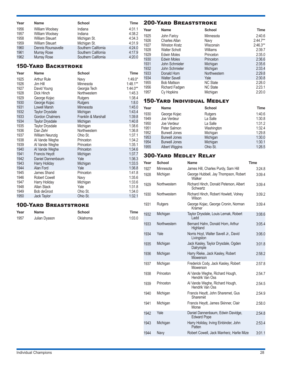| Year | <b>Name</b>            | <b>School</b>       | <b>Time</b> |
|------|------------------------|---------------------|-------------|
| 1956 | William Woolsey        | Indiana             | 4:31.1      |
| 1957 | William Woolsey        | Indiana             | 4:38.2      |
| 1958 | <b>William Steuart</b> | Michigan St.        | 4:34.3      |
| 1959 | <b>William Steuart</b> | Michigan St.        | 4:31.9      |
| 1960 | Dennis Rounsavelle     | Southern California | 4:24.0      |
| 1961 | Murray Rose            | Southern California | 4:17.9      |
| 1962 | Murray Rose            | Southern California | 4:20.0      |

### 150-Yard Backstroke

| Year | <b>Name</b>            | <b>School</b>       | <b>Time</b> |
|------|------------------------|---------------------|-------------|
| 1925 | <b>Arthur Rule</b>     | Navy                | $1:49.0*$   |
| 1926 | Jim Hill               | Minnesota           | $1:48.1**$  |
| 1927 | David Young            | Georgia Tech        | $1:44.0**$  |
| 1928 | Dick Hinch             | Northwestern        | 1:45.3      |
| 1929 | George Kojac           | Rutgers             | 1:38.4      |
| 1930 | George Kojac           | <b>Rutgers</b>      | 1:8.0       |
| 1931 | <b>Lowell Marsh</b>    | Minnesota           | 1:45.0      |
| 1932 | <b>Taylor Drysdale</b> | Michigan            | 1:43.4      |
| 1933 | <b>Gordon Chalmers</b> | Franklin & Marshall | 1:39.8      |
| 1934 | <b>Taylor Drysdale</b> | Michigan            | 1:40.8      |
| 1935 | Taylor Drysdale        | Michigan            | 1:38.6      |
| 1936 | Dan Zehr               | Northwestern        | 1:36.8      |
| 1937 | William Neunzig        | Ohio St.            | 1:37.1      |
| 1938 | Al Vande Weghe         | Princeton           | 1:34.2      |
| 1939 | Al Vande Weghe         | Princeton           | 1:35.1      |
| 1940 | Al Vande Weghe         | Princeton           | 1:34.6      |
| 1941 | <b>Francis Heydt</b>   | Michigan            | 1:37.7      |
| 1942 | Daniel Dannenbaum      | Yale                | 1:36.3      |
| 1943 | Harry Holiday          | Michigan            | 1:33.5      |
| 1944 | Alan Ford              | Yale                | 1:36.8      |
| 1945 | James Shand            | Princeton           | 1:41.8      |
| 1946 | <b>Robert Cowell</b>   | Navy                | 1:35.6      |
| 1947 | Harry Holiday          | Michigan            | 1:33.6      |
| 1948 | Allan Stack            | Yale                | 1:31.8      |
| 1949 | <b>Bob deGroot</b>     | Ohio St.            | 1:34.0      |
| 1950 | Jack Taylor            | Ohio St.            | 1:32.1      |

### 100-Yard Breaststroke

| Year | Name          | School   | Time   |  |
|------|---------------|----------|--------|--|
| 1957 | Julian Dyason | Oklahoma | 1:03.0 |  |

### 200-Yard Breaststroke

| Year | <b>Name</b>          | <b>School</b>   | Time       |
|------|----------------------|-----------------|------------|
| 1925 | John Faricy          | Minnesota       | 2:40.6     |
| 1926 | <b>Charles Allan</b> | Navy            | $2:44.7**$ |
| 1927 | <b>Winston Kratz</b> | Wisconsin       | $2:46.3**$ |
| 1928 | <b>Walter Schott</b> | Williams        | 2:39.7     |
| 1929 | <b>Edwin Moles</b>   | Princeton       | 2:35.0     |
| 1930 | <b>Edwin Moles</b>   | Princeton       | 2:36.6     |
| 1931 | John Schmieler       | Michigan        | 2:35.6     |
| 1932 | John Schmieler       | Michigan        | 2:33.4     |
| 1933 | Donald Horn          | Northwestern    | 2:29.8     |
| 1934 | <b>Walter Savell</b> | Yale            | 2:30.8     |
| 1955 | <b>Bob Mattson</b>   | <b>NC State</b> | 2:26.0     |
| 1956 | Richard Fadgen       | <b>NC State</b> | 2:23.1     |
| 1957 | Cy Hopkins           | Michigan        | 2:20.0     |

### 150-Yard Individual Medley

| Year | <b>Name</b>          | <b>School</b> | <b>Time</b> |
|------|----------------------|---------------|-------------|
| 1930 | George Kojac         | Rutgers       | 1:40.6      |
| 1949 | Joe Verdeur          | La Salle      | 1:30.8      |
| 1950 | Joe Verdeur          | La Salle      | 1:31.2      |
| 1951 | Peter Salmon         | Washington    | 1:32.4      |
| 1952 | <b>Burwell Jones</b> | Michigan      | 1:29.8      |
| 1953 | <b>Burwell Jones</b> | Michigan      | 1:30.0      |
| 1954 | <b>Burwell Jones</b> | Michigan      | 1:30.1      |
| 1955 | Albert Wiggins       | Ohio St.      | 1:26.5      |

### 300-Yard Medley Relay

| Year | School       | <b>Name</b>                                             | <b>Time</b> |
|------|--------------|---------------------------------------------------------|-------------|
| 1927 | Minnesota    | James Hill, Charles Purdy, Sam Hill                     | 3:24.8      |
| 1928 | Michigan     | George Hubbell, Jay Thompson, Robert<br>Walker          | 3:09.4      |
| 1929 | Northwestern | Richard Hinch, Donald Peterson, Albert<br>Schwartz      | 3:09.4      |
| 1930 | Northwestern | Richard Hinch, Robert Howlett, Volney<br>Wilson         | 3:09.2      |
| 1931 | Rutgers      | George Kojac, George Cronin, Norman<br>Kramer           | 3:09.4      |
| 1932 | Michigan     | Taylor Drysdale, Louis Lemak, Robert<br>Ladd            | 3:08.6      |
| 1933 | Northwestern | Bernard Hahn, Donald Horn, Arthur<br>Highland           | 3:05.4      |
| 1934 | Yale         | Norris Hoyt, Walter Savell Jr., David<br>Livingston     | 3:06.0      |
| 1935 | Michigan     | Jack Kasley, Taylor Drysdale, Ogden<br>Dalrymple        | 3:01.8      |
| 1936 | Michigan     | Harry Rieke, Jack Kasley, Robert<br>Mowerson            | 2:58.2      |
| 1937 | Michigan     | Frederick Cody, Jack Kasley, Robert<br>Mowerson         | 2:57.8      |
| 1938 | Princeton    | Al Vande Weghe, Richard Hough,<br>Hendrik Van Oss       | 2:54.7      |
| 1939 | Princeton    | Al Vande Weghe, Richard Hough,<br>Hendrik Van Oss       | 2:54.5      |
| 1940 | Michigan     | Francis Heydt, John Sharemet, Gus<br>Sharemet           | 2:54.9      |
| 1941 | Michigan     | Francis Heydt, James Skinner, Clair<br>Morse            | 2:58.0      |
| 1942 | Yale         | Daniel Dannenbaum, Edwin Davidge,<br><b>Edward Pope</b> | 2:54.8      |
| 1943 | Michigan     | Harry Holiday, Irving Einbinder, John<br>Patten         | 2:53.4      |
| 1944 | Navy         | Robert Cowell, Jack Manherz, Harlie Mize                | 3:01.1      |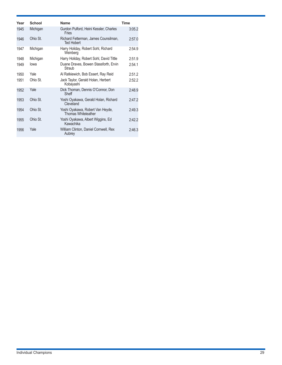| Year | School   | <b>Name</b>                                                    | <b>Time</b> |
|------|----------|----------------------------------------------------------------|-------------|
| 1945 | Michigan | Gurdon Pulford, Heini Kessler, Charles<br>Fries                | 3:05.2      |
| 1946 | Ohio St. | Richard Fetterman, James Counsilman,<br><b>Ted Hobert</b>      | 2:57.0      |
| 1947 | Michigan | Harry Holiday, Robert Sohl, Richard<br>Weinberg                | 2:54.9      |
| 1948 | Michigan | Harry Holiday, Robert Sohl, David Tittle                       | 2:51.9      |
| 1949 | lowa     | Duane Draves, Bowen Stassforth, Ervin<br>Straub                | 2:54.1      |
| 1950 | Yale     | Al Ratkiewich, Bob Essert, Ray Reid                            | 2:51.2      |
| 1951 | Ohio St. | Jack Taylor, Gerald Holan, Herbert<br>Kobayashi                | 2:52.2      |
| 1952 | Yale     | Dick Thoman, Dennis O'Connor, Don<br>Sheff                     | 2:48.9      |
| 1953 | Ohio St. | Yoshi Oyakawa, Gerald Holan, Richard<br>Cleveland              | 2:47.2      |
| 1954 | Ohio St. | Yoshi Oyakawa, Robert Van Heyde,<br><b>Thomas Whiteleather</b> | 2:49.3      |
| 1955 | Ohio St. | Yoshi Oyakawa, Albert Wiggins, Ed<br>Kawachika                 | 2:42.2      |
| 1956 | Yale     | William Clinton, Daniel Cornwell, Rex<br>Aubrey                | 2:46.3      |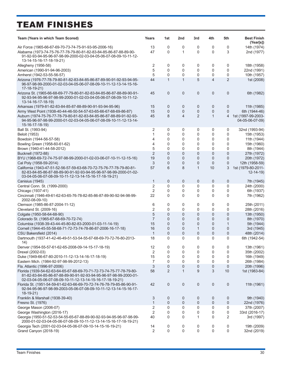# TEAM FINISHES

| Team (Years in which Team Scored)                                                                                                                                                                      | Years          | 1st            | 2nd          | 3rd            | 4th            | 5th            | <b>Best Finish</b><br>(Year[s])       |
|--------------------------------------------------------------------------------------------------------------------------------------------------------------------------------------------------------|----------------|----------------|--------------|----------------|----------------|----------------|---------------------------------------|
| Air Force (1965-66-67-69-70-73-74-75-91-93-95-2006-16)                                                                                                                                                 | 13             | 0              | 0            | 0              | 0              | 0              | 14th (1974)                           |
| Alabama (1973-74-75-76-77-78-79-80-81-82-83-84-85-86-87-88-89-90-<br>91-92-93-94-95-96-97-98-99-2000-02-03-04-05-06-07-08-09-10-11-12-<br>13-14-15-16-17-18-19-21)                                     | 47             | $\mathbf 0$    | 1            | 0              | 0              | 3              | 2nd (1977)                            |
| Allegheny (1956-58)                                                                                                                                                                                    | 2              | 0              | 0            | 0              | 0              | 0              | 18th (1958)                           |
| American (1990-91-94-96-2003)                                                                                                                                                                          | 5              | 0              | 0            | 0              | 0              | 0              | 22nd (1991)                           |
| Amherst (1942-53-55-56-57)                                                                                                                                                                             | 5              | $\mathbf 0$    | 0            | 0              | 0              | 0              | 10th (1957)                           |
| Arizona (1976-77-78-79-80-81-82-83-84-85-86-87-89-90-91-92-93-94-95-<br>96-97-98-99-2000-01-02-03-04-05-06-07-08-09-10-11-12-13-14-15-16-<br>17-18-19-21)                                              | 44             | $\mathbf{1}$   | $\mathbf{1}$ | 5              | 4              | $\overline{2}$ | 1st (2008)                            |
| Arizona St. (1965-66-68-69-77-79-80-81-82-83-84-85-86-87-88-89-90-91-<br>92-93-94-95-96-97-98-99-2000-01-02-03-04-05-06-07-08-09-10-11-12-<br>13-14-16-17-18-19)                                       | 45             | $\mathbf 0$    | 0            | 0              | $\mathbf{0}$   | $\overline{0}$ | 6th (1982)                            |
| Arkansas (1979-81-82-83-84-85-87-88-89-90-91-93-94-95-96)                                                                                                                                              | 15             | 0              | 0            | 0              | 0              | 0              | 11th (1985)                           |
| Army West Point (1938-40-44-46-50-54-57-63-65-66-67-68-69-86-87)                                                                                                                                       | 15             | 0              | 0            | 0              | $\mathbf 0$    | 0              | 6th (1944-46)                         |
| Auburn (1974-75-76-77-78-79-80-81-82-83-84-85-86-87-88-89-91-92-93-<br>94-95-96-97-98-99-2000-01-02-03-04-05-06-07-08-09-10-11-12-13-14-<br>15-16-17-18-19)                                            | 45             | 8              | 4            | $\overline{2}$ | $\mathbf{1}$   | 4              | 1st (1997-99-2003-<br>04-05-06-07-09) |
| Ball St. (1993-94)                                                                                                                                                                                     | 2              | 0              | 0            | 0              | 0              | 0              | 32nd (1993-94)                        |
| <b>Beloit (1953)</b>                                                                                                                                                                                   | 1              | 0              | 0            | 0              | 0              | 0              | 15th (1953)                           |
| Bowdoin (1944-56-57-58)                                                                                                                                                                                | 4              | 0              | 0            | 0              | 0              | 0              | 11th (1944)                           |
| Bowling Green (1958-60-61-62)                                                                                                                                                                          | 4              | $\mathbf{0}$   | 0            | 0              | 0              | 0              | 15th (1960)                           |
| Brown (1940-41-44-58-2012)                                                                                                                                                                             | 5              | 0              | 0            | 0              | 0              | 0              | 8th (1944)                            |
| Bucknell (1972-88)                                                                                                                                                                                     | $\overline{2}$ | $\overline{0}$ | 0            | $\overline{0}$ | $\overline{0}$ | $\overline{0}$ | 27th (1972)                           |
| BYU (1968-69-72-74-75-97-98-99-2000-01-02-03-06-07-10-11-12-15-16)                                                                                                                                     | 19             | 0              | 0            | 0              | $\mathbf 0$    | 0              | 20th (1972)                           |
| Cal Poly (1958-59-2014)                                                                                                                                                                                | 3              | 0              | $\mathbf 0$  | 0              | $\mathbf{0}$   | $\overline{0}$ | 12th (1958-59)                        |
| California (1943-47-51-52-56-57-59-63-68-70-72-75-76-77-78-79-80-81-<br>82-83-84-85-86-87-88-89-90-91-92-93-94-95-96-97-98-99-2000-01-02-<br>03-04-05-06-07-08-09-10-11-12-13-14-15-16-17-18-19-21)    | 57             | 6              | 8            | $\mathbf{1}$   | 10             | 3              | 1st (1979-80-2011-<br>$12 - 14 - 19$  |
| Canisius (1945)                                                                                                                                                                                        | 1              | $\mathbf 0$    | 0            | 0              | 0              | $\mathbf 0$    | 7th (1945)                            |
| Central Conn. St. (1999-2000)                                                                                                                                                                          | 2              | 0              | 0            | 0              | 0              | 0              | 24th (2000)                           |
| Chicago (1937-41)                                                                                                                                                                                      | $\overline{2}$ | 0              | 0            | 0              | 0              | 0              | 6th (1937)                            |
| Cincinnati (1946-49-61-62-63-65-76-78-82-85-86-87-89-90-92-94-98-99-<br>2002-08-09-10)                                                                                                                 | 22             | 0              | 0            | 0              | 0              | 0              | 7th (1962)                            |
| Clemson (1985-86-87-2004-11-12)                                                                                                                                                                        | 6              | 0              | 0            | 0              | 0              | 0              | 25th (2011)                           |
| Cleveland St. (2009-16)                                                                                                                                                                                | 2              | $\mathbf 0$    | 0            | 0              | 0              | 0              | 28th (2016)                           |
| Colgate (1950-58-64-68-90)                                                                                                                                                                             | 5              | $\overline{0}$ | 0            | 0              | $\overline{0}$ | $\overline{0}$ | 13th (1950)                           |
| Colorado St. (1965-67-68-69-70-72-74)                                                                                                                                                                  | $\overline{7}$ | $\overline{0}$ | 0            | 0              | $\mathbf{0}$   | 0              | 8th (1970)                            |
| Columbia (1938-39-43-44-45-80-82-83-2000-01-03-11-14-19)                                                                                                                                               | 15             | $\overline{0}$ | 0            | 0              | $\overline{0}$ | 1              | 5th (1944)                            |
| Cornell (1944-45-55-58-68-71-72-73-74-78-86-87-2006-16-17-18)                                                                                                                                          | 16             | 0              | 0            | $\mathbf 1$    | 0              | $\overline{0}$ | 3rd (1945)                            |
| CSU Bakersfield (2014)                                                                                                                                                                                 | $\mathbf 1$    | 0              | 0            | 0              | $\mathbf 0$    | 0              | 48th (2014)                           |
| Dartmouth (1937-41-42-46-49-51-53-54-55-67-68-69-70-72-76-80-2013-<br>14)                                                                                                                              | 18             | 0              | 0            | 0              | $\Omega$       | 0              | 6th (1942-54)                         |
| Denver (1954-55-57-61-62-65-2008-09-14-15-17-18-19)                                                                                                                                                    | 12             | 0              | 0            | 0              | 0              | 0              | 13th (1961)                           |
| Drexel (2002-03)                                                                                                                                                                                       | 2              | 0              | $\mathbf 0$  | 0              | 0              | 0              | 35th (2002)                           |
| Duke (1949-66-67-80-2010-11-12-13-14-16-17-18-19)                                                                                                                                                      | 15             | $\mathbf 0$    | $\mathbf 0$  | 0              | 0              | 0              | 16th (1949)                           |
| Eastern Mich. (1984-92-97-98-99-2012-13)                                                                                                                                                               | 7              | $\Omega$       | $\mathbf 0$  | 0              | 0              | $\mathbf 0$    | 26th (1984)                           |
| Fla. Atlantic (1996-97-2006)                                                                                                                                                                           | 3              | $\mathbf 0$    | 0            | 0              | 0              | $\mathbf 0$    | 20th (1996)                           |
| Florida (1939-54-62-63-64-65-67-68-69-70-71-72-73-74-75-77-78-79-80-<br>81-82-83-84-85-86-87-88-89-90-91-92-93-94-95-96-97-98-99-2000-01-<br>02-03-04-05-06-07-08-09-10-11-12-13-14-15-16-17-18-19-21) | 58             | $\overline{2}$ | $\mathbf{1}$ | 9              | 3              | 10             | 1st (1983-84)                         |
| Florida St. (1951-54-59-61-62-63-66-69-70-72-74-76-78-79-85-86-90-91-<br>92-94-95-96-97-98-99-2003-05-06-07-08-09-10-11-12-13-14-15-16-17-<br>$18-19-21$                                               | 42             | $\mathbf 0$    | $\pmb{0}$    | 0              | 0              | $\mathbf 0$    | 11th (1961)                           |
| Franklin & Marshall (1938-39-40)                                                                                                                                                                       | 3              | 0              | 0            | 0              | 0              | 0              | 9th (1940)                            |
| Fresno St. (1976)                                                                                                                                                                                      | $\mathbf{1}$   | $\mathbf{0}$   | 0            | 0              | $\mathbf 0$    | 0              | 22nd (1976)                           |
| George Mason (2006-07)                                                                                                                                                                                 | 2              | 0              | 0            | 0              | 0              | 0              | 37th (2007)                           |
| George Washington (2016-17)                                                                                                                                                                            | $\overline{2}$ | 0              | 0            | 0              | 0              | 0              | 33rd (2016-17)                        |
| Georgia (1950-51-52-53-54-55-65-67-88-89-90-92-93-94-95-96-97-98-99-<br>2000-01-02-03-04-05-06-07-08-09-10-11-12-13-14-15-16-17-18-19-21)                                                              | 40             | $\Omega$       | $\mathbf 0$  | $\mathbf{1}$   | $\Omega$       | 2              | 3rd (1997)                            |
| Georgia Tech (2001-02-03-04-05-06-07-09-10-14-15-16-19-21)                                                                                                                                             | 14             | 0              | 0            | 0              | 0              | 0              | 19th (2009)                           |
| Grand Canyon (2018-19)                                                                                                                                                                                 | 2              | 0              | 0            | 0              | 0              | 0              | 32nd (2019)                           |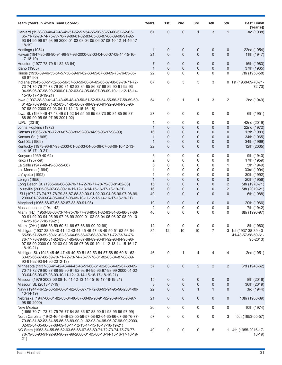| Team (Years in which Team Scored)                                                                                                                                                                                                                                                            | Years              | 1st                              | 2nd                           | 3rd                         | 4th                 | 5th                              | <b>Best Finish</b><br>(Year[s])                         |
|----------------------------------------------------------------------------------------------------------------------------------------------------------------------------------------------------------------------------------------------------------------------------------------------|--------------------|----------------------------------|-------------------------------|-----------------------------|---------------------|----------------------------------|---------------------------------------------------------|
| Harvard (1938-39-40-42-46-49-51-52-53-54-55-56-58-59-60-61-62-63-<br>65-71-72-73-74-75-77-78-79-80-81-82-83-85-86-87-88-89-90-91-92-<br>93-94-95-96-97-98-99-2000-01-02-03-04-05-06-07-08-10-12-14-16-17-<br>$18-19$                                                                         | 61                 | $\overline{0}$                   | 0                             | $\mathbf 1$                 | 3                   | $\mathbf 1$                      | 3rd (1938)                                              |
| Hastings (1954)<br>Hawaii (1947-85-86-90-94-96-97-98-2000-02-03-04-06-07-08-14-15-16-<br>$17-18-19$                                                                                                                                                                                          | $\mathbf 1$<br>21  | $\mathbf 0$<br>$\overline{0}$    | 0<br>$\overline{0}$           | $\mathbf 0$<br>$\mathbf{0}$ | 0<br>$\overline{0}$ | 0<br>$\mathbf{0}$                | 22nd (1954)<br>11th (1947)                              |
| Houston (1977-78-79-81-82-83-84)<br>Idaho (1965)                                                                                                                                                                                                                                             | 7<br>$\mathbf{1}$  | $\mathbf{0}$<br>$\overline{0}$   | $\mathbf 0$<br>0              | $\mathbf 0$<br>$\mathbf 0$  | 0<br>$\mathbf 0$    | 0<br>0                           | 16th (1983)<br>37th (1965)                              |
| Illinois (1938-39-46-53-54-57-58-59-61-62-63-65-67-68-69-73-76-83-85-<br>86-87-90)                                                                                                                                                                                                           | 22                 | $\Omega$                         | 0                             | $\mathbf 0$                 | 0                   | 0                                | 7th (1953-58)                                           |
| Indiana (1945-50-51-52-55-56-57-58-59-60-64-65-66-67-68-69-70-71-72-<br>73-74-75-76-77-78-79-80-81-82-83-84-85-86-87-88-89-90-91-92-93-<br>94-95-96-97-98-99-2000-01-02-03-04-05-06-07-08-09-10-11-12-13-14-<br>15-16-17-18-19-21)                                                           | 67                 | 6                                | 5                             | 3                           | 3                   |                                  | 0 1st (1968-69-70-71-<br>72-73)                         |
| lowa (1937-38-39-41-42-43-45-48-49-50-51-52-53-54-55-56-57-58-59-60-<br>61-62-78-79-80-81-82-83-84-85-86-87-88-89-90-91-92-93-94-95-96-<br>97-98-99-2000-02-03-04-11-12-13-15-16-18)                                                                                                         | 54                 | 0                                | 1                             | 1                           | 3                   | 2                                | 2nd (1949)                                              |
| lowa St. (1939-46-47-48-49-51-52-54-55-56-65-68-73-80-84-85-86-87-<br>88-89-90-95-96-97-98-2001-02)                                                                                                                                                                                          | 27                 | 0                                | 0                             | 0                           | 0                   | 0                                | 6th (1951)                                              |
| <b>IUPUI (2019)</b>                                                                                                                                                                                                                                                                          | 1                  | 0                                | 0                             | 0                           | 0                   | 0                                | 42nd (2019)                                             |
| Johns Hopkins (1972)                                                                                                                                                                                                                                                                         | $\mathbf{1}$       | $\overline{0}$                   | $\overline{0}$                | $\overline{0}$              | 0                   | $\overline{0}$                   | 22nd (1972)                                             |
| Kansas (1966-69-70-72-83-87-88-89-92-93-94-95-96-97-98-99)                                                                                                                                                                                                                                   | 16                 | $\overline{0}$                   | $\mathbf 0$                   | $\mathbf 0$                 | 0                   | 0                                | 13th (1989)                                             |
| Kansas St. (1965)                                                                                                                                                                                                                                                                            | $\mathbf{1}$       | $\overline{0}$                   | $\overline{0}$                | 0                           | 0                   | 0                                | 34th (1965)                                             |
| Kent St. (1969)<br>Kentucky (1973-96-97-98-2000-01-02-03-04-05-06-07-08-09-10-12-13-                                                                                                                                                                                                         | $\mathbf{1}$<br>22 | $\overline{0}$<br>$\Omega$       | $\mathbf 0$<br>$\overline{0}$ | $\mathbf 0$<br>$\Omega$     | 0<br>$\overline{0}$ | 0<br>$\Omega$                    | 34th (1969)<br>12th (2005)                              |
| 14-16-17-19-21)                                                                                                                                                                                                                                                                              |                    |                                  |                               |                             |                     |                                  |                                                         |
| Kenyon (1939-40-62)                                                                                                                                                                                                                                                                          | 3                  | 0                                | 0                             | 0                           | 0                   | 0                                | 9th (1940)                                              |
| Knox (1957-59)                                                                                                                                                                                                                                                                               | $\overline{2}$     | $\Omega$                         | 0                             | $\mathbf 0$                 | 0                   | 0                                | 17th (1959)                                             |
| La Salle (1947-48-49-50-55-86)                                                                                                                                                                                                                                                               | 6                  | 0                                | 0                             | 0                           | 0                   | 1                                | 5th (1949)                                              |
| La.-Monroe (1994)                                                                                                                                                                                                                                                                            | $\mathbf 1$        | $\Omega$                         | 0                             | $\mathbf 0$                 | 0                   | 0                                | 33rd (1994)                                             |
| Lafayette (1992)                                                                                                                                                                                                                                                                             | 1                  | $\mathbf{0}$                     | 0                             | $\mathbf 0$                 | 0                   | 0                                | 30th (1992)                                             |
| Lehigh (1956)                                                                                                                                                                                                                                                                                | $\mathbf{1}$       | $\overline{0}$                   | $\overline{0}$                | $\overline{0}$              | 0                   | $\overline{0}$                   | 20th (1956)                                             |
| Long Beach St. (1965-66-68-69-70-71-72-76-77-78-79-80-81-82-88)<br>Louisville (2005-06-07-08-09-10-11-12-13-14-15-16-17-18-19-21)                                                                                                                                                            | 15<br>16           | $\overline{0}$<br>$\overline{0}$ | $\mathbf 0$<br>$\overline{0}$ | 0<br>0                      | 0<br>0              | $\overline{2}$<br>$\overline{2}$ | 5th (1970-71)<br>5th (2019-21)                          |
| LSU (1972-73-74-77-78-79-86-87-88-89-90-91-92-93-94-95-96-97-98-99-<br>2000-01-02-03-04-05-06-07-08-09-10-11-12-13-14-16-17-18-19-21)                                                                                                                                                        | 40                 | $\Omega$                         | $\overline{0}$                | $\mathbf{0}$                | $\overline{0}$      | $\Omega$                         | 6th (1988)                                              |
| Maryland (1965-66-67-68-82-87-88-89-91-98)                                                                                                                                                                                                                                                   | 10                 | $\mathbf 0$                      | 0                             | $\mathbf 0$                 | 0                   | 0                                | 20th (1966)                                             |
| Massachusetts (1941-42)                                                                                                                                                                                                                                                                      | 2                  | 0                                | 0                             | 0                           | 0                   | 0                                | 7th (1942)                                              |
| Miami (FL) (1950-58-66-73-74-75-76-77-78-80-81-82-83-84-85-86-87-88-<br>90-91-92-93-94-95-96-97-98-99-2000-01-02-03-04-05-06-07-08-09-10-<br>14-15-16-17-18-19-21)                                                                                                                           | 46                 | $\Omega$                         | 0                             | $\mathbf 0$                 | 0                   | 0                                | 8th (1996-97)                                           |
| Miami (OH) (1956-58-59-60-61-66-67-68-89-90-92-99)                                                                                                                                                                                                                                           | 12                 | 0                                | 0                             | 0                           | 0                   |                                  | 8th (1960)                                              |
| Michigan (1937-38-39-40-41-42-43-44-45-46-47-48-49-50-51-52-53-54-<br>55-56-57-58-59-60-61-62-63-64-65-66-67-68-69-70-71-72-73-74-75-<br>76-77-78-79-80-81-82-83-84-85-86-87-88-89-90-91-92-93-94-95-96-<br>97-98-99-2000-01-02-03-04-05-06-07-08-09-10-11-12-13-14-15-16-17-<br>$18-19-21)$ | 84                 | 12                               | 10                            | 10                          | $\overline{7}$      |                                  | 3 1st (1937-38-39-40-<br>41-48-57-58-59-61-<br>95-2013) |
| Michigan St. (1943-45-46-47-48-49-50-51-52-53-54-57-58-59-60-61-62-<br>63-65-66-67-68-69-70-71-72-73-74-76-77-78-81-82-83-84-87-88-89-<br>90-91-92-93-94-96-2012-13)                                                                                                                         | 46                 | 0                                | $\mathbf{1}$                  | 4                           | 4                   | 4                                | 2nd (1951)                                              |
| Minnesota (1937-38-41-42-43-44-45-46-51-60-61-62-63-64-65-67-68-69-<br>70-71-72-79-80-87-88-89-90-91-92-93-94-95-96-97-98-99-2000-01-02-<br>03-04-05-06-07-08-09-10-11-12-13-14-15-16-17-18-19-21)                                                                                           | 57                 | $\mathbf 0$                      | 0                             | 2                           | 2                   | 2                                | 3rd (1943-62)                                           |
| Missouri (1979-2003-06-08-10-11-12-13-14-15-16-17-18-19-21)                                                                                                                                                                                                                                  | 15                 | $\overline{0}$                   | 0                             | 0                           | 0                   | 0                                | 8th (2016)                                              |
| Missouri St. (2013-17-19)                                                                                                                                                                                                                                                                    | 3                  | $\overline{0}$                   | 0                             | $\mathbf 0$                 | 0                   | 0                                | 36th (2019)                                             |
| Navy (1944-46-52-53-59-60-61-62-66-67-71-72-86-93-94-95-96-2004-09-<br>$10-14-19$                                                                                                                                                                                                            | 22                 | $\Omega$                         | $\mathbf{0}$                  | $\mathbf{1}$                | $\mathbf{1}$        | $\mathbf{0}$                     | 3rd (1944)                                              |
| Nebraska (1947-66-81-82-83-84-86-87-88-89-90-91-92-93-94-95-96-97-<br>98-99-2000)                                                                                                                                                                                                            | 21                 | $\mathbf{0}$                     | 0                             | $\mathbf 0$                 | 0                   | 0                                | 10th (1988-89)                                          |
| New Mexico                                                                                                                                                                                                                                                                                   | 20                 | 0                                | 0                             | 0                           | 0                   | 0                                | 10th (1974)                                             |
| (1965-70-71-73-74-75-76-77-84-85-86-87-88-90-91-93-95-96-97-99)<br>North Carolina (1942-46-48-49-53-55-56-57-58-62-64-65-66-67-68-76-77-<br>79-80-81-82-83-84-85-86-88-89-90-91-92-93-94-95-96-97-98-99-2000-                                                                                | 57                 | 0                                | 0                             | 0                           | 0                   | 3                                | 5th (1953-55-57)                                        |
| 02-03-04-05-06-07-08-09-10-11-12-13-14-15-16-17-18-19-21)<br>NC State (1953-54-55-56-62-63-65-66-67-68-69-71-72-73-74-75-76-77-<br>78-79-85-90-91-92-93-96-97-99-2000-01-05-06-13-14-15-16-17-18-19-                                                                                         | 40                 | 0                                | 0                             | 0                           | 5                   |                                  | 1 4th (1955-2016-17-<br>18-19)                          |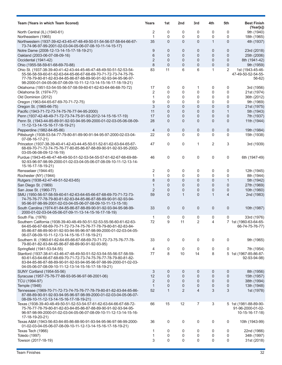| Team (Years in which Team Scored)                                                                                                                                                                                                                                          | Years          | 1st            | 2nd             | 3rd            | 4th            | 5th            | <b>Best Finish</b><br>(Year[s])                               |
|----------------------------------------------------------------------------------------------------------------------------------------------------------------------------------------------------------------------------------------------------------------------------|----------------|----------------|-----------------|----------------|----------------|----------------|---------------------------------------------------------------|
| North Central (IL) (1940-61)                                                                                                                                                                                                                                               | 2              | 0              | 0               | 0              | 0              | 0              | 9th (1940)                                                    |
| Northeastern (1965)                                                                                                                                                                                                                                                        | 1              | 0              | 0               | 0              | 0              | 0              | 18th (1965)                                                   |
| Northwestern (1937-39-42-43-45-47-48-49-50-51-54-56-57-58-64-66-67-<br>73-74-96-97-99-2001-02-03-04-05-06-07-08-10-11-14-15-17)                                                                                                                                            | 35             | $\Omega$       | $\mathbf{0}$    | $\Omega$       | $\mathbf{1}$   | $\overline{0}$ | 4th (1937)                                                    |
| Notre Dame (2008-12-13-14-15-17-18-19-21)                                                                                                                                                                                                                                  | 9              | $\mathbf{0}$   | 0               | 0              | 0              | 0              | 23rd (2018)                                                   |
| Oakland (2003-06-07-08-09-16)                                                                                                                                                                                                                                              | 6              | $\overline{0}$ | 0               | $\overline{0}$ | $\overline{0}$ | $\overline{0}$ | 25th (2006)                                                   |
| Occidental (1941-42)                                                                                                                                                                                                                                                       | $\overline{2}$ | $\overline{0}$ | 0               | $\mathbf{0}$   | 0              | 0              | 8th (1941-42)                                                 |
| Ohio (1955-58-59-61-68-69-70-88)                                                                                                                                                                                                                                           | 8              | $\overline{0}$ | $\overline{0}$  | $\mathbf 0$    | $\overline{0}$ | $\overline{0}$ | 9th (1959)                                                    |
| Ohio St. (1937-38-39-40-41-42-43-44-45-46-47-48-49-50-51-52-53-54-<br>55-56-58-59-60-61-62-63-64-65-66-67-68-69-70-71-72-73-74-75-76-<br>77-78-79-80-81-82-83-84-85-86-87-88-89-90-91-92-93-94-95-96-97-<br>98-2000-01-04-05-06-07-08-09-10-11-12-13-14-15-16-17-18-19-21) | 83             | 11             | 6               | 6              | 1              | 2              | 1st (1943-45-46-<br>47-49-50-52-54-55-<br>56-62)              |
| Oklahoma (1951-53-54-55-56-57-58-59-60-61-62-63-64-66-68-70-72)                                                                                                                                                                                                            | 17             | 0              | 0               | 1              | 0              | 0              | 3rd (1956)                                                    |
| Oklahoma St. (1974-77)                                                                                                                                                                                                                                                     | 2              | $\mathbf 0$    | 0               | 0              | 0              | 0              | 21st (1974)                                                   |
| Old Dominion (2012)                                                                                                                                                                                                                                                        | 1              | $\mathbf{0}$   | 0               | 0              | 0              | 0              | 36th (2012)                                                   |
| Oregon (1963-64-65-67-69-70-71-72-75)                                                                                                                                                                                                                                      | 9              | $\mathbf 0$    | 0               | 0              | 0              | 0              | 9th (1969)                                                    |
| Oregon St. (1965-66-75)                                                                                                                                                                                                                                                    | 3              | $\overline{0}$ | 0               | $\overline{0}$ | $\overline{0}$ | $\overline{0}$ | 21st (1975)                                                   |
| Pacific (1943-71-72-73-74-75-76-77-94-95-2000)                                                                                                                                                                                                                             | 11             | $\overline{0}$ | 0               | $\overline{0}$ | 0              | $\mathbf{1}$   | 5th (1943)                                                    |
| Penn (1937-42-48-49-71-72-73-74-75-91-93-2012-14-15-16-17-19)                                                                                                                                                                                                              | 17             | 0              | 0               | $\overline{0}$ | 0              | $\overline{0}$ | 7th (1937)                                                    |
| Penn St. (1943-44-85-89-91-92-93-94-95-99-2000-01-02-03-05-06-08-09-<br>11-12-13-14-15-16-17-18-19-21)                                                                                                                                                                     | 28             | 0              | 0               | $\overline{0}$ | $\overline{0}$ | $\overline{0}$ | 11th (1944)                                                   |
| Pepperdine (1982-84-85-86)                                                                                                                                                                                                                                                 | 4              | $\mathbf 0$    | 0               | $\mathbf 0$    | 0              | $\mathbf{0}$   | 19th (1984)                                                   |
| Pittsburgh (1938-53-54-77-79-80-81-89-90-91-94-95-97-2000-02-03-04-<br>07-08-16-17-21)                                                                                                                                                                                     | 22             | 0              | 0               | 0              | 0              | 0              | 15th (1938)                                                   |
| Princeton (1937-38-39-40-41-42-43-44-45-50-51-52-61-62-63-64-65-67-<br>68-69-70-71-72-74-75-76-77-80-85-86-87-88-89-90-91-92-93-95-2002-<br>03-05-06-08-09-12-16-19)                                                                                                       | 47             | $\mathbf 0$    | 0               | $\mathbf{1}$   | 2              | 3              | 3rd (1939)                                                    |
| Purdue (1943-45-46-47-48-49-50-51-52-53-54-55-57-61-62-67-68-69-88-<br>92-93-96-97-98-99-2000-01-02-03-04-05-06-07-08-09-10-11-12-13-14-<br>15-16-17-18-19-21)                                                                                                             | 46             | 0              | 0               | 0              | 0              | 0              | 6th (1947-49)                                                 |
| Rensselaer (1944-45)                                                                                                                                                                                                                                                       | 2              | 0              | 0               | 0              | 0              | 0              | 12th (1945)                                                   |
| Rochester (NY) (1944)                                                                                                                                                                                                                                                      | 1              | $\mathbf 0$    | 0               | 0              | 0              | 0              | 8th (1944)                                                    |
| Rutgers (1938-42-47-49-51-52-63-65)                                                                                                                                                                                                                                        | 8              | $\overline{0}$ | 0               | $\overline{0}$ | 0              | $\mathbf{1}$   | 5th (1942)                                                    |
| San Diego St. (1969)                                                                                                                                                                                                                                                       | $\mathbf{1}$   | $\overline{0}$ | 0               | $\overline{0}$ | 0              | $\overline{0}$ | 27th (1969)                                                   |
| San Jose St. (1960-77)                                                                                                                                                                                                                                                     | $\overline{2}$ | 0              | 0               | 0              | 0              | $\mathbf 0$    | 10th (1960)                                                   |
| SMU (1950-56-57-58-59-60-61-62-63-64-65-66-67-68-69-70-71-72-73-<br>74-75-76-77-78-79-80-81-82-83-84-85-86-87-88-89-90-91-92-93-94-<br>95-96-97-98-99-2001-02-03-04-05-06-07-08-09-10-11-13-15-18)                                                                         | 59             | $\overline{0}$ | $\mathbf{1}$    | $\overline{0}$ | $\mathbf{1}$   | 4              | 2nd (1983)                                                    |
| South Carolina (1974-81-84-85-86-87-88-89-90-91-92-93-94-95-98-99-<br>2000-01-02-03-04-05-06-07-09-11-13-14-15-16-17-18-19)                                                                                                                                                | 33             | $\mathbf{0}$   | 0               | $\mathbf 0$    | 0              | $\mathbf 0$    | 10th (1987)                                                   |
| South Fla. (1976)<br>Southern California (1938-39-40-48-49-50-51-52-53-55-56-60-61-62-63-                                                                                                                                                                                  | 1<br>72        | 0<br>9         | 0<br>11         | 0<br>2         | 0<br>4         | 0              | 33rd (1976)<br>7 1st (1960-63-64-65-                          |
| 64-65-66-67-68-69-70-71-72-73-74-75-76-77-78-79-80-81-82-83-84-<br>85-86-87-88-89-90-91-92-93-94-95-96-97-98-99-2000-01-02-03-04-05-<br>06-07-08-09-10-11-12-13-14-15-16-17-18-19-21)                                                                                      |                |                |                 |                |                |                | $66 - 74 - 75 - 76 - 77$                                      |
| Southern III. (1960-61-62-64-65-66-67-68-69-70-71-72-73-75-76-77-78-<br>79-80-81-82-83-84-85-86-87-88-89-90-91-92-93-95)                                                                                                                                                   | 33             | 0              | 0               | 0              | 0              | 0              | 9th (1965)                                                    |
| Springfield (1941-53-54-55)                                                                                                                                                                                                                                                | 4              | 0              | 0               | 0              | 0              | 0              | 7th (1954)                                                    |
| Stanford (1937-38-41-43-46-47-48-49-50-51-52-53-54-55-56-57-58-59-<br>60-61-63-64-66-67-68-69-70-71-72-73-74-75-76-77-78-79-80-81-82-<br>83-84-85-86-87-88-89-90-91-92-93-94-95-96-97-98-99-2000-01-02-03-<br>04-05-06-07-08-09-10-11-12-13-14-15-16-17-18-19-21)          | 77             | 8              | 10 <sup>°</sup> | 14             | 8              |                | 5 1st (1967-85-86-87-<br>92-93-94-98)                         |
| SUNY Cortland (1954-55-56)                                                                                                                                                                                                                                                 | 3              | 0              | 0               | 0              | 0              | 0              | 8th (1956)                                                    |
| Syracuse (1957-75-76-77-88-93-95-96-97-98-2001-06)                                                                                                                                                                                                                         | 12             | $\mathbf 0$    | 0               | 0              | 0              | $\mathbf 0$    | 15th (1957)                                                   |
| TCU (1994-97)                                                                                                                                                                                                                                                              | 2              | $\mathbf 0$    | 0               | 0              | 0              | 0              | 38th (1994)                                                   |
| Temple (1948)                                                                                                                                                                                                                                                              | $\mathbf{1}$   | $\mathbf{0}$   | 0               | 0              | 0              | $\mathbf 0$    | 13th (1948)                                                   |
| Tennessee (1969-70-71-72-73-74-75-76-77-78-79-80-81-82-83-84-85-86-<br>87-88-89-90-91-92-93-94-95-96-97-98-99-2000-01-02-03-04-05-06-07-<br>08-09-10-11-12-13-14-15-16-17-18-19-21)                                                                                        | 52             | $\mathbf{1}$   | 2               | $\overline{4}$ | 3              | 3              | 1st (1978)                                                    |
| Texas (1938-39-40-48-49-50-51-52-53-54-57-61-62-63-64-66-67-68-72-<br>75-76-77-78-79-80-81-82-83-84-85-86-87-88-89-90-91-92-93-94-95-<br>96-97-98-99-2000-01-02-03-04-05-06-07-08-09-10-11-12-13-14-15-16-<br>17-18-19-20-21)                                              | 66             | 15             | 12              | 7              | 3              |                | 5 1st (1981-88-89-90-<br>91-96-2000-01-02-<br>10-15-16-17-18) |
| Texas A&M (1943-56-83-84-85-86-88-90-91-93-94-95-96-97-98-99-2000-<br>01-02-03-04-05-06-07-08-09-10-11-12-13-14-15-16-17-18-19-21)                                                                                                                                         | 36             | 0              | 0               | 0              | 0              | 0              | 10th (1943-99)                                                |
| Texas Tech (1966)                                                                                                                                                                                                                                                          | 1              | 0              | 0               | 0              | 0              | 0              | 22nd (1966)                                                   |
| <b>Toledo</b> (1997)                                                                                                                                                                                                                                                       | 1              | 0              | 0               | 0              | 0              | 0              | 34th (1997)                                                   |
| Towson (2017-18-19)                                                                                                                                                                                                                                                        | 3              | 0              | 0               | 0              | 0              | 0              | 31st (2018)                                                   |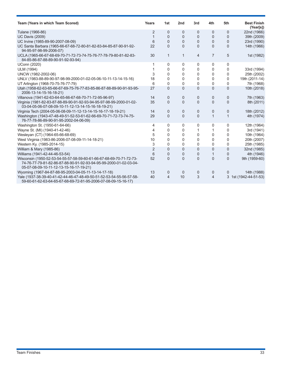| Team (Years in which Team Scored)                                                                                                                                                   | Years          | 1st            | 2 <sub>nd</sub> | 3rd          | 4th            | 5th            | <b>Best Finish</b><br>(Year[s]) |
|-------------------------------------------------------------------------------------------------------------------------------------------------------------------------------------|----------------|----------------|-----------------|--------------|----------------|----------------|---------------------------------|
| Tulane (1966-86)                                                                                                                                                                    | 2              | 0              | 0               | 0            | 0              | 0              | 22nd (1966)                     |
| <b>UC Davis (2009)</b>                                                                                                                                                              | 1              | $\Omega$       | 0               | 0            | $\mathbf{0}$   | $\Omega$       | 39th (2009)                     |
| UC Irvine (1985-89-90-2007-08-09)                                                                                                                                                   | 6              | $\mathbf{0}$   | 0               | $\Omega$     | $\Omega$       | $\Omega$       | 23rd (1990)                     |
| UC Santa Barbara (1965-66-67-68-72-80-81-82-83-84-85-87-90-91-92-<br>94-95-97-98-99-2006-07)                                                                                        | 22             | $\Omega$       | $\Omega$        | $\Omega$     | $\Omega$       | $\Omega$       | 14th (1966)                     |
| UCLA (1965-66-67-68-69-70-71-72-73-74-75-76-77-78-79-80-81-82-83-<br>84-85-86-87-88-89-90-91-92-93-94)                                                                              | 30             | $\mathbf{1}$   | 1               | 4            | $\overline{7}$ | 5              | 1st (1982)                      |
| <b>UConn (2020)</b>                                                                                                                                                                 |                | $\mathbf 0$    | 0               | 0            | 0              | 0              |                                 |
| <b>ULM (1994)</b>                                                                                                                                                                   |                | 0              | 0               | 0            | 0              | 0              | 33rd (1994)                     |
| UNCW (1982-2002-06)                                                                                                                                                                 | 3              | $\Omega$       | 0               | 0            | 0              | 0              | 25th (2002)                     |
| UNLV (1983-88-89-90-97-98-99-2000-01-02-05-06-10-11-13-14-15-16)                                                                                                                    | 18             | $\Omega$       | 0               | 0            | 0              | 0              | 19th (2011-14)                  |
| UT Arlington (1968-70-75-76-77-79)                                                                                                                                                  | 6              | 0              | 0               | 0            | 0              | 0              | 7th (1968)                      |
| Utah (1958-62-63-65-66-67-69-75-76-77-83-85-86-87-88-89-90-91-93-95-<br>2006-13-14-15-16-18-21)                                                                                     | 27             | $\Omega$       | 0               | $\Omega$     | 0              | $\overline{0}$ | 10th (2018)                     |
| Villanova (1941-62-63-64-65-66-67-68-70-71-72-95-96-97)                                                                                                                             | 14             | 0              | 0               | 0            | 0              | 0              | 7th (1963)                      |
| Virginia (1981-82-83-87-88-89-90-91-92-93-94-95-97-98-99-2000-01-02-<br>03-04-05-06-07-08-09-10-11-12-13-14-15-16-18-19-21)                                                         | 35             | 0              | 0               | $\mathbf{0}$ | $\Omega$       | $\overline{0}$ | 8th (2011)                      |
| Virginia Tech (2004-05-06-08-09-11-12-13-14-15-16-17-18-19-21)                                                                                                                      | 14             | 0              | 0               | 0            | 0              | 0              | 18th (2012)                     |
| Washington (1943-47-48-49-51-52-53-61-62-66-69-70-71-72-73-74-75-<br>76-77-78-86-89-90-91-95-2002-04-06-09)                                                                         | 29             | $\Omega$       | 0               | $\Omega$     | $\mathbf{1}$   | $\mathbf{1}$   | 4th (1974)                      |
| Washington St. (1950-61-64-66)                                                                                                                                                      | 4              | 0              | 0               | 0            | 0              | 0              | 12th (1964)                     |
| Wayne St. (MI) (1940-41-42-46)                                                                                                                                                      | 4              | 0              | 0               | 1            | 1              | 0              | 3rd (1941)                      |
| Wesleyan (CT) (1964-65-66-68-69)                                                                                                                                                    | 5              | 0              | 0               | 0            | 0              | 0              | 10th (1964)                     |
| West Virginia (1983-86-2006-07-08-09-11-14-18-21)                                                                                                                                   | 10             | 0              | 0               | 0            | 0              | 0              | 20th (2007)                     |
| Western Ky. (1985-2014-15)                                                                                                                                                          | 3              | 0              | 0               | 0            | $\Omega$       | 0              | 25th (1985)                     |
| William & Mary (1985-86)                                                                                                                                                            | $\overline{2}$ | $\Omega$       | 0               | 0            | 0              | $\Omega$       | 32nd (1985)                     |
| Williams (1941-42-44-46-53-54)                                                                                                                                                      | 6              | $\Omega$       | 0               | 0            | 1              | $\Omega$       | 4th (1946)                      |
| Wisconsin (1950-52-53-54-55-57-58-59-60-61-66-67-68-69-70-71-72-73-<br>74-76-77-79-81-82-86-87-88-90-91-92-93-94-95-99-2000-01-02-03-04-<br>05-07-08-09-10-11-12-13-15-16-17-19-21) | 52             | $\overline{0}$ | $\overline{0}$  | $\Omega$     | 0              | $\Omega$       | 9th (1959-60)                   |
| Wyoming (1967-84-87-88-95-2003-04-05-11-13-14-17-18)                                                                                                                                | 13             | 0              | 0               | 0            | 0              | 0              | 14th (1988)                     |
| Yale (1937-38-39-40-41-42-44-46-47-48-49-50-51-52-53-54-55-56-57-58-<br>59-60-61-62-63-64-65-67-68-69-72-81-95-2006-07-08-09-15-16-17)                                              | 40             | 4              | 10              | 3            | $\overline{4}$ | 3              | 1st (1942-44-51-53)             |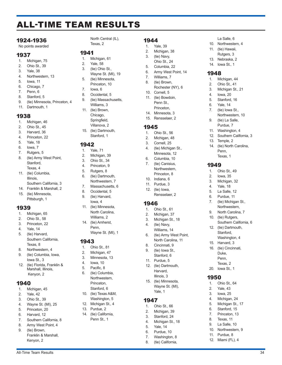## ALL-TIME TEAM RESULTS

### 1924-1936

No points awarded

### 1937

- 1. Michigan, 75
- 2. Ohio St., 39
- 3. Yale, 38
- 4. Northwestern, 13
- 5. Iowa, 11
- 6. Chicago, 7
- 7. Penn, 6
- 8. Stanford, 5
- 9. (tie) Minnesota, Princeton, 4 11. Dartmouth, 1

### 1938

- 1. Michigan, 46
- 2. Ohio St., 45
- 3. Harvard, 36
- 4. Princeton, 22
- 5. Yale, 18
- 6. Iowa, 7
- 7. Rutgers, 5
- 8. (tie) Army West Point, Stanford, Texas, 4
- 11. (tie) Columbia, Illinois, Southern California, 3
- 14. Franklin & Marshall, 2
- 15. (tie) Minnesota, Pittsburgh, 1

### 1939

- 1. Michigan, 65
- 2. Ohio St., 58
- 3. Princeton, 22
- 4. Yale, 14
- 5. (tie) Harvard, Southern California, Texas, 8
- 8. Northwestern, 4
- 9. (tie) Columbia, Iowa, Iowa St., 3
- 12. (tie) Florida, Franklin & Marshall, Illinois, Kenyon, 2

### 1940

- 1. Michigan, 45
- 2. Yale, 42
- 3. Ohio St., 39
- 4. Wayne St. (MI), 25
- 5. Princeton, 20
- 6. Harvard, 12
- 7. Southern California, 8
- 8. Army West Point, 4 9. (tie) Brown, Franklin & Marshall, Kenyon, 2

North Central (IL), Texas, 2

### 1941

- 1. Michigan, 61
- 2. Yale, 58
- 3. (tie) Ohio St., Wayne St. (MI), 19
- 5. (tie) Minnesota, Princeton, 10
- 7. Iowa, 6
- 8. Occidental, 5
- 9. (tie) Massachusetts,
- Williams, 3 11. (tie) Brown, Chicago, Springfield, Villanova, 2
- 15. (tie) Dartmouth, Stanford, 1

### 1942

- 1. Yale, 71
- 2. Michigan, 39 3. Ohio St., 34
- 4. Princeton, 9
- 5. Rutgers, 8
- 6. (tie) Dartmouth,
- Northwestern, 7 7. Massachusetts, 6
- 8. Occidental, 5
- 9. (tie) Harvard, Iowa, 4
- 11. (tie) Minnesota, North Carolina, Williams, 2 14. (tie) Amherst,
- Penn, Wayne St. (MI), 1

### 1943

- 1. Ohio St., 81
- 2. Michigan, 47
- 3. Minnesota, 13
- 4. Iowa, 10
- 5. Pacific, 8
- 6. (tie) Columbia, Northwestern, Princeton,
- Stanford, 6 10. (tie) Texas A&M,
- Washington, 5 12. Michigan St., 4
- 13. Purdue, 2
- 14. (tie) California, Penn St., 1

All-Time Team Results 34

- 1944
- 1. Yale, 39
- 2. Michigan, 38
- 3. (tie) Navy,
- Ohio St., 24
- 5. Columbia, 22
- 6. Army West Point, 14 7. Williams, 7

La Salle, 6 10. Northwestern, 4 11. (tie) Hawaii, Rutgers, 3 13. Nebraska, 2 14. Iowa St., 1

1948

1. Michigan, 44 2. Ohio St., 41 3. Michigan St., 21 4. Iowa, 20 5. Stanford, 16 6. Yale, 14 7. (tie) Iowa St.,

13. Temple, 2

 $1949$ 

Northwestern, 10 9. (tie) La Salle, Purdue, 7 11. Washington, 4 12. Southern California, 3

14. (tie) North Carolina, Penn, Texas, 1

Ohio St., 49 2. Iowa, 35 3. Michigan, 32 4. Yale, 18 5. La Salle, 12 6. Purdue, 11 7. (tie) Michigan St., Northwestern, 9. North Carolina, 7 10. (tie) Rutgers,

Southern California, 6

12. (tie) Dartmouth, Stanford, Washington, 4 15. Harvard, 3 16. (tie) Cincinnati, Duke, Penn, Texas, 2 20. Iowa St., 1

1950

1. Ohio St., 64 2. Yale, 43 3. Iowa, 25 4. Michigan, 24 5. Michigan St., 17 6. Stanford, 15 7. Princeton, 13 8. Texas, 11 9. La Salle, 10 10. Northwestern, 9 11. Purdue, 8 12. Miami (FL), 4

- 8. (tie) Brown,
	- Rochester (NY), 6
- 10. Cornell, 5
- 11. (tie) Bowdoin, Penn St., Princeton,
- 14. Minnesota, 3
- 15. Rensselaer, 2

### 1945

- 1. Ohio St., 56
- 2. Michigan, 48
- 3. Cornell, 25
- 4. (tie) Michigan St.,
- Minnesota, 12 6. Columbia, 10
- 7. (tie) Canisius, Northwestern,
- Princeton, 8 10. Indiana, 6
- 11. Purdue, 3

1946

1947

1. Ohio St., 66 2. Michigan, 39 3. Stanford, 24 4. Michigan St., 18 5. Yale, 14 6. Purdue, 10 7. Washington, 8 8. (tie) California,

12. (tie) Iowa, Rensselaer, 2

1. Ohio St., 61 2. Michigan, 37 3. Michigan St., 18 4. (tie) Navy, Williams, 14 6. (tie) Army West Point, North Carolina, 11

8. Cincinnati, 9 9. (tie) Iowa St., Stanford, 6 11. Purdue, 5 12. (tie) Dartmouth, Harvard, Illinois, 3 15. (tie) Minnesota, Wayne St. (MI), Yale, 1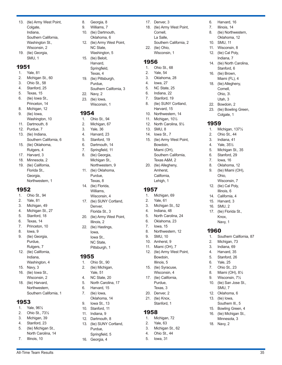- 13. (tie) Army West Point, Colgate, Indiana, Southern California, Washington St., Wisconsin, 2 19. (tie) Georgia,
- SMU, 1

- 1. Yale, 81
- 2. Michigan St., 60
- 3. Ohio St., 58 4. Stanford, 25
- 5. Texas, 15
- 6. (tie) Iowa St., Princeton, 14
- 8. Michigan, 12
- 9. (tie) Iowa,
- Washington, 10 11. Dartmouth, 8
- 12. Purdue, 7
- 13. (tie) Indiana,
- Southern California, 6 15. (tie) Oklahoma,
- Rutgers, 4
- 17. Harvard, 3
- 18. Minnesota, 2
- 19. (tie) California, Florida St., Georgia, Northwestern, 1

### 1952

- 1. Ohio St., 94
- 2. Yale, 81
- 3. Michigan, 49
- 4. Michigan St., 27
- 5. Stanford, 18 6. Texas, 14
- 7. Princeton, 10
- 8. Iowa, 9
- 9. (tie) Georgia, Purdue, Rutgers, 7
- 12. (tie) California, Indiana, Washington, 4
- 15. Navy, 3
- 16. (tie) Iowa St.,
- Wisconsin, 2 18. (tie) Harvard, Northwestern, Southern California, 1

### 1953

- 1. Yale, 96½
- 2. Ohio St., 73½
- 3. Michigan, 39
- 4. Stanford, 23
- 5. (tie) Michigan St., North Carolina, 14
- 7. Illinois, 10
- 8. Georgia, 8
- 9. Williams, 7
- 10. (tie) Dartmouth,
- Oklahoma, 6 12. (tie) Army West Point, NC State,
- Washington, 5 15. (tie) Beloit, Harvard,
	- Springfield,
	- Texas, 4
- 19. (tie) Pittsburgh,
- Purdue,
- Southern California, 3
- 22. Navy, 2
- 23. (tie) Iowa, Wisconsin, 1

### 1954

- 1. Ohio St., 94
- 2. Michigan, 67
- 3. Yale, 36
- 4. Harvard, 23
- 5. Stanford, 19
- 6. Dartmouth, 14
- 7. Springfield, 11
- 8. (tie) Georgia, Michigan St., Northwestern, 9
- 11. (tie) Oklahoma, Purdue, Texas, 8
- 14. (tie) Florida, Williams,
- Wisconsin, 4 17. (tie) SUNY Cortland, Denver,
	- Florida St., 3
- 20. (tie) Army West Point, Illinois, 2
- 22. (tie) Hastings, Iowa, Iowa St., NC State, Pittsburgh, 1

### 1955

- 1. Ohio St., 90
- 2. (tie) Michigan,
- Yale, 51
- 4. NC State, 20
- 5. North Carolina, 17
- 6. Harvard, 15 7. (tie) Iowa,
	- Oklahoma, 14
- 9. Iowa St., 13
- 10. Stanford, 11
- 11. Indiana, 9
- 12. Dartmouth, 8 13. (tie) SUNY Cortland, Purdue, Springfield, 5

All-Time Team Results 35

1958

1. Michigan, 72 2. Yale, 63 3. Michigan St., 62 4. Ohio St., 44 5. Iowa, 31

16. Georgia, 4

- 17. Denver, 3
- 18. (tie) Army West Point, Cornell, La Salle, Southern California, 2 22. (tie) Ohio,

6. Harvard, 16 7. Illinois, 14 8. (tie) Northwestern, Oklahoma, 12

10. SMU, 11 11. Wisconsin, 8 12. (tie) Cal Poly, Indiana, 7 14. (tie) North Carolina, Stanford, 6 16. (tie) Brown, Miami (FL), 4 18. (tie) Allegheny, Cornell, Ohio, 3\ Utah, 3 22. Bowdoin, 2 23. (tie) Bowling Green, Colgate, 1

1959

1960

1. Southern California, 87

Southern III., 5 15. Bowling Green, 4 16. (tie) Michigan St., Minnesota, 3

18. Navy, 2

2. Michigan, 73 3. Indiana, 69 4. Harvard, 35 5. Stanford, 26 6. Yale, 25 7. Ohio St., 23 8. Miami (OH), 8½ 9. Wisconsin, 7½ 10. (tie) San Jose St., SMU, 7 12. Oklahoma, 6 13. (tie) Iowa,

1. Michigan, 137½ 2. Ohio St., 44 3. Indiana, 41 4. Yale, 35½ 5. Michigan St., 35 6. Stanford, 29 7. Iowa, 16 8. Oklahoma, 12 9. (tie) Miami (OH), Ohio, Wisconsin, 7 12. (tie) Cal Poly, Illinois, 6 14. California, 4 15. Harvard, 3 16. SMU, 2 17. (tie) Florida St., Knox, Navy, 1

Wisconsin, 1

### 1956

- 1. Ohio St., 68
- 2. Yale, 54
- 3. Oklahoma, 28
- 4. Iowa, 27
- 5. NC State, 25
- 6. Indiana, 22
- 7. Stanford, 19 8. (tie) SUNY Cortland,
- Harvard, 15
- 10. Northwestern, 14
- 11. Michigan, 10½
- 12. North Carolina, 9½
- 13. SMU, 8
- 14. Iowa St., 7
- 15. (tie) Army West Point, Bowdoin, Miami (OH), Southern California, Texas A&M, 2
- 20. (tie) Allegheny, Amherst, California, Lehigh, 1

3. Michigan St., 52 4. Indiana, 48 5. North Carolina, 24 6. Oklahoma, 23 7. Iowa, 15 8. Northwestern, 12 9. SMU, 10 10. Amherst, 9 11. Miami (OH), 7 12. (tie) Army West Point, Bowdoin, Illinois, 5 15. (tie) Syracuse, Wisconsin, 4 17. (tie) California, Purdue, Texas, 3 20. Denver, 2 21. (tie) Knox, Stanford, 1

### 1957

- 1. Michigan, 69
- 2. Yale, 61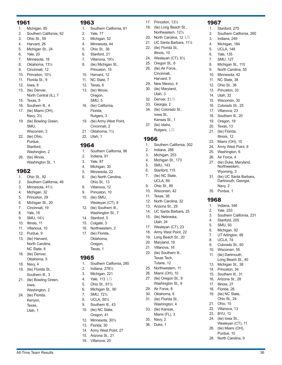- 1. Michigan, 85
- 2. Southern California, 62
- 3. Ohio St., 59
- 4. Harvard, 26
- 5. Michigan St., 24
- 6. Yale, 20
- 7. Minnesota, 18
- 8. Oklahoma, 13½
- 9. Cincinnati, 12 10. Princeton, 10½
- 11. Florida St., 9
- 12. Iowa, 8
- 13. (tie) Denver,
- North Central (IL), 7
- 15. Texas, 5
- 16. Southern Ill., 4 17. (tie) Miami (OH), Navy, 3½
- 19. (tie) Bowling Green, SMU,
- Wisconsin, 3 22. (tie) Ohio, Purdue,
- Stanford, Washington, 2 26. (tie) Illinois,
- Washington St., 1

### 1962

- 1. Ohio St., 92
- 2. Southern California, 46
- 3. Minnesota, 41½
- 4. Michigan, 32
- 5. Princeton, 29
- 6. Michigan St., 20 7. Cincinnati, 19
- 8. Yale, 18
- 9. SMU, 14½
- 10. Illinois, 11
- 11. Villanova, 10
- 12. Purdue, 9
- 13. (tie) Harvard, North Carolina, NC State, 8
- 16. (tie) Denver, Oklahoma, 5
- 18. Navy, 4
- 19. (tie) Florida St., Southern III., 3
- 21. (tie) Bowling Green, Iowa,
- Washington, 2 24. (tie) Florida,
- Kenyon, Texas,

Utah, 1

### 1963

- 1. Southern California, 81
- 2. Yale, 77
- 3. Michigan, 52
- 4. Minnesota, 44
- 5. Ohio St., 38
- 6. Stanford, 21
- 7. Villanova, 19½ 8. (tie) Michigan St.,
	- Princeton, 15
- 10. Harvard, 12
- 11. NC State, 7
- 12. Texas, 6
- 13. (tie) Illinois,
- Oregon, SMU, 5
- 16. (tie) California, Florida, Rutgers, 3
- 19. (tie) Army West Point, Cincinnati, 2
- 21. Oklahoma, 1½
- 22. Utah, 1

### 1964

- 1. Southern California, 96
- 2. Indiana, 91
- 3. Yale, 87
- 4. Michigan, 30
- 5. Minnesota, 22
- 6. (tie) North Carolina, Ohio St., 13
- 8. Villanova, 12
- 9. Princeton, 10
- 10. (tie) SMU,
- Wesleyan (CT), 8
- 12. (tie) Southern Ill., Washington St., 7
- 14. Stanford, 5
- 15. Colgate, 3
- 16. Northwestern, 2 17. (tie) Florida,
- Oklahoma, Oregon, Texas, 1

### 1965

- 1. Southern California, 285
- 2. Indiana, 278½
- 3. Michigan, 221
- 4. Yale, 113 1/5
- 5. Ohio St., 91½
- 6. Michigan St., 90
- 7. SMU, 72½
- 8. UCLA, 50½
- 9. Southern III., 43 10. (tie) NC State, Oregon, 41
- 12. Minnesota, 30½
- 13. Florida, 30
- 14. Army West Point, 27

All-Time Team Results 36

- 15. Arizona St., 21
- 16. Villanova, 20
- 17. Princeton, 13½
- 18. (tie) Long Beach St.,
- Northeastern, 12½
- 20. North Carolina, 12 1/5

1967

1. Stanford, 275

3. Indiana, 249 4. Michigan, 184 5. UCLA, 148 6. Yale, 135 7. SMU, 127 8. Michigan St., 115 9. North Carolina, 55 10. Minnesota, 42 11. NC State, 38 12. Ohio St., 36 13. Princeton, 33 14. Utah, 32 15. Wisconsin, 30 16. Colorado St., 25 17. Villanova, 23 18. Southern III., 20 19. Oregon, 18 20. Texas, 13 21. (tie) Florida, Illinois, 12 23. Miami (OH), 10 24. Army West Point, 9 25. Washington, 6 26. Air Force, 4 27. (tie) Duke, Maryland, Northwestern, Wyoming, 3 31. (tie) UC Santa Barbara, Dartmouth, Georgia,

Navy, 2 35. Purdue, 1

1. Indiana, 346 2. Yale, 253

4. Stanford, 205 5. SMU, 93 6. Michigan, 92 7. UT Arlington, 89 8. UCLA, 74 9. Colorado St., 60 10. Wisconsin, 55 11. (tie) Dartmouth, Long Beach St., 40 13. Michigan St., 38 14. Princeton, 34 15. Southern III., 31 16. Arizona St., 28 17. Illinois, 27 18. Florida, 26 19. (tie) NC State, Ohio St., 24 21. Ohio, 15 22. Villanova, 13 23. BYU, 12 24. (tie) Iowa St.,

3. Southern California, 231

Wesleyan (CT), 11 26. (tie) Miami (OH), Purdue, 10 28. North Carolina, 9

1968

2. Southern California, 260

- 21. UC Santa Barbara, 11½
- 22. (tie) Florida St., Illinois, 10
- 24. Wesleyan (CT), 6½
- 25. Oregon St., 6
- 26. (tie) Air Force, Cincinnati, Harvard, 5
- 29. New Mexico, 4
- 30. (tie) Maryland,
- Utah, 3 32. Denver, 21/5

33. Georgia, 2 34. (tie) Colorado St., Iowa St., Kansas St., 1 37. (tie) Idaho, Rutgers, 1/5

2. Indiana, 286 3. Michigan, 253 4. Michigan St., 173 5. SMU, 143 6. Stanford, 115 7. (tie) NC State, UCLA, 89 9. Ohio St., 80 10. Wisconsin, 42 11. Texas, 38 12. North Carolina, 32 13. Arizona St., 29 14. UC Santa Barbara, 25 15. (tie) Nebraska, Utah, 24 17. Wesleyan (CT), 23 18. Army West Point, 22 19. Long Beach St., 20 20. Maryland, 19 21. Villanova, 16 22. (tie) Southern Ill., Texas Tech, Tulane, 12 25. Northwestern, 11 26. Miami (OH), 10 27. (tie) Oregon St., 9 Washington St., 9

29. Air Force, 8 30. Oklahoma, 6 31. (tie) Florida St., Washington, 4 33. (tie) Kansas, Miami (FL), 3

35. Navy, 2 36. Duke, 1

1. Southern California, 302

1966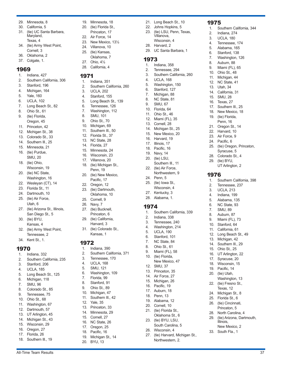- 29. Minnesota, 8
- 30. California, 5
- 31. (tie) UC Santa Barbara, Maryland, Texas, 4
- 34. (tie) Army West Point, Cornell, 3
- 36. Oklahoma, 2
- 37. Colgate, 1.

- 1. Indiana, 427
- 2. Southern California, 306
- 3. Stanford, 196
- 4. Michigan, 164
- 5. Yale, 160
- 6. UCLA, 102
- 7. Long Beach St., 82
- 8. Ohio St., 61
- 9. (tie) Florida,
- Oregon, 45
- 11. Princeton, 42
- 12. Michigan St., 38
- 13. Colorado St., 33
- 14. Southern Ill., 25
- 15. Minnesota, 21
- 16. (tie) Purdue, SMU, 20
- 18. (tie) Ohio,
- Wisconsin, 19 20. (tie) NC State,
- Washington, 16
- 22. Wesleyan (CT), 14
- 23. Florida St., 11
- 24. Dartmouth, 10
- 25. (tie) Air Force, Utah, 6
- 27. (tie) Arizona St., Illinois, San Diego St., 5
- 30. (tie) BYU, Kansas, 4
- 32. (tie) Army West Point, Tennessee, 2
- 34. Kent St., 1.

### 1970

- 1. Indiana, 332
- 2. Southern California, 235
- 3. Stanford, 206
- 4. UCLA, 185
- 5. Long Beach St., 125
- 6. Michigan, 118
- 7. SMU, 96
- 8. Colorado St., 85
- 9. Tennessee, 75
- 10. Ohio St., 68 11. Washington, 67
- 12. Dartmouth, 57
- 13. UT Arlington, 45
- 14. Michigan St., 43
- 15. Wisconsin, 29
- 16. Oregon, 27
- 17. Florida, 26
- 18. Southern Ill., 19

19. Minnesota, 18

21. Long Beach St., 10 22. Johns Hopkins, 5 23. (tie) LSU, Penn, Texas, Villanova, Wisconsin, 4 28. Harvard, 2

1975

1. Southern California, 344

25. (tie) Oregon, Princeton, Syracuse, 5 28. Colorado St., 4 29. (tie) BYU,

UT Arlington, 2

1. Southern California, 398 2. Tennessee, 237 3. UCLA, 213 4. Indiana, 199 5. Alabama, 135 6. NC State, 93 7. SMU, 89 8. Auburn, 87 9. Miami (FL), 73 10. Stanford, 64 11. California, 61 12. Long Beach St., 49 13. Michigan, 42 14. Southern III., 29 15. Ohio St., 25 16. UT Arlington, 22 17. Syracuse, 20 18. Wisconsin, 15 19. Pacific, 14 20. (tie) Utah,

Washington, 13 22. (tie) Fresno St., Texas, 12 24. Michigan St., 8 25. Florida St., 6 26. (tie) Cincinnati, Princeton, 5 28. North Carolina, 4 29. (tie) Arizona, Dartmouth,

Illinois, New Mexico, 2 33. South Fla., 1

1976

2. Indiana, 274 3. UCLA, 180 4. Tennessee, 174 5. Alabama, 165 6. Stanford, 138 7. Washington, 126 8. Auburn, 88 9. Miami (FL), 65 10. Ohio St., 48 11. Michigan, 44 12. NC State, 41 13. Utah, 34 14. California, 31 15. SMU, 28 16. Texas, 27 17. Southern III., 25 18. New Mexico, 18 19. (tie) Florida, Penn, 16 21. Oregon St., 14 22. Harvard, 10 23. Air Force, 9 24. Pacific, 6

29. UC Santa Barbara, 1

Southern III., 11 22. (tie) Air Force, Northwestern, 9

Southern California, 339

24. Penn, 5 25. (tie) Iowa St., Wisconsin, 4 27. Kentucky, 3 28. Alabama, 1.

**1974** 

2. Indiana, 338 3. Tennessee, 240 4. Washington, 214 5. UCLA, 190 6. Stanford, 101 7. NC State, 84 8. Ohio St., 61 9. Miami (FL), 58 10. (tie) Florida, New Mexico, 47

12. SMU, 37 13. Princeton, 35 14. Air Force, 27 15. Michigan, 26 16. Pacific, 19 17. Auburn, 18 18. Penn, 13 19. Alabama, 12 20. Cornell, 10 21. (tie) Florida St., Oklahoma St., 6 23. (tie) BYU, LSU, South Carolina, 5

26. Wisconsin, 4

27. (tie) Harvard, Michigan St., Northwestern, 2.

1. Indiana, 358 2. Tennessee, 294 3. Southern California, 260

4. UCLA, 168 5. Washington, 150 6. Stanford, 127 7. Michigan, 88 8. NC State, 81 9. SMU, 67 10. Florida, 64 11. Ohio St., 46 12. Miami (FL), 35 13. Cornell, 28 14. Michigan St., 25 15. New Mexico, 20 16. Harvard, 19 17. Illinois, 17 18. Pacific, 16 19. Navy, 14 20. (tie) LSU,

1973

- 20. (tie) Florida St.,
- Princeton, 17
- 22. Air Force, 14
- 23. New Mexico, 13½
- 24. Villanova, 10
- 25. (tie) Kansas, Oklahoma, 7
- 27. Ohio, 4½
- 28. California, 4

### 1971

- 1. Indiana, 351 2. Southern California, 260
- 3. UCLA, 202
- 4. Stanford, 155
- 5. Long Beach St., 139
- 6. Tennessee, 126
- 7. Washington, 112
- 8. SMU, 101
- 9. Ohio St., 70
- 10. Michigan, 69
- 11. Southern Ill., 50
- 12. Florida St., 37
- 13. NC State, 28
- 14. Florida, 27
- 15. Minnesota, 24
- 16. Wisconsin, 23
- 17. Villanova, 20
- 18. (tie) Michigan St., Penn, 19
- 20. (tie) New Mexico, Pacific, 17
- 22. Oregon, 12
- 23. (tie) Dartmouth,
	- Oklahoma, 10
- 25. Cornell, 9
- 26. Navy, 7
- 27. (tie) Bucknell, Princeton, 6
- 29. (tie) California, Harvard, 3
- 31. (tie) Colorado St., Kansas, 1

- 1972 Indiana, 390
- 2. Southern California, 371
- 3. Tennessee, 170
- 4. UCLA, 168
- 5. SMU, 121
- 6. Washington, 109
- 7. Florida, 99
- 8. Stanford, 91

12. Yale, 35 13. Princeton, 33 14. Minnesota, 29 15. Cornell, 27 16. NC State, 26 17. Oregon, 25 18. Pacific, 16 19. Michigan St., 14 20. BYU, 13

- 9. Ohio St., 89
- 10. Michigan, 47 11. Southern III., 42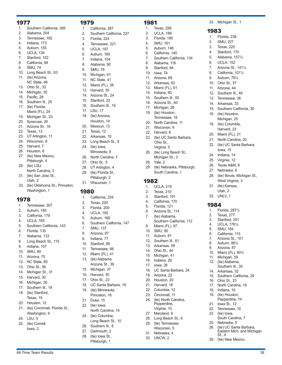- 1. Southern California, 385
- 2. Alabama, 204
- 3. Tennessee, 182
- 4. Indiana, 173
- 5. Auburn, 155
- 6. UCLA, 134
- 7. Stanford, 102
- 8. California, 98
- 9. SMU, 74
- 10. Long Beach St., 63
- 11. (tie) Arizona, NC State, 46
- 13. Ohio St., 33
- 14. Michigan, 30
- 15. Pacific, 28
- 16. Southern Ill., 25
- 17. (tie) Florida, Miami (FL), 24
- 19. Michigan St., 23
- 20. Syracuse, 20
- 21. Arizona St., 16
- 22. Texas, 13
- 23. UT Arlington, 11
- 24. Wisconsin, 8
- 25. Harvard, 7
- 26. Houston, 6
- 27. (tie) New Mexico, Pittsburgh, 4
- 29. (tie) LSU, North Carolina, 3
- 31. (tie) San Jose St., Utah, 2
- 33. (tie) Oklahoma St., Princeton, Washington, 1

- 1. Tennessee, 307
- 2. Auburn, 185
- 3. California, 179
- 4. UCLA, 165
- 5. Southern California, 143
- 6. Florida, 135
- 7. Alabama, 133
- 8. Long Beach St., 115
- 9. Indiana, 107
- 10. SMU, 80
- 11. Arizona, 75 12. NC State, 60
- 13. Ohio St., 56
- 14. Michigan St., 31
- 15. Harvard, 30
- 16. Michigan, 26
- 17. Southern III., 19
- 18. (tie) Stanford, Texas, 15
- 20. Houston, 12
- 21. (tie) Cincinnati, Florida St., Washington, 9
- 24. LSU, 5
- 25. (tie) Cornell, Iowa, 2.

### 1979

1. California, 287

1981

1. Texas, 259 2. UCLA, 189 3. Florida, 180 4. SMU, 161 5. Auburn, 146 6. California, 140 7. Southern California, 134 33. Michigan St., 1

1. Florida, 238 2. SMU, 227 3. Texas, 225 4. Stanford, 170 5. Alabama, 157½ 6. UCLA, 152 7. Arizona St., 141½ 8. California, 101½ 9. Auburn, 78½ 10. Ohio St., 57 11. Arizona, 44 12. Southern Ill., 40 13. Tennessee, 36 14. Arkansas, 33

15. Southern California, 30

28. (tie) Illinois, Michigan St., West Virginia, 3 31. (tie) Kansas, Utah, 2 33. UNLV, 1

1. Florida, 287½ 2. Texas, 277 3. Stanford, 201 4. UCLA, 176½ 5. SMU, 164 6. California, 115 7. Arizona St., 101 8. Auburn, 88½ 9. Arizona, 87 10. Miami (FL), 80½ 11. Michigan, 59 12. (tie) Alabama, Southern III., 35 14. Arkansas, 32

15. Southern California, 29

South Carolina, 7

26. (tie) UC Santa Barbara, Eastern Mich. and Michigan

16. Ohio St., 23 17. North Carolina, 18 18. Indiana, 16 19. (tie) Houston, Pepperdine, 14 21. Iowa St., 12 22. Tennessee, 10 23. (tie) Iowa,

25. Nebraska, 5

St., 4 29. (tie) New Mexico,

**1984** 

16. (tie) Houston, Michigan, 25 18. (tie) Columbia, Harvard, 23 20. Miami (FL), 21 21. North Carolina, 20 22. (tie) UC Santa Barbara, Iowa, 15 24. Indiana, 14 25. Virginia, 12 26. Texas A&M, 9 27. Nebraska, 6

1983

8. Alabama, 116 9. Stanford, 84 10. Iowa, 74 11. Arizona, 69 12. Arkansas, 62 13. Miami (FL), 61 14. Indiana, 60 15. Southern Ill., 55 16. Arizona St., 40 17. Michigan, 26 18. (tie) Houston, Tennessee, 18 20. North Carolina, 11 21. Wisconsin, 9 22. Harvard, 8

23. (tie) UC Santa Barbara, Ohio St., Virginia, 5 26. (tie) Long Beach St., Michigan St., 3

29. (tie) Nebraska, Pittsburgh, South Carolina, 1

Southern California, 112

28. Yale, 2

1. UCLA, 219 2. Texas, 210 3. Stanford, 191 4. California, 170 5. Florida, 121 6. Arizona St., 114 7. (tie) Alabama,

9. Miami (FL), 97 10. SMU, 90 11. Auburn, 81 12. Southern Ill., 61 13. Arkansas, 59 14. Ohio St., 44 15. Michigan, 41 16. Indiana, 29 17. Iowa, 26

18. UC Santa Barbara, 24

19. Arizona, 22 20. Houston, 20 21. Harvard, 18 22. Columbia, 12 23. Cincinnati, 11 24. (tie) North Carolina, Pepperdine, Virginia, 10 27. Maryland, 9 28. Long Beach St., 6 29. (tie) Tennessee, Wisconsin, 5 31. Nebraska, 4 32. UNCW, 2

1982

- 2. Southern California, 227
- 3. Florida, 224
- 4. Tennessee, 221
- 5. UCLA, 197
- 6. Auburn, 160
- 7. Indiana, 104
- 8. Alabama, 90
- 9. SMU, 78
- 10. Michigan, 61
- 11. NC State, 41
- 12. Miami (FL), 38 13. Harvard, 35
- 14. Arizona St., 24
- 15. Stanford, 23
- 16. Southern III., 19
- 17 | SU 17
- 18. (tie) Arizona,
- 
- Houston, 14
- 20. Missouri, 13
- 21. Texas, 12
- 22. Arkansas, 10
- 23. Long Beach St., 9
- 24. (tie) Iowa,
- Minnesota, 8
- 26. North Carolina, 7
- 27. Ohio St., 5
- 28. UT Arlington, 4 29. (tie) Florida St.,
- Pittsburgh, 2 31. Wisconsin, 1

### 1980

- 1. California, 234
- 2. Texas, 220
- 3. Florida, 200
- 4. UCLA, 192
- 5. Auburn, 168
- 6. Southern California, 147
- 7. SMU, 137
- 8. Arizona, 97
- 9. Indiana, 77
- 10. Stanford, 69
- 11. Tennessee, 66
- 12. Miami (FL), 41
- 13. (tie) Alabama,
	- Arizona St., 39

19. (tie) Minnesota, Princeton, 18 21. Duke, 15 22. (tie) Iowa,

26. Southern Ill., 8 27. Dartmouth, 2 28. (tie) Iowa St., Pittsburgh, 1

- 15. Michigan, 37
- 16. Harvard, 30
- 17. Ohio St., 23
- 18. UC Santa Barbara, 19

North Carolina, 14 24. (tie) Columbia,

Long Beach St., 10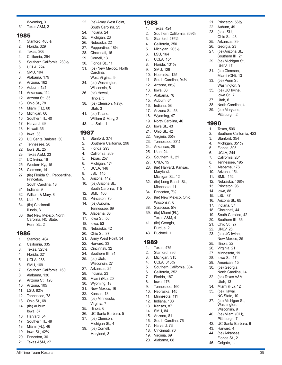Wyoming, 3

31. Texas A&M, 2

#### 1985

- 1. Stanford, 403½
- 2. Florida, 329
- 3. Texas, 306
- 4. California, 294
- 5. Southern California, 230½
- 6. UCLA, 224
- 7. SMU, 194
- 8. Alabama, 179
- 9. Arizona, 162 10. Auburn, 121
- 11. Arkansas, 114
- 12. Arizona St., 86
- 13. Ohio St., 78
- 14. Miami (FL), 68
- 15. Michigan, 66
- 16. Southern III., 40
- 17. Harvard, 39
- 18. Hawaii, 36
- 19. Iowa, 33
- 20. UC Santa Barbara, 30
- 21. Tennessee, 28
- 22. Iowa St., 25
- 23. Texas A&M, 23
- 24. UC Irvine, 16
- 25. Western Ky., 15
- 26. Clemson, 14
- 27. (tie) Florida St., Pepperdine, Princeton, South Carolina, 13
- 31. Indiana, 9
- 32. William & Mary, 8
- 33. Utah, 5
- 34. (tie) Cincinnati, Illinois, 3
- 36. (tie) New Mexico, North Carolina, NC State, Penn St., 2

### 1986

- 1. Stanford, 404
- 2. California, 335
- 3. Texas, 325½
- 4. Florida, 321
- 5. UCLA, 288
- 6. SMU, 169
- 7. Southern California, 160
- 8. Alabama, 136
- 9. Arizona St., 120
- 10. Arizona, 105
- 11. LSU, 82½
- 12. Tennessee, 78
- 13. Ohio St., 68
- 14. (tie) Auburn, Iowa, 67
- 16. Harvard, 54
- 17. Southern III., 49
- 18. Miami (FL), 46
- 19. Iowa St., 42½
- 20. Princeton, 36
- 21. Texas A&M, 27

22. (tie) Army West Point, South Carolina, 25

1988

1. Texas, 424

3. Stanford, 276½ 4. California, 250 5. Michigan, 203½ 6. LSU, 164 7. UCLA, 154 8. Florida, 131½ 9. SMU, 129 10. Nebraska, 125 11. South Carolina, 94½ 12. Arizona, 88½ 13. Iowa, 83 14. Alabama, 78 15. Auburn, 64 16. Indiana, 58 17. Arizona St., 53 18. Wyoming, 47 19. North Carolina, 46 20. Iowa St., 43 21. Ohio St., 42 22. Virginia, 35½ 23. Tennessee, 33½ 24. Arkansas, 28 25. Utah, 24 26. Southern III., 21 27. UNLV, 15

2. Southern California, 369½

21. Princeton, 56½ 22. Auburn, 49 23. (tie) LSU, Ohio St., 48 25. Arkansas, 39 26. Georgia, 23 27. (tie) Arizona St., Southern III., 21 29. (tie) Michigan St., UNLV, 17 31. (tie) Clemson, Miami (OH), 13 33. (tie) Penn St., Washington, 9 35. (tie) UC Irvine, Iowa St., 7 37. Utah, 6

38. North Carolina, 4 39. (tie) Maryland, Pittsburgh, 2

2. Southern California, 423

1990

1. Texas, 506

25. Illinois, 22 26. Virginia, 21 27. Minnesota, 19 28. Iowa St., 17 29. American, 15 30. (tie) Georgia,

43. Harvard, 4 44. (tie) Arkansas, Florida St., 2 46. Colgate, 1.

North Carolina, 14 32. (tie) Texas A&M, Utah, 13 34. Miami (FL), 12 35. (tie) Hawaii, NC State, 10 37. (tie) Michigan St., Washington, Wisconsin, 9 40. (tie) Miami (OH), Pittsburgh, 7 42. UC Santa Barbara, 6

3. Stanford, 354 4. Michigan, 351½ 5. Florida, 305 6. UCLA, 244 7. California, 204 8. Tennessee, 195<br>9. Alabama, 176 9. Alabama, 176 10. Arizona, 154 11. SMU, 152 12. Nebraska, 108½ 13. Princeton, 96 14. Iowa, 88 15. LSU, 87 16. Arizona St., 65 17. Indiana, 57 18. Cincinnati, 44 19. South Carolina, 42 20. Southern Ill., 36 21. Ohio St., 27 22. UNLV, 26 23. (tie) UC Irvine, New Mexico, 25

28. (tie) Harvard, Kansas, Maryland, Michigan St., 12 32. (tie) Long Beach St., Minnesota, 11 34. Princeton, 7½ 35. (tie) New Mexico, Ohio, Wisconsin, 6 38. Syracuse, 5½ 39. (tie) Miami (FL), Texas A&M, 4 41. (tie) Georgia, Purdue, 2 43. Bucknell, 1

1989

1. Texas, 475 2. Stanford, 396 3. Michigan, 315 4. UCLA, 313½

5. Southern California, 304 6. California, 252 7. Florida, 187 8. Iowa, 176 9. Tennessee, 160 10. Nebraska, 145 11. Minnesota, 111 12. Indiana, 108 13. Kansas, 87 14. SMU, 84 15. Arizona, 81 16. South Carolina, 76 17. Harvard, 73 18. Cincinnati, 70 19. Virginia, 69 20. Alabama, 68

- 24. Indiana, 24
- 25. Michigan, 23
- 26. Nebraska, 22
- 27. Pepperdine, 18½
- 28. Cincinnati, 16
- 29. Cornell, 13
- 30. Florida St., 11
- 31. (tie) New Mexico, North Carolina, West Virginia, 9
- 34. (tie) Washington, Wisconsin, 6
- 36. (tie) Hawaii, Illinois, 5
- 38. (tie) Clemson, Navy, Utah, 3
- 41. (tie) Tulane, William & Mary, 2
- 43. La Salle, 1

### 1987

- 1. Stanford, 374
- 2. Southern California, 296
- 3. Florida, 293
- 4. California, 269
- 5. Texas, 257
- 6. Michigan, 174
- 7. UCLA, 146
- 8. LSU, 145
- 9. Arizona, 142
- 10. (tie) Arizona St., South Carolina, 115
- 12. SMU, 106
- 13. Princeton, 70
- 14. (tie) Auburn, Tennessee, 69
- 16. Alabama, 68
- 17. Iowa St., 56
- 18. Iowa, 53
- 19. Nebraska, 42
- 20. Ohio St., 37
- 21. Army West Point, 34
- 22. Harvard, 33
- 23. Cincinnati, 32
- 24. Southern III., 31
- 25. (tie) Utah,
- Wisconsin, 27
- 27. Arkansas, 25 28. Indiana, 23
- 29. Miami (FL), 20
- 30. Wyoming, 18
- 31. New Mexico, 16
- 32. Kansas, 13

35. Illinois, 6

33. (tie) Minnesota, Virginia, 7

36. UC Santa Barbara, 5 37. (tie) Clemson, Michigan St., 4 39. (tie) Cornell, Maryland, 3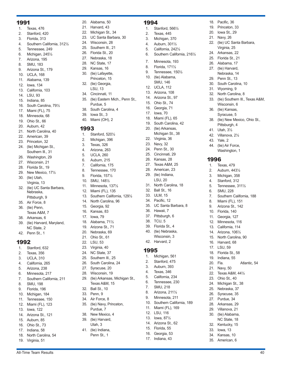- 1. Texas, 476
- 2. Stanford, 420
- 3. Florida, 313
- 4. Southern California, 312½
- 5. Tennessee, 249
- 6. Michigan, 245½
- 7. Arizona, 195
- 8. SMU, 183
- 9. Arizona St., 179 10. UCLA, 168
- 11. Alabama, 139
- 12. Iowa, 134
- 13. California, 103
- 14. LSU, 93
- 15. Indiana, 85
- 16. South Carolina, 79½
- 17. Miami (FL), 75
- 18. Minnesota, 68
- 19. Ohio St., 66
- 20. Auburn, 42
- 21. North Carolina, 40
- 22. American, 39
- 23. Princeton, 32
- 24. (tie) Michigan St., Southern Ill., 31
- 26. Washington, 29
- 27. Wisconsin, 21
- 28. Florida St., 19
- 29. New Mexico, 17½
- 30. (tie) Utah,
- Virginia, 13
- 32. (tie) UC Santa Barbara, Nebraska,
- Pittsburgh, 9 35. Air Force, 8
- 36. (tie) Penn,
- Texas A&M, 7
- 38. Arkansas, 6
- 39. (tie) Harvard, Maryland, NC State, 2
- 42. Penn St., 1

### 1992

- 1. Stanford, 632
- 2. Texas, 356
- 3. UCLA, 310
- 4. California, 265
- 5. Arizona, 238 6. Minnesota, 217
- 7. Southern California, 211
- 8. SMU, 198
- 9. Florida, 196
- 10. Michigan, 184
- 11. Tennessee, 150
- 12. Miami (FL), 123
- 13. Iowa, 122
- 14. Arizona St., 121
- 15. Auburn, 85
- 16. Ohio St., 73
- 17. Indiana, 58
- 18. North Carolina, 54
- 19. Virginia, 51
- 20. Alabama, 50
- 21. Harvard, 43
- 22. Michigan St., 34
- 23. UC Santa Barbara, 30

1994

1. Stanford, 566½ 2. Texas, 445 3. Michigan, 370 4. Auburn, 301½ 5. California, 242½

7. Minnesota, 193 8. Florida, 171½ 9. Tennessee, 150½ 10. (tie) Alabama, SMU, 146 12. UCLA, 112 13. Arizona, 108 14. Arizona St., 97 15. Ohio St., 74 16. Georgia, 71 17. Iowa, 70 18. Miami (FL), 65 19. South Carolina, 42 20. (tie) Arkansas, Michigan St., 38

22. Virginia, 36 23. Navy, 32 24. Penn St., 30 25. Cincinnati, 29 26. Kansas, 28 27. Texas A&M, 25 28. American, 23 29. (tie) Indiana, LSU, 20 31. North Carolina, 18 32. Ball St., 16 33. ULM, 15 34. Pacific, 12

35. UC Santa Barbara, 8

36. Hawaii, 7 37. Pittsburgh, 6 38. TCU, 5 39. Florida St., 4 40. (tie) Nebraska, Wisconsin, 3 42. Harvard, 2

1995

1. Michigan, 561 2. Stanford, 475 3. Auburn, 393 4. Texas, 346 5. California, 234 6. Tennessee, 230 7. SMU, 218 8. Arizona, 211½ 9. Minnesota, 211 10. Southern California, 189 11. Miami (FL), 169 12. LSU, 116 13. Iowa, 87½ 14. Arizona St., 62 15. Florida, 55 16. Georgia, 53 17. Indiana, 43

6. Southern California, 216½

18. Pacific, 36 19. Princeton, 33 20. Iowa St., 29 21. Navy, 26

22. (tie) UC Santa Barbara, Virginia, 25 24. Arkansas, 22 25. Florida St., 21 26. Alabama, 17 27. (tie) Harvard, Nebraska, 14 29. Penn St., 13 30. South Carolina, 10 31. Wyoming, 9 32. North Carolina, 8

33. (tie) Southern Ill., Texas A&M,

38. (tie) New Mexico, Ohio St., Pittsburgh, 4 41. Utah, 3½ 42. Villanova, 2½ 43. Yale, 2 44. (tie) Air Force, Washington, 1

Wisconsin, 6 36. (tie) Kansas, Syracuse, 5

1996

1. Texas, 479 2. Auburn, 443½ 3. Michigan, 358 4. Stanford, 312 5. Tennessee, 311½ 6. SMU, 228

7. Southern California, 188 8. Miami (FL), 151 9. Arizona St., 142 10. Florida, 140 11. Georgia, 127 12. Minnesota, 116 13. California, 114 14. Arizona, 106½ 15. North Carolina, 90 16. Harvard, 68 17. LSU, 59 18. Florida St., 58 19. Indiana, 55

20. Fla. Atlantic, 54

21. Navy, 50 22. Texas A&M, 44½ 23. Ohio St., 40 24. Michigan St., 38 25. Nebraska, 37 26. Syracuse, 35 27. Purdue, 34 28. Arkansas, 29 29. Villanova, 21 30. (tie) Alabama, NC State, 18 32. Kentucky, 15 33. Iowa, 13 34. Kansas, 10 35. American, 6

- 24. Wisconsin, 28
- 25. Southern III., 21
- 26. Florida St., 20
- 27. Nebraska, 18
- 28. NC State, 17
- 29. Kansas, 16
- 30. (tie) Lafayette, Princeton, 15
- 32. (tie) Georgia,
- LSU, 13
- 34. Cincinnati, 11 35. (tie) Eastern Mich., Penn St.,
- Purdue, 5
- 38. South Carolina, 4
- 39. Iowa St., 3
- 40. Miami (OH), 2

#### 1993

- 1. Stanford, 520½
- 2. Michigan, 396
- 3. Texas, 326
- 4. Arizona, 263
- 5. UCLA, 260
- 6. Auburn, 215
- 7. California, 175
- 8. Tennessee, 170
- 9. Florida, 157½
- 10. SMU, 148½
- 11. Minnesota, 137½
- 12. Miami (FL), 135
- 13. Southern California, 129½
- 14. North Carolina, 96
- 15. Georgia, 92
- 16. Kansas, 83
- 17. Iowa, 79
- 18. Alabama, 71½
- 19. Arizona St., 71
- 20. Nebraska, 69
- 21. Ohio St., 61
- 22. LSU, 53
- 23. Virginia, 40
- 24. NC State, 37

27. Syracuse, 20 28. Wisconsin, 19

32. Ball St., 10 33. Penn, 9 34. Air Force, 8 35. (tie) Navy, Princeton, Purdue, 7 38. New Mexico, 4 39. (tie) Harvard, Utah, 3 41. (tie) Indiana, Penn St., 1

25. Southern III., 25 26. South Carolina, 24

29. (tie) Arkansas, Michigan St., Texas A&M, 15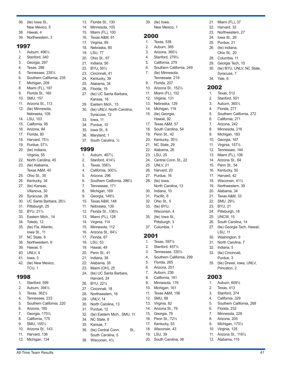- 36. (tie) Iowa St.,
- New Mexico, 5
- 38. Hawaii, 4
- 39. Northwestern, 3

- 1. Auburn, 496½
- 2. Stanford, 340
- 3. Georgia, 297
- 4. Texas, 286 5. Tennessee, 235½
- 6. Southern California, 235
- 7. Michigan, 209
- 8. Miami (FL), 197
- 9. Florida St., 160
- 10. SMU, 157
- 11. Arizona St., 113
- 12. (tie) Minnesota, Nebraska, 109
- 14. LSU, 103
- 15. California, 95
- 16. Arizona, 84
- 17. Florida, 80
- 18. Harvard, 75½
- 19. Purdue, 57½
- 20. (tie) Indiana,
- Virginia, 55
- 22. North Carolina, 45
- 23. (tie) Alabama,
- Texas A&M, 40 25. Ohio St., 35
- 26. Kentucky, 34
- 27. (tie) Kansas,
- Villanova, 30
- 29. Syracuse, 28
- 30. UC Santa Barbara, 26½
- 31. Pittsburgh, 25
- 32. BYU, 21½
- 33. Eastern Mich., 14
- 34. Toledo, 12
- 35. (tie) Fla. Atlantic, Iowa St., 11
- 37. NC State, 8
- 38. Northwestern, 6
- 39. Hawaii, 5
- 40. UNLV, 4
- 41. Iowa, 3
- 42. (tie) New Mexico, TCU, 1

### 1998

- 1. Stanford, 599
- 2. Auburn, 394½
- 3. Texas, 362½ 4. Tennessee, 233
- 5. Southern California, 220
- 6. Arizona, 185
- 7. Georgia, 175½
- 8. California, 175
- 9. SMU, 155½
- 10. Arizona St., 143
- 11. Harvard, 136
- 12. Michigan, 134

13. Florida St., 130

39. (tie) Iowa,

1. Texas, 538 2. Auburn, 385 3. Arizona, 360½ 4. Stanford, 279½ 5. California, 279

2000

New Mexico, 1

21. Miami (FL), 37 22. Harvard, 32 23. Northwestern, 27 24. Iowa St., 26 25. Purdue, 21 26 (tie) Indiana, Ohio St., 20 28. Columbia, 11 29. Georgia Tech, 10

34. Yale, 6

1. Texas, 512 2. Stanford, 501 3. Auburn, 365½ 4. Florida, 277

6. California, 271 7. Arizona, 242 8. Minnesota, 216 9. Michigan, 183 10. Georgia, 167 11. Virginia, 157½ 12. Tennessee, 144 13. Miami (FL), 106 14. Arizona St., 84 15. Penn St., 54 16. Kentucky, 50 17. Harvard, 42 18. Wisconsin, 41½ 19. Northwestern, 39 20. Alabama, 34 21. Texas A&M, 33 22. SMU, 29½ 23. BYU, 21 24. Pittsburgh, 18 25. UNCW, 15 26. South Carolina, 14 27. (tie) Georgia Tech, Hawaii,

LSU, 11 30. Washington, 9 31. North Carolina, 7 32. Indiana, 5 33. (tie) Cincinnati, Purdue, 3 35. (tie) Drexel, Iowa, UNLV, Princeton, 2.

1. Auburn, 609½ 2. Texas, 413 3. Stanford, 374 4. California, 329 5. Southern California, 268

6. Florida, 232 7. Minnesota, 228 8. Arizona, 205 9. Michigan, 173½ 10. Virginia, 125 11. Arizona St., 116½ 12. Alabama, 115

2003

2002

30. (tie) BYU, UNLV, NC State, Syracuse, 7

5. Southern California, 272

6. Southern California, 249 7. (tie) Minnesota, Tennessee, 219 9. Florida, 207 10. Arizona St., 152½ 11. Miami (FL), 152 12. Virginia, 131 13. Nebraska, 129 14. Michigan, 119 15. (tie) Georgia, Hawaii, 92 17. Texas A&M, 57 18. South Carolina, 54 19. Penn St., 42 20. Kentucky, 30½ 21. NC State, 29 22. Alabama, 26 23. LSU, 25

24. Central Conn. St., 22

North Carolina, 13

25. UNLV, 21 26. Harvard, 20 27. Purdue, 16 28. (tie) Iowa,

30. Indiana, 10 31. Pacific, 6 32. Ohio St., 5 33. (tie) BYU, Wisconsin, 4 35. (tie) Iowa St., Pittsburgh, 3 37. Columbia, 1

2001

1. Texas, 597½ 2. Stanford, 457½ 3. Tennessee, 330½ 4. Southern California, 299

5. Florida, 265 6. Arizona, 251 7. Auburn, 236 8. California, 191 9. Minnesota, 176 10. Michigan, 161 11. Texas A&M, 156 12. SMU, 88 13. Virginia, 82 14. Arizona St., 79 15. Georgia, 78 16. Penn St., 72½ 17. Kentucky, 53 18. Wisconsin, 43 19. LSU, 39

20. South Carolina, 38

- 14. Minnesota, 105 15. Miami (FL), 100
- 16. Texas A&M, 91
- 17. Virginia, 89
- 18. Nebraska, 80
- 19. LSU, 77
- 20. Ohio St., 67
- 21. Indiana, 56
- 22. BYU, 50½
- 23. Cincinnati, 41
- 24. Kentucky, 39
- 25. Alabama, 34
- 26. Florida, 19
- 27. (tie) UC Santa Barbara,
- Kansas, 16
- 29. Eastern Mich., 15
- 30. (tie) UNLV, North Carolina, Syracuse, 12
- 33. Iowa, 11
- 34. Purdue, 10
- 35. Iowa St., 8
- 36. Maryland, 1
- 37. South Carolina, ½

### 1999

- 1. Auburn, 467½
- 2. Stanford, 414½
- 3. Texas, 356½
- 4. California, 300½
- 5. Arizona, 296
- 6. Southern California, 286½
- 7. Tennessee, 171
- 8. Michigan, 169
- 9. Georgia, 149½
- 10. Texas A&M, 148
- 11. Nebraska, 139 12. Florida St., 136½
- 13. Miami (FL), 128
- 14. Virginia, 114
- 15. Minnesota, 112
- 16. Arizona St., 84½
- 17. Florida, 67
- 18. LSU, 53
- 19. Hawaii, 49
- 20. Penn St., 41
- 21. Indiana, 38
- 22. Alabama, 35
- 23. Miami (OH), 25

34. NC State, 8 35. Kansas, 7

24. (tie) UC Santa Barbara, Harvard, 24 26. BYU, 22½ 27. Cincinnati, 18 28. Northwestern, 16 29. UNLV, 14 30. North Carolina, 13 31. Purdue, 12

32. (tie) Eastern Mich., SMU, 11

36. (tie) Central Conn. St., South Carolina, 5 38. Wisconsin, 4½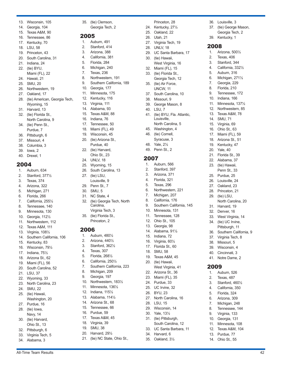- 13. Wisconsin, 105
- 14. Georgia, 104
- 15. Texas A&M, 90
- 16. Tennessee, 86
- 17. Kentucky, 70
- 18. LSU, 58
- 19. Princeton, 43 20. South Carolina, 31
- 21. Indiana, 24
- 22. (tie) BYU,
- Miami (FL), 22
- 24. Hawaii, 21
- 25. SMU, 20
- 26. Northwestern, 19
- 27. Oakland, 17
- 28. (tie) American, Georgia Tech, Wyoming, 15
- 31. Harvard, 13
- 32. (tie) Florida St., North Carolina, 9
- 34. (tie) Penn St., Purdue, 7
- 36. Pittsburgh, 6
- 37. Missouri, 4
- 38. Columbia, 3
- 39. Iowa, 2
- 40. Drexel, 1

- 1. Auburn, 634
- 2. Stanford, 377½
- 3. Texas, 374
- 4. Arizona, 322
- 5. Michigan, 271
- 6. Florida, 266
- 7. California, 255½
- 8. Tennessee, 140
- 9. Minnesota, 130
- 10. Georgia, 112½
- 11. Northwestern, 112
- 12. Texas A&M, 111
- 13. Virginia, 108½
- 14. Southern California, 106
- 15. Kentucky, 83
- 16. Wisconsin, 79½
- 17. Indiana, 75½
- 18. Arizona St., 62 19. Miami (FL), 56
- 20. South Carolina, 52
- 21. LSU, 37
- 22. Wyoming, 33
- 23. North Carolina, 23
- 24. SMU, 22
- 25. (tie) Hawaii,
- Washington, 20
- 27. Purdue, 16 28. (tie) Iowa,
- Navy, 14
- 30. (tie) Harvard,
- Ohio St., 13
- 32. Pittsburgh, 6 33. Virginia Tech, 5
- 34. Alabama, 3

35. (tie) Clemson, Georgia Tech, 2

Princeton, 28 24. Kentucky, 27½ 25. Oakland, 22 26. Utah, 21 27. Virginia Tech, 19 28. UNLV, 18

36. Louisville, 3 37. (tie) George Mason, Georgia Tech, 2

39. Kentucky, 1

1. Arizona, 500½ 2. Texas, 406 3. Stanford, 344 4. California, 332½ 5. Auburn, 316 6. Michigan, 271½ 7. Georgia, 229 8. Florida, 210 9. Tennessee, 172 10. Indiana, 166 11. Minnesota, 137½ 12. Northwestern, 85 13. Texas A&M, 78 14. SMU, 71 15. Virginia, 69 16. Ohio St., 63 17. Miami (FL), 59 18. Arizona St., 51 19. Kentucky, 47 20. Yale, 40 21. Florida St., 39 22. Alabama, 37 23. (tie) Hawaii, Penn St., 33 25. Purdue, 25 26. Louisville, 24 27. Oakland, 23 28. Princeton, 21 29. (tie) LSU,

North Carolina, 20

31. Harvard, 19 32. Denver, 16 33. West Virginia, 14 34. (tie) UC Irvine, Pittsburgh, 11 36. Southern California, 9 37. Virginia Tech, 8 38. Missouri, 5 39. Wisconsin, 4 40. Cincinnati, 3 41. Notre Dame, 2

2009

1. Auburn, 526 2. Texas, 487 3. Stanford, 460½ 4. California, 350 5. Florida, 324 6. Arizona, 309 7. Michigan, 248 8. Tennessee, 144 9. Virginia, 133 10. Georgia, 131 11. Minnesota, 108 12. Texas A&M, 104 13. Purdue, 77 14. Ohio St., 55

2008

29. UC Santa Barbara, 17

West Virginia, 16 32. Miami (FL), 15 33. (tie) Florida St., Georgia Tech, 12 35. (tie) Air Force, UNCW, 11 37. South Carolina, 10 38. Missouri, 9 39. George Mason, 8

41. (tie) BYU, Fla. Atlantic, Louisville, North Carolina, 5 45. Washington, 4 46. (tie) Cornell, Syracuse, 3 48. Yale, 2½ 49. Penn St., 2

30. (tie) Hawaii,

40. LSU, 7

2007

1. Auburn, 566 2. Stanford, 397 3. Arizona, 371 4. Florida, 321 5. Texas, 296 6. Northwestern, 221 7. Michigan, 207 8. California, 176

9. Southern California, 145 10. Minnesota, 131 11. Tennessee, 128 12. Ohio St., 105 13. Georgia, 98 14. Alabama, 91½ 15. Indiana, 72 16. Virginia, 60½ 17. Florida St., 60 18. SMU, 58 19. Texas A&M, 45 20. (tie) Hawaii,

West Virginia, 41 22. Arizona St., 36 23. Miami (FL), 35 24. Purdue, 33 25. UC Irvine, 32 26. BYU, 23

27. North Carolina, 16

28. LSU, 15 29. Wisconsin, 14 30. Yale, 13½ 31. (tie) Pittsburgh, South Carolina, 12 33. UC Santa Barbara, 11

34. Harvard, 6 35. Oakland, 3½

### 2005

- 1. Auburn, 491
- 2. Stanford, 414
- 3. Arizona, 388
- 4. California, 381
- 5. Florida, 284
- 6. Michigan, 240
- 7. Texas, 236
- 8. Northwestern, 191
- 9. Southern California, 189
- 10. Georgia, 177
- 11. Minnesota, 175
- 12. Kentucky, 116
- 13. Virginia, 111
- 14. Alabama, 93
- 15. Texas A&M, 88
- 16. Indiana, 76
- 17. Tennessee, 50
- 18. Miami (FL), 49
- 19. Wisconsin, 45
- 20. (tie) Arizona St., Purdue, 40
- 22. (tie) Harvard, Ohio St., 23
- 24. UNLV, 18
- 25. Wyoming, 15
- 26. South Carolina, 13
- 27. (tie) LSU, Louisville, 9
- 29. Penn St., 7
- 30. SMU, 5
- 31. NC State, 4
- 32. (tie) Georgia Tech, North Carolina,
	- Virginia Tech, 3
- 35. (tie) Florida St., Princeton, 2

### 2006

- 1. Auburn, 480½
- 2. Arizona, 440½
- 3. Stanford, 362½
- 4. Texas, 307
- 5. Florida, 268½
- 6. California, 250½
- 7. Southern California, 223
- 8. Michigan, 209
- 9. Georgia, 197

12. Indiana, 115½ 13. Alabama, 114½ 14. Arizona St., 68 15. Tennessee, 66 16. Purdue, 59 17. Texas A&M, 45 18. Virginia, 39 19. SMU, 38 20. Harvard, 29½

10. Northwestern, 183½ 11. Minnesota, 136½

21. (tie) NC State, Ohio St.,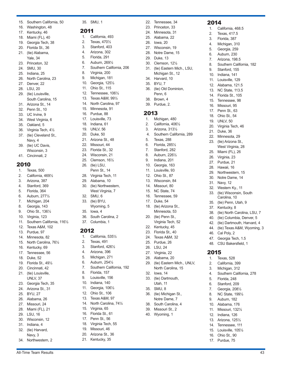#### 15. Southern California, 50

- 16. Washington, 48
- 17. Kentucky, 46
- 18. Miami (FL), 40
- 19. Georgia Tech, 38
- 20. Florida St., 36
- 21. (tie) Alabama,
- Yale, 34
- 23. Princeton, 32
- 24. SMU, 30 25. Indiana, 25
- 
- 26. North Carolina, 23 27. Denver, 22
- 28. LSU, 20
- 29. (tie) Louisville,
- South Carolina, 15
- 31. Arizona St., 14
- 32. Penn St., 10
- 33. UC Irvine, 9
- 34. West Virginia, 6
- 35. Oakland, 5
- 36. Virginia Tech, 4½
- 37. (tie) Cleveland St., Navy, 4
- 39. (tie) UC Davis, Wisconsin, 3
- 41. Cincinnati, 2

### 2010

- 1. Texas, 500
- 2. California, 469½
- 3. Arizona, 387
- 4. Stanford, 369
- 5. Florida, 364
- 6. Auburn, 277½
- 7. Michigan, 204
- 8. Georgia, 143 9. Ohio St., 136½
- 10. Virginia, 123
- 11. Southern California, 116½
- 12. Texas A&M, 102
- 13. Purdue, 97
- 14. Minnesota, 82
- 15. North Carolina, 76½
- 16. Kentucky, 69
- 17. Tennessee, 56 18. Duke, 52
- 19. Florida St., 49½
- 20. Cincinnati, 42
- 21. (tie) Louisville,
- UNLV, 37
- 23. Georgia Tech, 35
- 24. Arizona St., 31 25. BYU, 27
- 26. Alabama, 26
- 27. Missouri, 24
- 28. Miami (FL), 21
- 29. LSU, 16
- 30. Wisconsin, 12
- 31. Indiana, 4
- 32. (tie) Harvard,
- Navy, 3
- 34. Northwestern, 2

#### 35. SMU, 1

#### 2011

- 1. California, 493
- 2. Texas, 470½
- 3. Stanford, 403
- 4. Arizona, 302
- 5. Florida, 291
- 6. Auburn, 269½
- 7. Southern California, 206

22. Tennessee, 34 23. Princeton, 33 24. Minnesota, 31 25. Alabama, 22 26. Iowa, 20 27. Wisconsin, 19 28. Notre Dame, 15 29. Duke, 13 30. Clemson, 12½

2014

1. California, 468.5 2. Texas, 417.5 3. Florida, 387 4. Michigan, 310 5. Georgia, 259 6. Auburn, 230 7. Arizona, 198.5

8. Southern California, 182

38. (tie) North Carolina, LSU, 7 40. (tie) Columbia, Denver, 5 42. (tie) Dartmouth, Harvard, 4 44. (tie) Texas A&M, Wyoming, 3

46. Cal Poly, 2 47. Georgia Tech, 1.5 48. CSU Bakersfield, 1

1. Texas, 528 2. California, 399 3. Michigan, 312

5. Florida, 248 6. Stanford, 209 7. Georgia, 208½ 8. NC State, 199½ 9. Auburn, 182 10. Alabama, 176 11. Missouri, 132½ 12. Indiana, 126 13. Arizona, 125½ 14. Tennessee, 111 15. Louisville, 105½ 16. Ohio St., 90 17. Purdue, 75

4. Southern California, 278

2015

9. Stanford, 155 10. Indiana, 141 11. Louisville, 129 12. Alabama, 121.5 13. NC State, 113.5 14. Florida St., 105 15. Tennessee, 98 16. Missouri, 95 17. Penn St., 63 18. Ohio St., 54 19. UNLV, 50 20. Virginia Tech, 46 21. Duke, 36 22. Minnesota, 29 23. (tie) Arizona St., West Virginia, 28 25. Miami (FL), 26 26. Virginia, 23 27. Purdue, 21 28. Hawaii, 16 29. Northwestern, 15 30. Notre Dame, 14 31. Navy, 12 32. Western Ky., 11 33. (tie) Wisconsin, South Carolina, 10 35. (tie) Penn, Utah, 9 37. Kentucky, 8

31. (tie) Eastern Mich., LSU, Michigan St., 12

34. Harvard, 10 35. BYU, 7

1. Michigan, 480 2. California, 406½ 3. Arizona, 313½

5. Texas, 288 6. Florida, 285½ 7. Stanford, 282 8. Auburn, 226½ 9. Indiana, 201 10. Georgia, 163 11. Louisville, 93 12. Ohio St., 87 13. Wisconsin, 84 14. Missouri, 80 15. NC State, 74 16. Tennessee, 59 17. Duke, 54 18. (tie) Arizona St., Minnesota, 53 20. (tie) Penn St., Virginia Tech, 52 22. Kentucky, 45 23. Florida St., 40 24. Texas A&M, 32 25. Purdue, 26 26. LSU, 24 27. Virginia, 22 28. Alabama, 20

4. Southern California, 289

29. (tie) Eastern Mich., UNLV, North Carolina, 15

32. Iowa, 14 33. (tie) Dartmouth, Utah, 11 35. SMU, 8

36. (tie) Michigan St., Notre Dame, 7 38. South Carolina, 4 39. Missouri St., 2 40. Wyoming, 1

2013

36. (tie) Old Dominion, Penn, 6 38. Brown, 4 39. Purdue, 2.

- 8. Virginia, 200
- 9. Michigan, 181
- 10. Georgia, 125½
- 11. Ohio St., 115
- 12. Tennessee, 106½
- 13. Texas A&M, 99½
- 14. North Carolina, 97
- 15. Minnesota, 91
- 16. Purdue, 88
- 17. Louisville, 73
- 18. Indiana, 61
- 19. UNLV, 56
- 20. Duke, 50
- 21. Arizona St., 48
- 22. Missouri, 44
- 23. Florida St., 32
- 24. Wisconsin, 21
- 25. Clemson, 16½
- 26. (tie) LSU,
- Penn St., 14
- 28. Virginia Tech, 11
- 29. Alabama, 10
- 30. (tie) Northwestern, West Virginia, 7
- 32. SMU, 6
- 33. (tie) BYU,
- Wyoming, 5
- 35. Iowa, 4
- 36. South Carolina, 2
- 37. Columbia, 1

#### 2012

- 1. California, 535½
- 2. Texas, 491
- 3. Stanford, 426½

6. Auburn, 254½

8. Florida, 157 9. Louisville, 156 10. Indiana, 140 11. Georgia, 106½ 12. Ohio St., 106 13. Texas A&M, 97 14. North Carolina, 74½ 15. Virginia, 65 16. Florida St., 61 17. Penn St., 56 18. Virginia Tech, 55 19. Missouri, 46 20. Arizona St., 36 21. Kentucky, 35

7. Southern California, 192

4. Arizona, 396 5. Michigan, 271